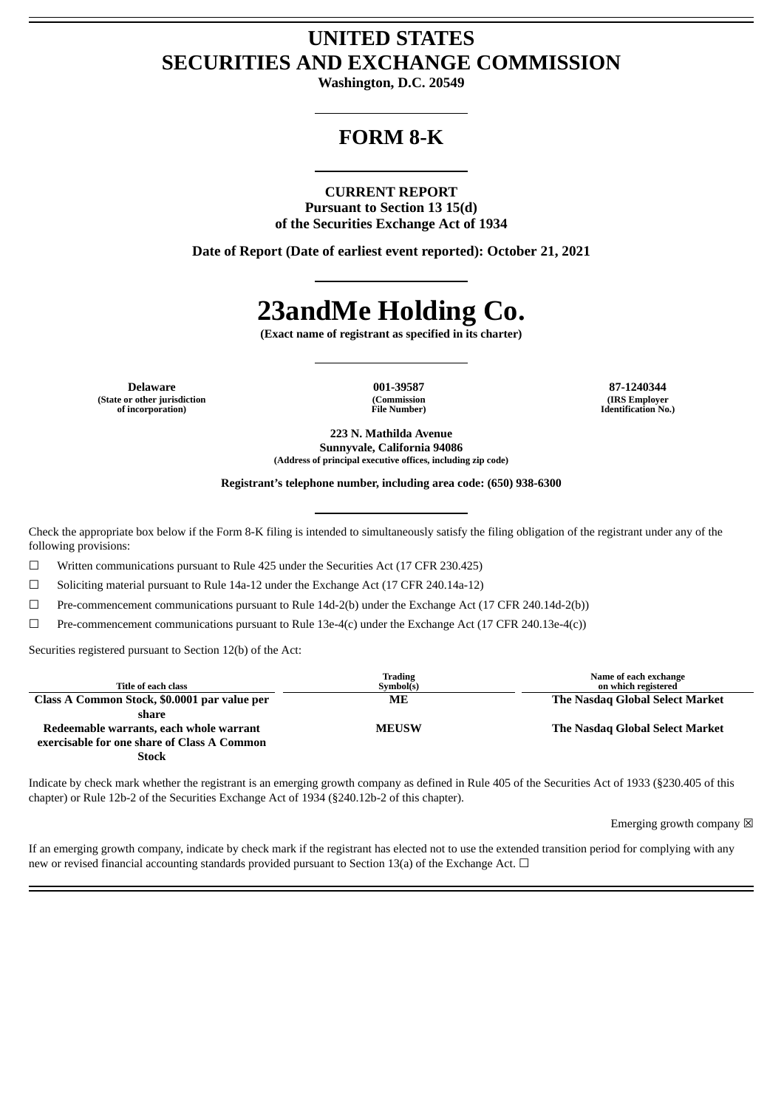# **UNITED STATES SECURITIES AND EXCHANGE COMMISSION**

**Washington, D.C. 20549**

# **FORM 8-K**

# **CURRENT REPORT**

**Pursuant to Section 13 15(d) of the Securities Exchange Act of 1934**

**Date of Report (Date of earliest event reported): October 21, 2021**

# **23andMe Holding Co.**

**(Exact name of registrant as specified in its charter)**

**Delaware 001-39587 87-1240344 (State or other jurisdiction of incorporation)**

**(Commission File Number)**

**(IRS Employer Identification No.)**

**223 N. Mathilda Avenue Sunnyvale, California 94086 (Address of principal executive offices, including zip code)**

**Registrant's telephone number, including area code: (650) 938-6300**

Check the appropriate box below if the Form 8-K filing is intended to simultaneously satisfy the filing obligation of the registrant under any of the following provisions:

☐ Written communications pursuant to Rule 425 under the Securities Act (17 CFR 230.425)

☐ Soliciting material pursuant to Rule 14a-12 under the Exchange Act (17 CFR 240.14a-12)

☐ Pre-commencement communications pursuant to Rule 14d-2(b) under the Exchange Act (17 CFR 240.14d-2(b))

 $\Box$  Pre-commencement communications pursuant to Rule 13e-4(c) under the Exchange Act (17 CFR 240.13e-4(c))

Securities registered pursuant to Section 12(b) of the Act:

| Title of each class                          | Trading<br>Symbol(s) | Name of each exchange<br>on which registered |
|----------------------------------------------|----------------------|----------------------------------------------|
| Class A Common Stock, \$0.0001 par value per | MЕ                   | The Nasdag Global Select Market              |
| share                                        |                      |                                              |
| Redeemable warrants, each whole warrant      | <b>MEUSW</b>         | The Nasdag Global Select Market              |
| exercisable for one share of Class A Common  |                      |                                              |
| Stock                                        |                      |                                              |

Indicate by check mark whether the registrant is an emerging growth company as defined in Rule 405 of the Securities Act of 1933 (§230.405 of this chapter) or Rule 12b-2 of the Securities Exchange Act of 1934 (§240.12b-2 of this chapter).

Emerging growth company  $\boxtimes$ 

If an emerging growth company, indicate by check mark if the registrant has elected not to use the extended transition period for complying with any new or revised financial accounting standards provided pursuant to Section 13(a) of the Exchange Act.  $\Box$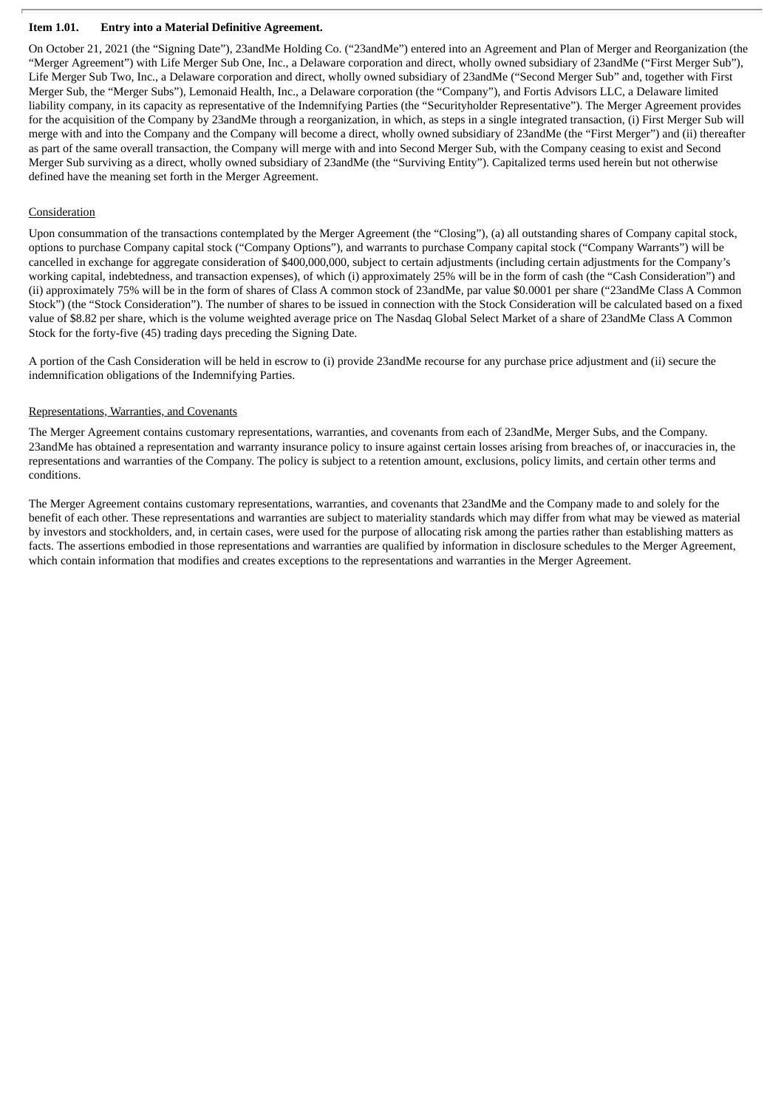# **Item 1.01. Entry into a Material Definitive Agreement.**

On October 21, 2021 (the "Signing Date"), 23andMe Holding Co. ("23andMe") entered into an Agreement and Plan of Merger and Reorganization (the "Merger Agreement") with Life Merger Sub One, Inc., a Delaware corporation and direct, wholly owned subsidiary of 23andMe ("First Merger Sub"), Life Merger Sub Two, Inc., a Delaware corporation and direct, wholly owned subsidiary of 23andMe ("Second Merger Sub" and, together with First Merger Sub, the "Merger Subs"), Lemonaid Health, Inc., a Delaware corporation (the "Company"), and Fortis Advisors LLC, a Delaware limited liability company, in its capacity as representative of the Indemnifying Parties (the "Securityholder Representative"). The Merger Agreement provides for the acquisition of the Company by 23andMe through a reorganization, in which, as steps in a single integrated transaction, (i) First Merger Sub will merge with and into the Company and the Company will become a direct, wholly owned subsidiary of 23andMe (the "First Merger") and (ii) thereafter as part of the same overall transaction, the Company will merge with and into Second Merger Sub, with the Company ceasing to exist and Second Merger Sub surviving as a direct, wholly owned subsidiary of 23andMe (the "Surviving Entity"). Capitalized terms used herein but not otherwise defined have the meaning set forth in the Merger Agreement.

# Consideration

Upon consummation of the transactions contemplated by the Merger Agreement (the "Closing"), (a) all outstanding shares of Company capital stock, options to purchase Company capital stock ("Company Options"), and warrants to purchase Company capital stock ("Company Warrants") will be cancelled in exchange for aggregate consideration of \$400,000,000, subject to certain adjustments (including certain adjustments for the Company's working capital, indebtedness, and transaction expenses), of which (i) approximately 25% will be in the form of cash (the "Cash Consideration") and (ii) approximately 75% will be in the form of shares of Class A common stock of 23andMe, par value \$0.0001 per share ("23andMe Class A Common Stock") (the "Stock Consideration"). The number of shares to be issued in connection with the Stock Consideration will be calculated based on a fixed value of \$8.82 per share, which is the volume weighted average price on The Nasdaq Global Select Market of a share of 23andMe Class A Common Stock for the forty-five (45) trading days preceding the Signing Date.

A portion of the Cash Consideration will be held in escrow to (i) provide 23andMe recourse for any purchase price adjustment and (ii) secure the indemnification obligations of the Indemnifying Parties.

# Representations, Warranties, and Covenants

The Merger Agreement contains customary representations, warranties, and covenants from each of 23andMe, Merger Subs, and the Company. 23andMe has obtained a representation and warranty insurance policy to insure against certain losses arising from breaches of, or inaccuracies in, the representations and warranties of the Company. The policy is subject to a retention amount, exclusions, policy limits, and certain other terms and conditions.

The Merger Agreement contains customary representations, warranties, and covenants that 23andMe and the Company made to and solely for the benefit of each other. These representations and warranties are subject to materiality standards which may differ from what may be viewed as material by investors and stockholders, and, in certain cases, were used for the purpose of allocating risk among the parties rather than establishing matters as facts. The assertions embodied in those representations and warranties are qualified by information in disclosure schedules to the Merger Agreement, which contain information that modifies and creates exceptions to the representations and warranties in the Merger Agreement.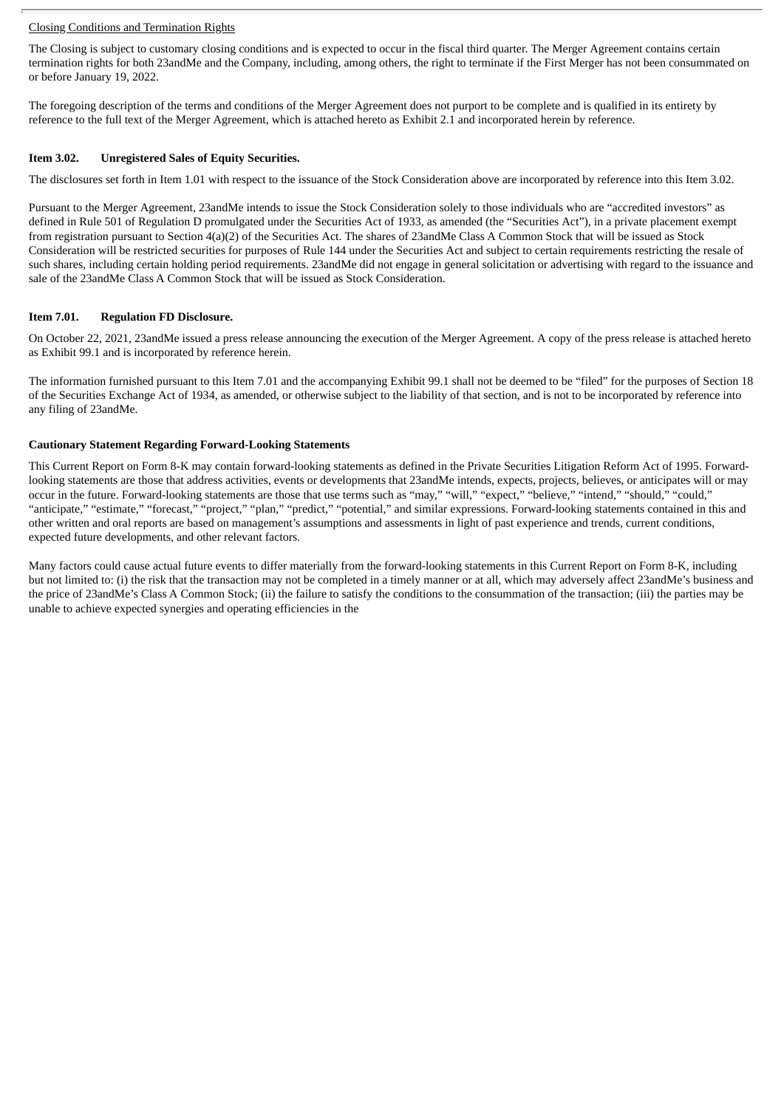# Closing Conditions and Termination Rights

The Closing is subject to customary closing conditions and is expected to occur in the fiscal third quarter. The Merger Agreement contains certain termination rights for both 23andMe and the Company, including, among others, the right to terminate if the First Merger has not been consummated on or before January 19, 2022.

The foregoing description of the terms and conditions of the Merger Agreement does not purport to be complete and is qualified in its entirety by reference to the full text of the Merger Agreement, which is attached hereto as Exhibit 2.1 and incorporated herein by reference.

# **Item 3.02. Unregistered Sales of Equity Securities.**

The disclosures set forth in Item 1.01 with respect to the issuance of the Stock Consideration above are incorporated by reference into this Item 3.02.

Pursuant to the Merger Agreement, 23andMe intends to issue the Stock Consideration solely to those individuals who are "accredited investors" as defined in Rule 501 of Regulation D promulgated under the Securities Act of 1933, as amended (the "Securities Act"), in a private placement exempt from registration pursuant to Section 4(a)(2) of the Securities Act. The shares of 23andMe Class A Common Stock that will be issued as Stock Consideration will be restricted securities for purposes of Rule 144 under the Securities Act and subject to certain requirements restricting the resale of such shares, including certain holding period requirements. 23andMe did not engage in general solicitation or advertising with regard to the issuance and sale of the 23andMe Class A Common Stock that will be issued as Stock Consideration.

# **Item 7.01. Regulation FD Disclosure.**

On October 22, 2021, 23andMe issued a press release announcing the execution of the Merger Agreement. A copy of the press release is attached hereto as Exhibit 99.1 and is incorporated by reference herein.

The information furnished pursuant to this Item 7.01 and the accompanying Exhibit 99.1 shall not be deemed to be "filed" for the purposes of Section 18 of the Securities Exchange Act of 1934, as amended, or otherwise subject to the liability of that section, and is not to be incorporated by reference into any filing of 23andMe.

# **Cautionary Statement Regarding Forward-Looking Statements**

This Current Report on Form 8-K may contain forward-looking statements as defined in the Private Securities Litigation Reform Act of 1995. Forwardlooking statements are those that address activities, events or developments that 23andMe intends, expects, projects, believes, or anticipates will or may occur in the future. Forward-looking statements are those that use terms such as "may," "will," "expect," "believe," "intend," "should," "could," "anticipate," "estimate," "forecast," "project," "plan," "predict," "potential," and similar expressions. Forward-looking statements contained in this and other written and oral reports are based on management's assumptions and assessments in light of past experience and trends, current conditions, expected future developments, and other relevant factors.

Many factors could cause actual future events to differ materially from the forward-looking statements in this Current Report on Form 8-K, including but not limited to: (i) the risk that the transaction may not be completed in a timely manner or at all, which may adversely affect 23andMe's business and the price of 23andMe's Class A Common Stock; (ii) the failure to satisfy the conditions to the consummation of the transaction; (iii) the parties may be unable to achieve expected synergies and operating efficiencies in the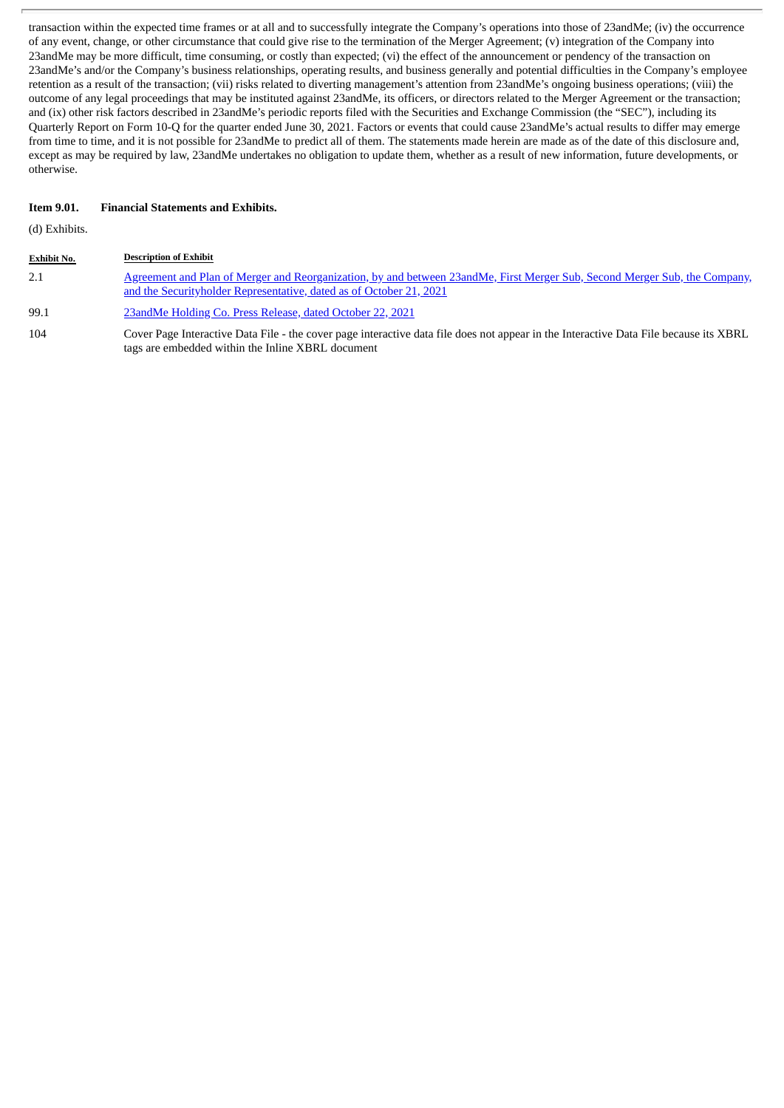transaction within the expected time frames or at all and to successfully integrate the Company's operations into those of 23andMe; (iv) the occurrence of any event, change, or other circumstance that could give rise to the termination of the Merger Agreement; (v) integration of the Company into 23andMe may be more difficult, time consuming, or costly than expected; (vi) the effect of the announcement or pendency of the transaction on 23andMe's and/or the Company's business relationships, operating results, and business generally and potential difficulties in the Company's employee retention as a result of the transaction; (vii) risks related to diverting management's attention from 23andMe's ongoing business operations; (viii) the outcome of any legal proceedings that may be instituted against 23andMe, its officers, or directors related to the Merger Agreement or the transaction; and (ix) other risk factors described in 23andMe's periodic reports filed with the Securities and Exchange Commission (the "SEC"), including its Quarterly Report on Form 10-Q for the quarter ended June 30, 2021. Factors or events that could cause 23andMe's actual results to differ may emerge from time to time, and it is not possible for 23andMe to predict all of them. The statements made herein are made as of the date of this disclosure and, except as may be required by law, 23andMe undertakes no obligation to update them, whether as a result of new information, future developments, or otherwise.

#### **Item 9.01. Financial Statements and Exhibits.**

(d) Exhibits.

| <b>Exhibit No.</b> | <b>Description of Exhibit</b>                                                                                                                                                                      |
|--------------------|----------------------------------------------------------------------------------------------------------------------------------------------------------------------------------------------------|
| 2.1                | Agreement and Plan of Merger and Reorganization, by and between 23andMe, First Merger Sub, Second Merger Sub, the Company,<br>and the Security holder Representative, dated as of October 21, 2021 |
| 99.1               | 23andMe Holding Co. Press Release, dated October 22, 2021                                                                                                                                          |
| 104                | Cover Page Interactive Data File - the cover page interactive data file does not appear in the Interactive Data File because its XBRL<br>tags are embedded within the Inline XBRL document         |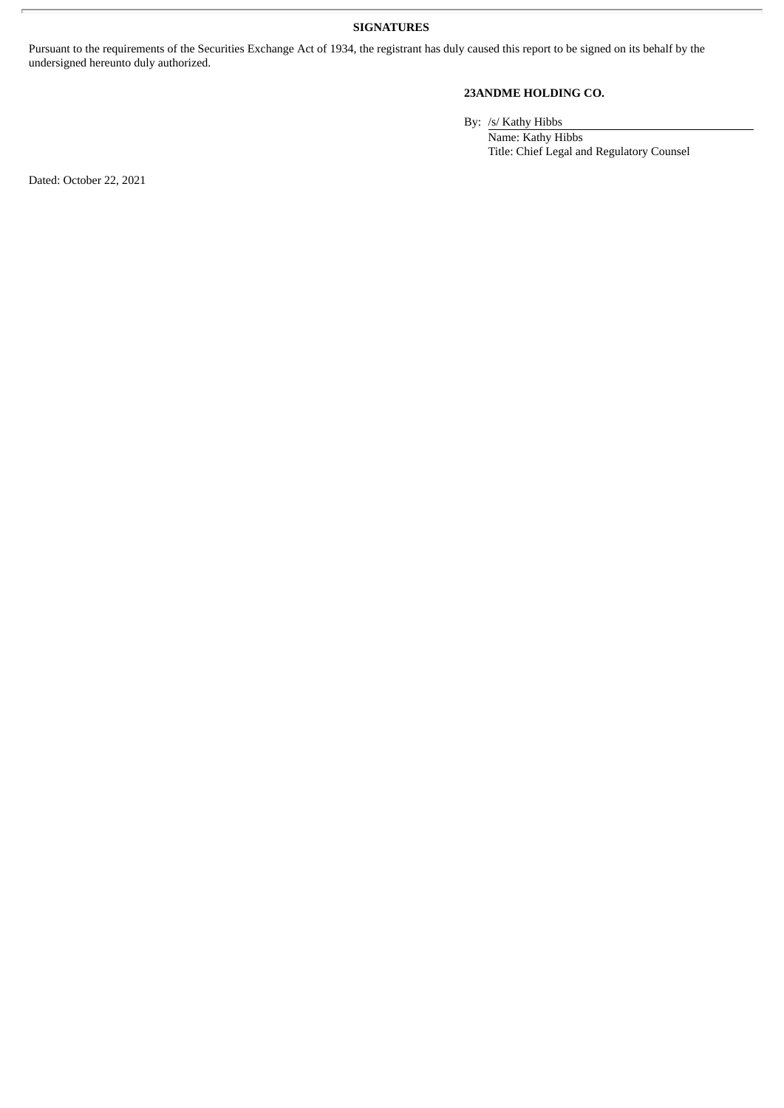**SIGNATURES**

Pursuant to the requirements of the Securities Exchange Act of 1934, the registrant has duly caused this report to be signed on its behalf by the undersigned hereunto duly authorized.

# **23ANDME HOLDING CO.**

By: /s/ Kathy Hibbs

Name: Kathy Hibbs Title: Chief Legal and Regulatory Counsel

Dated: October 22, 2021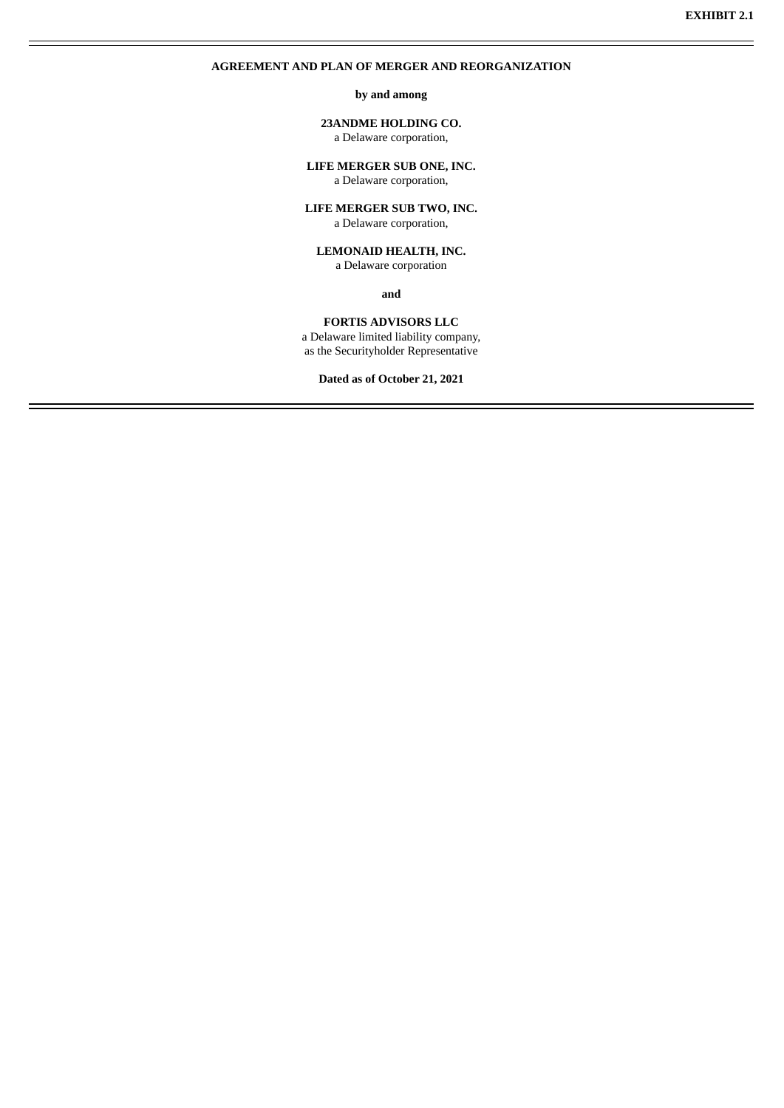# <span id="page-5-0"></span>**AGREEMENT AND PLAN OF MERGER AND REORGANIZATION**

**by and among**

**23ANDME HOLDING CO.** a Delaware corporation,

**LIFE MERGER SUB ONE, INC.**

a Delaware corporation,

**LIFE MERGER SUB TWO, INC.** a Delaware corporation,

**LEMONAID HEALTH, INC.**

a Delaware corporation

**and**

**FORTIS ADVISORS LLC** a Delaware limited liability company, as the Securityholder Representative

**Dated as of October 21, 2021**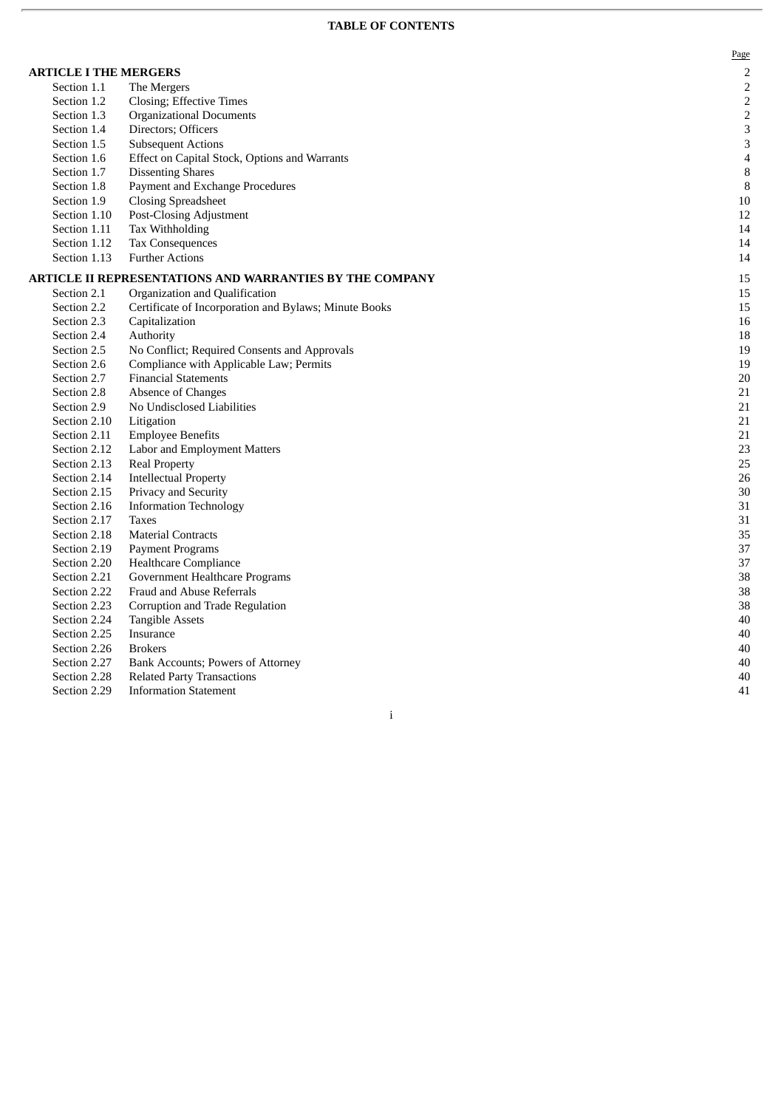#### **TABLE OF CONTENTS**

|                              |                                                          | Page           |
|------------------------------|----------------------------------------------------------|----------------|
| <b>ARTICLE I THE MERGERS</b> |                                                          | $\overline{2}$ |
| Section 1.1                  | The Mergers                                              | $\overline{2}$ |
| Section 1.2                  | <b>Closing</b> ; Effective Times                         | $\mathbf 2$    |
| Section 1.3                  | <b>Organizational Documents</b>                          | $\overline{c}$ |
| Section 1.4                  | Directors; Officers                                      | 3              |
| Section 1.5                  | <b>Subsequent Actions</b>                                | 3              |
| Section 1.6                  | Effect on Capital Stock, Options and Warrants            | $\overline{4}$ |
| Section 1.7                  | <b>Dissenting Shares</b>                                 | 8              |
| Section 1.8                  | Payment and Exchange Procedures                          | $\, 8$         |
| Section 1.9                  | <b>Closing Spreadsheet</b>                               | 10             |
| Section 1.10                 | Post-Closing Adjustment                                  | 12             |
| Section 1.11                 | Tax Withholding                                          | 14             |
| Section 1.12                 | Tax Consequences                                         | 14             |
| Section 1.13                 | <b>Further Actions</b>                                   | 14             |
|                              | ARTICLE II REPRESENTATIONS AND WARRANTIES BY THE COMPANY | 15             |
| Section 2.1                  | Organization and Qualification                           | 15             |
| Section 2.2                  | Certificate of Incorporation and Bylaws; Minute Books    | 15             |
| Section 2.3                  | Capitalization                                           | 16             |
| Section 2.4                  | Authority                                                | 18             |
| Section 2.5                  | No Conflict; Required Consents and Approvals             | 19             |
| Section 2.6                  | Compliance with Applicable Law; Permits                  | 19             |
| Section 2.7                  | <b>Financial Statements</b>                              | 20             |
| Section 2.8                  | Absence of Changes                                       | 21             |
| Section 2.9                  | No Undisclosed Liabilities                               | 21             |
| Section 2.10                 | Litigation                                               | 21             |
| Section 2.11                 | <b>Employee Benefits</b>                                 | 21             |
| Section 2.12                 | Labor and Employment Matters                             | 23             |
| Section 2.13                 | <b>Real Property</b>                                     | 25             |
| Section 2.14                 | <b>Intellectual Property</b>                             | 26             |
| Section 2.15                 | Privacy and Security                                     | 30             |
| Section 2.16                 | <b>Information Technology</b>                            | 31             |
| Section 2.17                 | Taxes                                                    | 31             |
| Section 2.18                 | <b>Material Contracts</b>                                | 35             |
| Section 2.19                 | <b>Payment Programs</b>                                  | 37             |
| Section 2.20                 | <b>Healthcare Compliance</b>                             | 37             |
| Section 2.21                 | Government Healthcare Programs                           | 38             |
| Section 2.22                 | Fraud and Abuse Referrals                                | 38             |
| Section 2.23                 | Corruption and Trade Regulation                          | 38             |
| Section 2.24                 | <b>Tangible Assets</b>                                   | 40             |
| Section 2.25                 | Insurance                                                | 40             |
| Section 2.26                 | <b>Brokers</b>                                           | 40             |
| Section 2.27                 | Bank Accounts; Powers of Attorney                        | 40             |
| Section 2.28                 | <b>Related Party Transactions</b>                        | 40             |
| Section 2.29                 | <b>Information Statement</b>                             | 41             |

i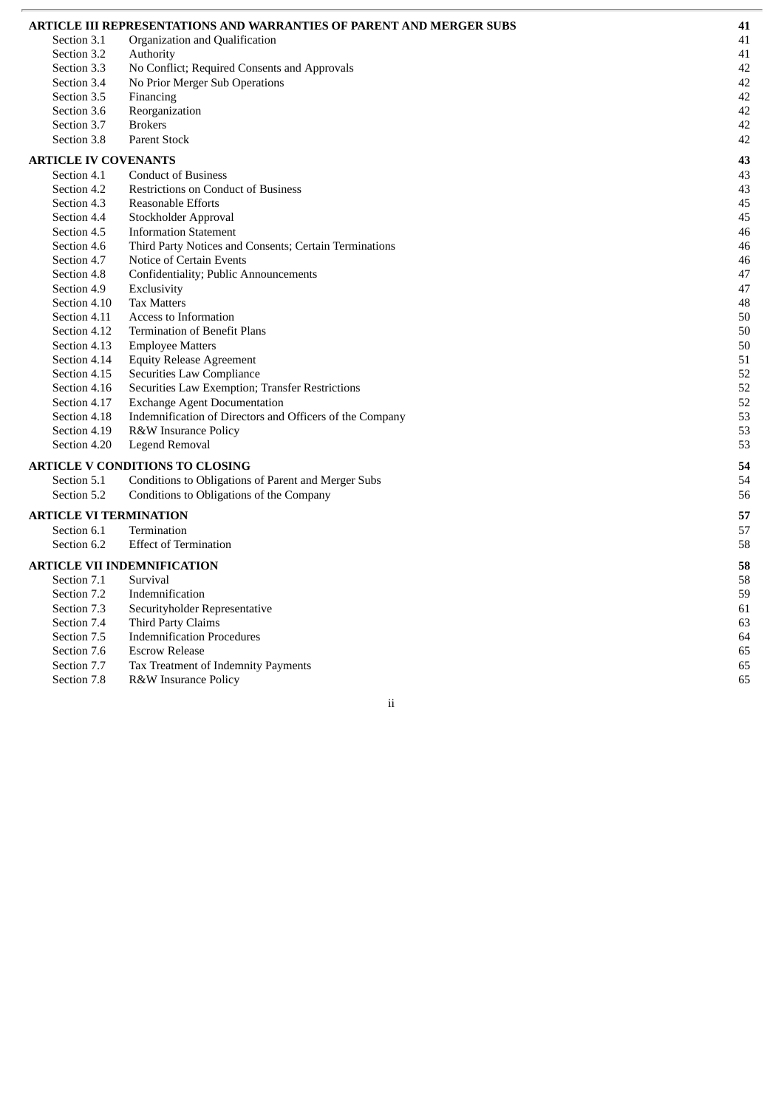|                               | ARTICLE III REPRESENTATIONS AND WARRANTIES OF PARENT AND MERGER SUBS | 41 |
|-------------------------------|----------------------------------------------------------------------|----|
| Section 3.1                   | Organization and Qualification                                       | 41 |
| Section 3.2                   | Authority                                                            | 41 |
| Section 3.3                   | No Conflict; Required Consents and Approvals                         | 42 |
| Section 3.4                   | No Prior Merger Sub Operations                                       | 42 |
| Section 3.5                   | Financing                                                            | 42 |
| Section 3.6                   | Reorganization                                                       | 42 |
| Section 3.7                   | <b>Brokers</b>                                                       | 42 |
| Section 3.8                   | <b>Parent Stock</b>                                                  | 42 |
| <b>ARTICLE IV COVENANTS</b>   |                                                                      | 43 |
| Section 4.1                   | <b>Conduct of Business</b>                                           | 43 |
| Section 4.2                   | <b>Restrictions on Conduct of Business</b>                           | 43 |
| Section 4.3                   | Reasonable Efforts                                                   | 45 |
| Section 4.4                   | Stockholder Approval                                                 | 45 |
| Section 4.5                   | <b>Information Statement</b>                                         | 46 |
| Section 4.6                   | Third Party Notices and Consents; Certain Terminations               | 46 |
| Section 4.7                   | Notice of Certain Events                                             | 46 |
| Section 4.8                   | Confidentiality; Public Announcements                                | 47 |
| Section 4.9                   | Exclusivity                                                          | 47 |
| Section 4.10                  | <b>Tax Matters</b>                                                   | 48 |
| Section 4.11                  | Access to Information                                                | 50 |
| Section 4.12                  | <b>Termination of Benefit Plans</b>                                  | 50 |
| Section 4.13                  | <b>Employee Matters</b>                                              | 50 |
| Section 4.14                  | <b>Equity Release Agreement</b>                                      | 51 |
| Section 4.15                  | <b>Securities Law Compliance</b>                                     | 52 |
| Section 4.16                  | Securities Law Exemption; Transfer Restrictions                      | 52 |
| Section 4.17                  | <b>Exchange Agent Documentation</b>                                  | 52 |
| Section 4.18                  | Indemnification of Directors and Officers of the Company             | 53 |
| Section 4.19                  | R&W Insurance Policy                                                 | 53 |
| Section 4.20                  | Legend Removal                                                       | 53 |
|                               | <b>ARTICLE V CONDITIONS TO CLOSING</b>                               | 54 |
| Section 5.1                   | Conditions to Obligations of Parent and Merger Subs                  | 54 |
| Section 5.2                   | Conditions to Obligations of the Company                             | 56 |
| <b>ARTICLE VI TERMINATION</b> |                                                                      | 57 |
| Section 6.1                   | Termination                                                          | 57 |
| Section 6.2                   | <b>Effect of Termination</b>                                         | 58 |
|                               | <b>ARTICLE VII INDEMNIFICATION</b>                                   | 58 |
| Section 7.1                   | Survival                                                             | 58 |
| Section 7.2                   | Indemnification                                                      | 59 |
| Section 7.3                   | Securityholder Representative                                        | 61 |
| Section 7.4                   | Third Party Claims                                                   | 63 |
| Section 7.5                   | <b>Indemnification Procedures</b>                                    | 64 |
| Section 7.6                   | <b>Escrow Release</b>                                                | 65 |
| Section 7.7                   | Tax Treatment of Indemnity Payments                                  | 65 |
| Section 7.8                   | R&W Insurance Policy                                                 | 65 |

ii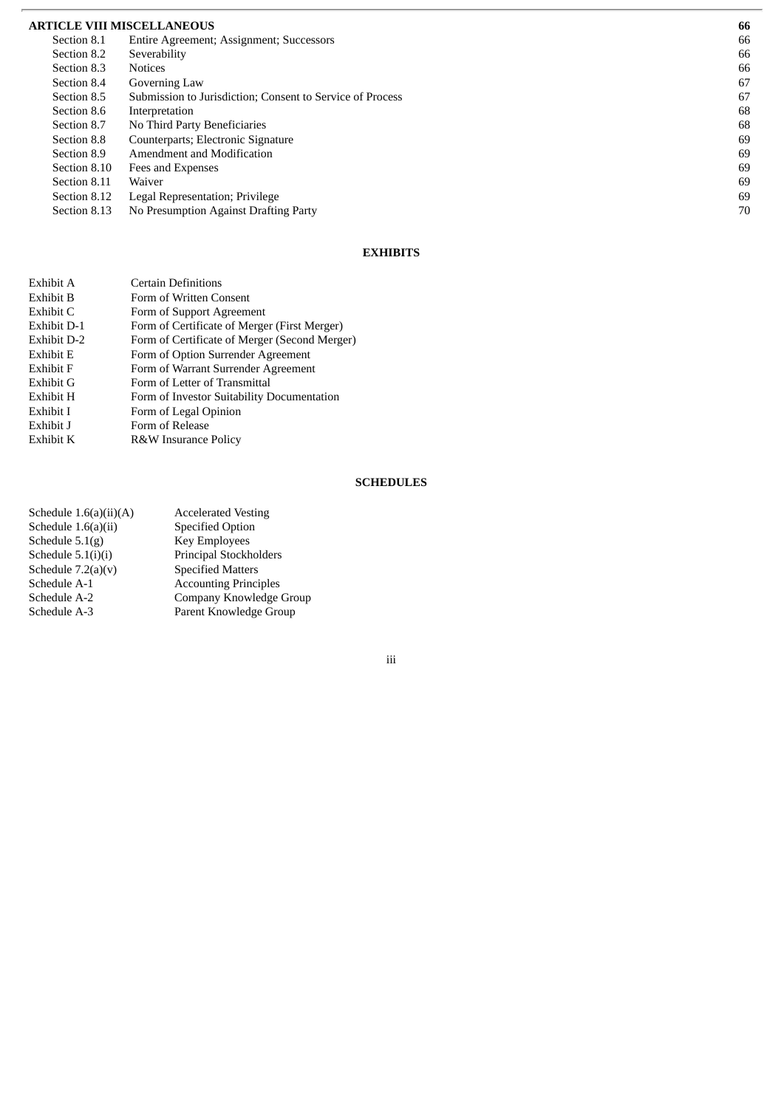#### **ARTICLE VIII MISCELLANEOUS**

| <b>ARTICLE VIII MISCELLANEOUS</b> |                                                           | 66 |
|-----------------------------------|-----------------------------------------------------------|----|
| Section 8.1                       | Entire Agreement; Assignment; Successors                  | 66 |
| Section 8.2                       | Severability                                              | 66 |
| Section 8.3                       | <b>Notices</b>                                            | 66 |
| Section 8.4                       | Governing Law                                             | 67 |
| Section 8.5                       | Submission to Jurisdiction; Consent to Service of Process | 67 |
| Section 8.6                       | Interpretation                                            | 68 |
| Section 8.7                       | No Third Party Beneficiaries                              | 68 |
| Section 8.8                       | Counterparts; Electronic Signature                        | 69 |
| Section 8.9                       | Amendment and Modification                                | 69 |
| Section 8.10                      | Fees and Expenses                                         | 69 |
| Section 8.11                      | Waiver                                                    | 69 |
| Section 8.12                      | Legal Representation; Privilege                           | 69 |
| Section 8.13                      | No Presumption Against Drafting Party                     | 70 |
|                                   |                                                           |    |

L,

#### **E X H I B I T S**

| Exhibit A   | <b>Certain Definitions</b>                    |
|-------------|-----------------------------------------------|
| Exhibit B   | Form of Written Consent                       |
| Exhibit C   | Form of Support Agreement                     |
| Exhibit D-1 | Form of Certificate of Merger (First Merger)  |
| Exhibit D-2 | Form of Certificate of Merger (Second Merger) |
| Exhibit E   | Form of Option Surrender Agreement            |
| Exhibit F   | Form of Warrant Surrender Agreement           |
| Exhibit G   | Form of Letter of Transmittal                 |
| Exhibit H   | Form of Investor Suitability Documentation    |
| Exhibit I   | Form of Legal Opinion                         |
| Exhibit J   | Form of Release                               |
| Exhibit K   | R&W Insurance Policy                          |

#### **SCHEDULES**

| Schedule $1.6(a)(ii)(A)$ | <b>Accelerated Vesting</b>   |
|--------------------------|------------------------------|
| Schedule $1.6(a)(ii)$    | <b>Specified Option</b>      |
| Schedule $5.1(g)$        | Key Employees                |
| Schedule 5.1(i)(i)       | Principal Stockholders       |
| Schedule $7.2(a)(v)$     | <b>Specified Matters</b>     |
| Schedule A-1             | <b>Accounting Principles</b> |
| Schedule A-2             | Company Knowledge Group      |
| Schedule A-3             | Parent Knowledge Group       |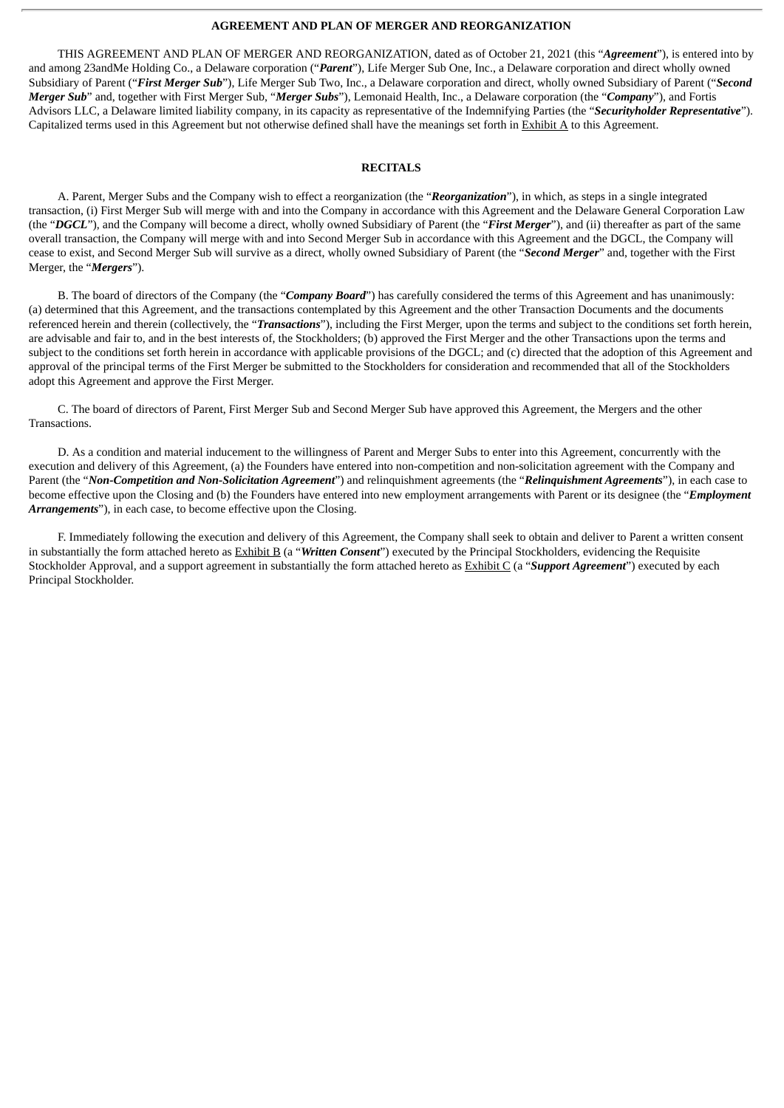#### **AGREEMENT AND PLAN OF MERGER AND REORGANIZATION**

THIS AGREEMENT AND PLAN OF MERGER AND REORGANIZATION, dated as of October 21, 2021 (this "*Agreement*"), is entered into by and among 23andMe Holding Co., a Delaware corporation ("*Parent*"), Life Merger Sub One, Inc., a Delaware corporation and direct wholly owned Subsidiary of Parent ("*First Merger Sub*"), Life Merger Sub Two, Inc., a Delaware corporation and direct, wholly owned Subsidiary of Parent ("*Second Merger Sub*" and, together with First Merger Sub, "*Merger Subs*"), Lemonaid Health, Inc., a Delaware corporation (the "*Company*"), and Fortis Advisors LLC, a Delaware limited liability company, in its capacity as representative of the Indemnifying Parties (the "*Securityholder Representative*"). Capitalized terms used in this Agreement but not otherwise defined shall have the meanings set forth in Exhibit A to this Agreement.

## **RECITALS**

A. Parent, Merger Subs and the Company wish to effect a reorganization (the "*Reorganization*"), in which, as steps in a single integrated transaction, (i) First Merger Sub will merge with and into the Company in accordance with this Agreement and the Delaware General Corporation Law (the "*DGCL*"), and the Company will become a direct, wholly owned Subsidiary of Parent (the "*First Merger*"), and (ii) thereafter as part of the same overall transaction, the Company will merge with and into Second Merger Sub in accordance with this Agreement and the DGCL, the Company will cease to exist, and Second Merger Sub will survive as a direct, wholly owned Subsidiary of Parent (the "*Second Merger*" and, together with the First Merger, the "*Mergers*").

B. The board of directors of the Company (the "*Company Board*") has carefully considered the terms of this Agreement and has unanimously: (a) determined that this Agreement, and the transactions contemplated by this Agreement and the other Transaction Documents and the documents referenced herein and therein (collectively, the "*Transactions*"), including the First Merger, upon the terms and subject to the conditions set forth herein, are advisable and fair to, and in the best interests of, the Stockholders; (b) approved the First Merger and the other Transactions upon the terms and subject to the conditions set forth herein in accordance with applicable provisions of the DGCL; and (c) directed that the adoption of this Agreement and approval of the principal terms of the First Merger be submitted to the Stockholders for consideration and recommended that all of the Stockholders adopt this Agreement and approve the First Merger.

C. The board of directors of Parent, First Merger Sub and Second Merger Sub have approved this Agreement, the Mergers and the other Transactions.

D. As a condition and material inducement to the willingness of Parent and Merger Subs to enter into this Agreement, concurrently with the execution and delivery of this Agreement, (a) the Founders have entered into non-competition and non-solicitation agreement with the Company and Parent (the "*Non-Competition and Non-Solicitation Agreement*") and relinquishment agreements (the "*Relinquishment Agreements*"), in each case to become effective upon the Closing and (b) the Founders have entered into new employment arrangements with Parent or its designee (the "*Employment Arrangements*"), in each case, to become effective upon the Closing.

F. Immediately following the execution and delivery of this Agreement, the Company shall seek to obtain and deliver to Parent a written consent in substantially the form attached hereto as Exhibit B (a "*Written Consent*") executed by the Principal Stockholders, evidencing the Requisite Stockholder Approval, and a support agreement in substantially the form attached hereto as Exhibit C (a "*Support Agreement*") executed by each Principal Stockholder.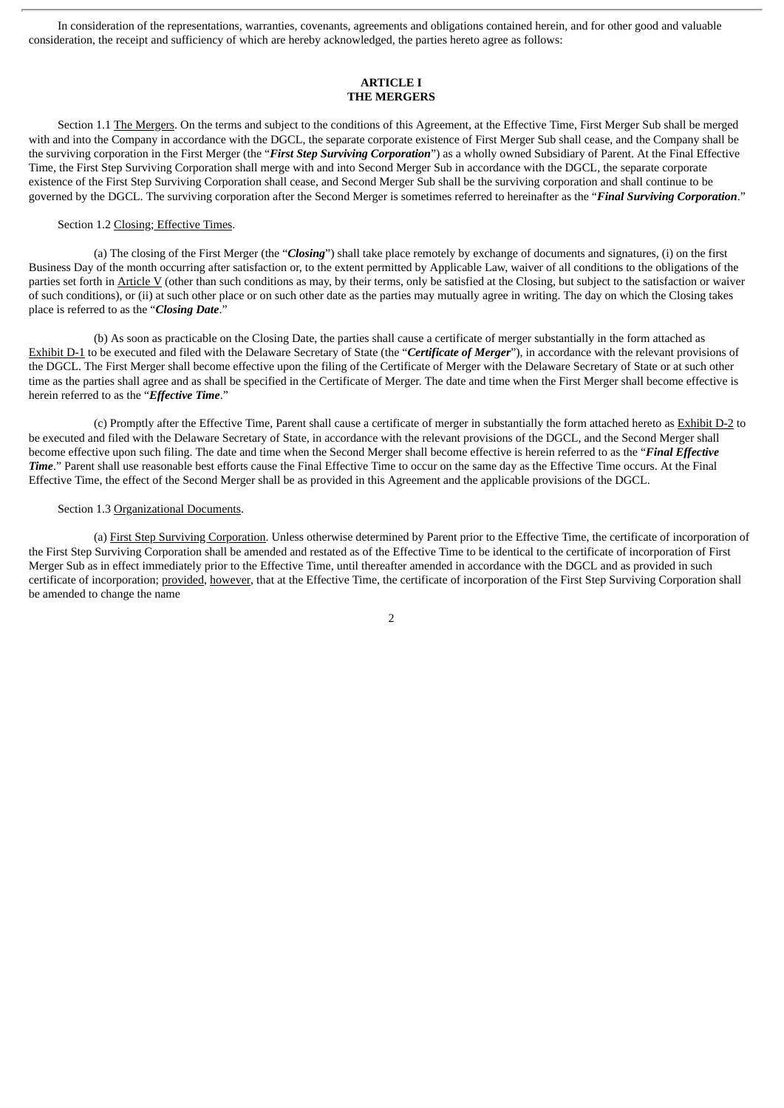In consideration of the representations, warranties, covenants, agreements and obligations contained herein, and for other good and valuable consideration, the receipt and sufficiency of which are hereby acknowledged, the parties hereto agree as follows:

# **ARTICLE I THE MERGERS**

Section 1.1 The Mergers. On the terms and subject to the conditions of this Agreement, at the Effective Time, First Merger Sub shall be merged with and into the Company in accordance with the DGCL, the separate corporate existence of First Merger Sub shall cease, and the Company shall be the surviving corporation in the First Merger (the "*First Step Surviving Corporation*") as a wholly owned Subsidiary of Parent. At the Final Effective Time, the First Step Surviving Corporation shall merge with and into Second Merger Sub in accordance with the DGCL, the separate corporate existence of the First Step Surviving Corporation shall cease, and Second Merger Sub shall be the surviving corporation and shall continue to be governed by the DGCL. The surviving corporation after the Second Merger is sometimes referred to hereinafter as the "*Final Surviving Corporation*."

#### Section 1.2 Closing; Effective Times.

(a) The closing of the First Merger (the "*Closing*") shall take place remotely by exchange of documents and signatures, (i) on the first Business Day of the month occurring after satisfaction or, to the extent permitted by Applicable Law, waiver of all conditions to the obligations of the parties set forth in Article V (other than such conditions as may, by their terms, only be satisfied at the Closing, but subject to the satisfaction or waiver of such conditions), or (ii) at such other place or on such other date as the parties may mutually agree in writing. The day on which the Closing takes place is referred to as the "*Closing Date*."

(b) As soon as practicable on the Closing Date, the parties shall cause a certificate of merger substantially in the form attached as Exhibit D-1 to be executed and filed with the Delaware Secretary of State (the "*Certificate of Merger*"), in accordance with the relevant provisions of the DGCL. The First Merger shall become effective upon the filing of the Certificate of Merger with the Delaware Secretary of State or at such other time as the parties shall agree and as shall be specified in the Certificate of Merger. The date and time when the First Merger shall become effective is herein referred to as the "*Effective Time*."

(c) Promptly after the Effective Time, Parent shall cause a certificate of merger in substantially the form attached hereto as Exhibit D-2 to be executed and filed with the Delaware Secretary of State, in accordance with the relevant provisions of the DGCL, and the Second Merger shall become effective upon such filing. The date and time when the Second Merger shall become effective is herein referred to as the "*Final Effective Time*." Parent shall use reasonable best efforts cause the Final Effective Time to occur on the same day as the Effective Time occurs. At the Final Effective Time, the effect of the Second Merger shall be as provided in this Agreement and the applicable provisions of the DGCL.

#### Section 1.3 Organizational Documents.

(a) First Step Surviving Corporation. Unless otherwise determined by Parent prior to the Effective Time, the certificate of incorporation of the First Step Surviving Corporation shall be amended and restated as of the Effective Time to be identical to the certificate of incorporation of First Merger Sub as in effect immediately prior to the Effective Time, until thereafter amended in accordance with the DGCL and as provided in such certificate of incorporation; provided, however, that at the Effective Time, the certificate of incorporation of the First Step Surviving Corporation shall be amended to change the name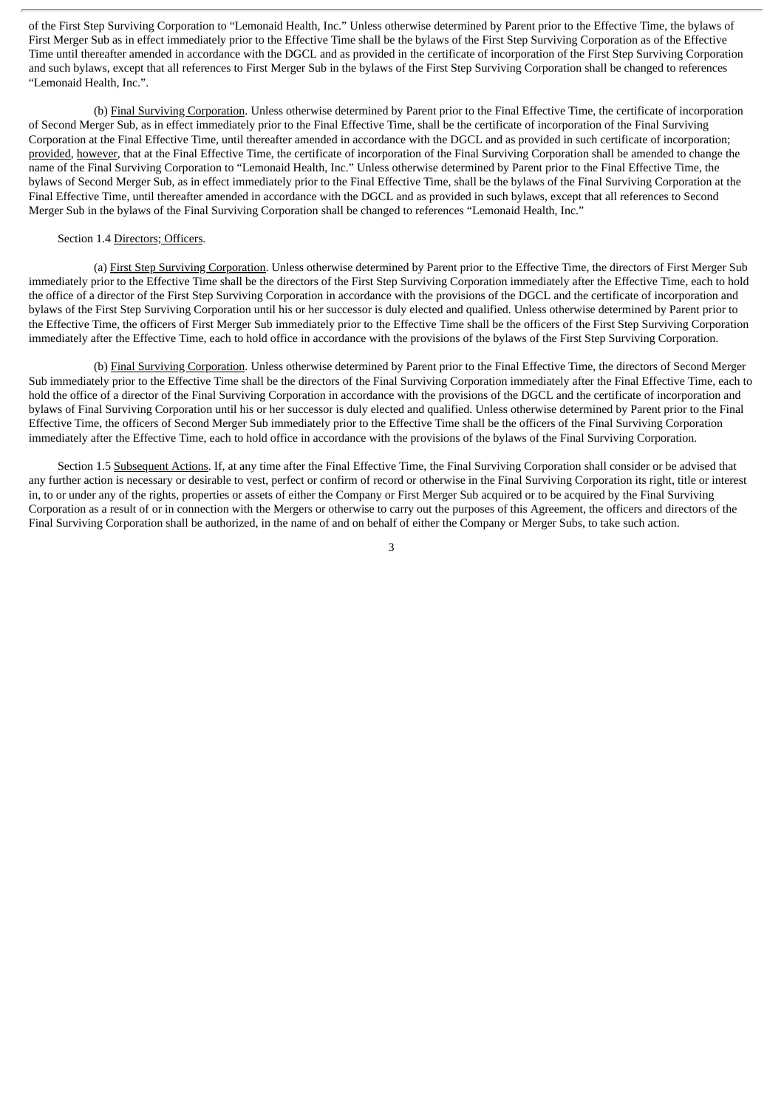of the First Step Surviving Corporation to "Lemonaid Health, Inc." Unless otherwise determined by Parent prior to the Effective Time, the bylaws of First Merger Sub as in effect immediately prior to the Effective Time shall be the bylaws of the First Step Surviving Corporation as of the Effective Time until thereafter amended in accordance with the DGCL and as provided in the certificate of incorporation of the First Step Surviving Corporation and such bylaws, except that all references to First Merger Sub in the bylaws of the First Step Surviving Corporation shall be changed to references "Lemonaid Health, Inc.".

(b) Final Surviving Corporation. Unless otherwise determined by Parent prior to the Final Effective Time, the certificate of incorporation of Second Merger Sub, as in effect immediately prior to the Final Effective Time, shall be the certificate of incorporation of the Final Surviving Corporation at the Final Effective Time, until thereafter amended in accordance with the DGCL and as provided in such certificate of incorporation; provided, however, that at the Final Effective Time, the certificate of incorporation of the Final Surviving Corporation shall be amended to change the name of the Final Surviving Corporation to "Lemonaid Health, Inc." Unless otherwise determined by Parent prior to the Final Effective Time, the bylaws of Second Merger Sub, as in effect immediately prior to the Final Effective Time, shall be the bylaws of the Final Surviving Corporation at the Final Effective Time, until thereafter amended in accordance with the DGCL and as provided in such bylaws, except that all references to Second Merger Sub in the bylaws of the Final Surviving Corporation shall be changed to references "Lemonaid Health, Inc."

#### Section 1.4 Directors; Officers.

(a) First Step Surviving Corporation. Unless otherwise determined by Parent prior to the Effective Time, the directors of First Merger Sub immediately prior to the Effective Time shall be the directors of the First Step Surviving Corporation immediately after the Effective Time, each to hold the office of a director of the First Step Surviving Corporation in accordance with the provisions of the DGCL and the certificate of incorporation and bylaws of the First Step Surviving Corporation until his or her successor is duly elected and qualified. Unless otherwise determined by Parent prior to the Effective Time, the officers of First Merger Sub immediately prior to the Effective Time shall be the officers of the First Step Surviving Corporation immediately after the Effective Time, each to hold office in accordance with the provisions of the bylaws of the First Step Surviving Corporation.

(b) Final Surviving Corporation. Unless otherwise determined by Parent prior to the Final Effective Time, the directors of Second Merger Sub immediately prior to the Effective Time shall be the directors of the Final Surviving Corporation immediately after the Final Effective Time, each to hold the office of a director of the Final Surviving Corporation in accordance with the provisions of the DGCL and the certificate of incorporation and bylaws of Final Surviving Corporation until his or her successor is duly elected and qualified. Unless otherwise determined by Parent prior to the Final Effective Time, the officers of Second Merger Sub immediately prior to the Effective Time shall be the officers of the Final Surviving Corporation immediately after the Effective Time, each to hold office in accordance with the provisions of the bylaws of the Final Surviving Corporation.

Section 1.5 Subsequent Actions. If, at any time after the Final Effective Time, the Final Surviving Corporation shall consider or be advised that any further action is necessary or desirable to vest, perfect or confirm of record or otherwise in the Final Surviving Corporation its right, title or interest in, to or under any of the rights, properties or assets of either the Company or First Merger Sub acquired or to be acquired by the Final Surviving Corporation as a result of or in connection with the Mergers or otherwise to carry out the purposes of this Agreement, the officers and directors of the Final Surviving Corporation shall be authorized, in the name of and on behalf of either the Company or Merger Subs, to take such action.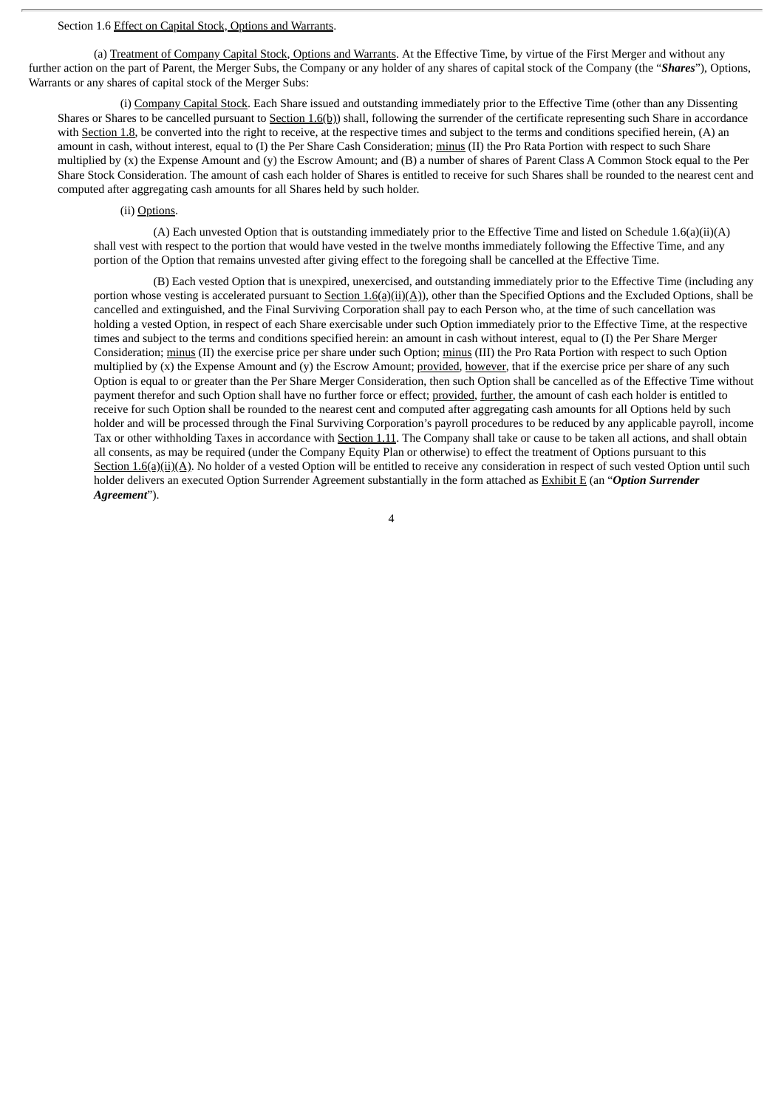#### Section 1.6 Effect on Capital Stock, Options and Warrants.

(a) Treatment of Company Capital Stock, Options and Warrants. At the Effective Time, by virtue of the First Merger and without any further action on the part of Parent, the Merger Subs, the Company or any holder of any shares of capital stock of the Company (the "*Shares*"), Options, Warrants or any shares of capital stock of the Merger Subs:

(i) Company Capital Stock. Each Share issued and outstanding immediately prior to the Effective Time (other than any Dissenting Shares or Shares to be cancelled pursuant to Section 1.6(b)) shall, following the surrender of the certificate representing such Share in accordance with Section 1.8, be converted into the right to receive, at the respective times and subject to the terms and conditions specified herein, (A) an amount in cash, without interest, equal to (I) the Per Share Cash Consideration; minus (II) the Pro Rata Portion with respect to such Share multiplied by (x) the Expense Amount and (y) the Escrow Amount; and (B) a number of shares of Parent Class A Common Stock equal to the Per Share Stock Consideration. The amount of cash each holder of Shares is entitled to receive for such Shares shall be rounded to the nearest cent and computed after aggregating cash amounts for all Shares held by such holder.

# (ii) Options.

(A) Each unvested Option that is outstanding immediately prior to the Effective Time and listed on Schedule 1.6(a)(ii)(A) shall vest with respect to the portion that would have vested in the twelve months immediately following the Effective Time, and any portion of the Option that remains unvested after giving effect to the foregoing shall be cancelled at the Effective Time.

(B) Each vested Option that is unexpired, unexercised, and outstanding immediately prior to the Effective Time (including any portion whose vesting is accelerated pursuant to Section 1.6(a)(ii)(A)), other than the Specified Options and the Excluded Options, shall be cancelled and extinguished, and the Final Surviving Corporation shall pay to each Person who, at the time of such cancellation was holding a vested Option, in respect of each Share exercisable under such Option immediately prior to the Effective Time, at the respective times and subject to the terms and conditions specified herein: an amount in cash without interest, equal to (I) the Per Share Merger Consideration; minus (II) the exercise price per share under such Option; minus (III) the Pro Rata Portion with respect to such Option multiplied by (x) the Expense Amount and (y) the Escrow Amount; provided, however, that if the exercise price per share of any such Option is equal to or greater than the Per Share Merger Consideration, then such Option shall be cancelled as of the Effective Time without payment therefor and such Option shall have no further force or effect; provided, further, the amount of cash each holder is entitled to receive for such Option shall be rounded to the nearest cent and computed after aggregating cash amounts for all Options held by such holder and will be processed through the Final Surviving Corporation's payroll procedures to be reduced by any applicable payroll, income Tax or other withholding Taxes in accordance with Section 1.11. The Company shall take or cause to be taken all actions, and shall obtain all consents, as may be required (under the Company Equity Plan or otherwise) to effect the treatment of Options pursuant to this Section  $1.6(a)(ii)(A)$ . No holder of a vested Option will be entitled to receive any consideration in respect of such vested Option until such holder delivers an executed Option Surrender Agreement substantially in the form attached as Exhibit E (an "*Option Surrender Agreement*").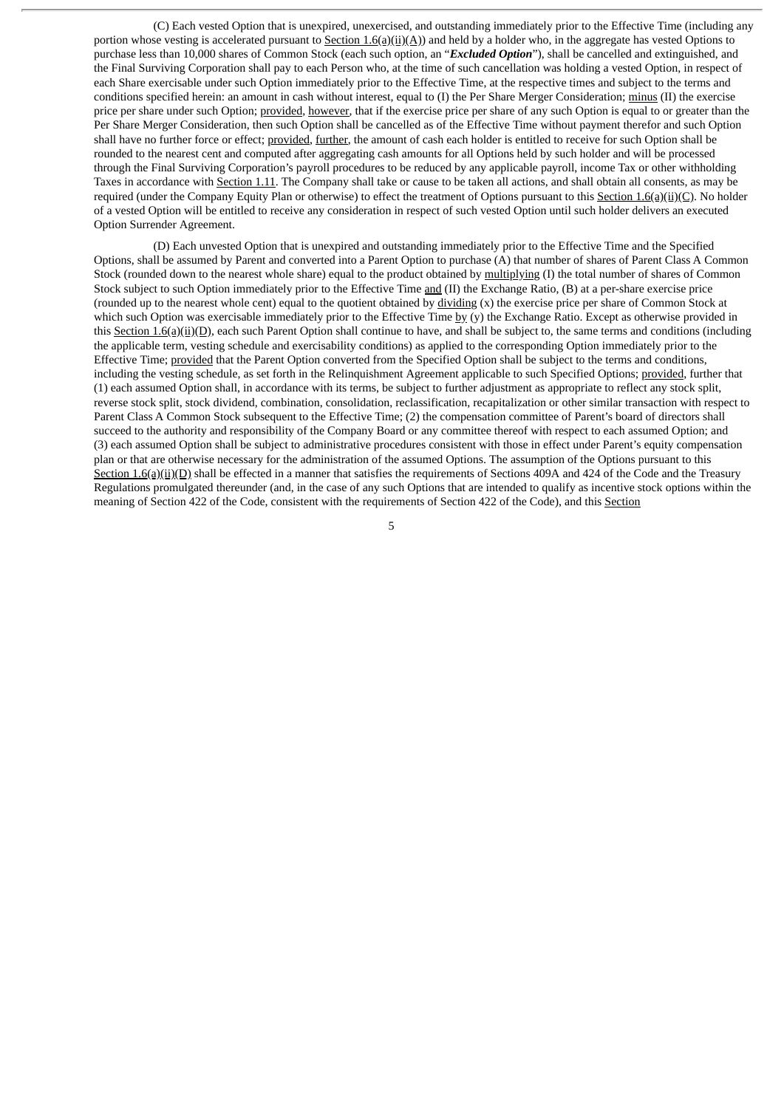(C) Each vested Option that is unexpired, unexercised, and outstanding immediately prior to the Effective Time (including any portion whose vesting is accelerated pursuant to Section 1.6(a)(ii)(A)) and held by a holder who, in the aggregate has vested Options to purchase less than 10,000 shares of Common Stock (each such option, an "*Excluded Option*"), shall be cancelled and extinguished, and the Final Surviving Corporation shall pay to each Person who, at the time of such cancellation was holding a vested Option, in respect of each Share exercisable under such Option immediately prior to the Effective Time, at the respective times and subject to the terms and conditions specified herein: an amount in cash without interest, equal to (I) the Per Share Merger Consideration; minus (II) the exercise price per share under such Option; provided, however, that if the exercise price per share of any such Option is equal to or greater than the Per Share Merger Consideration, then such Option shall be cancelled as of the Effective Time without payment therefor and such Option shall have no further force or effect; provided, further, the amount of cash each holder is entitled to receive for such Option shall be rounded to the nearest cent and computed after aggregating cash amounts for all Options held by such holder and will be processed through the Final Surviving Corporation's payroll procedures to be reduced by any applicable payroll, income Tax or other withholding Taxes in accordance with Section 1.11. The Company shall take or cause to be taken all actions, and shall obtain all consents, as may be required (under the Company Equity Plan or otherwise) to effect the treatment of Options pursuant to this Section 1.6(a)(ii)(C). No holder of a vested Option will be entitled to receive any consideration in respect of such vested Option until such holder delivers an executed Option Surrender Agreement.

(D) Each unvested Option that is unexpired and outstanding immediately prior to the Effective Time and the Specified Options, shall be assumed by Parent and converted into a Parent Option to purchase (A) that number of shares of Parent Class A Common Stock (rounded down to the nearest whole share) equal to the product obtained by multiplying (I) the total number of shares of Common Stock subject to such Option immediately prior to the Effective Time and (II) the Exchange Ratio, (B) at a per-share exercise price (rounded up to the nearest whole cent) equal to the quotient obtained by dividing (x) the exercise price per share of Common Stock at which such Option was exercisable immediately prior to the Effective Time by  $(y)$  the Exchange Ratio. Except as otherwise provided in this Section  $1.6(a)(ii)(D)$ , each such Parent Option shall continue to have, and shall be subject to, the same terms and conditions (including the applicable term, vesting schedule and exercisability conditions) as applied to the corresponding Option immediately prior to the Effective Time; provided that the Parent Option converted from the Specified Option shall be subject to the terms and conditions, including the vesting schedule, as set forth in the Relinquishment Agreement applicable to such Specified Options; provided, further that (1) each assumed Option shall, in accordance with its terms, be subject to further adjustment as appropriate to reflect any stock split, reverse stock split, stock dividend, combination, consolidation, reclassification, recapitalization or other similar transaction with respect to Parent Class A Common Stock subsequent to the Effective Time; (2) the compensation committee of Parent's board of directors shall succeed to the authority and responsibility of the Company Board or any committee thereof with respect to each assumed Option; and (3) each assumed Option shall be subject to administrative procedures consistent with those in effect under Parent's equity compensation plan or that are otherwise necessary for the administration of the assumed Options. The assumption of the Options pursuant to this Section  $1.6(a)(ii)(D)$  shall be effected in a manner that satisfies the requirements of Sections 409A and 424 of the Code and the Treasury Regulations promulgated thereunder (and, in the case of any such Options that are intended to qualify as incentive stock options within the meaning of Section 422 of the Code, consistent with the requirements of Section 422 of the Code), and this Section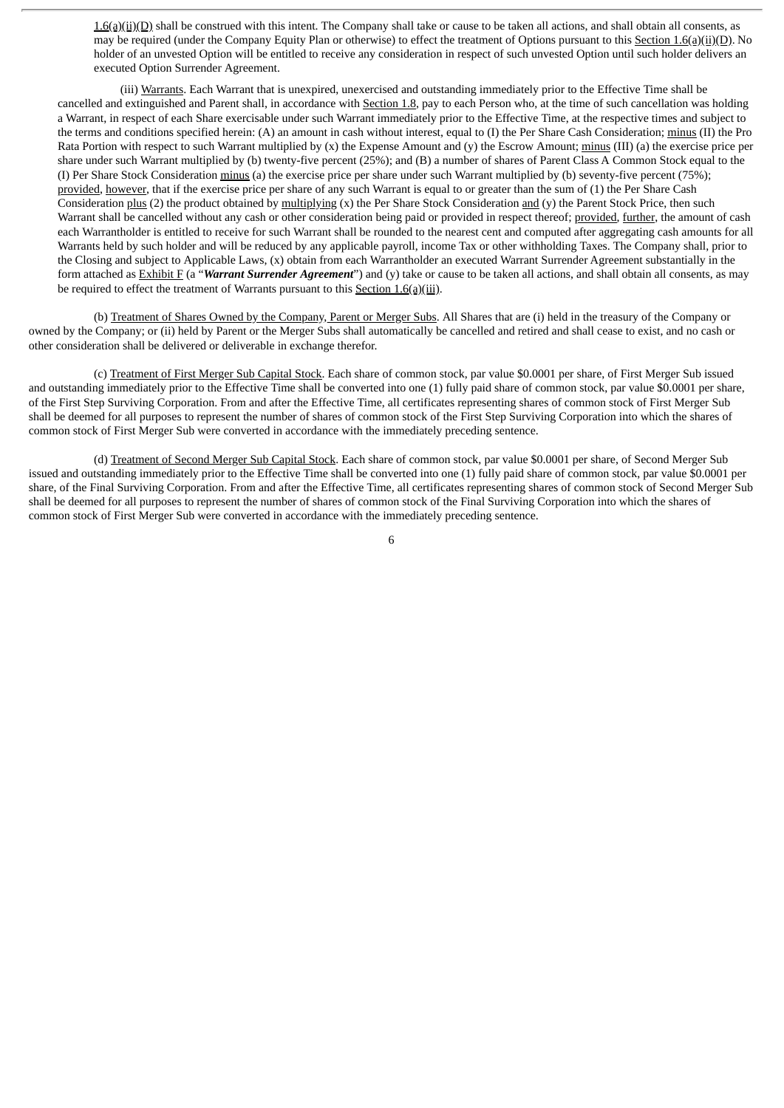$1.6(a)(ii)(D)$  shall be construed with this intent. The Company shall take or cause to be taken all actions, and shall obtain all consents, as may be required (under the Company Equity Plan or otherwise) to effect the treatment of Options pursuant to this Section 1.6(a)(ii)(D). No holder of an unvested Option will be entitled to receive any consideration in respect of such unvested Option until such holder delivers an executed Option Surrender Agreement.

(iii) Warrants. Each Warrant that is unexpired, unexercised and outstanding immediately prior to the Effective Time shall be cancelled and extinguished and Parent shall, in accordance with Section 1.8, pay to each Person who, at the time of such cancellation was holding a Warrant, in respect of each Share exercisable under such Warrant immediately prior to the Effective Time, at the respective times and subject to the terms and conditions specified herein: (A) an amount in cash without interest, equal to (I) the Per Share Cash Consideration; minus (II) the Pro Rata Portion with respect to such Warrant multiplied by (x) the Expense Amount and (y) the Escrow Amount; minus (III) (a) the exercise price per share under such Warrant multiplied by (b) twenty-five percent (25%); and (B) a number of shares of Parent Class A Common Stock equal to the (I) Per Share Stock Consideration minus (a) the exercise price per share under such Warrant multiplied by (b) seventy-five percent (75%); provided, however, that if the exercise price per share of any such Warrant is equal to or greater than the sum of (1) the Per Share Cash Consideration plus (2) the product obtained by  $\frac{multiplying}{arg(x)}$  the Per Share Stock Consideration and (y) the Parent Stock Price, then such Warrant shall be cancelled without any cash or other consideration being paid or provided in respect thereof; provided, further, the amount of cash each Warrantholder is entitled to receive for such Warrant shall be rounded to the nearest cent and computed after aggregating cash amounts for all Warrants held by such holder and will be reduced by any applicable payroll, income Tax or other withholding Taxes. The Company shall, prior to the Closing and subject to Applicable Laws, (x) obtain from each Warrantholder an executed Warrant Surrender Agreement substantially in the form attached as Exhibit F (a "*Warrant Surrender Agreement*") and (y) take or cause to be taken all actions, and shall obtain all consents, as may be required to effect the treatment of Warrants pursuant to this Section 1.6(a)(iii).

(b) Treatment of Shares Owned by the Company, Parent or Merger Subs. All Shares that are (i) held in the treasury of the Company or owned by the Company; or (ii) held by Parent or the Merger Subs shall automatically be cancelled and retired and shall cease to exist, and no cash or other consideration shall be delivered or deliverable in exchange therefor.

(c) Treatment of First Merger Sub Capital Stock. Each share of common stock, par value \$0.0001 per share, of First Merger Sub issued and outstanding immediately prior to the Effective Time shall be converted into one (1) fully paid share of common stock, par value \$0.0001 per share, of the First Step Surviving Corporation. From and after the Effective Time, all certificates representing shares of common stock of First Merger Sub shall be deemed for all purposes to represent the number of shares of common stock of the First Step Surviving Corporation into which the shares of common stock of First Merger Sub were converted in accordance with the immediately preceding sentence.

(d) Treatment of Second Merger Sub Capital Stock. Each share of common stock, par value \$0.0001 per share, of Second Merger Sub issued and outstanding immediately prior to the Effective Time shall be converted into one (1) fully paid share of common stock, par value \$0.0001 per share, of the Final Surviving Corporation. From and after the Effective Time, all certificates representing shares of common stock of Second Merger Sub shall be deemed for all purposes to represent the number of shares of common stock of the Final Surviving Corporation into which the shares of common stock of First Merger Sub were converted in accordance with the immediately preceding sentence.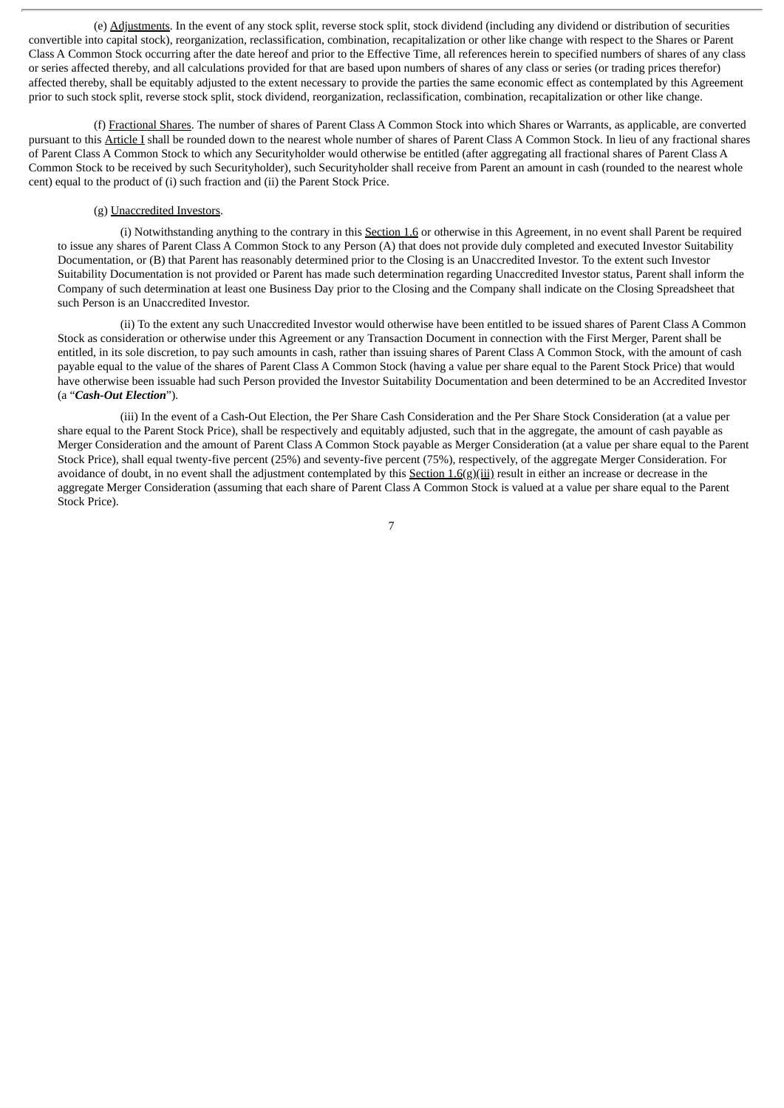(e) Adjustments. In the event of any stock split, reverse stock split, stock dividend (including any dividend or distribution of securities convertible into capital stock), reorganization, reclassification, combination, recapitalization or other like change with respect to the Shares or Parent Class A Common Stock occurring after the date hereof and prior to the Effective Time, all references herein to specified numbers of shares of any class or series affected thereby, and all calculations provided for that are based upon numbers of shares of any class or series (or trading prices therefor) affected thereby, shall be equitably adjusted to the extent necessary to provide the parties the same economic effect as contemplated by this Agreement prior to such stock split, reverse stock split, stock dividend, reorganization, reclassification, combination, recapitalization or other like change.

(f) Fractional Shares. The number of shares of Parent Class A Common Stock into which Shares or Warrants, as applicable, are converted pursuant to this Article I shall be rounded down to the nearest whole number of shares of Parent Class A Common Stock. In lieu of any fractional shares of Parent Class A Common Stock to which any Securityholder would otherwise be entitled (after aggregating all fractional shares of Parent Class A Common Stock to be received by such Securityholder), such Securityholder shall receive from Parent an amount in cash (rounded to the nearest whole cent) equal to the product of (i) such fraction and (ii) the Parent Stock Price.

# (g) Unaccredited Investors.

(i) Notwithstanding anything to the contrary in this Section 1.6 or otherwise in this Agreement, in no event shall Parent be required to issue any shares of Parent Class A Common Stock to any Person (A) that does not provide duly completed and executed Investor Suitability Documentation, or (B) that Parent has reasonably determined prior to the Closing is an Unaccredited Investor. To the extent such Investor Suitability Documentation is not provided or Parent has made such determination regarding Unaccredited Investor status, Parent shall inform the Company of such determination at least one Business Day prior to the Closing and the Company shall indicate on the Closing Spreadsheet that such Person is an Unaccredited Investor.

(ii) To the extent any such Unaccredited Investor would otherwise have been entitled to be issued shares of Parent Class A Common Stock as consideration or otherwise under this Agreement or any Transaction Document in connection with the First Merger, Parent shall be entitled, in its sole discretion, to pay such amounts in cash, rather than issuing shares of Parent Class A Common Stock, with the amount of cash payable equal to the value of the shares of Parent Class A Common Stock (having a value per share equal to the Parent Stock Price) that would have otherwise been issuable had such Person provided the Investor Suitability Documentation and been determined to be an Accredited Investor (a "*Cash-Out Election*").

(iii) In the event of a Cash-Out Election, the Per Share Cash Consideration and the Per Share Stock Consideration (at a value per share equal to the Parent Stock Price), shall be respectively and equitably adjusted, such that in the aggregate, the amount of cash payable as Merger Consideration and the amount of Parent Class A Common Stock payable as Merger Consideration (at a value per share equal to the Parent Stock Price), shall equal twenty-five percent (25%) and seventy-five percent (75%), respectively, of the aggregate Merger Consideration. For avoidance of doubt, in no event shall the adjustment contemplated by this Section 1.6(g)(iii) result in either an increase or decrease in the aggregate Merger Consideration (assuming that each share of Parent Class A Common Stock is valued at a value per share equal to the Parent Stock Price).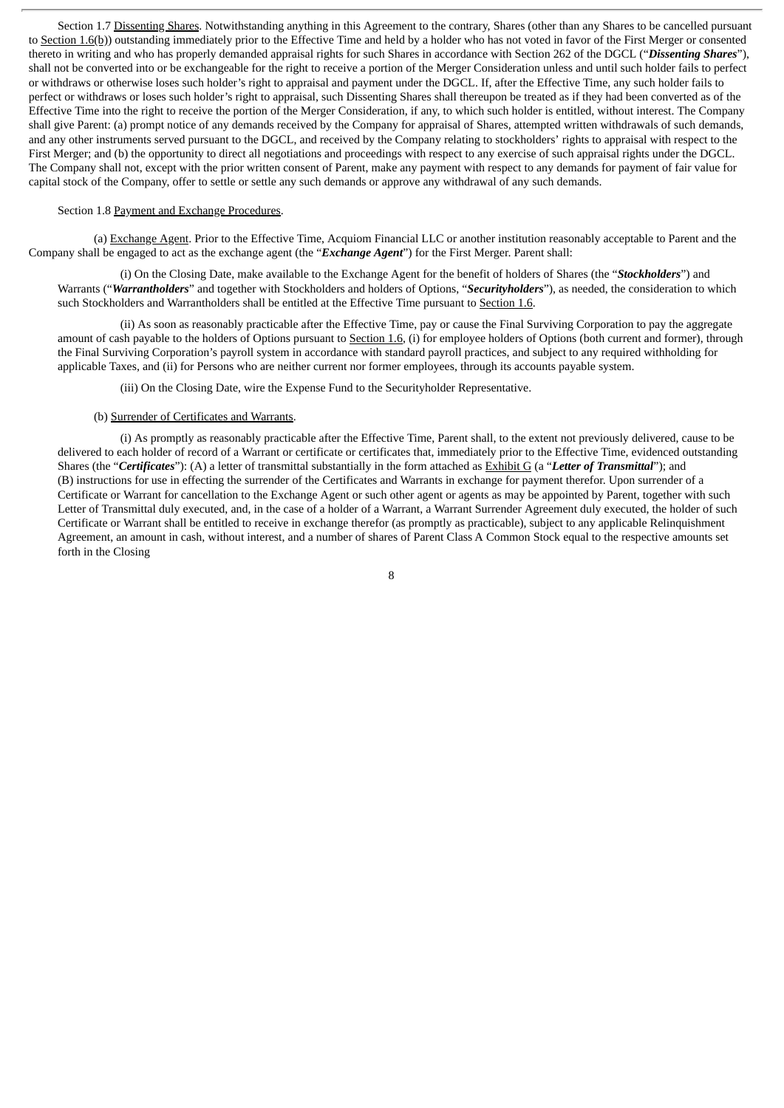Section 1.7 Dissenting Shares. Notwithstanding anything in this Agreement to the contrary, Shares (other than any Shares to be cancelled pursuant to Section 1.6(b)) outstanding immediately prior to the Effective Time and held by a holder who has not voted in favor of the First Merger or consented thereto in writing and who has properly demanded appraisal rights for such Shares in accordance with Section 262 of the DGCL ("*Dissenting Shares*"), shall not be converted into or be exchangeable for the right to receive a portion of the Merger Consideration unless and until such holder fails to perfect or withdraws or otherwise loses such holder's right to appraisal and payment under the DGCL. If, after the Effective Time, any such holder fails to perfect or withdraws or loses such holder's right to appraisal, such Dissenting Shares shall thereupon be treated as if they had been converted as of the Effective Time into the right to receive the portion of the Merger Consideration, if any, to which such holder is entitled, without interest. The Company shall give Parent: (a) prompt notice of any demands received by the Company for appraisal of Shares, attempted written withdrawals of such demands, and any other instruments served pursuant to the DGCL, and received by the Company relating to stockholders' rights to appraisal with respect to the First Merger; and (b) the opportunity to direct all negotiations and proceedings with respect to any exercise of such appraisal rights under the DGCL. The Company shall not, except with the prior written consent of Parent, make any payment with respect to any demands for payment of fair value for capital stock of the Company, offer to settle or settle any such demands or approve any withdrawal of any such demands.

#### Section 1.8 Payment and Exchange Procedures.

(a) Exchange Agent. Prior to the Effective Time, Acquiom Financial LLC or another institution reasonably acceptable to Parent and the Company shall be engaged to act as the exchange agent (the "*Exchange Agent*") for the First Merger. Parent shall:

(i) On the Closing Date, make available to the Exchange Agent for the benefit of holders of Shares (the "*Stockholders*") and Warrants ("*Warrantholders*" and together with Stockholders and holders of Options, "*Securityholders*"), as needed, the consideration to which such Stockholders and Warrantholders shall be entitled at the Effective Time pursuant to Section 1.6.

(ii) As soon as reasonably practicable after the Effective Time, pay or cause the Final Surviving Corporation to pay the aggregate amount of cash payable to the holders of Options pursuant to Section 1.6, (i) for employee holders of Options (both current and former), through the Final Surviving Corporation's payroll system in accordance with standard payroll practices, and subject to any required withholding for applicable Taxes, and (ii) for Persons who are neither current nor former employees, through its accounts payable system.

(iii) On the Closing Date, wire the Expense Fund to the Securityholder Representative.

#### (b) Surrender of Certificates and Warrants.

(i) As promptly as reasonably practicable after the Effective Time, Parent shall, to the extent not previously delivered, cause to be delivered to each holder of record of a Warrant or certificate or certificates that, immediately prior to the Effective Time, evidenced outstanding Shares (the "*Certificates*"): (A) a letter of transmittal substantially in the form attached as Exhibit G (a "*Letter of Transmittal*"); and (B) instructions for use in effecting the surrender of the Certificates and Warrants in exchange for payment therefor. Upon surrender of a Certificate or Warrant for cancellation to the Exchange Agent or such other agent or agents as may be appointed by Parent, together with such Letter of Transmittal duly executed, and, in the case of a holder of a Warrant, a Warrant Surrender Agreement duly executed, the holder of such Certificate or Warrant shall be entitled to receive in exchange therefor (as promptly as practicable), subject to any applicable Relinquishment Agreement, an amount in cash, without interest, and a number of shares of Parent Class A Common Stock equal to the respective amounts set forth in the Closing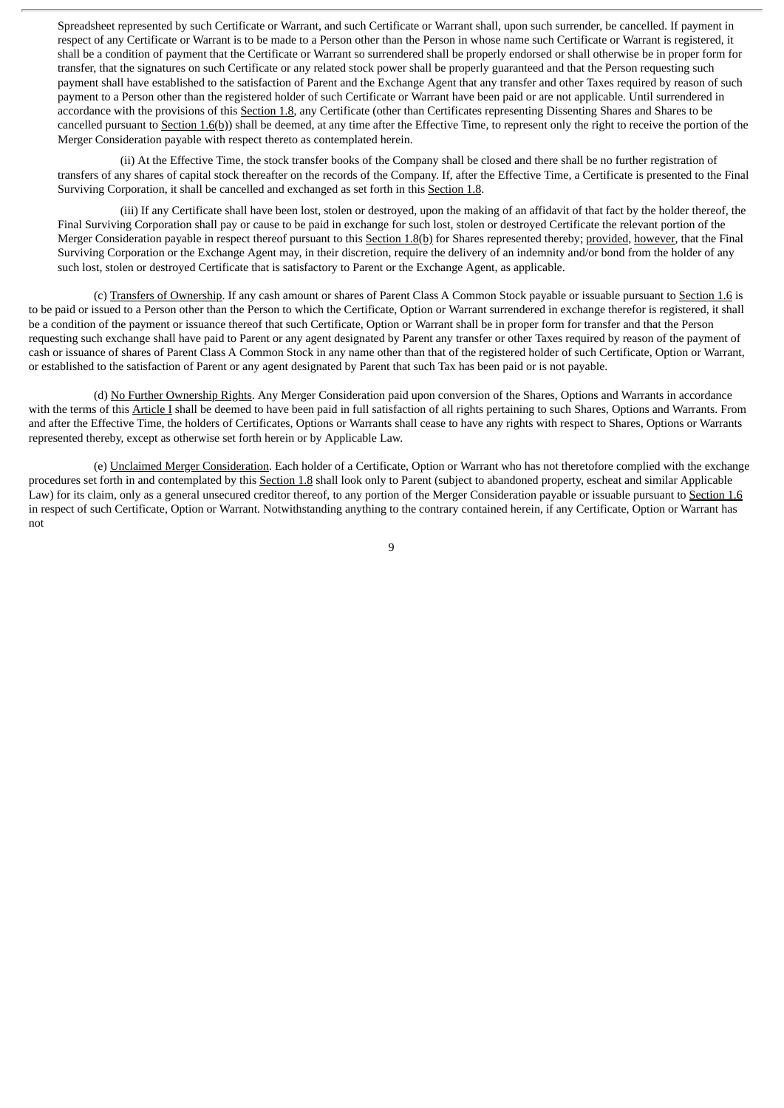Spreadsheet represented by such Certificate or Warrant, and such Certificate or Warrant shall, upon such surrender, be cancelled. If payment in respect of any Certificate or Warrant is to be made to a Person other than the Person in whose name such Certificate or Warrant is registered, it shall be a condition of payment that the Certificate or Warrant so surrendered shall be properly endorsed or shall otherwise be in proper form for transfer, that the signatures on such Certificate or any related stock power shall be properly guaranteed and that the Person requesting such payment shall have established to the satisfaction of Parent and the Exchange Agent that any transfer and other Taxes required by reason of such payment to a Person other than the registered holder of such Certificate or Warrant have been paid or are not applicable. Until surrendered in accordance with the provisions of this Section 1.8, any Certificate (other than Certificates representing Dissenting Shares and Shares to be cancelled pursuant to Section  $1.6(b)$ ) shall be deemed, at any time after the Effective Time, to represent only the right to receive the portion of the Merger Consideration payable with respect thereto as contemplated herein.

(ii) At the Effective Time, the stock transfer books of the Company shall be closed and there shall be no further registration of transfers of any shares of capital stock thereafter on the records of the Company. If, after the Effective Time, a Certificate is presented to the Final Surviving Corporation, it shall be cancelled and exchanged as set forth in this Section 1.8.

(iii) If any Certificate shall have been lost, stolen or destroyed, upon the making of an affidavit of that fact by the holder thereof, the Final Surviving Corporation shall pay or cause to be paid in exchange for such lost, stolen or destroyed Certificate the relevant portion of the Merger Consideration payable in respect thereof pursuant to this Section 1.8(b) for Shares represented thereby; provided, however, that the Final Surviving Corporation or the Exchange Agent may, in their discretion, require the delivery of an indemnity and/or bond from the holder of any such lost, stolen or destroyed Certificate that is satisfactory to Parent or the Exchange Agent, as applicable.

(c) Transfers of Ownership. If any cash amount or shares of Parent Class A Common Stock payable or issuable pursuant to Section 1.6 is to be paid or issued to a Person other than the Person to which the Certificate, Option or Warrant surrendered in exchange therefor is registered, it shall be a condition of the payment or issuance thereof that such Certificate, Option or Warrant shall be in proper form for transfer and that the Person requesting such exchange shall have paid to Parent or any agent designated by Parent any transfer or other Taxes required by reason of the payment of cash or issuance of shares of Parent Class A Common Stock in any name other than that of the registered holder of such Certificate, Option or Warrant, or established to the satisfaction of Parent or any agent designated by Parent that such Tax has been paid or is not payable.

(d) No Further Ownership Rights. Any Merger Consideration paid upon conversion of the Shares, Options and Warrants in accordance with the terms of this Article I shall be deemed to have been paid in full satisfaction of all rights pertaining to such Shares, Options and Warrants. From and after the Effective Time, the holders of Certificates, Options or Warrants shall cease to have any rights with respect to Shares, Options or Warrants represented thereby, except as otherwise set forth herein or by Applicable Law.

(e) Unclaimed Merger Consideration. Each holder of a Certificate, Option or Warrant who has not theretofore complied with the exchange procedures set forth in and contemplated by this Section 1.8 shall look only to Parent (subject to abandoned property, escheat and similar Applicable Law) for its claim, only as a general unsecured creditor thereof, to any portion of the Merger Consideration payable or issuable pursuant to Section 1.6 in respect of such Certificate, Option or Warrant. Notwithstanding anything to the contrary contained herein, if any Certificate, Option or Warrant has not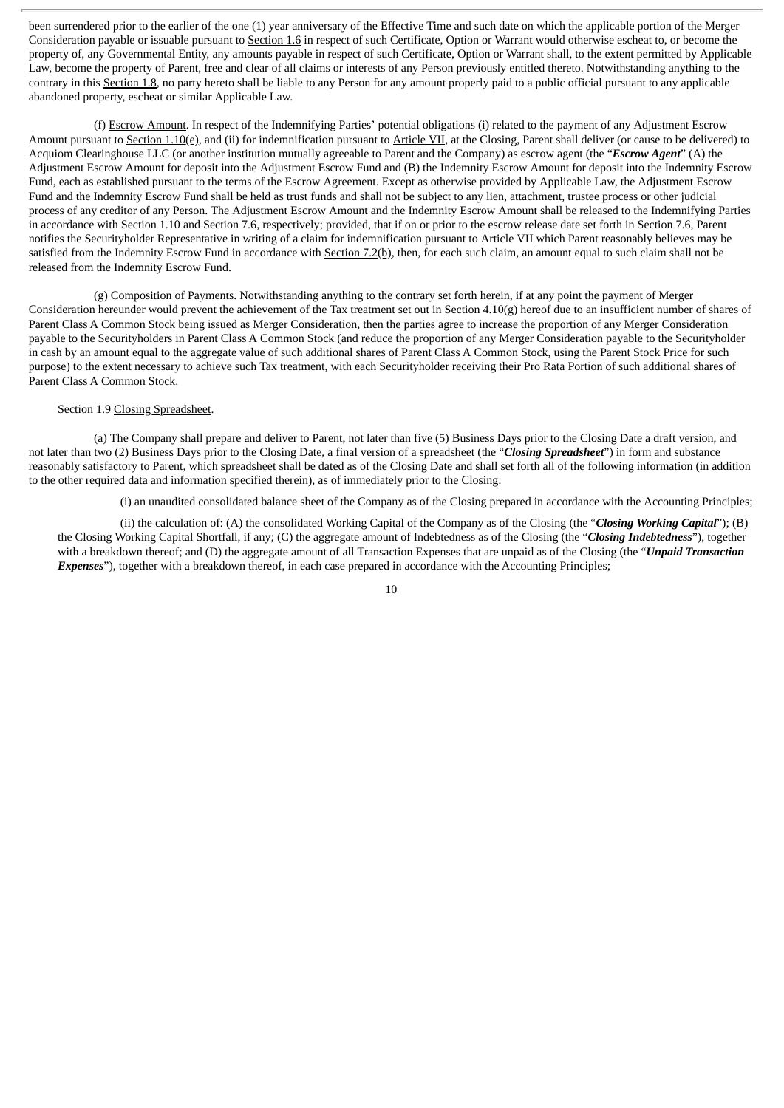been surrendered prior to the earlier of the one (1) year anniversary of the Effective Time and such date on which the applicable portion of the Merger Consideration payable or issuable pursuant to Section 1.6 in respect of such Certificate, Option or Warrant would otherwise escheat to, or become the property of, any Governmental Entity, any amounts payable in respect of such Certificate, Option or Warrant shall, to the extent permitted by Applicable Law, become the property of Parent, free and clear of all claims or interests of any Person previously entitled thereto. Notwithstanding anything to the contrary in this Section 1.8, no party hereto shall be liable to any Person for any amount properly paid to a public official pursuant to any applicable abandoned property, escheat or similar Applicable Law.

(f) Escrow Amount. In respect of the Indemnifying Parties' potential obligations (i) related to the payment of any Adjustment Escrow Amount pursuant to Section 1.10(e), and (ii) for indemnification pursuant to Article VII, at the Closing, Parent shall deliver (or cause to be delivered) to Acquiom Clearinghouse LLC (or another institution mutually agreeable to Parent and the Company) as escrow agent (the "*Escrow Agent*" (A) the Adjustment Escrow Amount for deposit into the Adjustment Escrow Fund and (B) the Indemnity Escrow Amount for deposit into the Indemnity Escrow Fund, each as established pursuant to the terms of the Escrow Agreement. Except as otherwise provided by Applicable Law, the Adjustment Escrow Fund and the Indemnity Escrow Fund shall be held as trust funds and shall not be subject to any lien, attachment, trustee process or other judicial process of any creditor of any Person. The Adjustment Escrow Amount and the Indemnity Escrow Amount shall be released to the Indemnifying Parties in accordance with Section 1.10 and Section 7.6, respectively; provided, that if on or prior to the escrow release date set forth in Section 7.6, Parent notifies the Securityholder Representative in writing of a claim for indemnification pursuant to Article VII which Parent reasonably believes may be satisfied from the Indemnity Escrow Fund in accordance with Section 7.2(b), then, for each such claim, an amount equal to such claim shall not be released from the Indemnity Escrow Fund.

(g) Composition of Payments. Notwithstanding anything to the contrary set forth herein, if at any point the payment of Merger Consideration hereunder would prevent the achievement of the Tax treatment set out in  $Section 4.10(g)$  hereof due to an insufficient number of shares of Parent Class A Common Stock being issued as Merger Consideration, then the parties agree to increase the proportion of any Merger Consideration payable to the Securityholders in Parent Class A Common Stock (and reduce the proportion of any Merger Consideration payable to the Securityholder in cash by an amount equal to the aggregate value of such additional shares of Parent Class A Common Stock, using the Parent Stock Price for such purpose) to the extent necessary to achieve such Tax treatment, with each Securityholder receiving their Pro Rata Portion of such additional shares of Parent Class A Common Stock.

#### Section 1.9 Closing Spreadsheet.

(a) The Company shall prepare and deliver to Parent, not later than five (5) Business Days prior to the Closing Date a draft version, and not later than two (2) Business Days prior to the Closing Date, a final version of a spreadsheet (the "*Closing Spreadsheet*") in form and substance reasonably satisfactory to Parent, which spreadsheet shall be dated as of the Closing Date and shall set forth all of the following information (in addition to the other required data and information specified therein), as of immediately prior to the Closing:

(i) an unaudited consolidated balance sheet of the Company as of the Closing prepared in accordance with the Accounting Principles;

(ii) the calculation of: (A) the consolidated Working Capital of the Company as of the Closing (the "*Closing Working Capital*"); (B) the Closing Working Capital Shortfall, if any; (C) the aggregate amount of Indebtedness as of the Closing (the "*Closing Indebtedness*"), together with a breakdown thereof; and (D) the aggregate amount of all Transaction Expenses that are unpaid as of the Closing (the "*Unpaid Transaction Expenses*"), together with a breakdown thereof, in each case prepared in accordance with the Accounting Principles;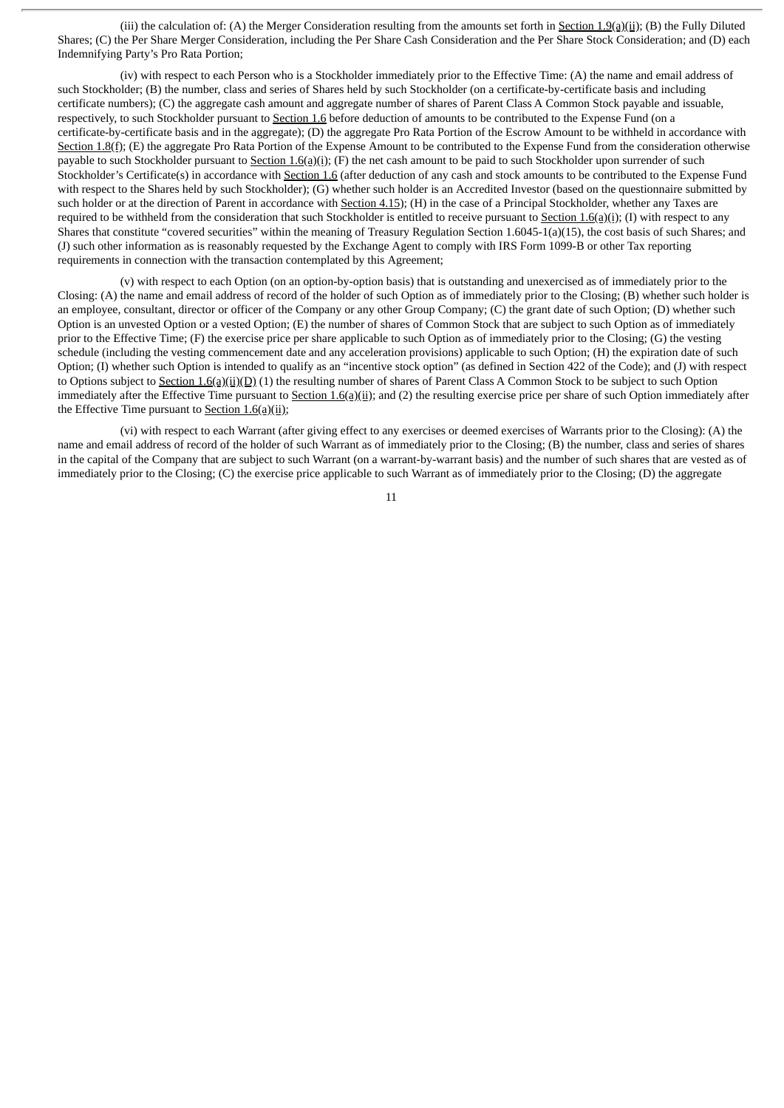(iii) the calculation of: (A) the Merger Consideration resulting from the amounts set forth in Section 1.9(a)(ii); (B) the Fully Diluted Shares; (C) the Per Share Merger Consideration, including the Per Share Cash Consideration and the Per Share Stock Consideration; and (D) each Indemnifying Party's Pro Rata Portion;

(iv) with respect to each Person who is a Stockholder immediately prior to the Effective Time: (A) the name and email address of such Stockholder; (B) the number, class and series of Shares held by such Stockholder (on a certificate-by-certificate basis and including certificate numbers); (C) the aggregate cash amount and aggregate number of shares of Parent Class A Common Stock payable and issuable, respectively, to such Stockholder pursuant to Section 1.6 before deduction of amounts to be contributed to the Expense Fund (on a certificate-by-certificate basis and in the aggregate); (D) the aggregate Pro Rata Portion of the Escrow Amount to be withheld in accordance with Section 1.8(f); (E) the aggregate Pro Rata Portion of the Expense Amount to be contributed to the Expense Fund from the consideration otherwise payable to such Stockholder pursuant to Section 1.6(a)(i); (F) the net cash amount to be paid to such Stockholder upon surrender of such Stockholder's Certificate(s) in accordance with Section 1.6 (after deduction of any cash and stock amounts to be contributed to the Expense Fund with respect to the Shares held by such Stockholder); (G) whether such holder is an Accredited Investor (based on the questionnaire submitted by such holder or at the direction of Parent in accordance with Section 4.15); (H) in the case of a Principal Stockholder, whether any Taxes are required to be withheld from the consideration that such Stockholder is entitled to receive pursuant to Section 1.6(a)(i); (I) with respect to any Shares that constitute "covered securities" within the meaning of Treasury Regulation Section 1.6045-1(a)(15), the cost basis of such Shares; and (J) such other information as is reasonably requested by the Exchange Agent to comply with IRS Form 1099-B or other Tax reporting requirements in connection with the transaction contemplated by this Agreement;

(v) with respect to each Option (on an option-by-option basis) that is outstanding and unexercised as of immediately prior to the Closing: (A) the name and email address of record of the holder of such Option as of immediately prior to the Closing; (B) whether such holder is an employee, consultant, director or officer of the Company or any other Group Company; (C) the grant date of such Option; (D) whether such Option is an unvested Option or a vested Option; (E) the number of shares of Common Stock that are subject to such Option as of immediately prior to the Effective Time; (F) the exercise price per share applicable to such Option as of immediately prior to the Closing; (G) the vesting schedule (including the vesting commencement date and any acceleration provisions) applicable to such Option; (H) the expiration date of such Option; (I) whether such Option is intended to qualify as an "incentive stock option" (as defined in Section 422 of the Code); and (J) with respect to Options subject to Section 1.6(a)(ii)(D) (1) the resulting number of shares of Parent Class A Common Stock to be subject to such Option immediately after the Effective Time pursuant to Section  $1.6(a)(ii)$ ; and (2) the resulting exercise price per share of such Option immediately after the Effective Time pursuant to Section  $1.6(a)(ii)$ ;

(vi) with respect to each Warrant (after giving effect to any exercises or deemed exercises of Warrants prior to the Closing): (A) the name and email address of record of the holder of such Warrant as of immediately prior to the Closing; (B) the number, class and series of shares in the capital of the Company that are subject to such Warrant (on a warrant-by-warrant basis) and the number of such shares that are vested as of immediately prior to the Closing; (C) the exercise price applicable to such Warrant as of immediately prior to the Closing; (D) the aggregate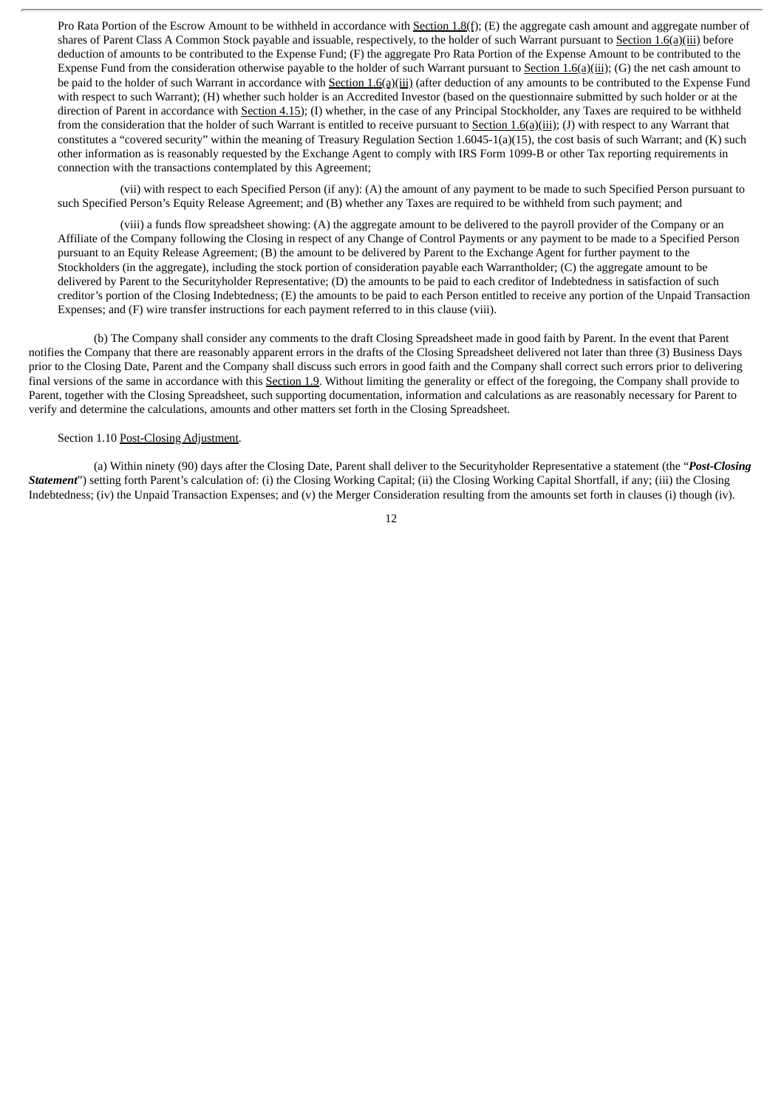Pro Rata Portion of the Escrow Amount to be withheld in accordance with Section 1.8(f); (E) the aggregate cash amount and aggregate number of shares of Parent Class A Common Stock payable and issuable, respectively, to the holder of such Warrant pursuant to Section 1.6(a)(iii) before deduction of amounts to be contributed to the Expense Fund; (F) the aggregate Pro Rata Portion of the Expense Amount to be contributed to the Expense Fund from the consideration otherwise payable to the holder of such Warrant pursuant to Section 1.6(a)(iii); (G) the net cash amount to be paid to the holder of such Warrant in accordance with Section 1.6(a)(iii) (after deduction of any amounts to be contributed to the Expense Fund with respect to such Warrant); (H) whether such holder is an Accredited Investor (based on the questionnaire submitted by such holder or at the direction of Parent in accordance with Section 4.15); (I) whether, in the case of any Principal Stockholder, any Taxes are required to be withheld from the consideration that the holder of such Warrant is entitled to receive pursuant to Section 1.6(a)(iii); (J) with respect to any Warrant that constitutes a "covered security" within the meaning of Treasury Regulation Section 1.6045-1(a)(15), the cost basis of such Warrant; and (K) such other information as is reasonably requested by the Exchange Agent to comply with IRS Form 1099-B or other Tax reporting requirements in connection with the transactions contemplated by this Agreement;

(vii) with respect to each Specified Person (if any): (A) the amount of any payment to be made to such Specified Person pursuant to such Specified Person's Equity Release Agreement; and (B) whether any Taxes are required to be withheld from such payment; and

(viii) a funds flow spreadsheet showing: (A) the aggregate amount to be delivered to the payroll provider of the Company or an Affiliate of the Company following the Closing in respect of any Change of Control Payments or any payment to be made to a Specified Person pursuant to an Equity Release Agreement; (B) the amount to be delivered by Parent to the Exchange Agent for further payment to the Stockholders (in the aggregate), including the stock portion of consideration payable each Warrantholder; (C) the aggregate amount to be delivered by Parent to the Securityholder Representative; (D) the amounts to be paid to each creditor of Indebtedness in satisfaction of such creditor's portion of the Closing Indebtedness; (E) the amounts to be paid to each Person entitled to receive any portion of the Unpaid Transaction Expenses; and (F) wire transfer instructions for each payment referred to in this clause (viii).

(b) The Company shall consider any comments to the draft Closing Spreadsheet made in good faith by Parent. In the event that Parent notifies the Company that there are reasonably apparent errors in the drafts of the Closing Spreadsheet delivered not later than three (3) Business Days prior to the Closing Date, Parent and the Company shall discuss such errors in good faith and the Company shall correct such errors prior to delivering final versions of the same in accordance with this Section 1.9. Without limiting the generality or effect of the foregoing, the Company shall provide to Parent, together with the Closing Spreadsheet, such supporting documentation, information and calculations as are reasonably necessary for Parent to verify and determine the calculations, amounts and other matters set forth in the Closing Spreadsheet.

#### Section 1.10 Post-Closing Adjustment.

(a) Within ninety (90) days after the Closing Date, Parent shall deliver to the Securityholder Representative a statement (the "*Post-Closing Statement*") setting forth Parent's calculation of: (i) the Closing Working Capital; (ii) the Closing Working Capital Shortfall, if any; (iii) the Closing Indebtedness; (iv) the Unpaid Transaction Expenses; and (v) the Merger Consideration resulting from the amounts set forth in clauses (i) though (iv).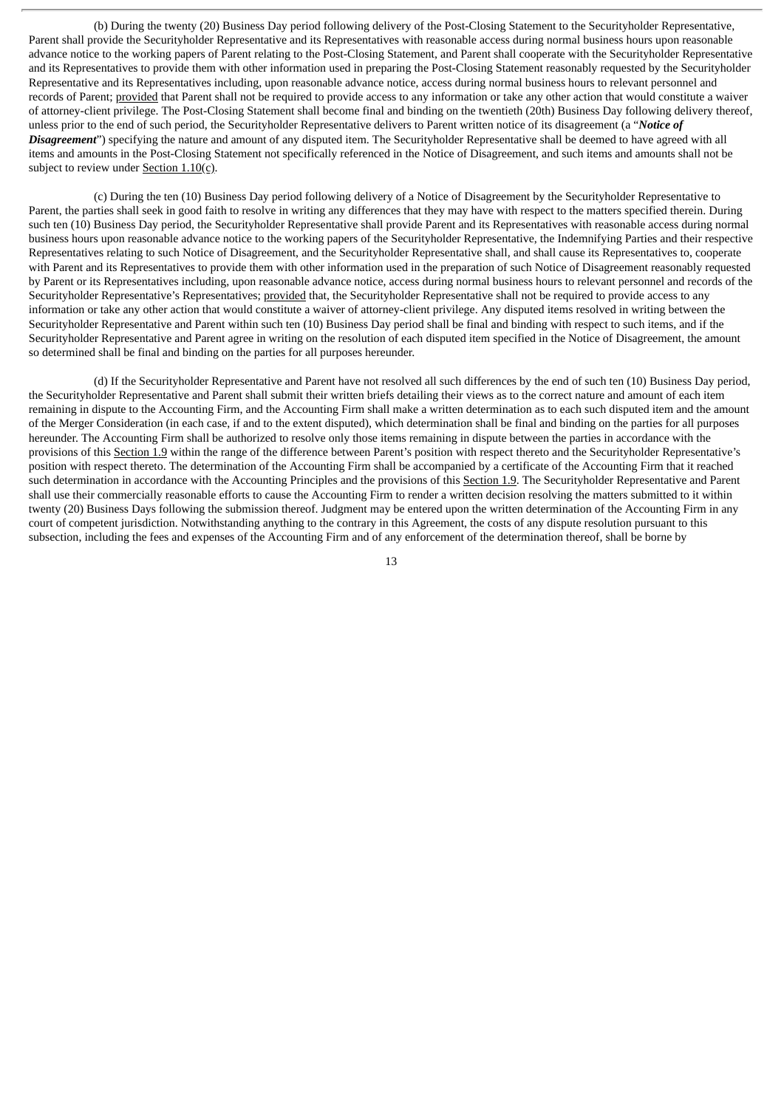(b) During the twenty (20) Business Day period following delivery of the Post-Closing Statement to the Securityholder Representative, Parent shall provide the Securityholder Representative and its Representatives with reasonable access during normal business hours upon reasonable advance notice to the working papers of Parent relating to the Post-Closing Statement, and Parent shall cooperate with the Securityholder Representative and its Representatives to provide them with other information used in preparing the Post-Closing Statement reasonably requested by the Securityholder Representative and its Representatives including, upon reasonable advance notice, access during normal business hours to relevant personnel and records of Parent; provided that Parent shall not be required to provide access to any information or take any other action that would constitute a waiver of attorney-client privilege. The Post-Closing Statement shall become final and binding on the twentieth (20th) Business Day following delivery thereof, unless prior to the end of such period, the Securityholder Representative delivers to Parent written notice of its disagreement (a "*Notice of Disagreement*") specifying the nature and amount of any disputed item. The Securityholder Representative shall be deemed to have agreed with all items and amounts in the Post-Closing Statement not specifically referenced in the Notice of Disagreement, and such items and amounts shall not be subject to review under Section 1.10(c).

(c) During the ten (10) Business Day period following delivery of a Notice of Disagreement by the Securityholder Representative to Parent, the parties shall seek in good faith to resolve in writing any differences that they may have with respect to the matters specified therein. During such ten (10) Business Day period, the Securityholder Representative shall provide Parent and its Representatives with reasonable access during normal business hours upon reasonable advance notice to the working papers of the Securityholder Representative, the Indemnifying Parties and their respective Representatives relating to such Notice of Disagreement, and the Securityholder Representative shall, and shall cause its Representatives to, cooperate with Parent and its Representatives to provide them with other information used in the preparation of such Notice of Disagreement reasonably requested by Parent or its Representatives including, upon reasonable advance notice, access during normal business hours to relevant personnel and records of the Securityholder Representative's Representatives; provided that, the Securityholder Representative shall not be required to provide access to any information or take any other action that would constitute a waiver of attorney-client privilege. Any disputed items resolved in writing between the Securityholder Representative and Parent within such ten (10) Business Day period shall be final and binding with respect to such items, and if the Securityholder Representative and Parent agree in writing on the resolution of each disputed item specified in the Notice of Disagreement, the amount so determined shall be final and binding on the parties for all purposes hereunder.

(d) If the Securityholder Representative and Parent have not resolved all such differences by the end of such ten (10) Business Day period, the Securityholder Representative and Parent shall submit their written briefs detailing their views as to the correct nature and amount of each item remaining in dispute to the Accounting Firm, and the Accounting Firm shall make a written determination as to each such disputed item and the amount of the Merger Consideration (in each case, if and to the extent disputed), which determination shall be final and binding on the parties for all purposes hereunder. The Accounting Firm shall be authorized to resolve only those items remaining in dispute between the parties in accordance with the provisions of this Section 1.9 within the range of the difference between Parent's position with respect thereto and the Securityholder Representative's position with respect thereto. The determination of the Accounting Firm shall be accompanied by a certificate of the Accounting Firm that it reached such determination in accordance with the Accounting Principles and the provisions of this Section 1.9. The Securityholder Representative and Parent shall use their commercially reasonable efforts to cause the Accounting Firm to render a written decision resolving the matters submitted to it within twenty (20) Business Days following the submission thereof. Judgment may be entered upon the written determination of the Accounting Firm in any court of competent jurisdiction. Notwithstanding anything to the contrary in this Agreement, the costs of any dispute resolution pursuant to this subsection, including the fees and expenses of the Accounting Firm and of any enforcement of the determination thereof, shall be borne by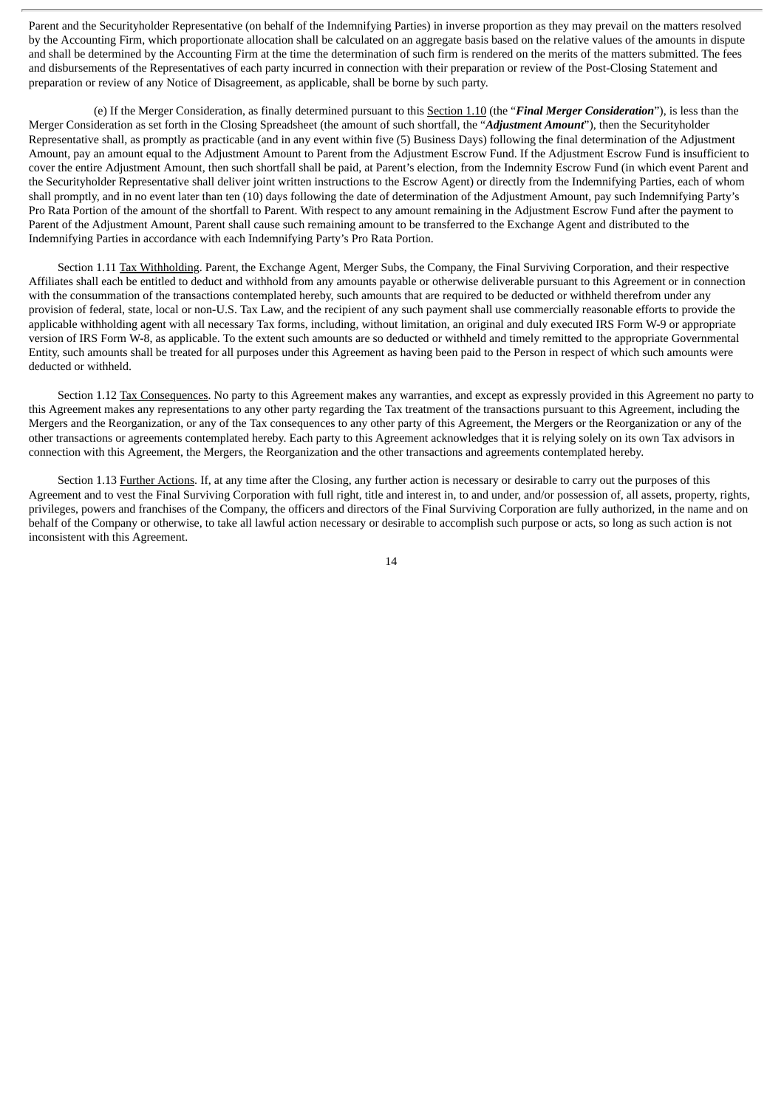Parent and the Securityholder Representative (on behalf of the Indemnifying Parties) in inverse proportion as they may prevail on the matters resolved by the Accounting Firm, which proportionate allocation shall be calculated on an aggregate basis based on the relative values of the amounts in dispute and shall be determined by the Accounting Firm at the time the determination of such firm is rendered on the merits of the matters submitted. The fees and disbursements of the Representatives of each party incurred in connection with their preparation or review of the Post-Closing Statement and preparation or review of any Notice of Disagreement, as applicable, shall be borne by such party.

(e) If the Merger Consideration, as finally determined pursuant to this Section 1.10 (the "*Final Merger Consideration*"), is less than the Merger Consideration as set forth in the Closing Spreadsheet (the amount of such shortfall, the "*Adjustment Amount*"), then the Securityholder Representative shall, as promptly as practicable (and in any event within five (5) Business Days) following the final determination of the Adjustment Amount, pay an amount equal to the Adjustment Amount to Parent from the Adjustment Escrow Fund. If the Adjustment Escrow Fund is insufficient to cover the entire Adjustment Amount, then such shortfall shall be paid, at Parent's election, from the Indemnity Escrow Fund (in which event Parent and the Securityholder Representative shall deliver joint written instructions to the Escrow Agent) or directly from the Indemnifying Parties, each of whom shall promptly, and in no event later than ten (10) days following the date of determination of the Adjustment Amount, pay such Indemnifying Party's Pro Rata Portion of the amount of the shortfall to Parent. With respect to any amount remaining in the Adjustment Escrow Fund after the payment to Parent of the Adjustment Amount, Parent shall cause such remaining amount to be transferred to the Exchange Agent and distributed to the Indemnifying Parties in accordance with each Indemnifying Party's Pro Rata Portion.

Section 1.11 Tax Withholding. Parent, the Exchange Agent, Merger Subs, the Company, the Final Surviving Corporation, and their respective Affiliates shall each be entitled to deduct and withhold from any amounts payable or otherwise deliverable pursuant to this Agreement or in connection with the consummation of the transactions contemplated hereby, such amounts that are required to be deducted or withheld therefrom under any provision of federal, state, local or non-U.S. Tax Law, and the recipient of any such payment shall use commercially reasonable efforts to provide the applicable withholding agent with all necessary Tax forms, including, without limitation, an original and duly executed IRS Form W-9 or appropriate version of IRS Form W-8, as applicable. To the extent such amounts are so deducted or withheld and timely remitted to the appropriate Governmental Entity, such amounts shall be treated for all purposes under this Agreement as having been paid to the Person in respect of which such amounts were deducted or withheld.

Section 1.12 Tax Consequences. No party to this Agreement makes any warranties, and except as expressly provided in this Agreement no party to this Agreement makes any representations to any other party regarding the Tax treatment of the transactions pursuant to this Agreement, including the Mergers and the Reorganization, or any of the Tax consequences to any other party of this Agreement, the Mergers or the Reorganization or any of the other transactions or agreements contemplated hereby. Each party to this Agreement acknowledges that it is relying solely on its own Tax advisors in connection with this Agreement, the Mergers, the Reorganization and the other transactions and agreements contemplated hereby.

Section 1.13 Further Actions. If, at any time after the Closing, any further action is necessary or desirable to carry out the purposes of this Agreement and to vest the Final Surviving Corporation with full right, title and interest in, to and under, and/or possession of, all assets, property, rights, privileges, powers and franchises of the Company, the officers and directors of the Final Surviving Corporation are fully authorized, in the name and on behalf of the Company or otherwise, to take all lawful action necessary or desirable to accomplish such purpose or acts, so long as such action is not inconsistent with this Agreement.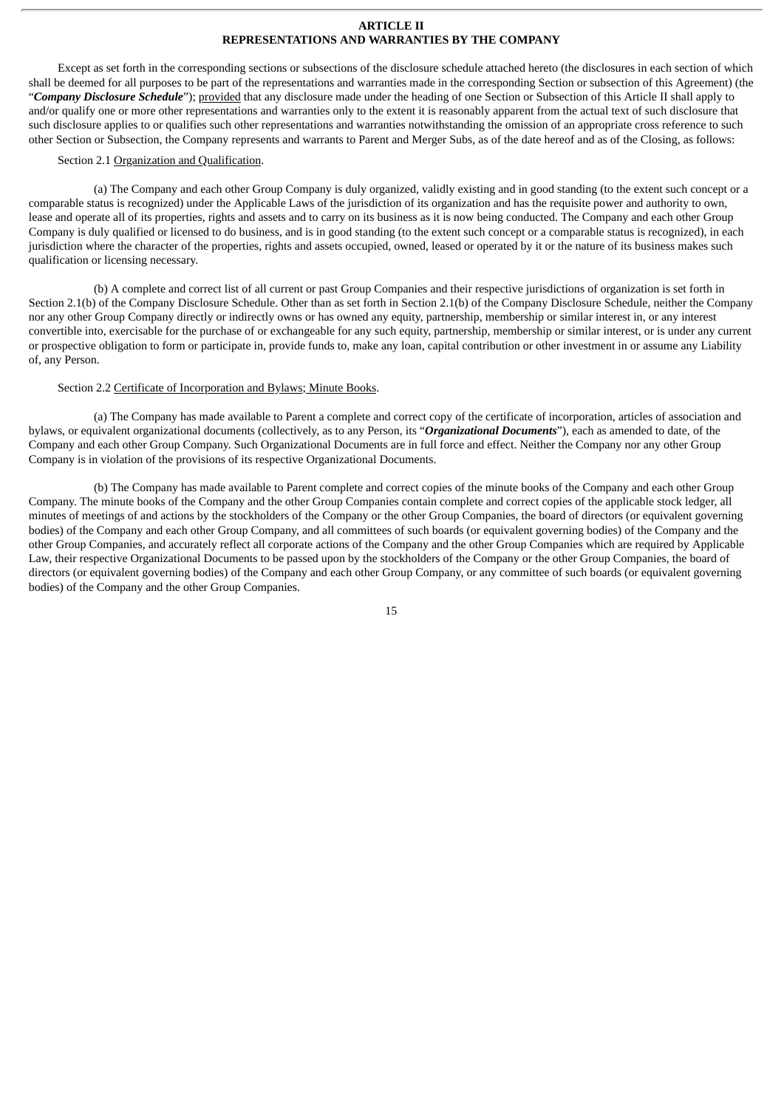#### **ARTICLE II REPRESENTATIONS AND WARRANTIES BY THE COMPANY**

Except as set forth in the corresponding sections or subsections of the disclosure schedule attached hereto (the disclosures in each section of which shall be deemed for all purposes to be part of the representations and warranties made in the corresponding Section or subsection of this Agreement) (the "*Company Disclosure Schedule*"); provided that any disclosure made under the heading of one Section or Subsection of this Article II shall apply to and/or qualify one or more other representations and warranties only to the extent it is reasonably apparent from the actual text of such disclosure that such disclosure applies to or qualifies such other representations and warranties notwithstanding the omission of an appropriate cross reference to such other Section or Subsection, the Company represents and warrants to Parent and Merger Subs, as of the date hereof and as of the Closing, as follows:

# Section 2.1 Organization and Qualification.

(a) The Company and each other Group Company is duly organized, validly existing and in good standing (to the extent such concept or a comparable status is recognized) under the Applicable Laws of the jurisdiction of its organization and has the requisite power and authority to own, lease and operate all of its properties, rights and assets and to carry on its business as it is now being conducted. The Company and each other Group Company is duly qualified or licensed to do business, and is in good standing (to the extent such concept or a comparable status is recognized), in each jurisdiction where the character of the properties, rights and assets occupied, owned, leased or operated by it or the nature of its business makes such qualification or licensing necessary.

(b) A complete and correct list of all current or past Group Companies and their respective jurisdictions of organization is set forth in Section 2.1(b) of the Company Disclosure Schedule. Other than as set forth in Section 2.1(b) of the Company Disclosure Schedule, neither the Company nor any other Group Company directly or indirectly owns or has owned any equity, partnership, membership or similar interest in, or any interest convertible into, exercisable for the purchase of or exchangeable for any such equity, partnership, membership or similar interest, or is under any current or prospective obligation to form or participate in, provide funds to, make any loan, capital contribution or other investment in or assume any Liability of, any Person.

#### Section 2.2 Certificate of Incorporation and Bylaws; Minute Books.

(a) The Company has made available to Parent a complete and correct copy of the certificate of incorporation, articles of association and bylaws, or equivalent organizational documents (collectively, as to any Person, its "*Organizational Documents*"), each as amended to date, of the Company and each other Group Company. Such Organizational Documents are in full force and effect. Neither the Company nor any other Group Company is in violation of the provisions of its respective Organizational Documents.

(b) The Company has made available to Parent complete and correct copies of the minute books of the Company and each other Group Company. The minute books of the Company and the other Group Companies contain complete and correct copies of the applicable stock ledger, all minutes of meetings of and actions by the stockholders of the Company or the other Group Companies, the board of directors (or equivalent governing bodies) of the Company and each other Group Company, and all committees of such boards (or equivalent governing bodies) of the Company and the other Group Companies, and accurately reflect all corporate actions of the Company and the other Group Companies which are required by Applicable Law, their respective Organizational Documents to be passed upon by the stockholders of the Company or the other Group Companies, the board of directors (or equivalent governing bodies) of the Company and each other Group Company, or any committee of such boards (or equivalent governing bodies) of the Company and the other Group Companies.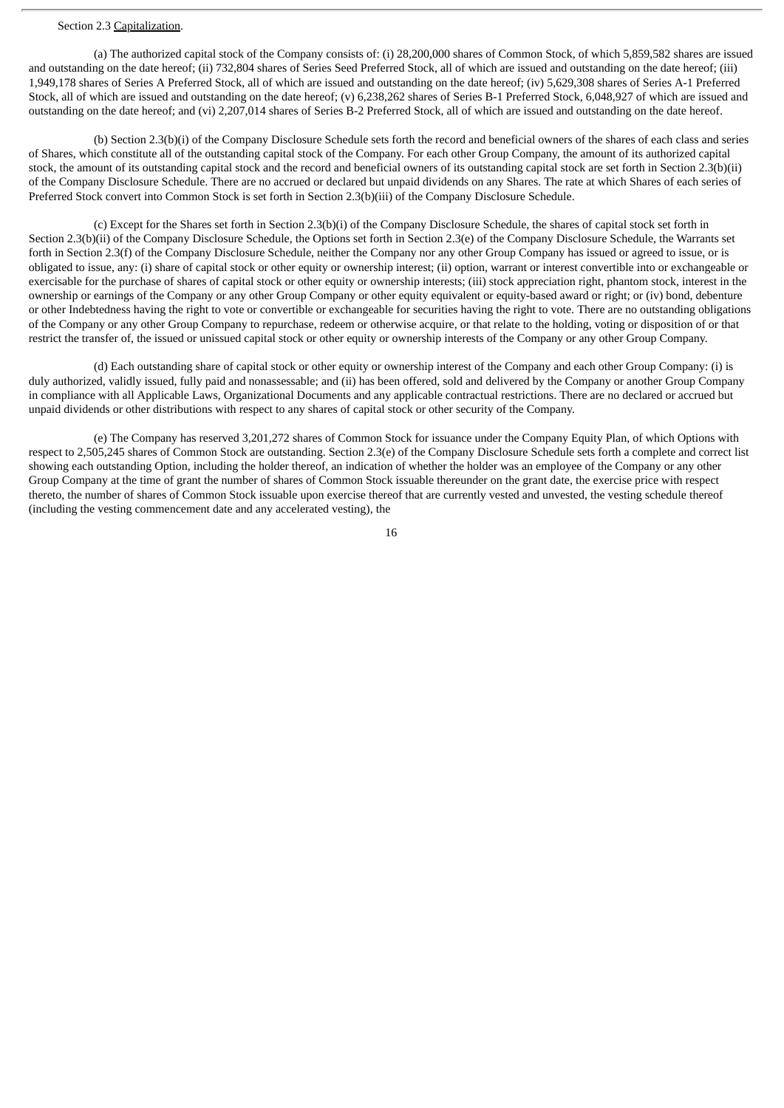# Section 2.3 Capitalization.

(a) The authorized capital stock of the Company consists of: (i) 28,200,000 shares of Common Stock, of which 5,859,582 shares are issued and outstanding on the date hereof; (ii) 732,804 shares of Series Seed Preferred Stock, all of which are issued and outstanding on the date hereof; (iii) 1,949,178 shares of Series A Preferred Stock, all of which are issued and outstanding on the date hereof; (iv) 5,629,308 shares of Series A-1 Preferred Stock, all of which are issued and outstanding on the date hereof; (v) 6,238,262 shares of Series B-1 Preferred Stock, 6,048,927 of which are issued and outstanding on the date hereof; and (vi) 2,207,014 shares of Series B-2 Preferred Stock, all of which are issued and outstanding on the date hereof.

(b) Section 2.3(b)(i) of the Company Disclosure Schedule sets forth the record and beneficial owners of the shares of each class and series of Shares, which constitute all of the outstanding capital stock of the Company. For each other Group Company, the amount of its authorized capital stock, the amount of its outstanding capital stock and the record and beneficial owners of its outstanding capital stock are set forth in Section 2.3(b)(ii) of the Company Disclosure Schedule. There are no accrued or declared but unpaid dividends on any Shares. The rate at which Shares of each series of Preferred Stock convert into Common Stock is set forth in Section 2.3(b)(iii) of the Company Disclosure Schedule.

(c) Except for the Shares set forth in Section 2.3(b)(i) of the Company Disclosure Schedule, the shares of capital stock set forth in Section 2.3(b)(ii) of the Company Disclosure Schedule, the Options set forth in Section 2.3(e) of the Company Disclosure Schedule, the Warrants set forth in Section 2.3(f) of the Company Disclosure Schedule, neither the Company nor any other Group Company has issued or agreed to issue, or is obligated to issue, any: (i) share of capital stock or other equity or ownership interest; (ii) option, warrant or interest convertible into or exchangeable or exercisable for the purchase of shares of capital stock or other equity or ownership interests; (iii) stock appreciation right, phantom stock, interest in the ownership or earnings of the Company or any other Group Company or other equity equivalent or equity-based award or right; or (iv) bond, debenture or other Indebtedness having the right to vote or convertible or exchangeable for securities having the right to vote. There are no outstanding obligations of the Company or any other Group Company to repurchase, redeem or otherwise acquire, or that relate to the holding, voting or disposition of or that restrict the transfer of, the issued or unissued capital stock or other equity or ownership interests of the Company or any other Group Company.

(d) Each outstanding share of capital stock or other equity or ownership interest of the Company and each other Group Company: (i) is duly authorized, validly issued, fully paid and nonassessable; and (ii) has been offered, sold and delivered by the Company or another Group Company in compliance with all Applicable Laws, Organizational Documents and any applicable contractual restrictions. There are no declared or accrued but unpaid dividends or other distributions with respect to any shares of capital stock or other security of the Company.

(e) The Company has reserved 3,201,272 shares of Common Stock for issuance under the Company Equity Plan, of which Options with respect to 2,505,245 shares of Common Stock are outstanding. Section 2.3(e) of the Company Disclosure Schedule sets forth a complete and correct list showing each outstanding Option, including the holder thereof, an indication of whether the holder was an employee of the Company or any other Group Company at the time of grant the number of shares of Common Stock issuable thereunder on the grant date, the exercise price with respect thereto, the number of shares of Common Stock issuable upon exercise thereof that are currently vested and unvested, the vesting schedule thereof (including the vesting commencement date and any accelerated vesting), the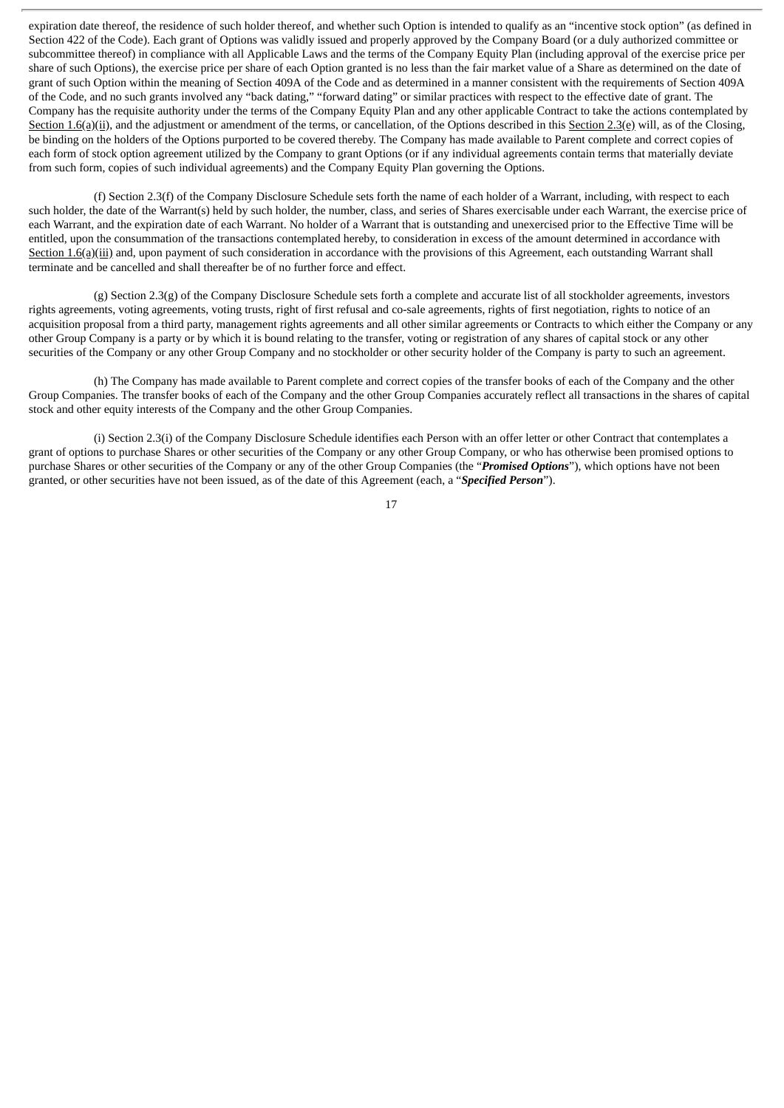expiration date thereof, the residence of such holder thereof, and whether such Option is intended to qualify as an "incentive stock option" (as defined in Section 422 of the Code). Each grant of Options was validly issued and properly approved by the Company Board (or a duly authorized committee or subcommittee thereof) in compliance with all Applicable Laws and the terms of the Company Equity Plan (including approval of the exercise price per share of such Options), the exercise price per share of each Option granted is no less than the fair market value of a Share as determined on the date of grant of such Option within the meaning of Section 409A of the Code and as determined in a manner consistent with the requirements of Section 409A of the Code, and no such grants involved any "back dating," "forward dating" or similar practices with respect to the effective date of grant. The Company has the requisite authority under the terms of the Company Equity Plan and any other applicable Contract to take the actions contemplated by Section 1.6(a)(ii), and the adjustment or amendment of the terms, or cancellation, of the Options described in this Section 2.3(e) will, as of the Closing, be binding on the holders of the Options purported to be covered thereby. The Company has made available to Parent complete and correct copies of each form of stock option agreement utilized by the Company to grant Options (or if any individual agreements contain terms that materially deviate from such form, copies of such individual agreements) and the Company Equity Plan governing the Options.

(f) Section 2.3(f) of the Company Disclosure Schedule sets forth the name of each holder of a Warrant, including, with respect to each such holder, the date of the Warrant(s) held by such holder, the number, class, and series of Shares exercisable under each Warrant, the exercise price of each Warrant, and the expiration date of each Warrant. No holder of a Warrant that is outstanding and unexercised prior to the Effective Time will be entitled, upon the consummation of the transactions contemplated hereby, to consideration in excess of the amount determined in accordance with Section 1.6(a)(iii) and, upon payment of such consideration in accordance with the provisions of this Agreement, each outstanding Warrant shall terminate and be cancelled and shall thereafter be of no further force and effect.

(g) Section 2.3(g) of the Company Disclosure Schedule sets forth a complete and accurate list of all stockholder agreements, investors rights agreements, voting agreements, voting trusts, right of first refusal and co-sale agreements, rights of first negotiation, rights to notice of an acquisition proposal from a third party, management rights agreements and all other similar agreements or Contracts to which either the Company or any other Group Company is a party or by which it is bound relating to the transfer, voting or registration of any shares of capital stock or any other securities of the Company or any other Group Company and no stockholder or other security holder of the Company is party to such an agreement.

(h) The Company has made available to Parent complete and correct copies of the transfer books of each of the Company and the other Group Companies. The transfer books of each of the Company and the other Group Companies accurately reflect all transactions in the shares of capital stock and other equity interests of the Company and the other Group Companies.

(i) Section 2.3(i) of the Company Disclosure Schedule identifies each Person with an offer letter or other Contract that contemplates a grant of options to purchase Shares or other securities of the Company or any other Group Company, or who has otherwise been promised options to purchase Shares or other securities of the Company or any of the other Group Companies (the "*Promised Options*"), which options have not been granted, or other securities have not been issued, as of the date of this Agreement (each, a "*Specified Person*").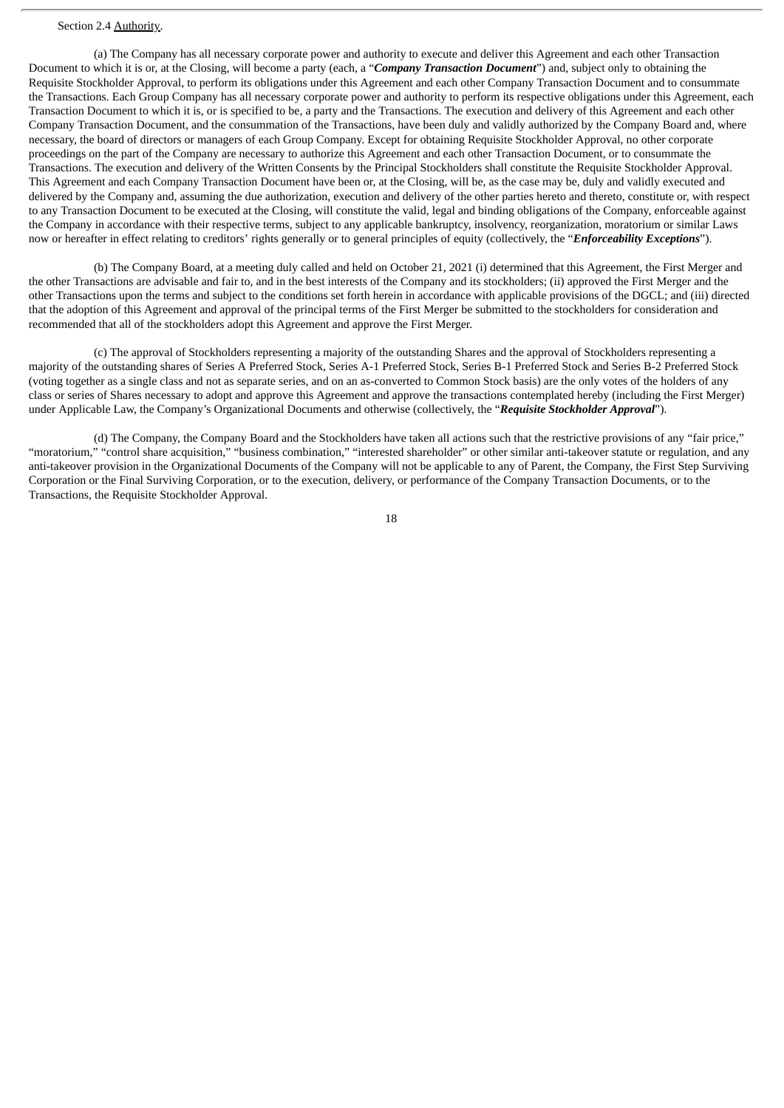#### Section 2.4 Authority.

(a) The Company has all necessary corporate power and authority to execute and deliver this Agreement and each other Transaction Document to which it is or, at the Closing, will become a party (each, a "*Company Transaction Document*") and, subject only to obtaining the Requisite Stockholder Approval, to perform its obligations under this Agreement and each other Company Transaction Document and to consummate the Transactions. Each Group Company has all necessary corporate power and authority to perform its respective obligations under this Agreement, each Transaction Document to which it is, or is specified to be, a party and the Transactions. The execution and delivery of this Agreement and each other Company Transaction Document, and the consummation of the Transactions, have been duly and validly authorized by the Company Board and, where necessary, the board of directors or managers of each Group Company. Except for obtaining Requisite Stockholder Approval, no other corporate proceedings on the part of the Company are necessary to authorize this Agreement and each other Transaction Document, or to consummate the Transactions. The execution and delivery of the Written Consents by the Principal Stockholders shall constitute the Requisite Stockholder Approval. This Agreement and each Company Transaction Document have been or, at the Closing, will be, as the case may be, duly and validly executed and delivered by the Company and, assuming the due authorization, execution and delivery of the other parties hereto and thereto, constitute or, with respect to any Transaction Document to be executed at the Closing, will constitute the valid, legal and binding obligations of the Company, enforceable against the Company in accordance with their respective terms, subject to any applicable bankruptcy, insolvency, reorganization, moratorium or similar Laws now or hereafter in effect relating to creditors' rights generally or to general principles of equity (collectively, the "*Enforceability Exceptions*").

(b) The Company Board, at a meeting duly called and held on October 21, 2021 (i) determined that this Agreement, the First Merger and the other Transactions are advisable and fair to, and in the best interests of the Company and its stockholders; (ii) approved the First Merger and the other Transactions upon the terms and subject to the conditions set forth herein in accordance with applicable provisions of the DGCL; and (iii) directed that the adoption of this Agreement and approval of the principal terms of the First Merger be submitted to the stockholders for consideration and recommended that all of the stockholders adopt this Agreement and approve the First Merger.

(c) The approval of Stockholders representing a majority of the outstanding Shares and the approval of Stockholders representing a majority of the outstanding shares of Series A Preferred Stock, Series A-1 Preferred Stock, Series B-1 Preferred Stock and Series B-2 Preferred Stock (voting together as a single class and not as separate series, and on an as-converted to Common Stock basis) are the only votes of the holders of any class or series of Shares necessary to adopt and approve this Agreement and approve the transactions contemplated hereby (including the First Merger) under Applicable Law, the Company's Organizational Documents and otherwise (collectively, the "*Requisite Stockholder Approval*").

(d) The Company, the Company Board and the Stockholders have taken all actions such that the restrictive provisions of any "fair price," "moratorium," "control share acquisition," "business combination," "interested shareholder" or other similar anti-takeover statute or regulation, and any anti-takeover provision in the Organizational Documents of the Company will not be applicable to any of Parent, the Company, the First Step Surviving Corporation or the Final Surviving Corporation, or to the execution, delivery, or performance of the Company Transaction Documents, or to the Transactions, the Requisite Stockholder Approval.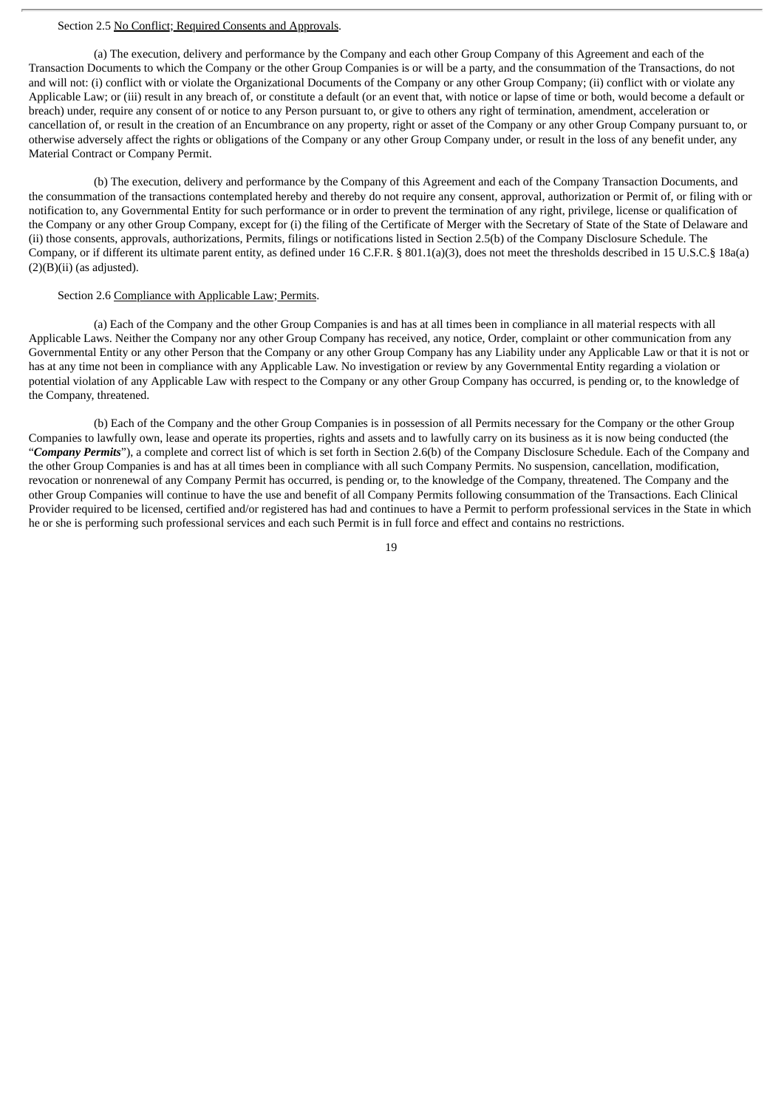#### Section 2.5 No Conflict; Required Consents and Approvals.

(a) The execution, delivery and performance by the Company and each other Group Company of this Agreement and each of the Transaction Documents to which the Company or the other Group Companies is or will be a party, and the consummation of the Transactions, do not and will not: (i) conflict with or violate the Organizational Documents of the Company or any other Group Company; (ii) conflict with or violate any Applicable Law; or (iii) result in any breach of, or constitute a default (or an event that, with notice or lapse of time or both, would become a default or breach) under, require any consent of or notice to any Person pursuant to, or give to others any right of termination, amendment, acceleration or cancellation of, or result in the creation of an Encumbrance on any property, right or asset of the Company or any other Group Company pursuant to, or otherwise adversely affect the rights or obligations of the Company or any other Group Company under, or result in the loss of any benefit under, any Material Contract or Company Permit.

(b) The execution, delivery and performance by the Company of this Agreement and each of the Company Transaction Documents, and the consummation of the transactions contemplated hereby and thereby do not require any consent, approval, authorization or Permit of, or filing with or notification to, any Governmental Entity for such performance or in order to prevent the termination of any right, privilege, license or qualification of the Company or any other Group Company, except for (i) the filing of the Certificate of Merger with the Secretary of State of the State of Delaware and (ii) those consents, approvals, authorizations, Permits, filings or notifications listed in Section 2.5(b) of the Company Disclosure Schedule. The Company, or if different its ultimate parent entity, as defined under 16 C.F.R. § 801.1(a)(3), does not meet the thresholds described in 15 U.S.C.§ 18a(a)  $(2)(B)(ii)$  (as adjusted).

# Section 2.6 Compliance with Applicable Law; Permits.

(a) Each of the Company and the other Group Companies is and has at all times been in compliance in all material respects with all Applicable Laws. Neither the Company nor any other Group Company has received, any notice, Order, complaint or other communication from any Governmental Entity or any other Person that the Company or any other Group Company has any Liability under any Applicable Law or that it is not or has at any time not been in compliance with any Applicable Law. No investigation or review by any Governmental Entity regarding a violation or potential violation of any Applicable Law with respect to the Company or any other Group Company has occurred, is pending or, to the knowledge of the Company, threatened.

(b) Each of the Company and the other Group Companies is in possession of all Permits necessary for the Company or the other Group Companies to lawfully own, lease and operate its properties, rights and assets and to lawfully carry on its business as it is now being conducted (the "*Company Permits*"), a complete and correct list of which is set forth in Section 2.6(b) of the Company Disclosure Schedule. Each of the Company and the other Group Companies is and has at all times been in compliance with all such Company Permits. No suspension, cancellation, modification, revocation or nonrenewal of any Company Permit has occurred, is pending or, to the knowledge of the Company, threatened. The Company and the other Group Companies will continue to have the use and benefit of all Company Permits following consummation of the Transactions. Each Clinical Provider required to be licensed, certified and/or registered has had and continues to have a Permit to perform professional services in the State in which he or she is performing such professional services and each such Permit is in full force and effect and contains no restrictions.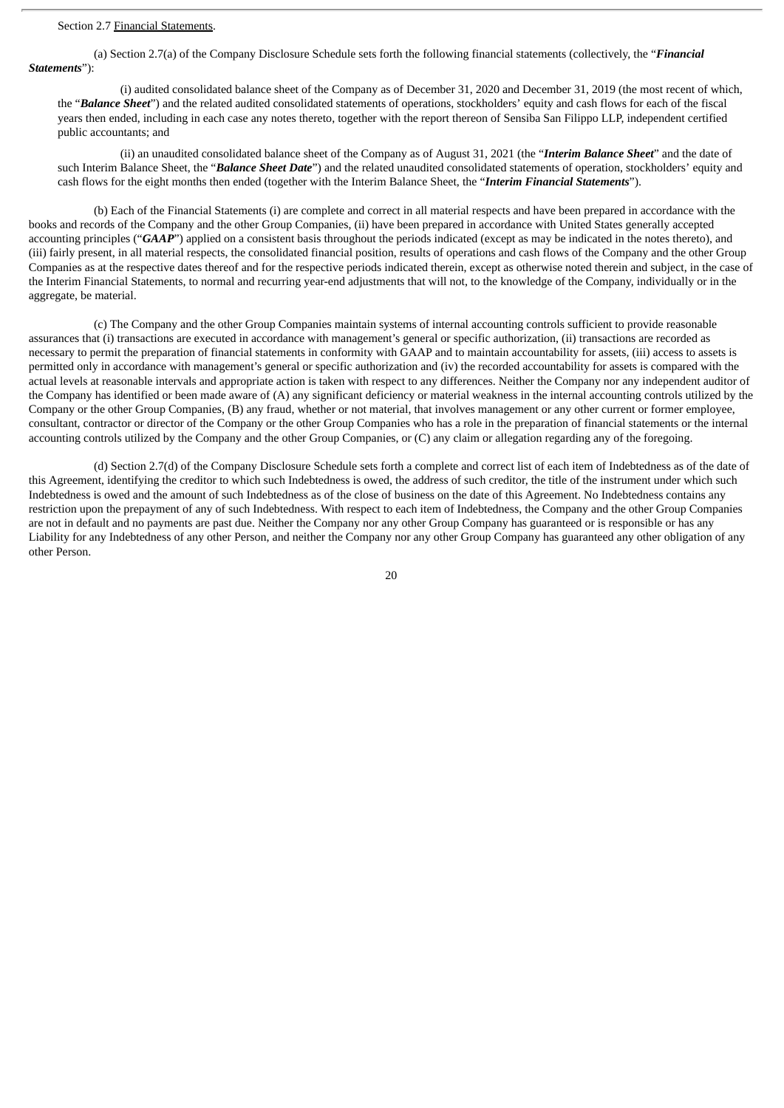(a) Section 2.7(a) of the Company Disclosure Schedule sets forth the following financial statements (collectively, the "*Financial Statements*"):

(i) audited consolidated balance sheet of the Company as of December 31, 2020 and December 31, 2019 (the most recent of which, the "*Balance Sheet*") and the related audited consolidated statements of operations, stockholders' equity and cash flows for each of the fiscal years then ended, including in each case any notes thereto, together with the report thereon of Sensiba San Filippo LLP, independent certified public accountants; and

(ii) an unaudited consolidated balance sheet of the Company as of August 31, 2021 (the "*Interim Balance Sheet*" and the date of such Interim Balance Sheet, the "*Balance Sheet Date*") and the related unaudited consolidated statements of operation, stockholders' equity and cash flows for the eight months then ended (together with the Interim Balance Sheet, the "*Interim Financial Statements*").

(b) Each of the Financial Statements (i) are complete and correct in all material respects and have been prepared in accordance with the books and records of the Company and the other Group Companies, (ii) have been prepared in accordance with United States generally accepted accounting principles ("*GAAP*") applied on a consistent basis throughout the periods indicated (except as may be indicated in the notes thereto), and (iii) fairly present, in all material respects, the consolidated financial position, results of operations and cash flows of the Company and the other Group Companies as at the respective dates thereof and for the respective periods indicated therein, except as otherwise noted therein and subject, in the case of the Interim Financial Statements, to normal and recurring year-end adjustments that will not, to the knowledge of the Company, individually or in the aggregate, be material.

(c) The Company and the other Group Companies maintain systems of internal accounting controls sufficient to provide reasonable assurances that (i) transactions are executed in accordance with management's general or specific authorization, (ii) transactions are recorded as necessary to permit the preparation of financial statements in conformity with GAAP and to maintain accountability for assets, (iii) access to assets is permitted only in accordance with management's general or specific authorization and (iv) the recorded accountability for assets is compared with the actual levels at reasonable intervals and appropriate action is taken with respect to any differences. Neither the Company nor any independent auditor of the Company has identified or been made aware of (A) any significant deficiency or material weakness in the internal accounting controls utilized by the Company or the other Group Companies, (B) any fraud, whether or not material, that involves management or any other current or former employee, consultant, contractor or director of the Company or the other Group Companies who has a role in the preparation of financial statements or the internal accounting controls utilized by the Company and the other Group Companies, or (C) any claim or allegation regarding any of the foregoing.

(d) Section 2.7(d) of the Company Disclosure Schedule sets forth a complete and correct list of each item of Indebtedness as of the date of this Agreement, identifying the creditor to which such Indebtedness is owed, the address of such creditor, the title of the instrument under which such Indebtedness is owed and the amount of such Indebtedness as of the close of business on the date of this Agreement. No Indebtedness contains any restriction upon the prepayment of any of such Indebtedness. With respect to each item of Indebtedness, the Company and the other Group Companies are not in default and no payments are past due. Neither the Company nor any other Group Company has guaranteed or is responsible or has any Liability for any Indebtedness of any other Person, and neither the Company nor any other Group Company has guaranteed any other obligation of any other Person.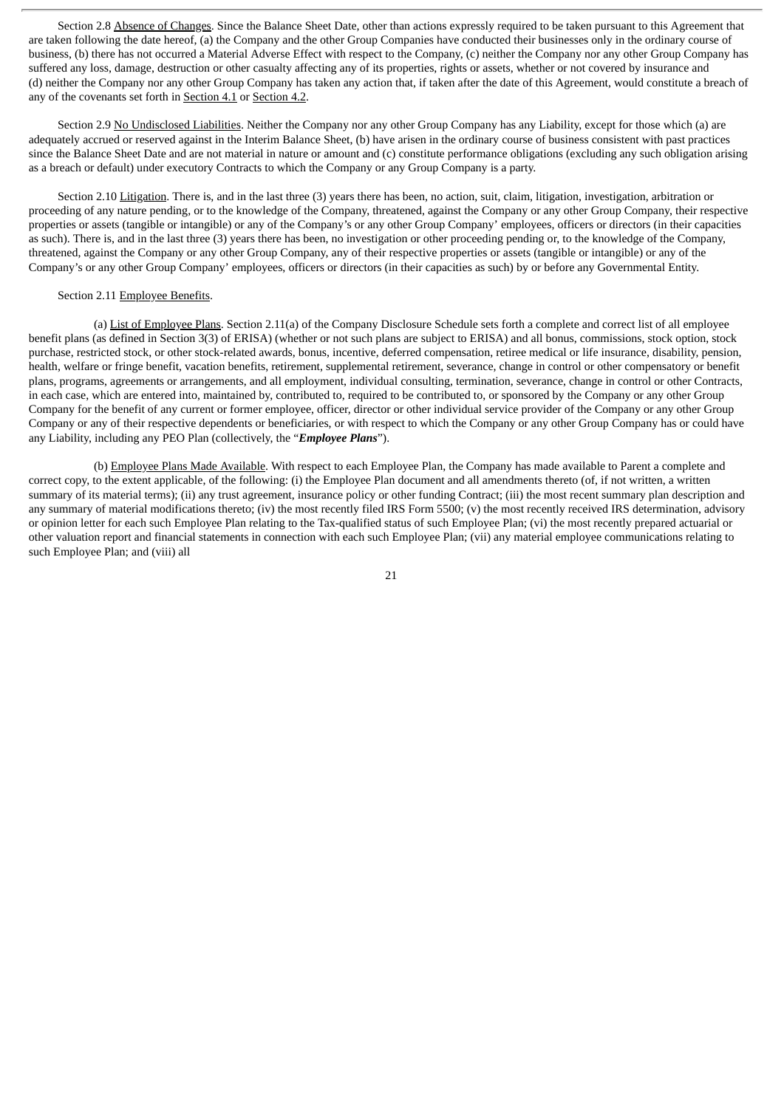Section 2.8 Absence of Changes. Since the Balance Sheet Date, other than actions expressly required to be taken pursuant to this Agreement that are taken following the date hereof, (a) the Company and the other Group Companies have conducted their businesses only in the ordinary course of business, (b) there has not occurred a Material Adverse Effect with respect to the Company, (c) neither the Company nor any other Group Company has suffered any loss, damage, destruction or other casualty affecting any of its properties, rights or assets, whether or not covered by insurance and (d) neither the Company nor any other Group Company has taken any action that, if taken after the date of this Agreement, would constitute a breach of any of the covenants set forth in Section 4.1 or Section 4.2.

Section 2.9 No Undisclosed Liabilities. Neither the Company nor any other Group Company has any Liability, except for those which (a) are adequately accrued or reserved against in the Interim Balance Sheet, (b) have arisen in the ordinary course of business consistent with past practices since the Balance Sheet Date and are not material in nature or amount and (c) constitute performance obligations (excluding any such obligation arising as a breach or default) under executory Contracts to which the Company or any Group Company is a party.

Section 2.10 Litigation. There is, and in the last three (3) years there has been, no action, suit, claim, litigation, investigation, arbitration or proceeding of any nature pending, or to the knowledge of the Company, threatened, against the Company or any other Group Company, their respective properties or assets (tangible or intangible) or any of the Company's or any other Group Company' employees, officers or directors (in their capacities as such). There is, and in the last three (3) years there has been, no investigation or other proceeding pending or, to the knowledge of the Company, threatened, against the Company or any other Group Company, any of their respective properties or assets (tangible or intangible) or any of the Company's or any other Group Company' employees, officers or directors (in their capacities as such) by or before any Governmental Entity.

#### Section 2.11 Employee Benefits.

(a) List of Employee Plans. Section 2.11(a) of the Company Disclosure Schedule sets forth a complete and correct list of all employee benefit plans (as defined in Section 3(3) of ERISA) (whether or not such plans are subject to ERISA) and all bonus, commissions, stock option, stock purchase, restricted stock, or other stock-related awards, bonus, incentive, deferred compensation, retiree medical or life insurance, disability, pension, health, welfare or fringe benefit, vacation benefits, retirement, supplemental retirement, severance, change in control or other compensatory or benefit plans, programs, agreements or arrangements, and all employment, individual consulting, termination, severance, change in control or other Contracts, in each case, which are entered into, maintained by, contributed to, required to be contributed to, or sponsored by the Company or any other Group Company for the benefit of any current or former employee, officer, director or other individual service provider of the Company or any other Group Company or any of their respective dependents or beneficiaries, or with respect to which the Company or any other Group Company has or could have any Liability, including any PEO Plan (collectively, the "*Employee Plans*").

(b) Employee Plans Made Available. With respect to each Employee Plan, the Company has made available to Parent a complete and correct copy, to the extent applicable, of the following: (i) the Employee Plan document and all amendments thereto (of, if not written, a written summary of its material terms); (ii) any trust agreement, insurance policy or other funding Contract; (iii) the most recent summary plan description and any summary of material modifications thereto; (iv) the most recently filed IRS Form 5500; (v) the most recently received IRS determination, advisory or opinion letter for each such Employee Plan relating to the Tax-qualified status of such Employee Plan; (vi) the most recently prepared actuarial or other valuation report and financial statements in connection with each such Employee Plan; (vii) any material employee communications relating to such Employee Plan; and (viii) all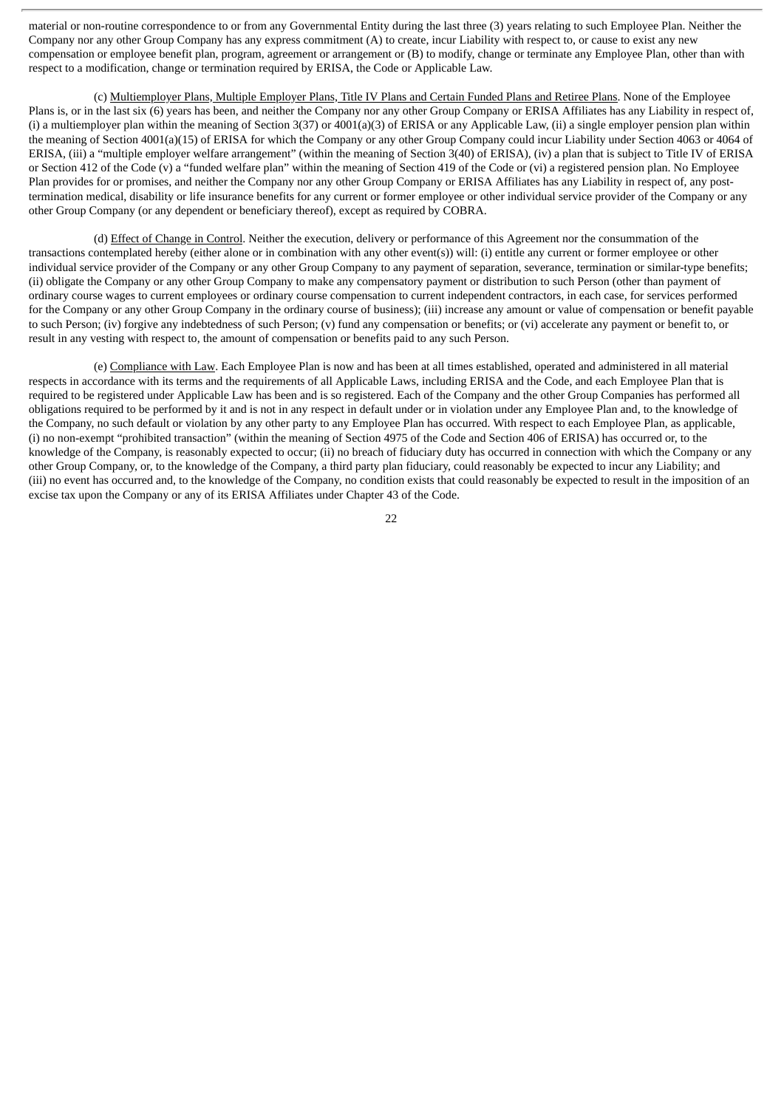material or non-routine correspondence to or from any Governmental Entity during the last three (3) years relating to such Employee Plan. Neither the Company nor any other Group Company has any express commitment (A) to create, incur Liability with respect to, or cause to exist any new compensation or employee benefit plan, program, agreement or arrangement or (B) to modify, change or terminate any Employee Plan, other than with respect to a modification, change or termination required by ERISA, the Code or Applicable Law.

(c) Multiemployer Plans, Multiple Employer Plans, Title IV Plans and Certain Funded Plans and Retiree Plans. None of the Employee Plans is, or in the last six (6) years has been, and neither the Company nor any other Group Company or ERISA Affiliates has any Liability in respect of, (i) a multiemployer plan within the meaning of Section  $3(37)$  or  $4001(a)(3)$  of ERISA or any Applicable Law, (ii) a single employer pension plan within the meaning of Section 4001(a)(15) of ERISA for which the Company or any other Group Company could incur Liability under Section 4063 or 4064 of ERISA, (iii) a "multiple employer welfare arrangement" (within the meaning of Section 3(40) of ERISA), (iv) a plan that is subject to Title IV of ERISA or Section 412 of the Code (v) a "funded welfare plan" within the meaning of Section 419 of the Code or (vi) a registered pension plan. No Employee Plan provides for or promises, and neither the Company nor any other Group Company or ERISA Affiliates has any Liability in respect of, any posttermination medical, disability or life insurance benefits for any current or former employee or other individual service provider of the Company or any other Group Company (or any dependent or beneficiary thereof), except as required by COBRA.

(d) Effect of Change in Control. Neither the execution, delivery or performance of this Agreement nor the consummation of the transactions contemplated hereby (either alone or in combination with any other event(s)) will: (i) entitle any current or former employee or other individual service provider of the Company or any other Group Company to any payment of separation, severance, termination or similar-type benefits; (ii) obligate the Company or any other Group Company to make any compensatory payment or distribution to such Person (other than payment of ordinary course wages to current employees or ordinary course compensation to current independent contractors, in each case, for services performed for the Company or any other Group Company in the ordinary course of business); (iii) increase any amount or value of compensation or benefit payable to such Person; (iv) forgive any indebtedness of such Person; (v) fund any compensation or benefits; or (vi) accelerate any payment or benefit to, or result in any vesting with respect to, the amount of compensation or benefits paid to any such Person.

(e) Compliance with Law. Each Employee Plan is now and has been at all times established, operated and administered in all material respects in accordance with its terms and the requirements of all Applicable Laws, including ERISA and the Code, and each Employee Plan that is required to be registered under Applicable Law has been and is so registered. Each of the Company and the other Group Companies has performed all obligations required to be performed by it and is not in any respect in default under or in violation under any Employee Plan and, to the knowledge of the Company, no such default or violation by any other party to any Employee Plan has occurred. With respect to each Employee Plan, as applicable, (i) no non-exempt "prohibited transaction" (within the meaning of Section 4975 of the Code and Section 406 of ERISA) has occurred or, to the knowledge of the Company, is reasonably expected to occur; (ii) no breach of fiduciary duty has occurred in connection with which the Company or any other Group Company, or, to the knowledge of the Company, a third party plan fiduciary, could reasonably be expected to incur any Liability; and (iii) no event has occurred and, to the knowledge of the Company, no condition exists that could reasonably be expected to result in the imposition of an excise tax upon the Company or any of its ERISA Affiliates under Chapter 43 of the Code.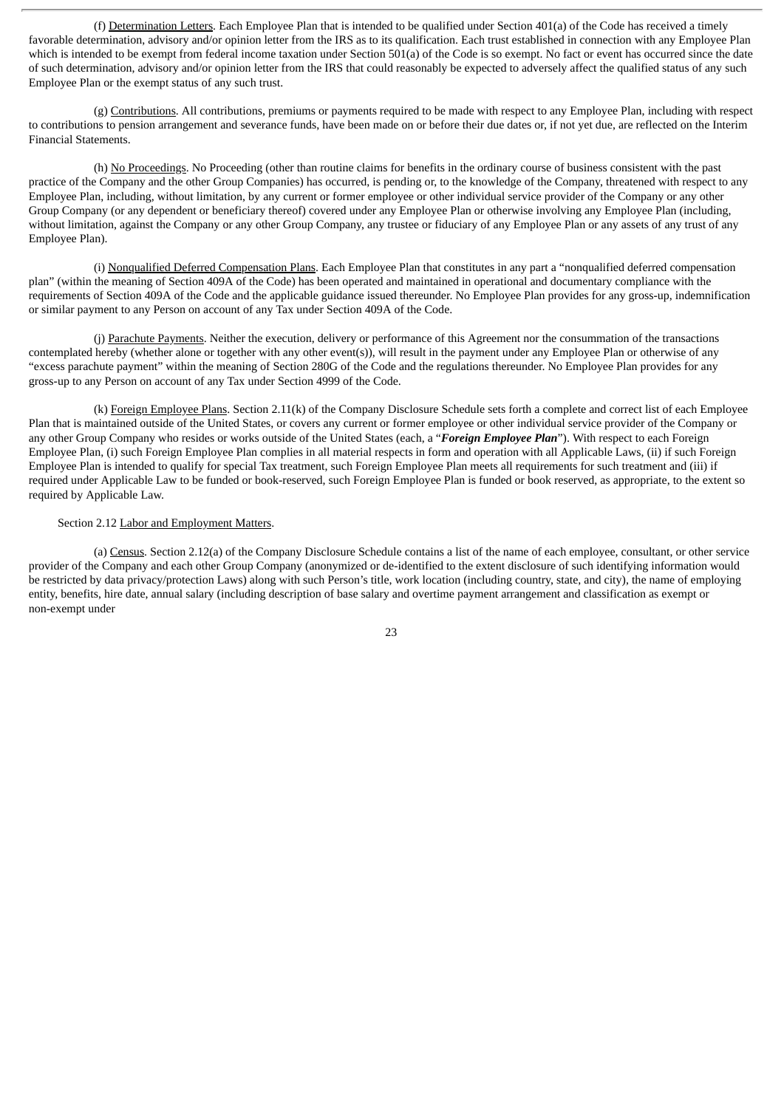(f) Determination Letters. Each Employee Plan that is intended to be qualified under Section 401(a) of the Code has received a timely favorable determination, advisory and/or opinion letter from the IRS as to its qualification. Each trust established in connection with any Employee Plan which is intended to be exempt from federal income taxation under Section 501(a) of the Code is so exempt. No fact or event has occurred since the date of such determination, advisory and/or opinion letter from the IRS that could reasonably be expected to adversely affect the qualified status of any such Employee Plan or the exempt status of any such trust.

(g) Contributions. All contributions, premiums or payments required to be made with respect to any Employee Plan, including with respect to contributions to pension arrangement and severance funds, have been made on or before their due dates or, if not yet due, are reflected on the Interim Financial Statements.

(h) No Proceedings. No Proceeding (other than routine claims for benefits in the ordinary course of business consistent with the past practice of the Company and the other Group Companies) has occurred, is pending or, to the knowledge of the Company, threatened with respect to any Employee Plan, including, without limitation, by any current or former employee or other individual service provider of the Company or any other Group Company (or any dependent or beneficiary thereof) covered under any Employee Plan or otherwise involving any Employee Plan (including, without limitation, against the Company or any other Group Company, any trustee or fiduciary of any Employee Plan or any assets of any trust of any Employee Plan).

(i) Nonqualified Deferred Compensation Plans. Each Employee Plan that constitutes in any part a "nonqualified deferred compensation plan" (within the meaning of Section 409A of the Code) has been operated and maintained in operational and documentary compliance with the requirements of Section 409A of the Code and the applicable guidance issued thereunder. No Employee Plan provides for any gross-up, indemnification or similar payment to any Person on account of any Tax under Section 409A of the Code.

(j) Parachute Payments. Neither the execution, delivery or performance of this Agreement nor the consummation of the transactions contemplated hereby (whether alone or together with any other event(s)), will result in the payment under any Employee Plan or otherwise of any "excess parachute payment" within the meaning of Section 280G of the Code and the regulations thereunder. No Employee Plan provides for any gross-up to any Person on account of any Tax under Section 4999 of the Code.

(k) Foreign Employee Plans. Section 2.11(k) of the Company Disclosure Schedule sets forth a complete and correct list of each Employee Plan that is maintained outside of the United States, or covers any current or former employee or other individual service provider of the Company or any other Group Company who resides or works outside of the United States (each, a "*Foreign Employee Plan*"). With respect to each Foreign Employee Plan, (i) such Foreign Employee Plan complies in all material respects in form and operation with all Applicable Laws, (ii) if such Foreign Employee Plan is intended to qualify for special Tax treatment, such Foreign Employee Plan meets all requirements for such treatment and (iii) if required under Applicable Law to be funded or book-reserved, such Foreign Employee Plan is funded or book reserved, as appropriate, to the extent so required by Applicable Law.

#### Section 2.12 Labor and Employment Matters.

(a) Census. Section 2.12(a) of the Company Disclosure Schedule contains a list of the name of each employee, consultant, or other service provider of the Company and each other Group Company (anonymized or de-identified to the extent disclosure of such identifying information would be restricted by data privacy/protection Laws) along with such Person's title, work location (including country, state, and city), the name of employing entity, benefits, hire date, annual salary (including description of base salary and overtime payment arrangement and classification as exempt or non-exempt under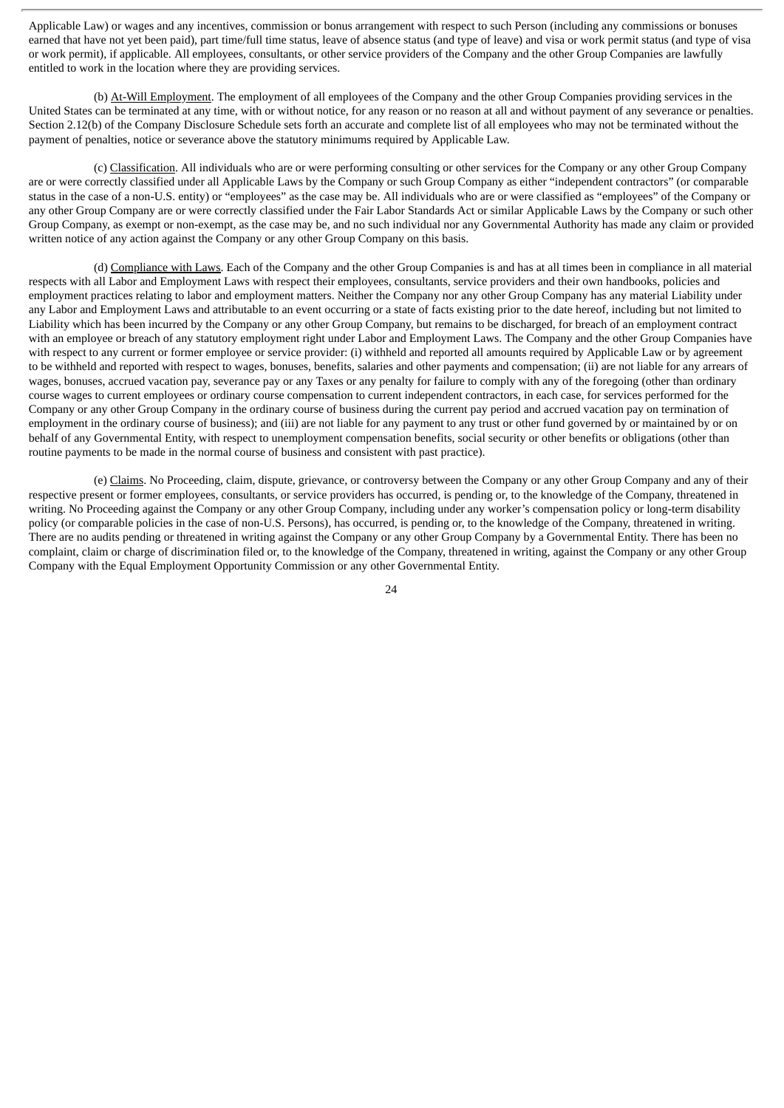Applicable Law) or wages and any incentives, commission or bonus arrangement with respect to such Person (including any commissions or bonuses earned that have not yet been paid), part time/full time status, leave of absence status (and type of leave) and visa or work permit status (and type of visa or work permit), if applicable. All employees, consultants, or other service providers of the Company and the other Group Companies are lawfully entitled to work in the location where they are providing services.

(b) At-Will Employment. The employment of all employees of the Company and the other Group Companies providing services in the United States can be terminated at any time, with or without notice, for any reason or no reason at all and without payment of any severance or penalties. Section 2.12(b) of the Company Disclosure Schedule sets forth an accurate and complete list of all employees who may not be terminated without the payment of penalties, notice or severance above the statutory minimums required by Applicable Law.

(c) Classification. All individuals who are or were performing consulting or other services for the Company or any other Group Company are or were correctly classified under all Applicable Laws by the Company or such Group Company as either "independent contractors" (or comparable status in the case of a non-U.S. entity) or "employees" as the case may be. All individuals who are or were classified as "employees" of the Company or any other Group Company are or were correctly classified under the Fair Labor Standards Act or similar Applicable Laws by the Company or such other Group Company, as exempt or non-exempt, as the case may be, and no such individual nor any Governmental Authority has made any claim or provided written notice of any action against the Company or any other Group Company on this basis.

(d) Compliance with Laws. Each of the Company and the other Group Companies is and has at all times been in compliance in all material respects with all Labor and Employment Laws with respect their employees, consultants, service providers and their own handbooks, policies and employment practices relating to labor and employment matters. Neither the Company nor any other Group Company has any material Liability under any Labor and Employment Laws and attributable to an event occurring or a state of facts existing prior to the date hereof, including but not limited to Liability which has been incurred by the Company or any other Group Company, but remains to be discharged, for breach of an employment contract with an employee or breach of any statutory employment right under Labor and Employment Laws. The Company and the other Group Companies have with respect to any current or former employee or service provider: (i) withheld and reported all amounts required by Applicable Law or by agreement to be withheld and reported with respect to wages, bonuses, benefits, salaries and other payments and compensation; (ii) are not liable for any arrears of wages, bonuses, accrued vacation pay, severance pay or any Taxes or any penalty for failure to comply with any of the foregoing (other than ordinary course wages to current employees or ordinary course compensation to current independent contractors, in each case, for services performed for the Company or any other Group Company in the ordinary course of business during the current pay period and accrued vacation pay on termination of employment in the ordinary course of business); and (iii) are not liable for any payment to any trust or other fund governed by or maintained by or on behalf of any Governmental Entity, with respect to unemployment compensation benefits, social security or other benefits or obligations (other than routine payments to be made in the normal course of business and consistent with past practice).

(e) Claims. No Proceeding, claim, dispute, grievance, or controversy between the Company or any other Group Company and any of their respective present or former employees, consultants, or service providers has occurred, is pending or, to the knowledge of the Company, threatened in writing. No Proceeding against the Company or any other Group Company, including under any worker's compensation policy or long-term disability policy (or comparable policies in the case of non-U.S. Persons), has occurred, is pending or, to the knowledge of the Company, threatened in writing. There are no audits pending or threatened in writing against the Company or any other Group Company by a Governmental Entity. There has been no complaint, claim or charge of discrimination filed or, to the knowledge of the Company, threatened in writing, against the Company or any other Group Company with the Equal Employment Opportunity Commission or any other Governmental Entity.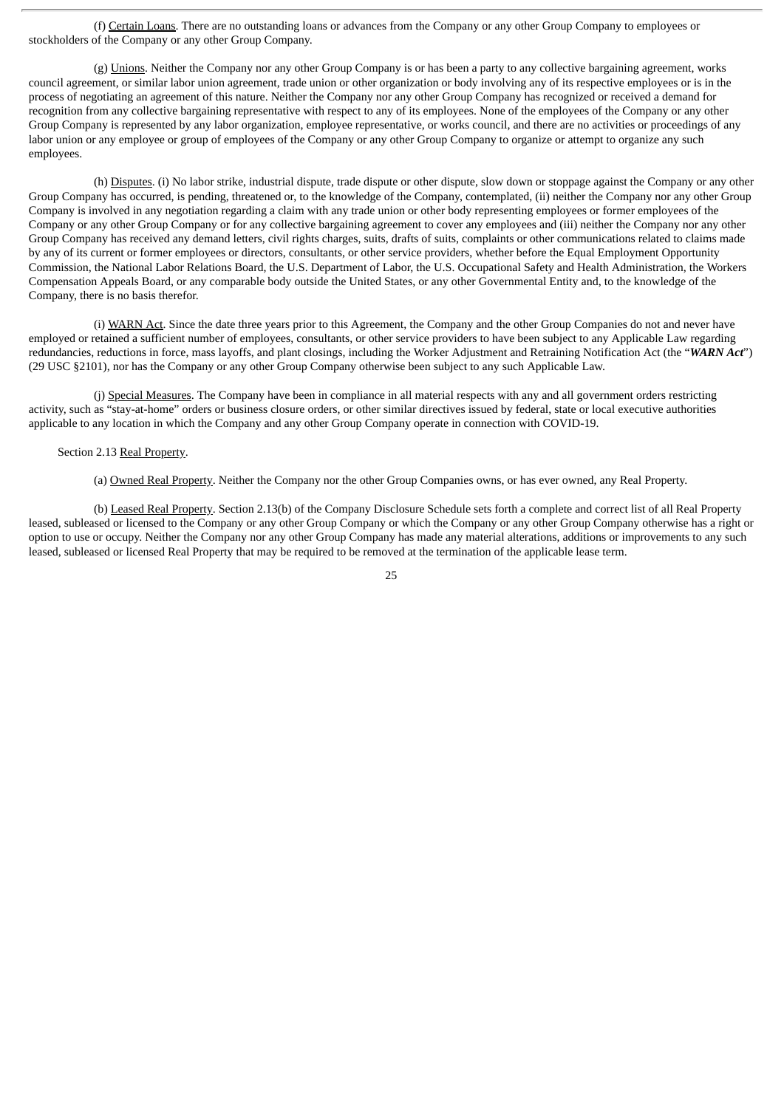(f) Certain Loans. There are no outstanding loans or advances from the Company or any other Group Company to employees or stockholders of the Company or any other Group Company.

(g) Unions. Neither the Company nor any other Group Company is or has been a party to any collective bargaining agreement, works council agreement, or similar labor union agreement, trade union or other organization or body involving any of its respective employees or is in the process of negotiating an agreement of this nature. Neither the Company nor any other Group Company has recognized or received a demand for recognition from any collective bargaining representative with respect to any of its employees. None of the employees of the Company or any other Group Company is represented by any labor organization, employee representative, or works council, and there are no activities or proceedings of any labor union or any employee or group of employees of the Company or any other Group Company to organize or attempt to organize any such employees.

(h) Disputes. (i) No labor strike, industrial dispute, trade dispute or other dispute, slow down or stoppage against the Company or any other Group Company has occurred, is pending, threatened or, to the knowledge of the Company, contemplated, (ii) neither the Company nor any other Group Company is involved in any negotiation regarding a claim with any trade union or other body representing employees or former employees of the Company or any other Group Company or for any collective bargaining agreement to cover any employees and (iii) neither the Company nor any other Group Company has received any demand letters, civil rights charges, suits, drafts of suits, complaints or other communications related to claims made by any of its current or former employees or directors, consultants, or other service providers, whether before the Equal Employment Opportunity Commission, the National Labor Relations Board, the U.S. Department of Labor, the U.S. Occupational Safety and Health Administration, the Workers Compensation Appeals Board, or any comparable body outside the United States, or any other Governmental Entity and, to the knowledge of the Company, there is no basis therefor.

(i) WARN Act. Since the date three years prior to this Agreement, the Company and the other Group Companies do not and never have employed or retained a sufficient number of employees, consultants, or other service providers to have been subject to any Applicable Law regarding redundancies, reductions in force, mass layoffs, and plant closings, including the Worker Adjustment and Retraining Notification Act (the "*WARN Act*") (29 USC §2101), nor has the Company or any other Group Company otherwise been subject to any such Applicable Law.

(j) Special Measures. The Company have been in compliance in all material respects with any and all government orders restricting activity, such as "stay-at-home" orders or business closure orders, or other similar directives issued by federal, state or local executive authorities applicable to any location in which the Company and any other Group Company operate in connection with COVID-19.

#### Section 2.13 Real Property.

(a) Owned Real Property. Neither the Company nor the other Group Companies owns, or has ever owned, any Real Property.

(b) Leased Real Property. Section 2.13(b) of the Company Disclosure Schedule sets forth a complete and correct list of all Real Property leased, subleased or licensed to the Company or any other Group Company or which the Company or any other Group Company otherwise has a right or option to use or occupy. Neither the Company nor any other Group Company has made any material alterations, additions or improvements to any such leased, subleased or licensed Real Property that may be required to be removed at the termination of the applicable lease term.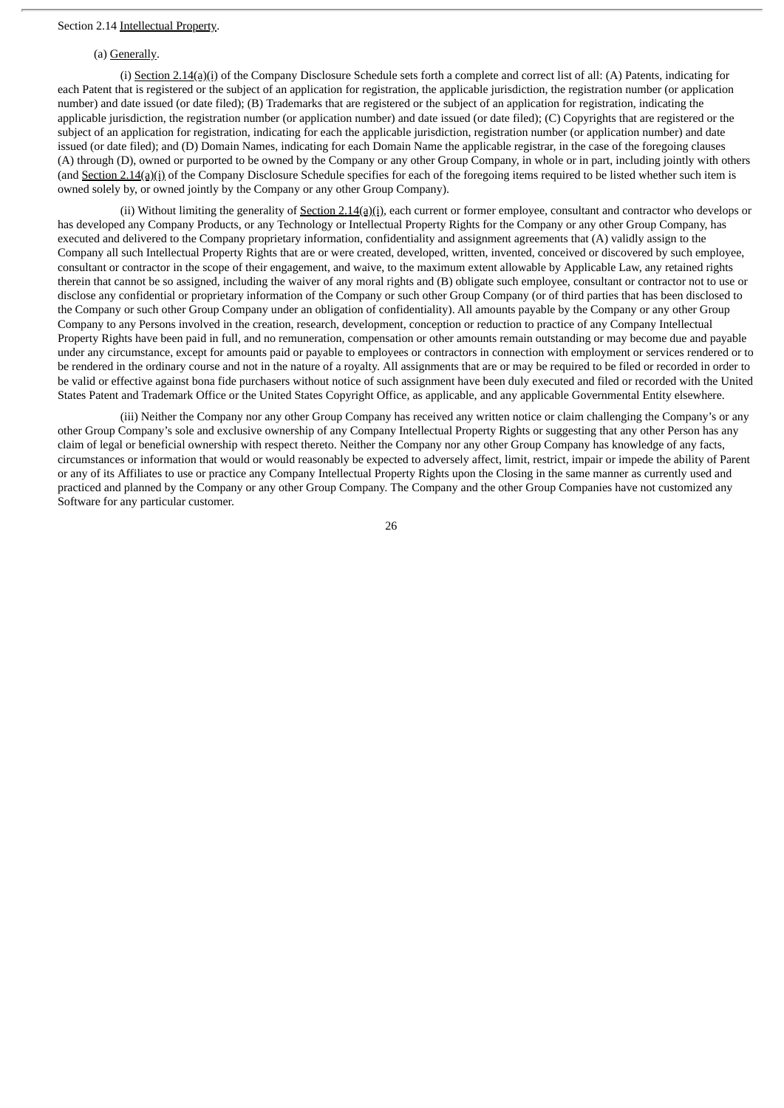#### (a) Generally.

(i) Section 2.14(a)(i) of the Company Disclosure Schedule sets forth a complete and correct list of all: (A) Patents, indicating for each Patent that is registered or the subject of an application for registration, the applicable jurisdiction, the registration number (or application number) and date issued (or date filed); (B) Trademarks that are registered or the subject of an application for registration, indicating the applicable jurisdiction, the registration number (or application number) and date issued (or date filed); (C) Copyrights that are registered or the subject of an application for registration, indicating for each the applicable jurisdiction, registration number (or application number) and date issued (or date filed); and (D) Domain Names, indicating for each Domain Name the applicable registrar, in the case of the foregoing clauses (A) through (D), owned or purported to be owned by the Company or any other Group Company, in whole or in part, including jointly with others (and Section 2.14(a)(i) of the Company Disclosure Schedule specifies for each of the foregoing items required to be listed whether such item is owned solely by, or owned jointly by the Company or any other Group Company).

(ii) Without limiting the generality of Section 2.14(a)(i), each current or former employee, consultant and contractor who develops or has developed any Company Products, or any Technology or Intellectual Property Rights for the Company or any other Group Company, has executed and delivered to the Company proprietary information, confidentiality and assignment agreements that (A) validly assign to the Company all such Intellectual Property Rights that are or were created, developed, written, invented, conceived or discovered by such employee, consultant or contractor in the scope of their engagement, and waive, to the maximum extent allowable by Applicable Law, any retained rights therein that cannot be so assigned, including the waiver of any moral rights and (B) obligate such employee, consultant or contractor not to use or disclose any confidential or proprietary information of the Company or such other Group Company (or of third parties that has been disclosed to the Company or such other Group Company under an obligation of confidentiality). All amounts payable by the Company or any other Group Company to any Persons involved in the creation, research, development, conception or reduction to practice of any Company Intellectual Property Rights have been paid in full, and no remuneration, compensation or other amounts remain outstanding or may become due and payable under any circumstance, except for amounts paid or payable to employees or contractors in connection with employment or services rendered or to be rendered in the ordinary course and not in the nature of a royalty. All assignments that are or may be required to be filed or recorded in order to be valid or effective against bona fide purchasers without notice of such assignment have been duly executed and filed or recorded with the United States Patent and Trademark Office or the United States Copyright Office, as applicable, and any applicable Governmental Entity elsewhere.

(iii) Neither the Company nor any other Group Company has received any written notice or claim challenging the Company's or any other Group Company's sole and exclusive ownership of any Company Intellectual Property Rights or suggesting that any other Person has any claim of legal or beneficial ownership with respect thereto. Neither the Company nor any other Group Company has knowledge of any facts, circumstances or information that would or would reasonably be expected to adversely affect, limit, restrict, impair or impede the ability of Parent or any of its Affiliates to use or practice any Company Intellectual Property Rights upon the Closing in the same manner as currently used and practiced and planned by the Company or any other Group Company. The Company and the other Group Companies have not customized any Software for any particular customer.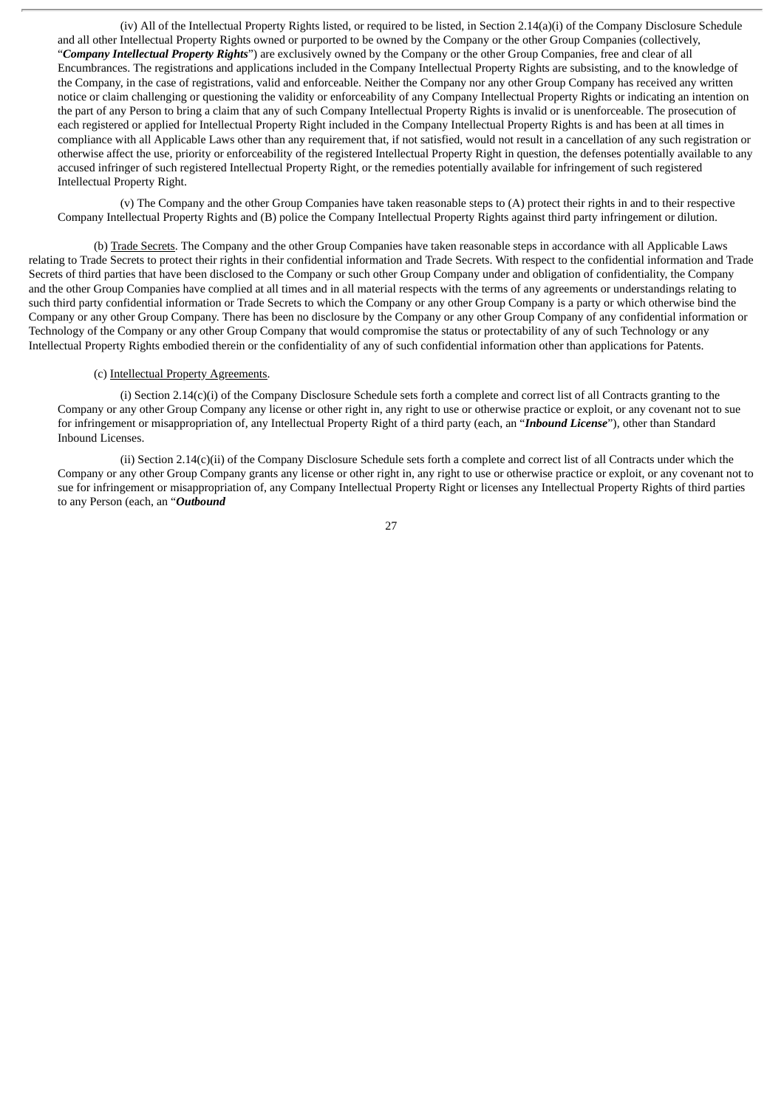(iv) All of the Intellectual Property Rights listed, or required to be listed, in Section 2.14(a)(i) of the Company Disclosure Schedule and all other Intellectual Property Rights owned or purported to be owned by the Company or the other Group Companies (collectively, "*Company Intellectual Property Rights*") are exclusively owned by the Company or the other Group Companies, free and clear of all Encumbrances. The registrations and applications included in the Company Intellectual Property Rights are subsisting, and to the knowledge of the Company, in the case of registrations, valid and enforceable. Neither the Company nor any other Group Company has received any written notice or claim challenging or questioning the validity or enforceability of any Company Intellectual Property Rights or indicating an intention on the part of any Person to bring a claim that any of such Company Intellectual Property Rights is invalid or is unenforceable. The prosecution of each registered or applied for Intellectual Property Right included in the Company Intellectual Property Rights is and has been at all times in compliance with all Applicable Laws other than any requirement that, if not satisfied, would not result in a cancellation of any such registration or otherwise affect the use, priority or enforceability of the registered Intellectual Property Right in question, the defenses potentially available to any accused infringer of such registered Intellectual Property Right, or the remedies potentially available for infringement of such registered Intellectual Property Right.

(v) The Company and the other Group Companies have taken reasonable steps to (A) protect their rights in and to their respective Company Intellectual Property Rights and (B) police the Company Intellectual Property Rights against third party infringement or dilution.

(b) Trade Secrets. The Company and the other Group Companies have taken reasonable steps in accordance with all Applicable Laws relating to Trade Secrets to protect their rights in their confidential information and Trade Secrets. With respect to the confidential information and Trade Secrets of third parties that have been disclosed to the Company or such other Group Company under and obligation of confidentiality, the Company and the other Group Companies have complied at all times and in all material respects with the terms of any agreements or understandings relating to such third party confidential information or Trade Secrets to which the Company or any other Group Company is a party or which otherwise bind the Company or any other Group Company. There has been no disclosure by the Company or any other Group Company of any confidential information or Technology of the Company or any other Group Company that would compromise the status or protectability of any of such Technology or any Intellectual Property Rights embodied therein or the confidentiality of any of such confidential information other than applications for Patents.

# (c) Intellectual Property Agreements.

(i) Section 2.14(c)(i) of the Company Disclosure Schedule sets forth a complete and correct list of all Contracts granting to the Company or any other Group Company any license or other right in, any right to use or otherwise practice or exploit, or any covenant not to sue for infringement or misappropriation of, any Intellectual Property Right of a third party (each, an "*Inbound License*"), other than Standard Inbound Licenses.

(ii) Section 2.14(c)(ii) of the Company Disclosure Schedule sets forth a complete and correct list of all Contracts under which the Company or any other Group Company grants any license or other right in, any right to use or otherwise practice or exploit, or any covenant not to sue for infringement or misappropriation of, any Company Intellectual Property Right or licenses any Intellectual Property Rights of third parties to any Person (each, an "*Outbound*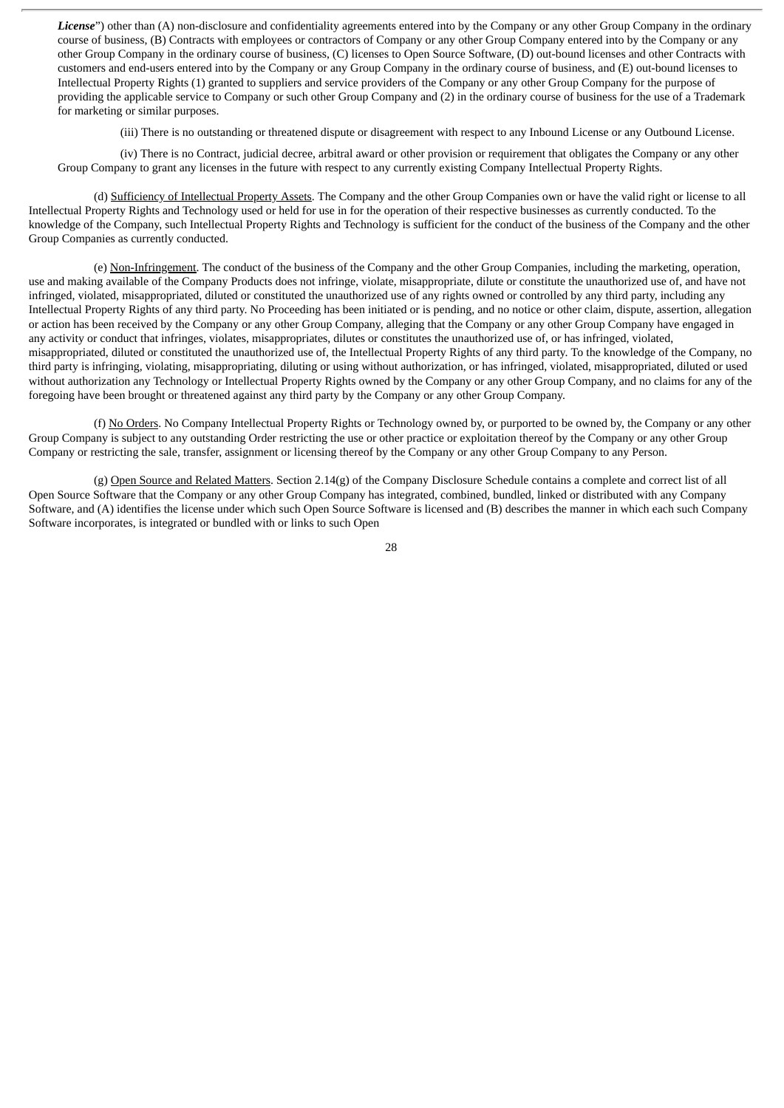*License*") other than (A) non-disclosure and confidentiality agreements entered into by the Company or any other Group Company in the ordinary course of business, (B) Contracts with employees or contractors of Company or any other Group Company entered into by the Company or any other Group Company in the ordinary course of business, (C) licenses to Open Source Software, (D) out-bound licenses and other Contracts with customers and end-users entered into by the Company or any Group Company in the ordinary course of business, and (E) out-bound licenses to Intellectual Property Rights (1) granted to suppliers and service providers of the Company or any other Group Company for the purpose of providing the applicable service to Company or such other Group Company and (2) in the ordinary course of business for the use of a Trademark for marketing or similar purposes.

(iii) There is no outstanding or threatened dispute or disagreement with respect to any Inbound License or any Outbound License.

(iv) There is no Contract, judicial decree, arbitral award or other provision or requirement that obligates the Company or any other Group Company to grant any licenses in the future with respect to any currently existing Company Intellectual Property Rights.

(d) Sufficiency of Intellectual Property Assets. The Company and the other Group Companies own or have the valid right or license to all Intellectual Property Rights and Technology used or held for use in for the operation of their respective businesses as currently conducted. To the knowledge of the Company, such Intellectual Property Rights and Technology is sufficient for the conduct of the business of the Company and the other Group Companies as currently conducted.

(e) Non-Infringement. The conduct of the business of the Company and the other Group Companies, including the marketing, operation, use and making available of the Company Products does not infringe, violate, misappropriate, dilute or constitute the unauthorized use of, and have not infringed, violated, misappropriated, diluted or constituted the unauthorized use of any rights owned or controlled by any third party, including any Intellectual Property Rights of any third party. No Proceeding has been initiated or is pending, and no notice or other claim, dispute, assertion, allegation or action has been received by the Company or any other Group Company, alleging that the Company or any other Group Company have engaged in any activity or conduct that infringes, violates, misappropriates, dilutes or constitutes the unauthorized use of, or has infringed, violated, misappropriated, diluted or constituted the unauthorized use of, the Intellectual Property Rights of any third party. To the knowledge of the Company, no third party is infringing, violating, misappropriating, diluting or using without authorization, or has infringed, violated, misappropriated, diluted or used without authorization any Technology or Intellectual Property Rights owned by the Company or any other Group Company, and no claims for any of the foregoing have been brought or threatened against any third party by the Company or any other Group Company.

(f) No Orders. No Company Intellectual Property Rights or Technology owned by, or purported to be owned by, the Company or any other Group Company is subject to any outstanding Order restricting the use or other practice or exploitation thereof by the Company or any other Group Company or restricting the sale, transfer, assignment or licensing thereof by the Company or any other Group Company to any Person.

(g) Open Source and Related Matters. Section 2.14(g) of the Company Disclosure Schedule contains a complete and correct list of all Open Source Software that the Company or any other Group Company has integrated, combined, bundled, linked or distributed with any Company Software, and (A) identifies the license under which such Open Source Software is licensed and (B) describes the manner in which each such Company Software incorporates, is integrated or bundled with or links to such Open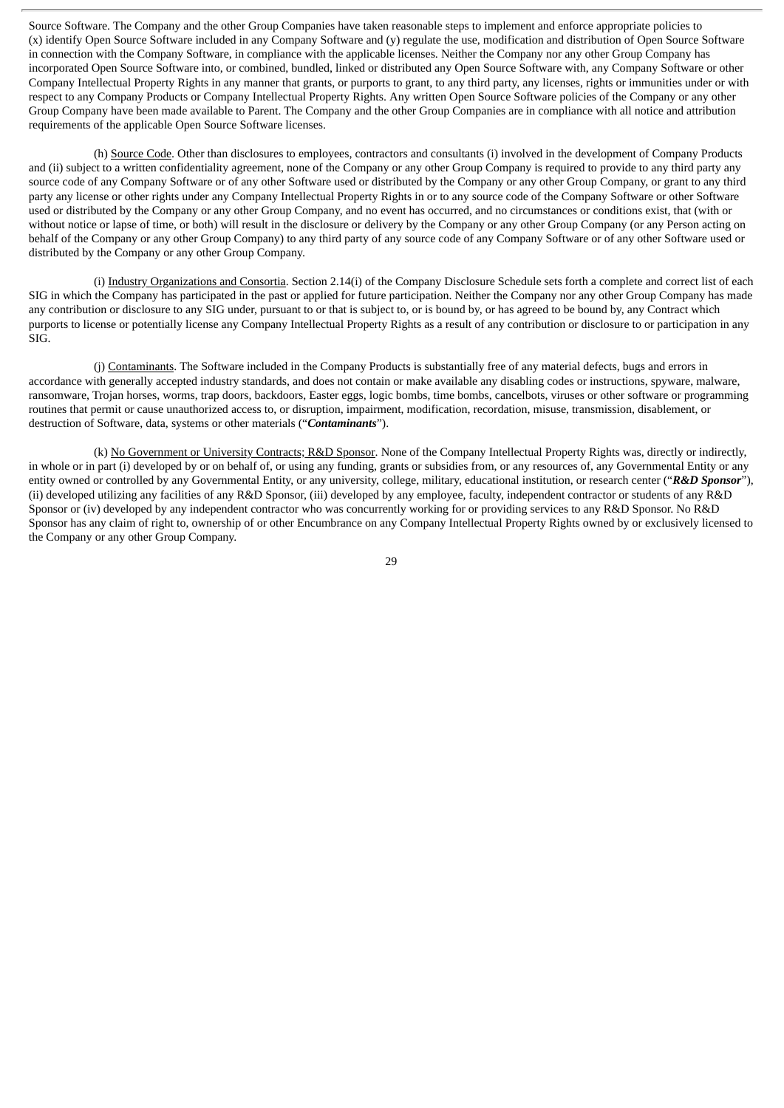Source Software. The Company and the other Group Companies have taken reasonable steps to implement and enforce appropriate policies to (x) identify Open Source Software included in any Company Software and (y) regulate the use, modification and distribution of Open Source Software in connection with the Company Software, in compliance with the applicable licenses. Neither the Company nor any other Group Company has incorporated Open Source Software into, or combined, bundled, linked or distributed any Open Source Software with, any Company Software or other Company Intellectual Property Rights in any manner that grants, or purports to grant, to any third party, any licenses, rights or immunities under or with respect to any Company Products or Company Intellectual Property Rights. Any written Open Source Software policies of the Company or any other Group Company have been made available to Parent. The Company and the other Group Companies are in compliance with all notice and attribution requirements of the applicable Open Source Software licenses.

(h) Source Code. Other than disclosures to employees, contractors and consultants (i) involved in the development of Company Products and (ii) subject to a written confidentiality agreement, none of the Company or any other Group Company is required to provide to any third party any source code of any Company Software or of any other Software used or distributed by the Company or any other Group Company, or grant to any third party any license or other rights under any Company Intellectual Property Rights in or to any source code of the Company Software or other Software used or distributed by the Company or any other Group Company, and no event has occurred, and no circumstances or conditions exist, that (with or without notice or lapse of time, or both) will result in the disclosure or delivery by the Company or any other Group Company (or any Person acting on behalf of the Company or any other Group Company) to any third party of any source code of any Company Software or of any other Software used or distributed by the Company or any other Group Company.

(i) Industry Organizations and Consortia. Section 2.14(i) of the Company Disclosure Schedule sets forth a complete and correct list of each SIG in which the Company has participated in the past or applied for future participation. Neither the Company nor any other Group Company has made any contribution or disclosure to any SIG under, pursuant to or that is subject to, or is bound by, or has agreed to be bound by, any Contract which purports to license or potentially license any Company Intellectual Property Rights as a result of any contribution or disclosure to or participation in any SIG.

(j) Contaminants. The Software included in the Company Products is substantially free of any material defects, bugs and errors in accordance with generally accepted industry standards, and does not contain or make available any disabling codes or instructions, spyware, malware, ransomware, Trojan horses, worms, trap doors, backdoors, Easter eggs, logic bombs, time bombs, cancelbots, viruses or other software or programming routines that permit or cause unauthorized access to, or disruption, impairment, modification, recordation, misuse, transmission, disablement, or destruction of Software, data, systems or other materials ("*Contaminants*").

(k) No Government or University Contracts; R&D Sponsor. None of the Company Intellectual Property Rights was, directly or indirectly, in whole or in part (i) developed by or on behalf of, or using any funding, grants or subsidies from, or any resources of, any Governmental Entity or any entity owned or controlled by any Governmental Entity, or any university, college, military, educational institution, or research center ("**R&D Sponsor**"), (ii) developed utilizing any facilities of any R&D Sponsor, (iii) developed by any employee, faculty, independent contractor or students of any R&D Sponsor or (iv) developed by any independent contractor who was concurrently working for or providing services to any R&D Sponsor. No R&D Sponsor has any claim of right to, ownership of or other Encumbrance on any Company Intellectual Property Rights owned by or exclusively licensed to the Company or any other Group Company.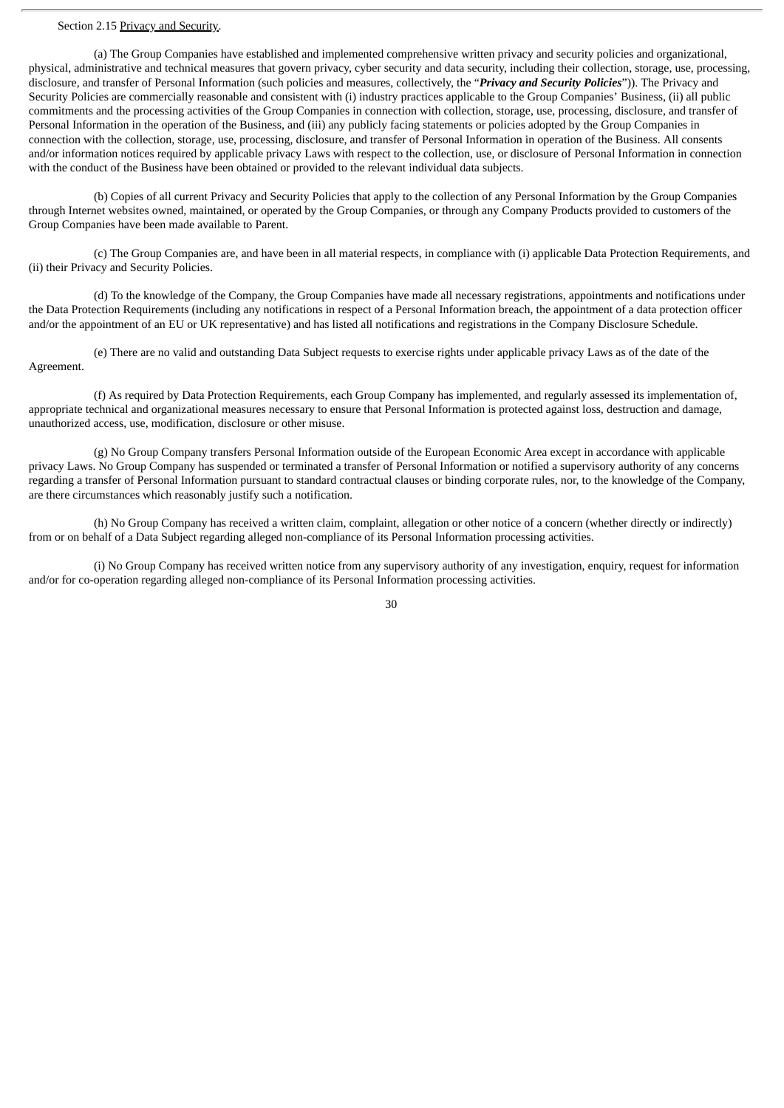## Section 2.15 Privacy and Security.

(a) The Group Companies have established and implemented comprehensive written privacy and security policies and organizational, physical, administrative and technical measures that govern privacy, cyber security and data security, including their collection, storage, use, processing, disclosure, and transfer of Personal Information (such policies and measures, collectively, the "*Privacy and Security Policies*")). The Privacy and Security Policies are commercially reasonable and consistent with (i) industry practices applicable to the Group Companies' Business, (ii) all public commitments and the processing activities of the Group Companies in connection with collection, storage, use, processing, disclosure, and transfer of Personal Information in the operation of the Business, and (iii) any publicly facing statements or policies adopted by the Group Companies in connection with the collection, storage, use, processing, disclosure, and transfer of Personal Information in operation of the Business. All consents and/or information notices required by applicable privacy Laws with respect to the collection, use, or disclosure of Personal Information in connection with the conduct of the Business have been obtained or provided to the relevant individual data subjects.

(b) Copies of all current Privacy and Security Policies that apply to the collection of any Personal Information by the Group Companies through Internet websites owned, maintained, or operated by the Group Companies, or through any Company Products provided to customers of the Group Companies have been made available to Parent.

(c) The Group Companies are, and have been in all material respects, in compliance with (i) applicable Data Protection Requirements, and (ii) their Privacy and Security Policies.

(d) To the knowledge of the Company, the Group Companies have made all necessary registrations, appointments and notifications under the Data Protection Requirements (including any notifications in respect of a Personal Information breach, the appointment of a data protection officer and/or the appointment of an EU or UK representative) and has listed all notifications and registrations in the Company Disclosure Schedule.

(e) There are no valid and outstanding Data Subject requests to exercise rights under applicable privacy Laws as of the date of the Agreement.

(f) As required by Data Protection Requirements, each Group Company has implemented, and regularly assessed its implementation of, appropriate technical and organizational measures necessary to ensure that Personal Information is protected against loss, destruction and damage, unauthorized access, use, modification, disclosure or other misuse.

(g) No Group Company transfers Personal Information outside of the European Economic Area except in accordance with applicable privacy Laws. No Group Company has suspended or terminated a transfer of Personal Information or notified a supervisory authority of any concerns regarding a transfer of Personal Information pursuant to standard contractual clauses or binding corporate rules, nor, to the knowledge of the Company, are there circumstances which reasonably justify such a notification.

(h) No Group Company has received a written claim, complaint, allegation or other notice of a concern (whether directly or indirectly) from or on behalf of a Data Subject regarding alleged non-compliance of its Personal Information processing activities.

(i) No Group Company has received written notice from any supervisory authority of any investigation, enquiry, request for information and/or for co-operation regarding alleged non-compliance of its Personal Information processing activities.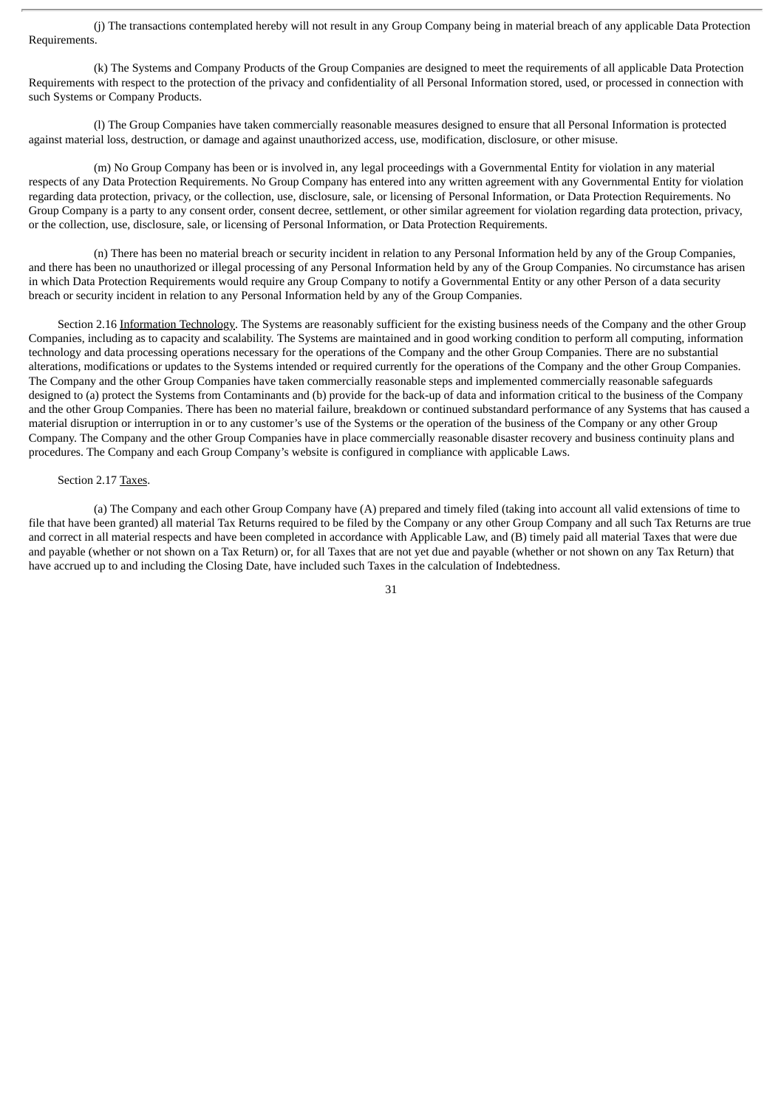(j) The transactions contemplated hereby will not result in any Group Company being in material breach of any applicable Data Protection Requirements.

(k) The Systems and Company Products of the Group Companies are designed to meet the requirements of all applicable Data Protection Requirements with respect to the protection of the privacy and confidentiality of all Personal Information stored, used, or processed in connection with such Systems or Company Products.

(l) The Group Companies have taken commercially reasonable measures designed to ensure that all Personal Information is protected against material loss, destruction, or damage and against unauthorized access, use, modification, disclosure, or other misuse.

(m) No Group Company has been or is involved in, any legal proceedings with a Governmental Entity for violation in any material respects of any Data Protection Requirements. No Group Company has entered into any written agreement with any Governmental Entity for violation regarding data protection, privacy, or the collection, use, disclosure, sale, or licensing of Personal Information, or Data Protection Requirements. No Group Company is a party to any consent order, consent decree, settlement, or other similar agreement for violation regarding data protection, privacy, or the collection, use, disclosure, sale, or licensing of Personal Information, or Data Protection Requirements.

(n) There has been no material breach or security incident in relation to any Personal Information held by any of the Group Companies, and there has been no unauthorized or illegal processing of any Personal Information held by any of the Group Companies. No circumstance has arisen in which Data Protection Requirements would require any Group Company to notify a Governmental Entity or any other Person of a data security breach or security incident in relation to any Personal Information held by any of the Group Companies.

Section 2.16 Information Technology. The Systems are reasonably sufficient for the existing business needs of the Company and the other Group Companies, including as to capacity and scalability. The Systems are maintained and in good working condition to perform all computing, information technology and data processing operations necessary for the operations of the Company and the other Group Companies. There are no substantial alterations, modifications or updates to the Systems intended or required currently for the operations of the Company and the other Group Companies. The Company and the other Group Companies have taken commercially reasonable steps and implemented commercially reasonable safeguards designed to (a) protect the Systems from Contaminants and (b) provide for the back-up of data and information critical to the business of the Company and the other Group Companies. There has been no material failure, breakdown or continued substandard performance of any Systems that has caused a material disruption or interruption in or to any customer's use of the Systems or the operation of the business of the Company or any other Group Company. The Company and the other Group Companies have in place commercially reasonable disaster recovery and business continuity plans and procedures. The Company and each Group Company's website is configured in compliance with applicable Laws.

### Section 2.17 Taxes.

(a) The Company and each other Group Company have (A) prepared and timely filed (taking into account all valid extensions of time to file that have been granted) all material Tax Returns required to be filed by the Company or any other Group Company and all such Tax Returns are true and correct in all material respects and have been completed in accordance with Applicable Law, and (B) timely paid all material Taxes that were due and payable (whether or not shown on a Tax Return) or, for all Taxes that are not yet due and payable (whether or not shown on any Tax Return) that have accrued up to and including the Closing Date, have included such Taxes in the calculation of Indebtedness.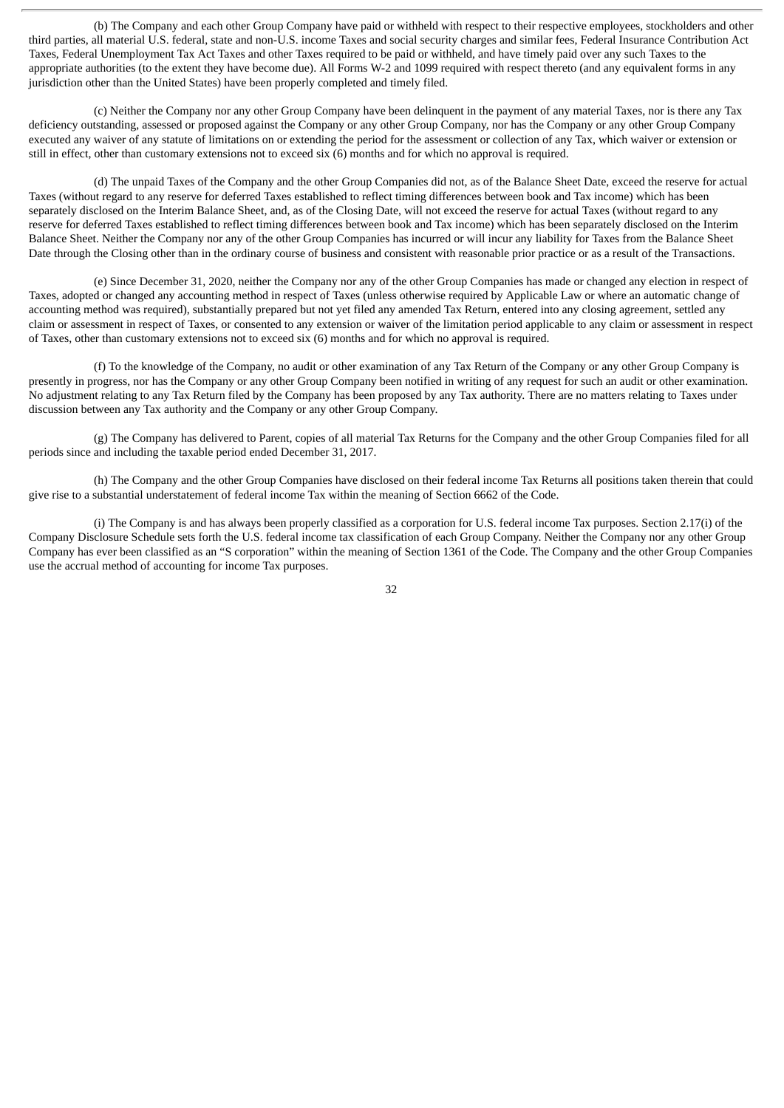(b) The Company and each other Group Company have paid or withheld with respect to their respective employees, stockholders and other third parties, all material U.S. federal, state and non-U.S. income Taxes and social security charges and similar fees, Federal Insurance Contribution Act Taxes, Federal Unemployment Tax Act Taxes and other Taxes required to be paid or withheld, and have timely paid over any such Taxes to the appropriate authorities (to the extent they have become due). All Forms W-2 and 1099 required with respect thereto (and any equivalent forms in any jurisdiction other than the United States) have been properly completed and timely filed.

(c) Neither the Company nor any other Group Company have been delinquent in the payment of any material Taxes, nor is there any Tax deficiency outstanding, assessed or proposed against the Company or any other Group Company, nor has the Company or any other Group Company executed any waiver of any statute of limitations on or extending the period for the assessment or collection of any Tax, which waiver or extension or still in effect, other than customary extensions not to exceed  $\sin(6)$  months and for which no approval is required.

(d) The unpaid Taxes of the Company and the other Group Companies did not, as of the Balance Sheet Date, exceed the reserve for actual Taxes (without regard to any reserve for deferred Taxes established to reflect timing differences between book and Tax income) which has been separately disclosed on the Interim Balance Sheet, and, as of the Closing Date, will not exceed the reserve for actual Taxes (without regard to any reserve for deferred Taxes established to reflect timing differences between book and Tax income) which has been separately disclosed on the Interim Balance Sheet. Neither the Company nor any of the other Group Companies has incurred or will incur any liability for Taxes from the Balance Sheet Date through the Closing other than in the ordinary course of business and consistent with reasonable prior practice or as a result of the Transactions.

(e) Since December 31, 2020, neither the Company nor any of the other Group Companies has made or changed any election in respect of Taxes, adopted or changed any accounting method in respect of Taxes (unless otherwise required by Applicable Law or where an automatic change of accounting method was required), substantially prepared but not yet filed any amended Tax Return, entered into any closing agreement, settled any claim or assessment in respect of Taxes, or consented to any extension or waiver of the limitation period applicable to any claim or assessment in respect of Taxes, other than customary extensions not to exceed six (6) months and for which no approval is required.

(f) To the knowledge of the Company, no audit or other examination of any Tax Return of the Company or any other Group Company is presently in progress, nor has the Company or any other Group Company been notified in writing of any request for such an audit or other examination. No adjustment relating to any Tax Return filed by the Company has been proposed by any Tax authority. There are no matters relating to Taxes under discussion between any Tax authority and the Company or any other Group Company.

(g) The Company has delivered to Parent, copies of all material Tax Returns for the Company and the other Group Companies filed for all periods since and including the taxable period ended December 31, 2017.

(h) The Company and the other Group Companies have disclosed on their federal income Tax Returns all positions taken therein that could give rise to a substantial understatement of federal income Tax within the meaning of Section 6662 of the Code.

(i) The Company is and has always been properly classified as a corporation for U.S. federal income Tax purposes. Section 2.17(i) of the Company Disclosure Schedule sets forth the U.S. federal income tax classification of each Group Company. Neither the Company nor any other Group Company has ever been classified as an "S corporation" within the meaning of Section 1361 of the Code. The Company and the other Group Companies use the accrual method of accounting for income Tax purposes.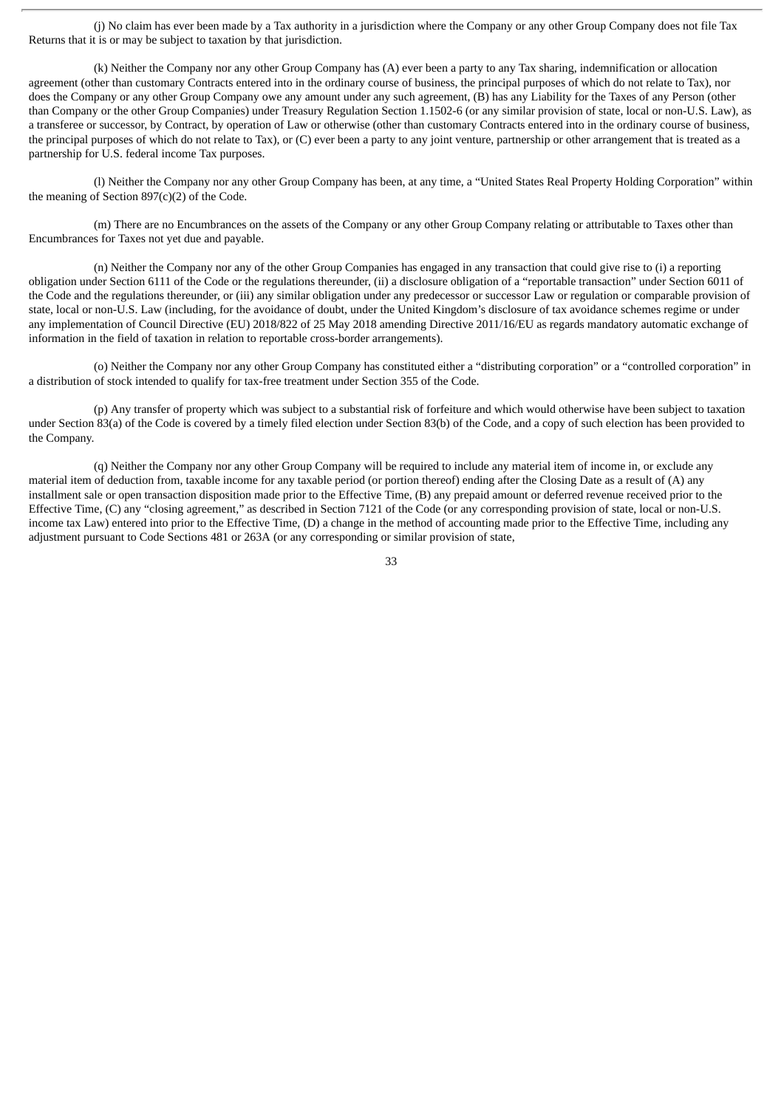(j) No claim has ever been made by a Tax authority in a jurisdiction where the Company or any other Group Company does not file Tax Returns that it is or may be subject to taxation by that jurisdiction.

(k) Neither the Company nor any other Group Company has (A) ever been a party to any Tax sharing, indemnification or allocation agreement (other than customary Contracts entered into in the ordinary course of business, the principal purposes of which do not relate to Tax), nor does the Company or any other Group Company owe any amount under any such agreement, (B) has any Liability for the Taxes of any Person (other than Company or the other Group Companies) under Treasury Regulation Section 1.1502-6 (or any similar provision of state, local or non-U.S. Law), as a transferee or successor, by Contract, by operation of Law or otherwise (other than customary Contracts entered into in the ordinary course of business, the principal purposes of which do not relate to Tax), or (C) ever been a party to any joint venture, partnership or other arrangement that is treated as a partnership for U.S. federal income Tax purposes.

(l) Neither the Company nor any other Group Company has been, at any time, a "United States Real Property Holding Corporation" within the meaning of Section  $897(c)(2)$  of the Code.

(m) There are no Encumbrances on the assets of the Company or any other Group Company relating or attributable to Taxes other than Encumbrances for Taxes not yet due and payable.

(n) Neither the Company nor any of the other Group Companies has engaged in any transaction that could give rise to (i) a reporting obligation under Section 6111 of the Code or the regulations thereunder, (ii) a disclosure obligation of a "reportable transaction" under Section 6011 of the Code and the regulations thereunder, or (iii) any similar obligation under any predecessor or successor Law or regulation or comparable provision of state, local or non-U.S. Law (including, for the avoidance of doubt, under the United Kingdom's disclosure of tax avoidance schemes regime or under any implementation of Council Directive (EU) 2018/822 of 25 May 2018 amending Directive 2011/16/EU as regards mandatory automatic exchange of information in the field of taxation in relation to reportable cross-border arrangements).

(o) Neither the Company nor any other Group Company has constituted either a "distributing corporation" or a "controlled corporation" in a distribution of stock intended to qualify for tax-free treatment under Section 355 of the Code.

(p) Any transfer of property which was subject to a substantial risk of forfeiture and which would otherwise have been subject to taxation under Section 83(a) of the Code is covered by a timely filed election under Section 83(b) of the Code, and a copy of such election has been provided to the Company.

(q) Neither the Company nor any other Group Company will be required to include any material item of income in, or exclude any material item of deduction from, taxable income for any taxable period (or portion thereof) ending after the Closing Date as a result of (A) any installment sale or open transaction disposition made prior to the Effective Time, (B) any prepaid amount or deferred revenue received prior to the Effective Time, (C) any "closing agreement," as described in Section 7121 of the Code (or any corresponding provision of state, local or non-U.S. income tax Law) entered into prior to the Effective Time, (D) a change in the method of accounting made prior to the Effective Time, including any adjustment pursuant to Code Sections 481 or 263A (or any corresponding or similar provision of state,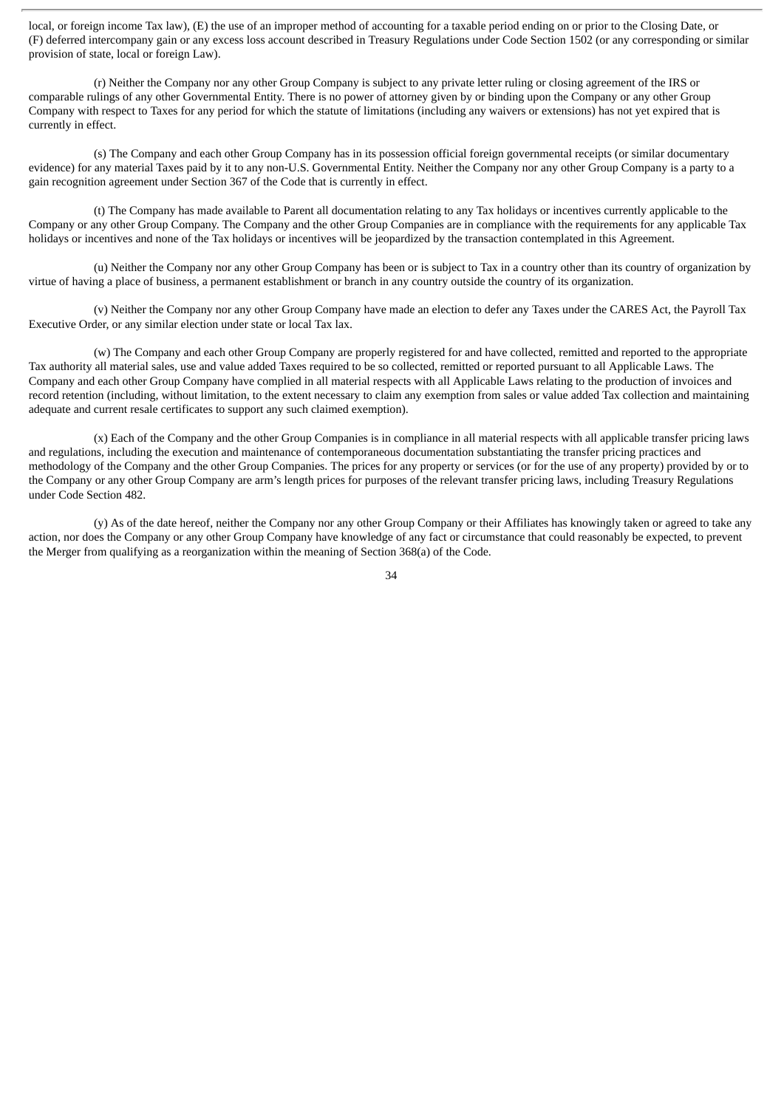local, or foreign income Tax law), (E) the use of an improper method of accounting for a taxable period ending on or prior to the Closing Date, or (F) deferred intercompany gain or any excess loss account described in Treasury Regulations under Code Section 1502 (or any corresponding or similar provision of state, local or foreign Law).

(r) Neither the Company nor any other Group Company is subject to any private letter ruling or closing agreement of the IRS or comparable rulings of any other Governmental Entity. There is no power of attorney given by or binding upon the Company or any other Group Company with respect to Taxes for any period for which the statute of limitations (including any waivers or extensions) has not yet expired that is currently in effect.

(s) The Company and each other Group Company has in its possession official foreign governmental receipts (or similar documentary evidence) for any material Taxes paid by it to any non-U.S. Governmental Entity. Neither the Company nor any other Group Company is a party to a gain recognition agreement under Section 367 of the Code that is currently in effect.

(t) The Company has made available to Parent all documentation relating to any Tax holidays or incentives currently applicable to the Company or any other Group Company. The Company and the other Group Companies are in compliance with the requirements for any applicable Tax holidays or incentives and none of the Tax holidays or incentives will be jeopardized by the transaction contemplated in this Agreement.

(u) Neither the Company nor any other Group Company has been or is subject to Tax in a country other than its country of organization by virtue of having a place of business, a permanent establishment or branch in any country outside the country of its organization.

(v) Neither the Company nor any other Group Company have made an election to defer any Taxes under the CARES Act, the Payroll Tax Executive Order, or any similar election under state or local Tax lax.

(w) The Company and each other Group Company are properly registered for and have collected, remitted and reported to the appropriate Tax authority all material sales, use and value added Taxes required to be so collected, remitted or reported pursuant to all Applicable Laws. The Company and each other Group Company have complied in all material respects with all Applicable Laws relating to the production of invoices and record retention (including, without limitation, to the extent necessary to claim any exemption from sales or value added Tax collection and maintaining adequate and current resale certificates to support any such claimed exemption).

(x) Each of the Company and the other Group Companies is in compliance in all material respects with all applicable transfer pricing laws and regulations, including the execution and maintenance of contemporaneous documentation substantiating the transfer pricing practices and methodology of the Company and the other Group Companies. The prices for any property or services (or for the use of any property) provided by or to the Company or any other Group Company are arm's length prices for purposes of the relevant transfer pricing laws, including Treasury Regulations under Code Section 482.

(y) As of the date hereof, neither the Company nor any other Group Company or their Affiliates has knowingly taken or agreed to take any action, nor does the Company or any other Group Company have knowledge of any fact or circumstance that could reasonably be expected, to prevent the Merger from qualifying as a reorganization within the meaning of Section 368(a) of the Code.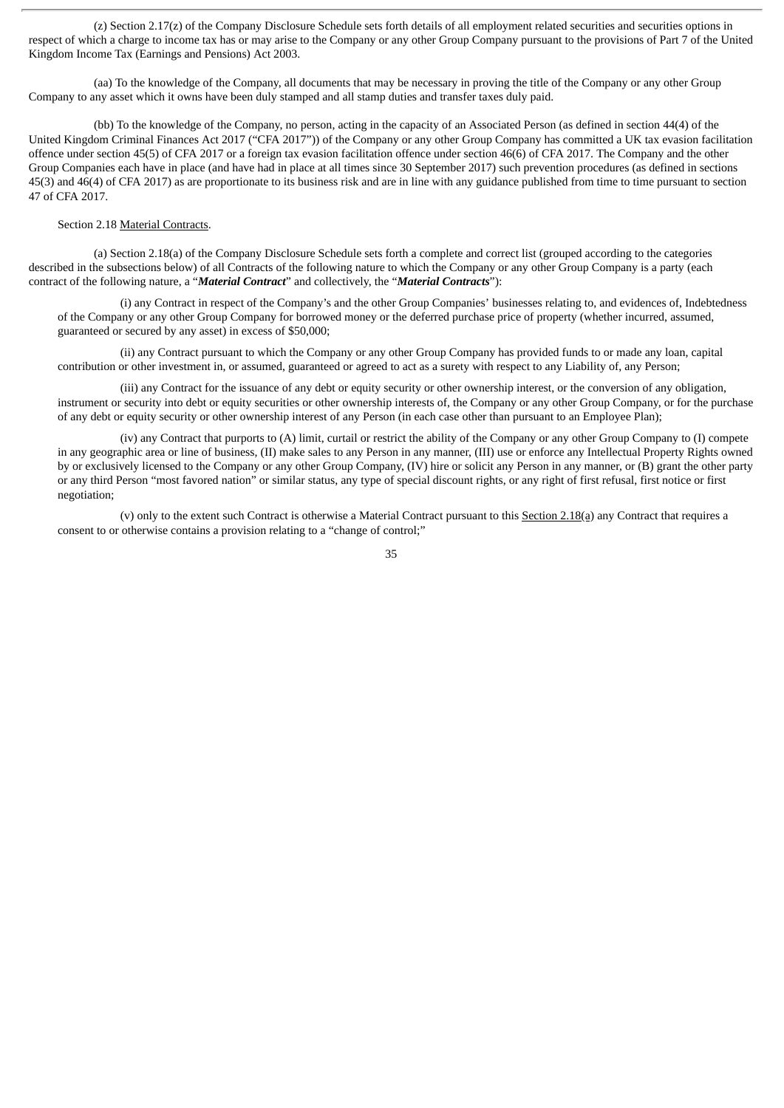(z) Section 2.17(z) of the Company Disclosure Schedule sets forth details of all employment related securities and securities options in respect of which a charge to income tax has or may arise to the Company or any other Group Company pursuant to the provisions of Part 7 of the United Kingdom Income Tax (Earnings and Pensions) Act 2003.

(aa) To the knowledge of the Company, all documents that may be necessary in proving the title of the Company or any other Group Company to any asset which it owns have been duly stamped and all stamp duties and transfer taxes duly paid.

(bb) To the knowledge of the Company, no person, acting in the capacity of an Associated Person (as defined in section 44(4) of the United Kingdom Criminal Finances Act 2017 ("CFA 2017")) of the Company or any other Group Company has committed a UK tax evasion facilitation offence under section 45(5) of CFA 2017 or a foreign tax evasion facilitation offence under section 46(6) of CFA 2017. The Company and the other Group Companies each have in place (and have had in place at all times since 30 September 2017) such prevention procedures (as defined in sections 45(3) and 46(4) of CFA 2017) as are proportionate to its business risk and are in line with any guidance published from time to time pursuant to section 47 of CFA 2017.

# Section 2.18 Material Contracts.

(a) Section 2.18(a) of the Company Disclosure Schedule sets forth a complete and correct list (grouped according to the categories described in the subsections below) of all Contracts of the following nature to which the Company or any other Group Company is a party (each contract of the following nature, a "*Material Contract*" and collectively, the "*Material Contracts*"):

(i) any Contract in respect of the Company's and the other Group Companies' businesses relating to, and evidences of, Indebtedness of the Company or any other Group Company for borrowed money or the deferred purchase price of property (whether incurred, assumed, guaranteed or secured by any asset) in excess of \$50,000;

(ii) any Contract pursuant to which the Company or any other Group Company has provided funds to or made any loan, capital contribution or other investment in, or assumed, guaranteed or agreed to act as a surety with respect to any Liability of, any Person;

(iii) any Contract for the issuance of any debt or equity security or other ownership interest, or the conversion of any obligation, instrument or security into debt or equity securities or other ownership interests of, the Company or any other Group Company, or for the purchase of any debt or equity security or other ownership interest of any Person (in each case other than pursuant to an Employee Plan);

(iv) any Contract that purports to (A) limit, curtail or restrict the ability of the Company or any other Group Company to (I) compete in any geographic area or line of business, (II) make sales to any Person in any manner, (III) use or enforce any Intellectual Property Rights owned by or exclusively licensed to the Company or any other Group Company, (IV) hire or solicit any Person in any manner, or (B) grant the other party or any third Person "most favored nation" or similar status, any type of special discount rights, or any right of first refusal, first notice or first negotiation;

(v) only to the extent such Contract is otherwise a Material Contract pursuant to this Section 2.18(a) any Contract that requires a consent to or otherwise contains a provision relating to a "change of control;"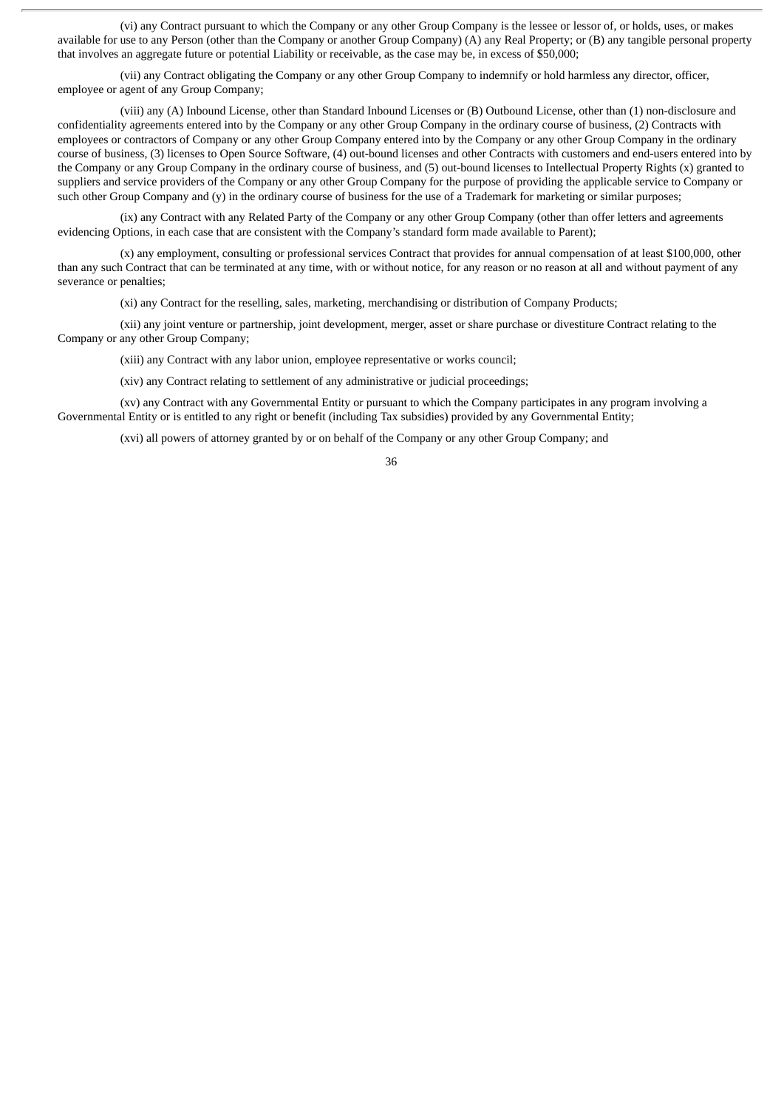(vi) any Contract pursuant to which the Company or any other Group Company is the lessee or lessor of, or holds, uses, or makes available for use to any Person (other than the Company or another Group Company) (A) any Real Property; or (B) any tangible personal property that involves an aggregate future or potential Liability or receivable, as the case may be, in excess of \$50,000;

(vii) any Contract obligating the Company or any other Group Company to indemnify or hold harmless any director, officer, employee or agent of any Group Company;

(viii) any (A) Inbound License, other than Standard Inbound Licenses or (B) Outbound License, other than (1) non-disclosure and confidentiality agreements entered into by the Company or any other Group Company in the ordinary course of business, (2) Contracts with employees or contractors of Company or any other Group Company entered into by the Company or any other Group Company in the ordinary course of business, (3) licenses to Open Source Software, (4) out-bound licenses and other Contracts with customers and end-users entered into by the Company or any Group Company in the ordinary course of business, and (5) out-bound licenses to Intellectual Property Rights (x) granted to suppliers and service providers of the Company or any other Group Company for the purpose of providing the applicable service to Company or such other Group Company and (y) in the ordinary course of business for the use of a Trademark for marketing or similar purposes;

(ix) any Contract with any Related Party of the Company or any other Group Company (other than offer letters and agreements evidencing Options, in each case that are consistent with the Company's standard form made available to Parent);

(x) any employment, consulting or professional services Contract that provides for annual compensation of at least \$100,000, other than any such Contract that can be terminated at any time, with or without notice, for any reason or no reason at all and without payment of any severance or penalties;

(xi) any Contract for the reselling, sales, marketing, merchandising or distribution of Company Products;

(xii) any joint venture or partnership, joint development, merger, asset or share purchase or divestiture Contract relating to the Company or any other Group Company;

(xiii) any Contract with any labor union, employee representative or works council;

(xiv) any Contract relating to settlement of any administrative or judicial proceedings;

(xv) any Contract with any Governmental Entity or pursuant to which the Company participates in any program involving a Governmental Entity or is entitled to any right or benefit (including Tax subsidies) provided by any Governmental Entity;

(xvi) all powers of attorney granted by or on behalf of the Company or any other Group Company; and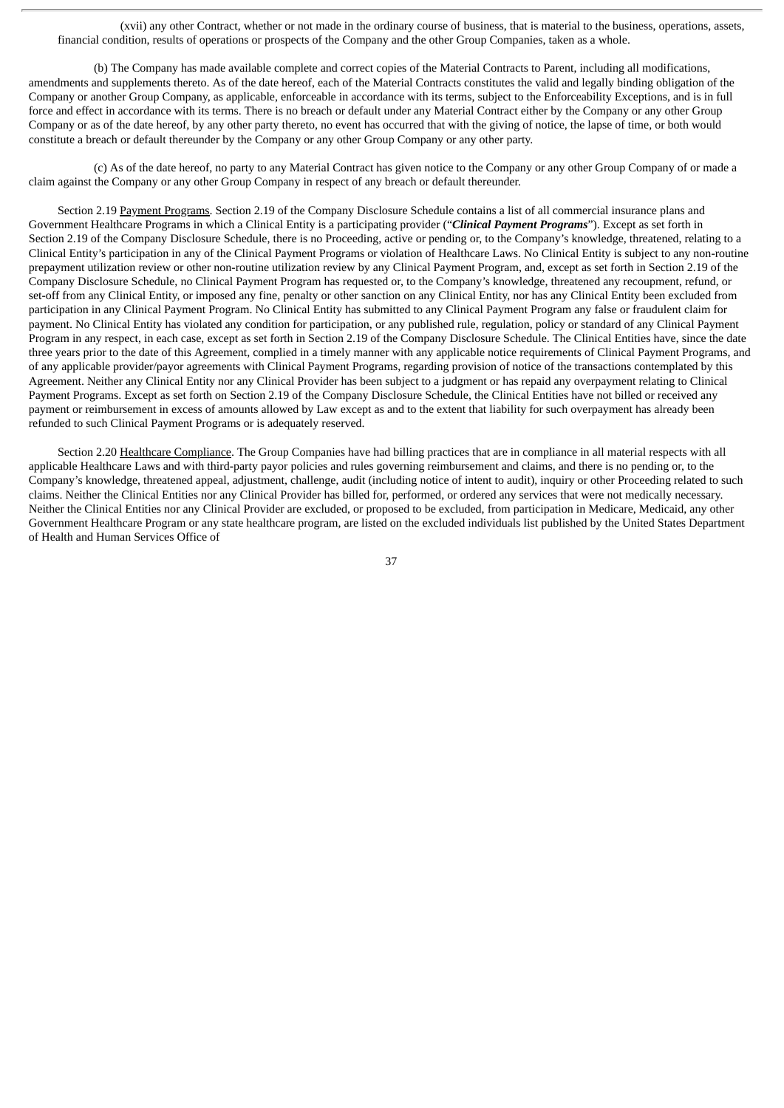(xvii) any other Contract, whether or not made in the ordinary course of business, that is material to the business, operations, assets, financial condition, results of operations or prospects of the Company and the other Group Companies, taken as a whole.

(b) The Company has made available complete and correct copies of the Material Contracts to Parent, including all modifications, amendments and supplements thereto. As of the date hereof, each of the Material Contracts constitutes the valid and legally binding obligation of the Company or another Group Company, as applicable, enforceable in accordance with its terms, subject to the Enforceability Exceptions, and is in full force and effect in accordance with its terms. There is no breach or default under any Material Contract either by the Company or any other Group Company or as of the date hereof, by any other party thereto, no event has occurred that with the giving of notice, the lapse of time, or both would constitute a breach or default thereunder by the Company or any other Group Company or any other party.

(c) As of the date hereof, no party to any Material Contract has given notice to the Company or any other Group Company of or made a claim against the Company or any other Group Company in respect of any breach or default thereunder.

Section 2.19 Payment Programs. Section 2.19 of the Company Disclosure Schedule contains a list of all commercial insurance plans and Government Healthcare Programs in which a Clinical Entity is a participating provider ("*Clinical Payment Programs*"). Except as set forth in Section 2.19 of the Company Disclosure Schedule, there is no Proceeding, active or pending or, to the Company's knowledge, threatened, relating to a Clinical Entity's participation in any of the Clinical Payment Programs or violation of Healthcare Laws. No Clinical Entity is subject to any non-routine prepayment utilization review or other non-routine utilization review by any Clinical Payment Program, and, except as set forth in Section 2.19 of the Company Disclosure Schedule, no Clinical Payment Program has requested or, to the Company's knowledge, threatened any recoupment, refund, or set-off from any Clinical Entity, or imposed any fine, penalty or other sanction on any Clinical Entity, nor has any Clinical Entity been excluded from participation in any Clinical Payment Program. No Clinical Entity has submitted to any Clinical Payment Program any false or fraudulent claim for payment. No Clinical Entity has violated any condition for participation, or any published rule, regulation, policy or standard of any Clinical Payment Program in any respect, in each case, except as set forth in Section 2.19 of the Company Disclosure Schedule. The Clinical Entities have, since the date three years prior to the date of this Agreement, complied in a timely manner with any applicable notice requirements of Clinical Payment Programs, and of any applicable provider/payor agreements with Clinical Payment Programs, regarding provision of notice of the transactions contemplated by this Agreement. Neither any Clinical Entity nor any Clinical Provider has been subject to a judgment or has repaid any overpayment relating to Clinical Payment Programs. Except as set forth on Section 2.19 of the Company Disclosure Schedule, the Clinical Entities have not billed or received any payment or reimbursement in excess of amounts allowed by Law except as and to the extent that liability for such overpayment has already been refunded to such Clinical Payment Programs or is adequately reserved.

Section 2.20 Healthcare Compliance. The Group Companies have had billing practices that are in compliance in all material respects with all applicable Healthcare Laws and with third-party payor policies and rules governing reimbursement and claims, and there is no pending or, to the Company's knowledge, threatened appeal, adjustment, challenge, audit (including notice of intent to audit), inquiry or other Proceeding related to such claims. Neither the Clinical Entities nor any Clinical Provider has billed for, performed, or ordered any services that were not medically necessary. Neither the Clinical Entities nor any Clinical Provider are excluded, or proposed to be excluded, from participation in Medicare, Medicaid, any other Government Healthcare Program or any state healthcare program, are listed on the excluded individuals list published by the United States Department of Health and Human Services Office of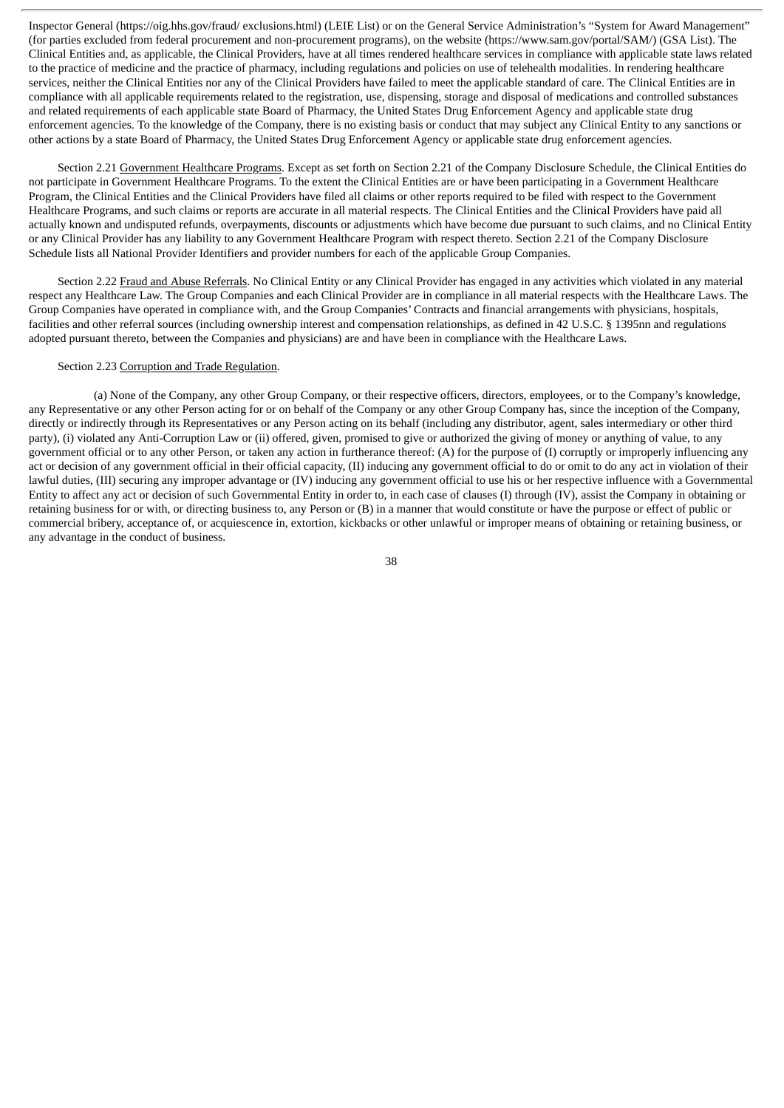Inspector General (https://oig.hhs.gov/fraud/ exclusions.html) (LEIE List) or on the General Service Administration's "System for Award Management" (for parties excluded from federal procurement and non-procurement programs), on the website (https://www.sam.gov/portal/SAM/) (GSA List). The Clinical Entities and, as applicable, the Clinical Providers, have at all times rendered healthcare services in compliance with applicable state laws related to the practice of medicine and the practice of pharmacy, including regulations and policies on use of telehealth modalities. In rendering healthcare services, neither the Clinical Entities nor any of the Clinical Providers have failed to meet the applicable standard of care. The Clinical Entities are in compliance with all applicable requirements related to the registration, use, dispensing, storage and disposal of medications and controlled substances and related requirements of each applicable state Board of Pharmacy, the United States Drug Enforcement Agency and applicable state drug enforcement agencies. To the knowledge of the Company, there is no existing basis or conduct that may subject any Clinical Entity to any sanctions or other actions by a state Board of Pharmacy, the United States Drug Enforcement Agency or applicable state drug enforcement agencies.

Section 2.21 Government Healthcare Programs. Except as set forth on Section 2.21 of the Company Disclosure Schedule, the Clinical Entities do not participate in Government Healthcare Programs. To the extent the Clinical Entities are or have been participating in a Government Healthcare Program, the Clinical Entities and the Clinical Providers have filed all claims or other reports required to be filed with respect to the Government Healthcare Programs, and such claims or reports are accurate in all material respects. The Clinical Entities and the Clinical Providers have paid all actually known and undisputed refunds, overpayments, discounts or adjustments which have become due pursuant to such claims, and no Clinical Entity or any Clinical Provider has any liability to any Government Healthcare Program with respect thereto. Section 2.21 of the Company Disclosure Schedule lists all National Provider Identifiers and provider numbers for each of the applicable Group Companies.

Section 2.22 Fraud and Abuse Referrals. No Clinical Entity or any Clinical Provider has engaged in any activities which violated in any material respect any Healthcare Law. The Group Companies and each Clinical Provider are in compliance in all material respects with the Healthcare Laws. The Group Companies have operated in compliance with, and the Group Companies' Contracts and financial arrangements with physicians, hospitals, facilities and other referral sources (including ownership interest and compensation relationships, as defined in 42 U.S.C. § 1395nn and regulations adopted pursuant thereto, between the Companies and physicians) are and have been in compliance with the Healthcare Laws.

# Section 2.23 Corruption and Trade Regulation.

(a) None of the Company, any other Group Company, or their respective officers, directors, employees, or to the Company's knowledge, any Representative or any other Person acting for or on behalf of the Company or any other Group Company has, since the inception of the Company, directly or indirectly through its Representatives or any Person acting on its behalf (including any distributor, agent, sales intermediary or other third party), (i) violated any Anti-Corruption Law or (ii) offered, given, promised to give or authorized the giving of money or anything of value, to any government official or to any other Person, or taken any action in furtherance thereof: (A) for the purpose of (I) corruptly or improperly influencing any act or decision of any government official in their official capacity, (II) inducing any government official to do or omit to do any act in violation of their lawful duties, (III) securing any improper advantage or (IV) inducing any government official to use his or her respective influence with a Governmental Entity to affect any act or decision of such Governmental Entity in order to, in each case of clauses (I) through (IV), assist the Company in obtaining or retaining business for or with, or directing business to, any Person or (B) in a manner that would constitute or have the purpose or effect of public or commercial bribery, acceptance of, or acquiescence in, extortion, kickbacks or other unlawful or improper means of obtaining or retaining business, or any advantage in the conduct of business.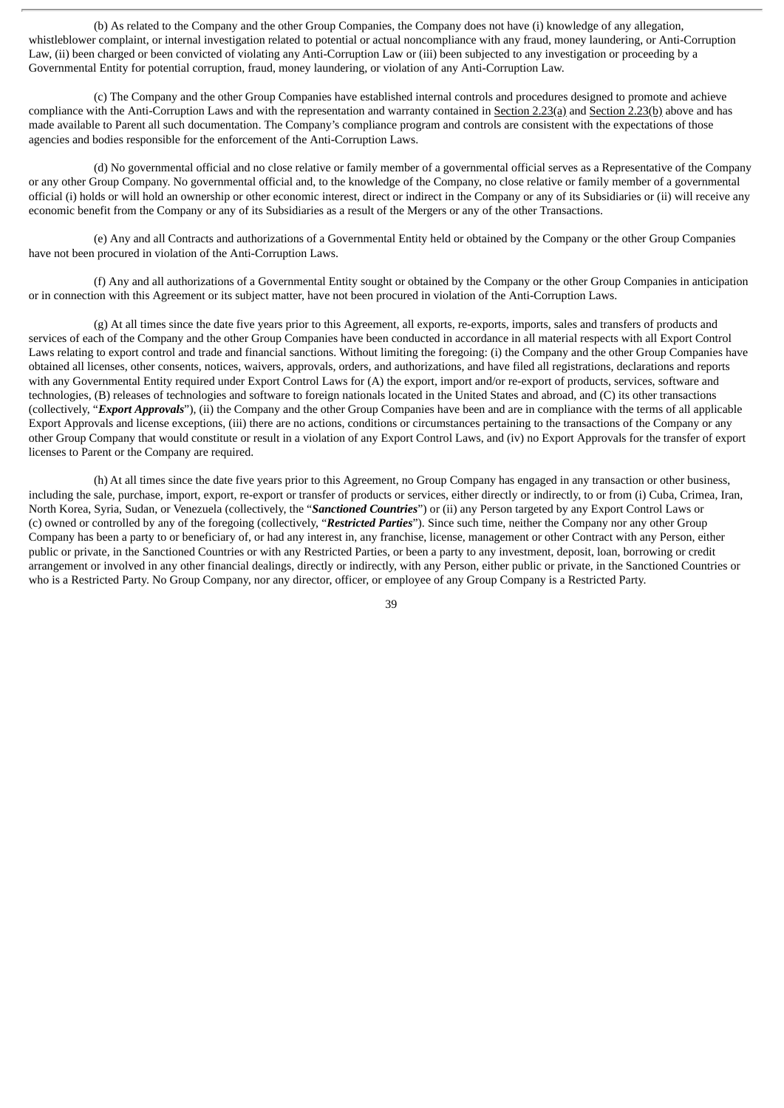(b) As related to the Company and the other Group Companies, the Company does not have (i) knowledge of any allegation, whistleblower complaint, or internal investigation related to potential or actual noncompliance with any fraud, money laundering, or Anti-Corruption Law, (ii) been charged or been convicted of violating any Anti-Corruption Law or (iii) been subjected to any investigation or proceeding by a Governmental Entity for potential corruption, fraud, money laundering, or violation of any Anti-Corruption Law.

(c) The Company and the other Group Companies have established internal controls and procedures designed to promote and achieve compliance with the Anti-Corruption Laws and with the representation and warranty contained in Section 2.23(a) and Section 2.23(b) above and has made available to Parent all such documentation. The Company's compliance program and controls are consistent with the expectations of those agencies and bodies responsible for the enforcement of the Anti-Corruption Laws.

(d) No governmental official and no close relative or family member of a governmental official serves as a Representative of the Company or any other Group Company. No governmental official and, to the knowledge of the Company, no close relative or family member of a governmental official (i) holds or will hold an ownership or other economic interest, direct or indirect in the Company or any of its Subsidiaries or (ii) will receive any economic benefit from the Company or any of its Subsidiaries as a result of the Mergers or any of the other Transactions.

(e) Any and all Contracts and authorizations of a Governmental Entity held or obtained by the Company or the other Group Companies have not been procured in violation of the Anti-Corruption Laws.

(f) Any and all authorizations of a Governmental Entity sought or obtained by the Company or the other Group Companies in anticipation or in connection with this Agreement or its subject matter, have not been procured in violation of the Anti-Corruption Laws.

(g) At all times since the date five years prior to this Agreement, all exports, re-exports, imports, sales and transfers of products and services of each of the Company and the other Group Companies have been conducted in accordance in all material respects with all Export Control Laws relating to export control and trade and financial sanctions. Without limiting the foregoing: (i) the Company and the other Group Companies have obtained all licenses, other consents, notices, waivers, approvals, orders, and authorizations, and have filed all registrations, declarations and reports with any Governmental Entity required under Export Control Laws for (A) the export, import and/or re-export of products, services, software and technologies, (B) releases of technologies and software to foreign nationals located in the United States and abroad, and (C) its other transactions (collectively, "*Export Approvals*"), (ii) the Company and the other Group Companies have been and are in compliance with the terms of all applicable Export Approvals and license exceptions, (iii) there are no actions, conditions or circumstances pertaining to the transactions of the Company or any other Group Company that would constitute or result in a violation of any Export Control Laws, and (iv) no Export Approvals for the transfer of export licenses to Parent or the Company are required.

(h) At all times since the date five years prior to this Agreement, no Group Company has engaged in any transaction or other business, including the sale, purchase, import, export, re-export or transfer of products or services, either directly or indirectly, to or from (i) Cuba, Crimea, Iran, North Korea, Syria, Sudan, or Venezuela (collectively, the "*Sanctioned Countries*") or (ii) any Person targeted by any Export Control Laws or (c) owned or controlled by any of the foregoing (collectively, "*Restricted Parties*"). Since such time, neither the Company nor any other Group Company has been a party to or beneficiary of, or had any interest in, any franchise, license, management or other Contract with any Person, either public or private, in the Sanctioned Countries or with any Restricted Parties, or been a party to any investment, deposit, loan, borrowing or credit arrangement or involved in any other financial dealings, directly or indirectly, with any Person, either public or private, in the Sanctioned Countries or who is a Restricted Party. No Group Company, nor any director, officer, or employee of any Group Company is a Restricted Party.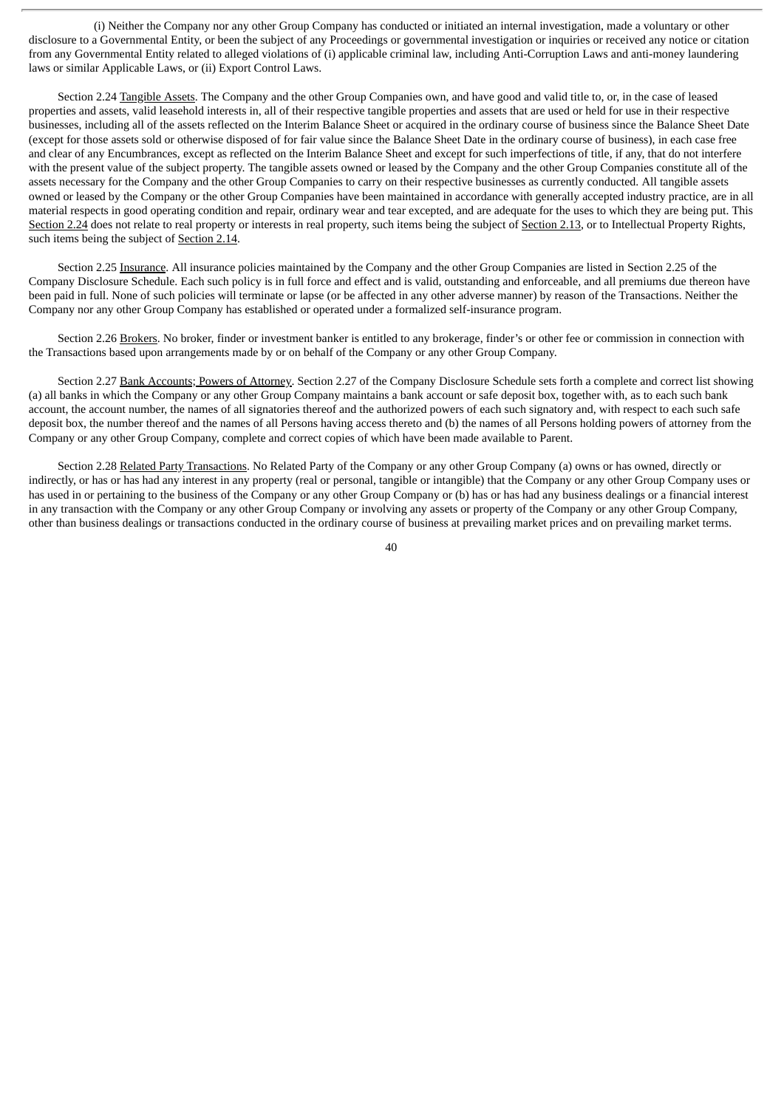(i) Neither the Company nor any other Group Company has conducted or initiated an internal investigation, made a voluntary or other disclosure to a Governmental Entity, or been the subject of any Proceedings or governmental investigation or inquiries or received any notice or citation from any Governmental Entity related to alleged violations of (i) applicable criminal law, including Anti-Corruption Laws and anti-money laundering laws or similar Applicable Laws, or (ii) Export Control Laws.

Section 2.24 Tangible Assets. The Company and the other Group Companies own, and have good and valid title to, or, in the case of leased properties and assets, valid leasehold interests in, all of their respective tangible properties and assets that are used or held for use in their respective businesses, including all of the assets reflected on the Interim Balance Sheet or acquired in the ordinary course of business since the Balance Sheet Date (except for those assets sold or otherwise disposed of for fair value since the Balance Sheet Date in the ordinary course of business), in each case free and clear of any Encumbrances, except as reflected on the Interim Balance Sheet and except for such imperfections of title, if any, that do not interfere with the present value of the subject property. The tangible assets owned or leased by the Company and the other Group Companies constitute all of the assets necessary for the Company and the other Group Companies to carry on their respective businesses as currently conducted. All tangible assets owned or leased by the Company or the other Group Companies have been maintained in accordance with generally accepted industry practice, are in all material respects in good operating condition and repair, ordinary wear and tear excepted, and are adequate for the uses to which they are being put. This Section 2.24 does not relate to real property or interests in real property, such items being the subject of Section 2.13, or to Intellectual Property Rights, such items being the subject of Section 2.14.

Section 2.25 Insurance. All insurance policies maintained by the Company and the other Group Companies are listed in Section 2.25 of the Company Disclosure Schedule. Each such policy is in full force and effect and is valid, outstanding and enforceable, and all premiums due thereon have been paid in full. None of such policies will terminate or lapse (or be affected in any other adverse manner) by reason of the Transactions. Neither the Company nor any other Group Company has established or operated under a formalized self-insurance program.

Section 2.26 Brokers. No broker, finder or investment banker is entitled to any brokerage, finder's or other fee or commission in connection with the Transactions based upon arrangements made by or on behalf of the Company or any other Group Company.

Section 2.27 Bank Accounts; Powers of Attorney. Section 2.27 of the Company Disclosure Schedule sets forth a complete and correct list showing (a) all banks in which the Company or any other Group Company maintains a bank account or safe deposit box, together with, as to each such bank account, the account number, the names of all signatories thereof and the authorized powers of each such signatory and, with respect to each such safe deposit box, the number thereof and the names of all Persons having access thereto and (b) the names of all Persons holding powers of attorney from the Company or any other Group Company, complete and correct copies of which have been made available to Parent.

Section 2.28 Related Party Transactions. No Related Party of the Company or any other Group Company (a) owns or has owned, directly or indirectly, or has or has had any interest in any property (real or personal, tangible or intangible) that the Company or any other Group Company uses or has used in or pertaining to the business of the Company or any other Group Company or (b) has or has had any business dealings or a financial interest in any transaction with the Company or any other Group Company or involving any assets or property of the Company or any other Group Company, other than business dealings or transactions conducted in the ordinary course of business at prevailing market prices and on prevailing market terms.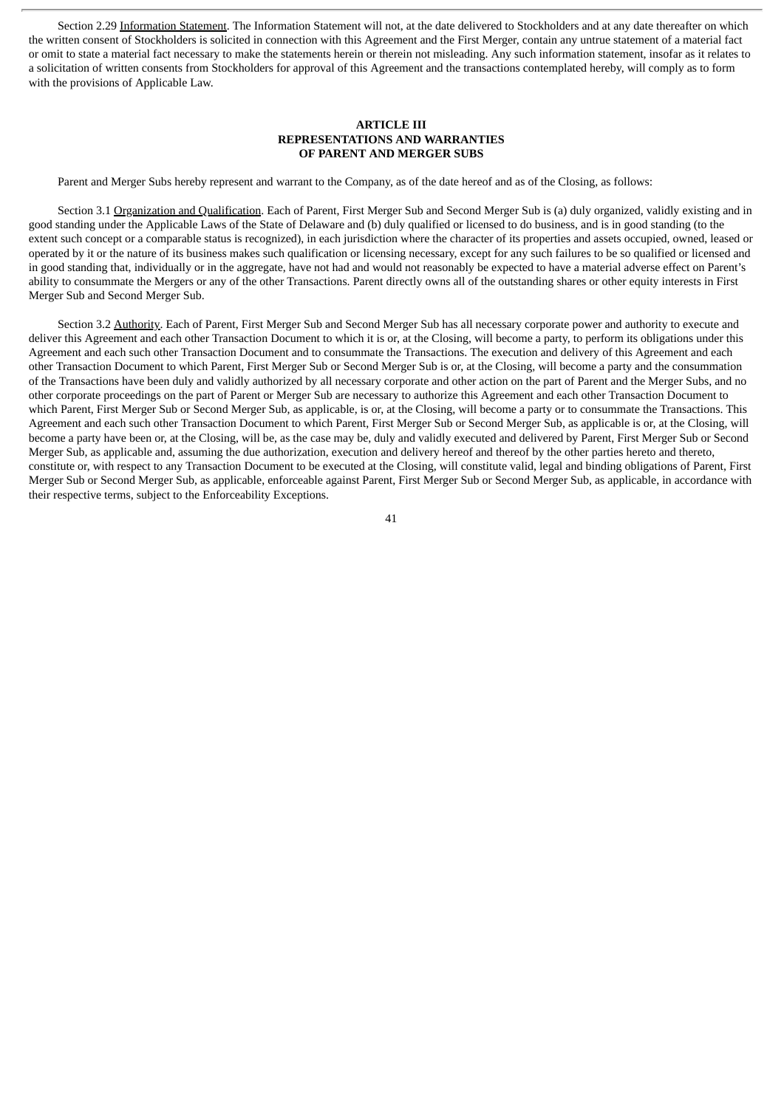Section 2.29 Information Statement. The Information Statement will not, at the date delivered to Stockholders and at any date thereafter on which the written consent of Stockholders is solicited in connection with this Agreement and the First Merger, contain any untrue statement of a material fact or omit to state a material fact necessary to make the statements herein or therein not misleading. Any such information statement, insofar as it relates to a solicitation of written consents from Stockholders for approval of this Agreement and the transactions contemplated hereby, will comply as to form with the provisions of Applicable Law.

## **ARTICLE III REPRESENTATIONS AND WARRANTIES OF PARENT AND MERGER SUBS**

Parent and Merger Subs hereby represent and warrant to the Company, as of the date hereof and as of the Closing, as follows:

Section 3.1 Organization and Qualification. Each of Parent, First Merger Sub and Second Merger Sub is (a) duly organized, validly existing and in good standing under the Applicable Laws of the State of Delaware and (b) duly qualified or licensed to do business, and is in good standing (to the extent such concept or a comparable status is recognized), in each jurisdiction where the character of its properties and assets occupied, owned, leased or operated by it or the nature of its business makes such qualification or licensing necessary, except for any such failures to be so qualified or licensed and in good standing that, individually or in the aggregate, have not had and would not reasonably be expected to have a material adverse effect on Parent's ability to consummate the Mergers or any of the other Transactions. Parent directly owns all of the outstanding shares or other equity interests in First Merger Sub and Second Merger Sub.

Section 3.2 Authority. Each of Parent, First Merger Sub and Second Merger Sub has all necessary corporate power and authority to execute and deliver this Agreement and each other Transaction Document to which it is or, at the Closing, will become a party, to perform its obligations under this Agreement and each such other Transaction Document and to consummate the Transactions. The execution and delivery of this Agreement and each other Transaction Document to which Parent, First Merger Sub or Second Merger Sub is or, at the Closing, will become a party and the consummation of the Transactions have been duly and validly authorized by all necessary corporate and other action on the part of Parent and the Merger Subs, and no other corporate proceedings on the part of Parent or Merger Sub are necessary to authorize this Agreement and each other Transaction Document to which Parent, First Merger Sub or Second Merger Sub, as applicable, is or, at the Closing, will become a party or to consummate the Transactions. This Agreement and each such other Transaction Document to which Parent, First Merger Sub or Second Merger Sub, as applicable is or, at the Closing, will become a party have been or, at the Closing, will be, as the case may be, duly and validly executed and delivered by Parent, First Merger Sub or Second Merger Sub, as applicable and, assuming the due authorization, execution and delivery hereof and thereof by the other parties hereto and thereto, constitute or, with respect to any Transaction Document to be executed at the Closing, will constitute valid, legal and binding obligations of Parent, First Merger Sub or Second Merger Sub, as applicable, enforceable against Parent, First Merger Sub or Second Merger Sub, as applicable, in accordance with their respective terms, subject to the Enforceability Exceptions.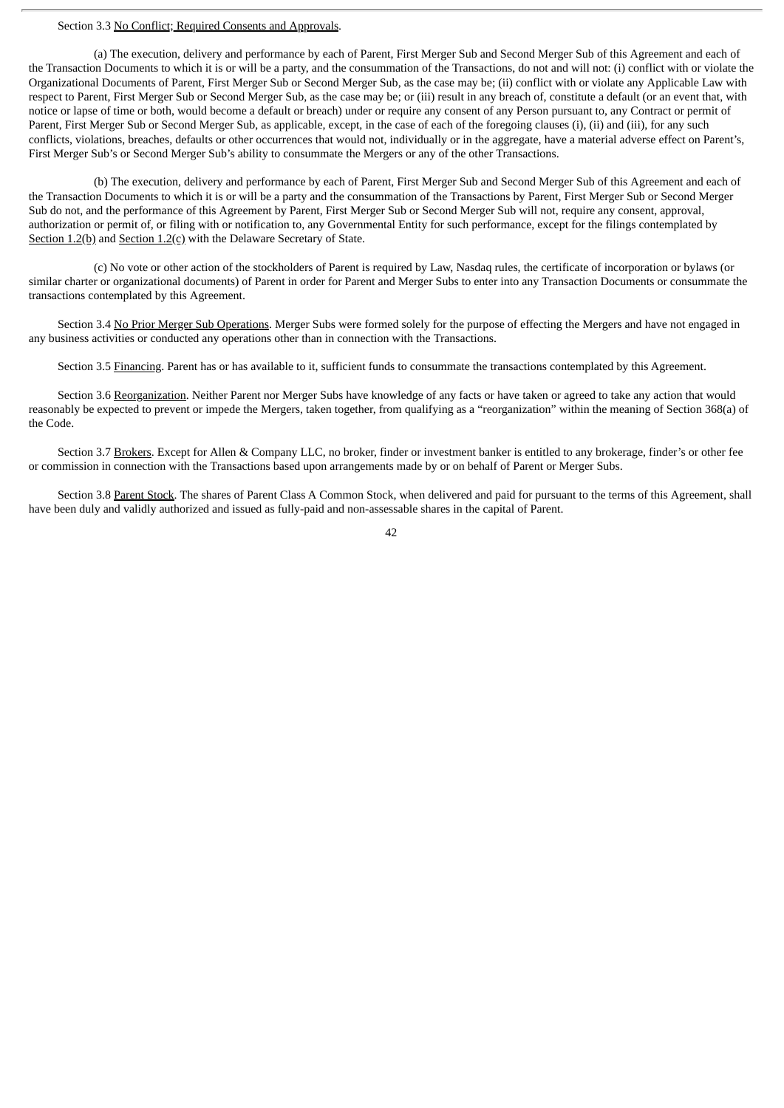## Section 3.3 No Conflict; Required Consents and Approvals.

(a) The execution, delivery and performance by each of Parent, First Merger Sub and Second Merger Sub of this Agreement and each of the Transaction Documents to which it is or will be a party, and the consummation of the Transactions, do not and will not: (i) conflict with or violate the Organizational Documents of Parent, First Merger Sub or Second Merger Sub, as the case may be; (ii) conflict with or violate any Applicable Law with respect to Parent, First Merger Sub or Second Merger Sub, as the case may be; or (iii) result in any breach of, constitute a default (or an event that, with notice or lapse of time or both, would become a default or breach) under or require any consent of any Person pursuant to, any Contract or permit of Parent, First Merger Sub or Second Merger Sub, as applicable, except, in the case of each of the foregoing clauses (i), (ii) and (iii), for any such conflicts, violations, breaches, defaults or other occurrences that would not, individually or in the aggregate, have a material adverse effect on Parent's, First Merger Sub's or Second Merger Sub's ability to consummate the Mergers or any of the other Transactions.

(b) The execution, delivery and performance by each of Parent, First Merger Sub and Second Merger Sub of this Agreement and each of the Transaction Documents to which it is or will be a party and the consummation of the Transactions by Parent, First Merger Sub or Second Merger Sub do not, and the performance of this Agreement by Parent, First Merger Sub or Second Merger Sub will not, require any consent, approval, authorization or permit of, or filing with or notification to, any Governmental Entity for such performance, except for the filings contemplated by Section 1.2(b) and Section 1.2(c) with the Delaware Secretary of State.

(c) No vote or other action of the stockholders of Parent is required by Law, Nasdaq rules, the certificate of incorporation or bylaws (or similar charter or organizational documents) of Parent in order for Parent and Merger Subs to enter into any Transaction Documents or consummate the transactions contemplated by this Agreement.

Section 3.4 No Prior Merger Sub Operations. Merger Subs were formed solely for the purpose of effecting the Mergers and have not engaged in any business activities or conducted any operations other than in connection with the Transactions.

Section 3.5 Financing. Parent has or has available to it, sufficient funds to consummate the transactions contemplated by this Agreement.

Section 3.6 Reorganization. Neither Parent nor Merger Subs have knowledge of any facts or have taken or agreed to take any action that would reasonably be expected to prevent or impede the Mergers, taken together, from qualifying as a "reorganization" within the meaning of Section 368(a) of the Code.

Section 3.7 Brokers. Except for Allen & Company LLC, no broker, finder or investment banker is entitled to any brokerage, finder's or other fee or commission in connection with the Transactions based upon arrangements made by or on behalf of Parent or Merger Subs.

Section 3.8 Parent Stock. The shares of Parent Class A Common Stock, when delivered and paid for pursuant to the terms of this Agreement, shall have been duly and validly authorized and issued as fully-paid and non-assessable shares in the capital of Parent.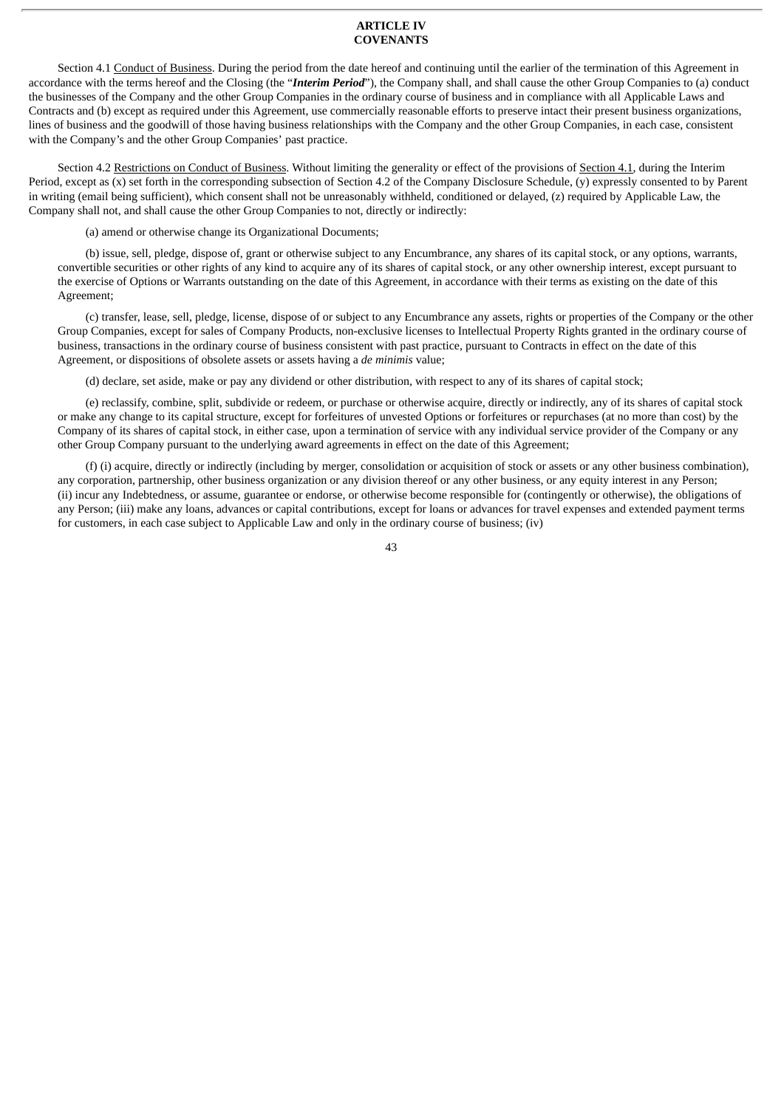### **ARTICLE IV COVENANTS**

Section 4.1 Conduct of Business. During the period from the date hereof and continuing until the earlier of the termination of this Agreement in accordance with the terms hereof and the Closing (the "*Interim Period*"), the Company shall, and shall cause the other Group Companies to (a) conduct the businesses of the Company and the other Group Companies in the ordinary course of business and in compliance with all Applicable Laws and Contracts and (b) except as required under this Agreement, use commercially reasonable efforts to preserve intact their present business organizations, lines of business and the goodwill of those having business relationships with the Company and the other Group Companies, in each case, consistent with the Company's and the other Group Companies' past practice.

Section 4.2 Restrictions on Conduct of Business. Without limiting the generality or effect of the provisions of Section 4.1, during the Interim Period, except as (x) set forth in the corresponding subsection of Section 4.2 of the Company Disclosure Schedule, (y) expressly consented to by Parent in writing (email being sufficient), which consent shall not be unreasonably withheld, conditioned or delayed, (z) required by Applicable Law, the Company shall not, and shall cause the other Group Companies to not, directly or indirectly:

(a) amend or otherwise change its Organizational Documents;

(b) issue, sell, pledge, dispose of, grant or otherwise subject to any Encumbrance, any shares of its capital stock, or any options, warrants, convertible securities or other rights of any kind to acquire any of its shares of capital stock, or any other ownership interest, except pursuant to the exercise of Options or Warrants outstanding on the date of this Agreement, in accordance with their terms as existing on the date of this Agreement;

(c) transfer, lease, sell, pledge, license, dispose of or subject to any Encumbrance any assets, rights or properties of the Company or the other Group Companies, except for sales of Company Products, non-exclusive licenses to Intellectual Property Rights granted in the ordinary course of business, transactions in the ordinary course of business consistent with past practice, pursuant to Contracts in effect on the date of this Agreement, or dispositions of obsolete assets or assets having a *de minimis* value;

(d) declare, set aside, make or pay any dividend or other distribution, with respect to any of its shares of capital stock;

(e) reclassify, combine, split, subdivide or redeem, or purchase or otherwise acquire, directly or indirectly, any of its shares of capital stock or make any change to its capital structure, except for forfeitures of unvested Options or forfeitures or repurchases (at no more than cost) by the Company of its shares of capital stock, in either case, upon a termination of service with any individual service provider of the Company or any other Group Company pursuant to the underlying award agreements in effect on the date of this Agreement;

(f) (i) acquire, directly or indirectly (including by merger, consolidation or acquisition of stock or assets or any other business combination), any corporation, partnership, other business organization or any division thereof or any other business, or any equity interest in any Person; (ii) incur any Indebtedness, or assume, guarantee or endorse, or otherwise become responsible for (contingently or otherwise), the obligations of any Person; (iii) make any loans, advances or capital contributions, except for loans or advances for travel expenses and extended payment terms for customers, in each case subject to Applicable Law and only in the ordinary course of business; (iv)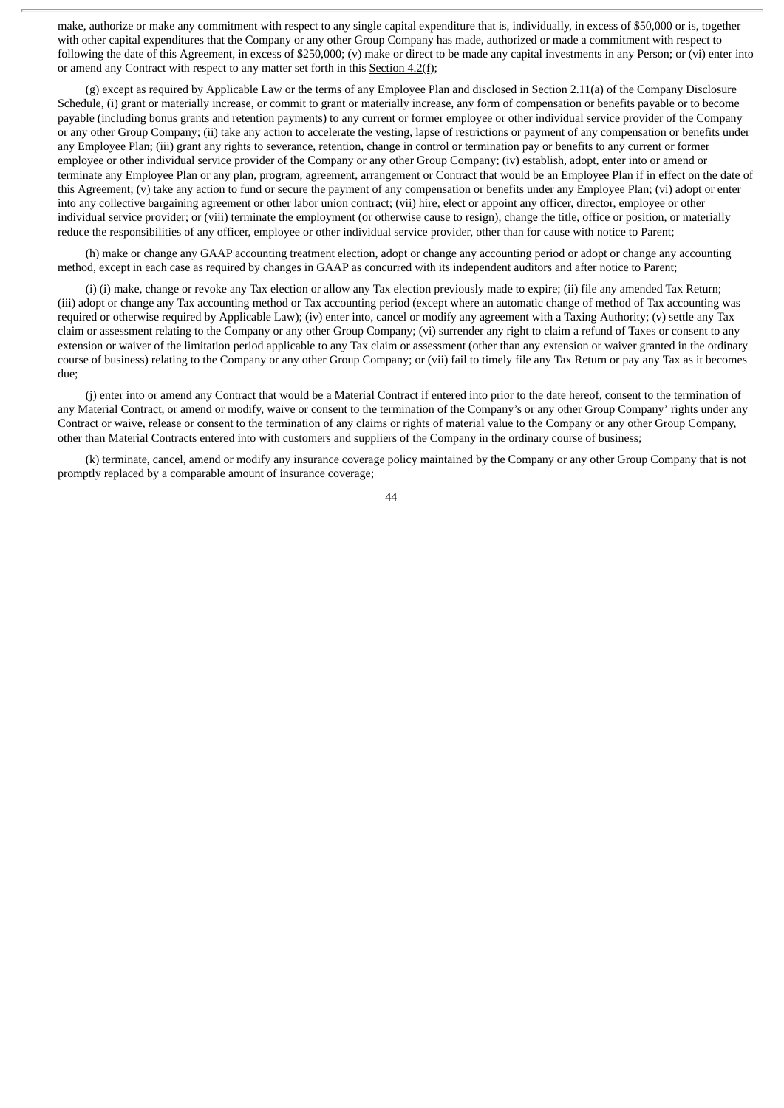make, authorize or make any commitment with respect to any single capital expenditure that is, individually, in excess of \$50,000 or is, together with other capital expenditures that the Company or any other Group Company has made, authorized or made a commitment with respect to following the date of this Agreement, in excess of \$250,000; (v) make or direct to be made any capital investments in any Person; or (vi) enter into or amend any Contract with respect to any matter set forth in this Section 4.2(f);

(g) except as required by Applicable Law or the terms of any Employee Plan and disclosed in Section 2.11(a) of the Company Disclosure Schedule, (i) grant or materially increase, or commit to grant or materially increase, any form of compensation or benefits payable or to become payable (including bonus grants and retention payments) to any current or former employee or other individual service provider of the Company or any other Group Company; (ii) take any action to accelerate the vesting, lapse of restrictions or payment of any compensation or benefits under any Employee Plan; (iii) grant any rights to severance, retention, change in control or termination pay or benefits to any current or former employee or other individual service provider of the Company or any other Group Company; (iv) establish, adopt, enter into or amend or terminate any Employee Plan or any plan, program, agreement, arrangement or Contract that would be an Employee Plan if in effect on the date of this Agreement; (v) take any action to fund or secure the payment of any compensation or benefits under any Employee Plan; (vi) adopt or enter into any collective bargaining agreement or other labor union contract; (vii) hire, elect or appoint any officer, director, employee or other individual service provider; or (viii) terminate the employment (or otherwise cause to resign), change the title, office or position, or materially reduce the responsibilities of any officer, employee or other individual service provider, other than for cause with notice to Parent;

(h) make or change any GAAP accounting treatment election, adopt or change any accounting period or adopt or change any accounting method, except in each case as required by changes in GAAP as concurred with its independent auditors and after notice to Parent;

(i) (i) make, change or revoke any Tax election or allow any Tax election previously made to expire; (ii) file any amended Tax Return; (iii) adopt or change any Tax accounting method or Tax accounting period (except where an automatic change of method of Tax accounting was required or otherwise required by Applicable Law); (iv) enter into, cancel or modify any agreement with a Taxing Authority; (v) settle any Tax claim or assessment relating to the Company or any other Group Company; (vi) surrender any right to claim a refund of Taxes or consent to any extension or waiver of the limitation period applicable to any Tax claim or assessment (other than any extension or waiver granted in the ordinary course of business) relating to the Company or any other Group Company; or (vii) fail to timely file any Tax Return or pay any Tax as it becomes due;

(j) enter into or amend any Contract that would be a Material Contract if entered into prior to the date hereof, consent to the termination of any Material Contract, or amend or modify, waive or consent to the termination of the Company's or any other Group Company' rights under any Contract or waive, release or consent to the termination of any claims or rights of material value to the Company or any other Group Company, other than Material Contracts entered into with customers and suppliers of the Company in the ordinary course of business;

(k) terminate, cancel, amend or modify any insurance coverage policy maintained by the Company or any other Group Company that is not promptly replaced by a comparable amount of insurance coverage;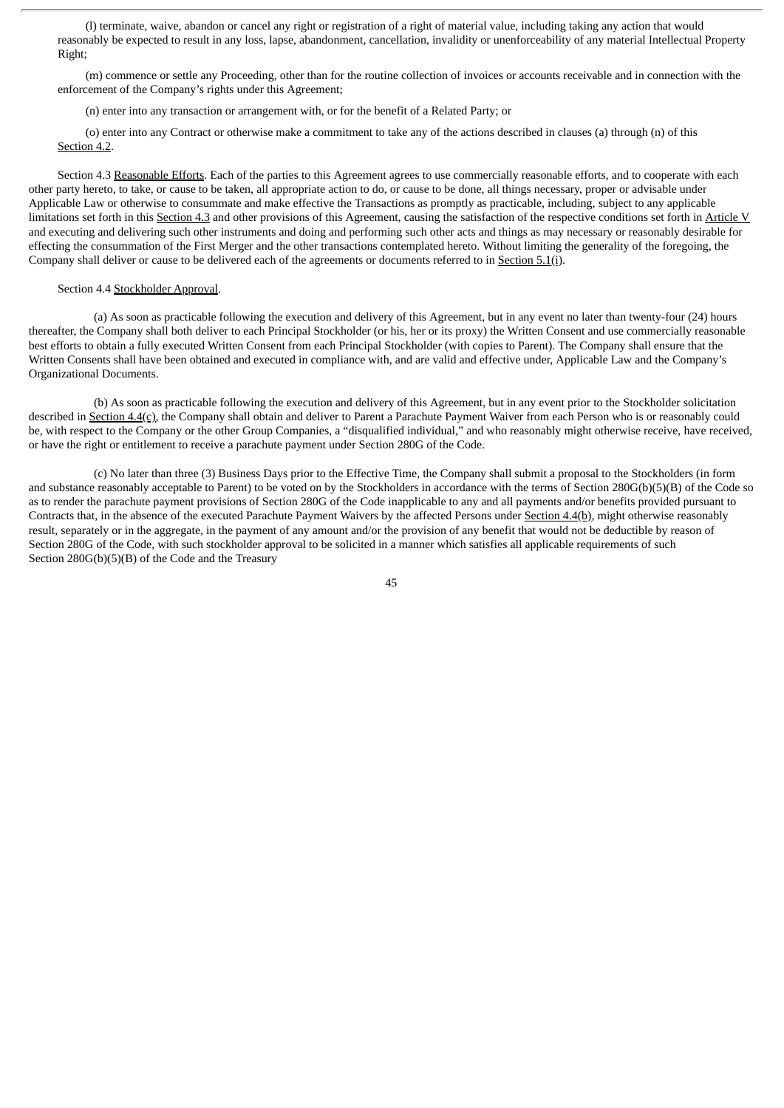(l) terminate, waive, abandon or cancel any right or registration of a right of material value, including taking any action that would reasonably be expected to result in any loss, lapse, abandonment, cancellation, invalidity or unenforceability of any material Intellectual Property Right;

(m) commence or settle any Proceeding, other than for the routine collection of invoices or accounts receivable and in connection with the enforcement of the Company's rights under this Agreement;

(n) enter into any transaction or arrangement with, or for the benefit of a Related Party; or

(o) enter into any Contract or otherwise make a commitment to take any of the actions described in clauses (a) through (n) of this Section 4.2.

Section 4.3 Reasonable Efforts. Each of the parties to this Agreement agrees to use commercially reasonable efforts, and to cooperate with each other party hereto, to take, or cause to be taken, all appropriate action to do, or cause to be done, all things necessary, proper or advisable under Applicable Law or otherwise to consummate and make effective the Transactions as promptly as practicable, including, subject to any applicable limitations set forth in this Section 4.3 and other provisions of this Agreement, causing the satisfaction of the respective conditions set forth in Article V and executing and delivering such other instruments and doing and performing such other acts and things as may necessary or reasonably desirable for effecting the consummation of the First Merger and the other transactions contemplated hereto. Without limiting the generality of the foregoing, the Company shall deliver or cause to be delivered each of the agreements or documents referred to in Section 5.1(i).

### Section 4.4 Stockholder Approval.

(a) As soon as practicable following the execution and delivery of this Agreement, but in any event no later than twenty-four (24) hours thereafter, the Company shall both deliver to each Principal Stockholder (or his, her or its proxy) the Written Consent and use commercially reasonable best efforts to obtain a fully executed Written Consent from each Principal Stockholder (with copies to Parent). The Company shall ensure that the Written Consents shall have been obtained and executed in compliance with, and are valid and effective under, Applicable Law and the Company's Organizational Documents.

(b) As soon as practicable following the execution and delivery of this Agreement, but in any event prior to the Stockholder solicitation described in Section 4.4(c), the Company shall obtain and deliver to Parent a Parachute Payment Waiver from each Person who is or reasonably could be, with respect to the Company or the other Group Companies, a "disqualified individual," and who reasonably might otherwise receive, have received, or have the right or entitlement to receive a parachute payment under Section 280G of the Code.

(c) No later than three (3) Business Days prior to the Effective Time, the Company shall submit a proposal to the Stockholders (in form and substance reasonably acceptable to Parent) to be voted on by the Stockholders in accordance with the terms of Section 280G(b)(5)(B) of the Code so as to render the parachute payment provisions of Section 280G of the Code inapplicable to any and all payments and/or benefits provided pursuant to Contracts that, in the absence of the executed Parachute Payment Waivers by the affected Persons under Section 4.4(b), might otherwise reasonably result, separately or in the aggregate, in the payment of any amount and/or the provision of any benefit that would not be deductible by reason of Section 280G of the Code, with such stockholder approval to be solicited in a manner which satisfies all applicable requirements of such Section 280G(b)(5)(B) of the Code and the Treasury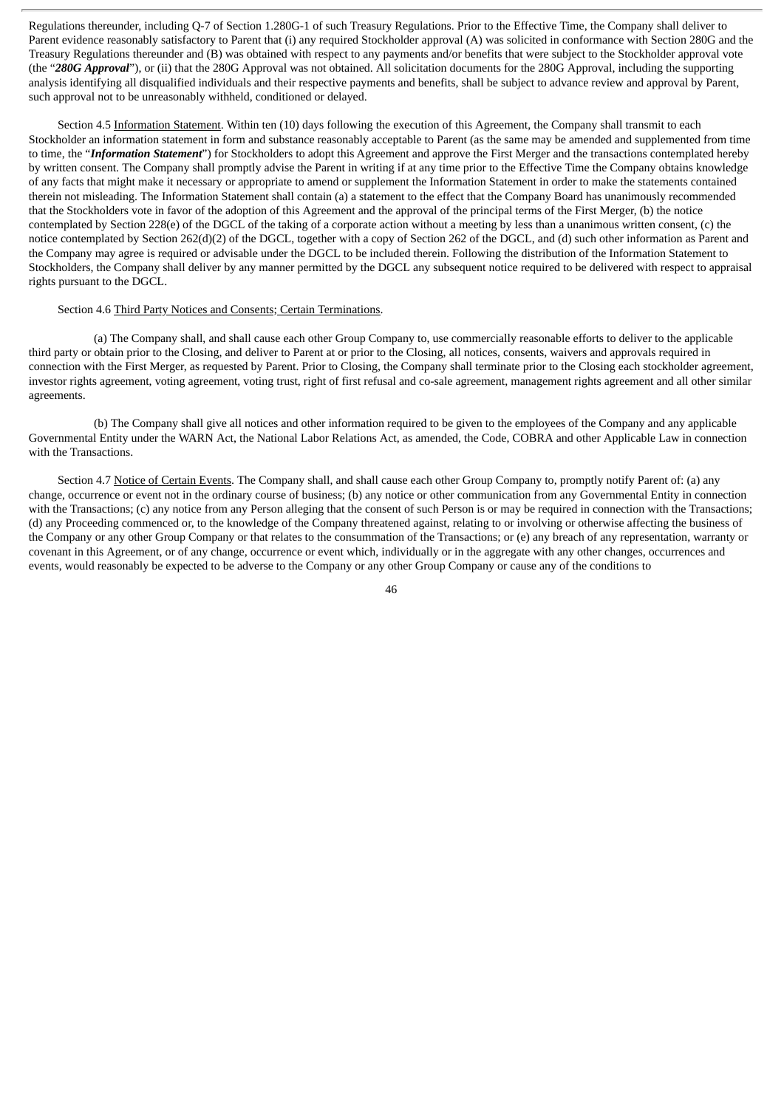Regulations thereunder, including Q-7 of Section 1.280G-1 of such Treasury Regulations. Prior to the Effective Time, the Company shall deliver to Parent evidence reasonably satisfactory to Parent that (i) any required Stockholder approval (A) was solicited in conformance with Section 280G and the Treasury Regulations thereunder and (B) was obtained with respect to any payments and/or benefits that were subject to the Stockholder approval vote (the "*280G Approval*"), or (ii) that the 280G Approval was not obtained. All solicitation documents for the 280G Approval, including the supporting analysis identifying all disqualified individuals and their respective payments and benefits, shall be subject to advance review and approval by Parent, such approval not to be unreasonably withheld, conditioned or delayed.

Section 4.5 Information Statement. Within ten (10) days following the execution of this Agreement, the Company shall transmit to each Stockholder an information statement in form and substance reasonably acceptable to Parent (as the same may be amended and supplemented from time to time, the "*Information Statement*") for Stockholders to adopt this Agreement and approve the First Merger and the transactions contemplated hereby by written consent. The Company shall promptly advise the Parent in writing if at any time prior to the Effective Time the Company obtains knowledge of any facts that might make it necessary or appropriate to amend or supplement the Information Statement in order to make the statements contained therein not misleading. The Information Statement shall contain (a) a statement to the effect that the Company Board has unanimously recommended that the Stockholders vote in favor of the adoption of this Agreement and the approval of the principal terms of the First Merger, (b) the notice contemplated by Section 228(e) of the DGCL of the taking of a corporate action without a meeting by less than a unanimous written consent, (c) the notice contemplated by Section 262(d)(2) of the DGCL, together with a copy of Section 262 of the DGCL, and (d) such other information as Parent and the Company may agree is required or advisable under the DGCL to be included therein. Following the distribution of the Information Statement to Stockholders, the Company shall deliver by any manner permitted by the DGCL any subsequent notice required to be delivered with respect to appraisal rights pursuant to the DGCL.

#### Section 4.6 Third Party Notices and Consents; Certain Terminations.

(a) The Company shall, and shall cause each other Group Company to, use commercially reasonable efforts to deliver to the applicable third party or obtain prior to the Closing, and deliver to Parent at or prior to the Closing, all notices, consents, waivers and approvals required in connection with the First Merger, as requested by Parent. Prior to Closing, the Company shall terminate prior to the Closing each stockholder agreement, investor rights agreement, voting agreement, voting trust, right of first refusal and co-sale agreement, management rights agreement and all other similar agreements.

(b) The Company shall give all notices and other information required to be given to the employees of the Company and any applicable Governmental Entity under the WARN Act, the National Labor Relations Act, as amended, the Code, COBRA and other Applicable Law in connection with the Transactions.

Section 4.7 Notice of Certain Events. The Company shall, and shall cause each other Group Company to, promptly notify Parent of: (a) any change, occurrence or event not in the ordinary course of business; (b) any notice or other communication from any Governmental Entity in connection with the Transactions; (c) any notice from any Person alleging that the consent of such Person is or may be required in connection with the Transactions; (d) any Proceeding commenced or, to the knowledge of the Company threatened against, relating to or involving or otherwise affecting the business of the Company or any other Group Company or that relates to the consummation of the Transactions; or (e) any breach of any representation, warranty or covenant in this Agreement, or of any change, occurrence or event which, individually or in the aggregate with any other changes, occurrences and events, would reasonably be expected to be adverse to the Company or any other Group Company or cause any of the conditions to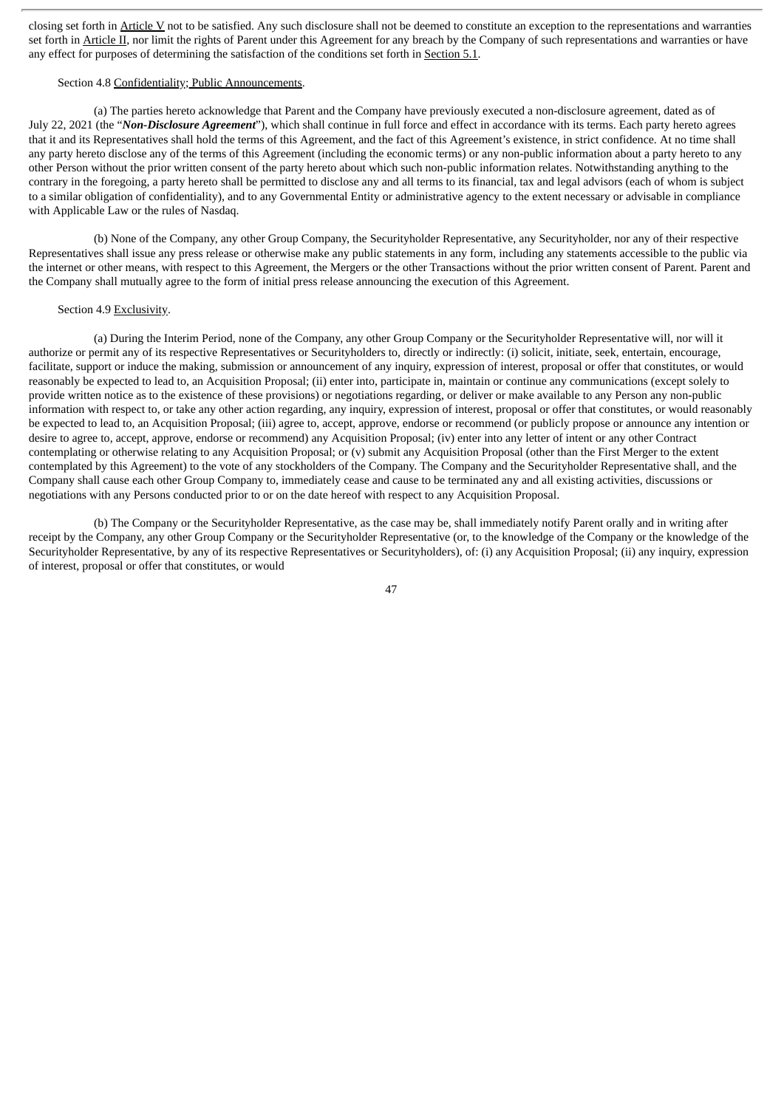closing set forth in Article V not to be satisfied. Any such disclosure shall not be deemed to constitute an exception to the representations and warranties set forth in Article II, nor limit the rights of Parent under this Agreement for any breach by the Company of such representations and warranties or have any effect for purposes of determining the satisfaction of the conditions set forth in Section 5.1.

### Section 4.8 Confidentiality; Public Announcements.

(a) The parties hereto acknowledge that Parent and the Company have previously executed a non-disclosure agreement, dated as of July 22, 2021 (the "*Non-Disclosure Agreement*"), which shall continue in full force and effect in accordance with its terms. Each party hereto agrees that it and its Representatives shall hold the terms of this Agreement, and the fact of this Agreement's existence, in strict confidence. At no time shall any party hereto disclose any of the terms of this Agreement (including the economic terms) or any non-public information about a party hereto to any other Person without the prior written consent of the party hereto about which such non-public information relates. Notwithstanding anything to the contrary in the foregoing, a party hereto shall be permitted to disclose any and all terms to its financial, tax and legal advisors (each of whom is subject to a similar obligation of confidentiality), and to any Governmental Entity or administrative agency to the extent necessary or advisable in compliance with Applicable Law or the rules of Nasdaq.

(b) None of the Company, any other Group Company, the Securityholder Representative, any Securityholder, nor any of their respective Representatives shall issue any press release or otherwise make any public statements in any form, including any statements accessible to the public via the internet or other means, with respect to this Agreement, the Mergers or the other Transactions without the prior written consent of Parent. Parent and the Company shall mutually agree to the form of initial press release announcing the execution of this Agreement.

#### Section 4.9 Exclusivity.

(a) During the Interim Period, none of the Company, any other Group Company or the Securityholder Representative will, nor will it authorize or permit any of its respective Representatives or Securityholders to, directly or indirectly: (i) solicit, initiate, seek, entertain, encourage, facilitate, support or induce the making, submission or announcement of any inquiry, expression of interest, proposal or offer that constitutes, or would reasonably be expected to lead to, an Acquisition Proposal; (ii) enter into, participate in, maintain or continue any communications (except solely to provide written notice as to the existence of these provisions) or negotiations regarding, or deliver or make available to any Person any non-public information with respect to, or take any other action regarding, any inquiry, expression of interest, proposal or offer that constitutes, or would reasonably be expected to lead to, an Acquisition Proposal; (iii) agree to, accept, approve, endorse or recommend (or publicly propose or announce any intention or desire to agree to, accept, approve, endorse or recommend) any Acquisition Proposal; (iv) enter into any letter of intent or any other Contract contemplating or otherwise relating to any Acquisition Proposal; or (v) submit any Acquisition Proposal (other than the First Merger to the extent contemplated by this Agreement) to the vote of any stockholders of the Company. The Company and the Securityholder Representative shall, and the Company shall cause each other Group Company to, immediately cease and cause to be terminated any and all existing activities, discussions or negotiations with any Persons conducted prior to or on the date hereof with respect to any Acquisition Proposal.

(b) The Company or the Securityholder Representative, as the case may be, shall immediately notify Parent orally and in writing after receipt by the Company, any other Group Company or the Securityholder Representative (or, to the knowledge of the Company or the knowledge of the Securityholder Representative, by any of its respective Representatives or Securityholders), of: (i) any Acquisition Proposal; (ii) any inquiry, expression of interest, proposal or offer that constitutes, or would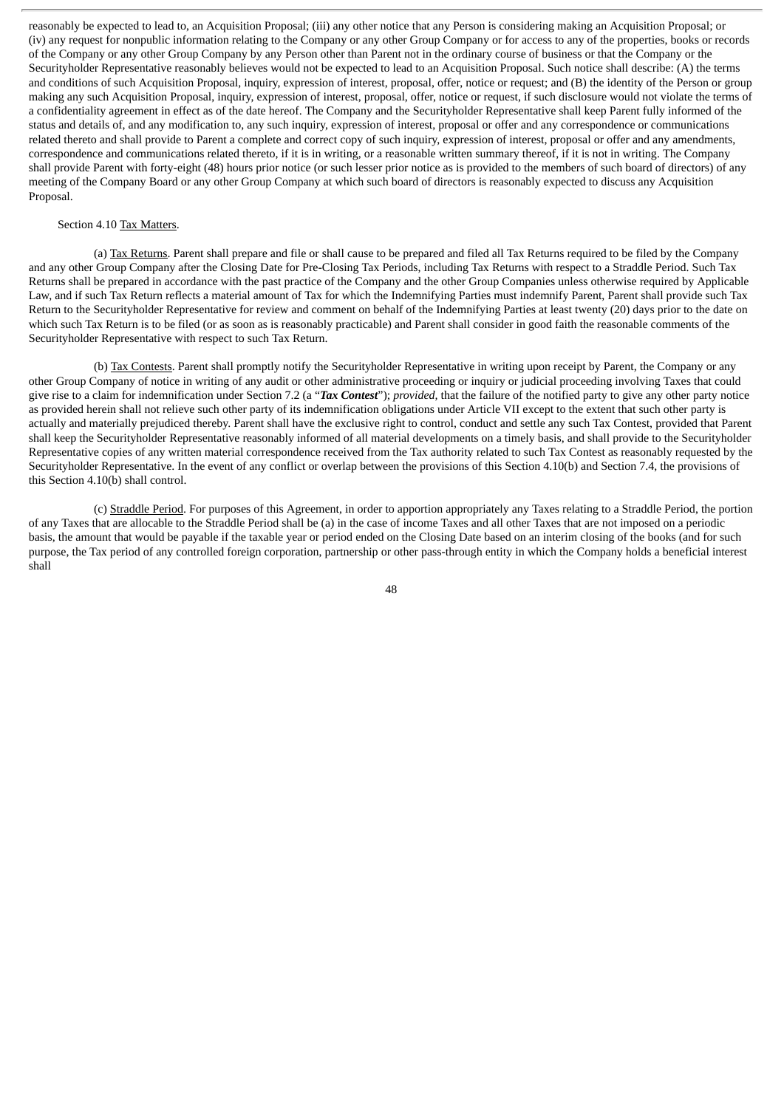reasonably be expected to lead to, an Acquisition Proposal; (iii) any other notice that any Person is considering making an Acquisition Proposal; or (iv) any request for nonpublic information relating to the Company or any other Group Company or for access to any of the properties, books or records of the Company or any other Group Company by any Person other than Parent not in the ordinary course of business or that the Company or the Securityholder Representative reasonably believes would not be expected to lead to an Acquisition Proposal. Such notice shall describe: (A) the terms and conditions of such Acquisition Proposal, inquiry, expression of interest, proposal, offer, notice or request; and (B) the identity of the Person or group making any such Acquisition Proposal, inquiry, expression of interest, proposal, offer, notice or request, if such disclosure would not violate the terms of a confidentiality agreement in effect as of the date hereof. The Company and the Securityholder Representative shall keep Parent fully informed of the status and details of, and any modification to, any such inquiry, expression of interest, proposal or offer and any correspondence or communications related thereto and shall provide to Parent a complete and correct copy of such inquiry, expression of interest, proposal or offer and any amendments, correspondence and communications related thereto, if it is in writing, or a reasonable written summary thereof, if it is not in writing. The Company shall provide Parent with forty-eight (48) hours prior notice (or such lesser prior notice as is provided to the members of such board of directors) of any meeting of the Company Board or any other Group Company at which such board of directors is reasonably expected to discuss any Acquisition Proposal.

### Section 4.10 Tax Matters.

(a) Tax Returns. Parent shall prepare and file or shall cause to be prepared and filed all Tax Returns required to be filed by the Company and any other Group Company after the Closing Date for Pre-Closing Tax Periods, including Tax Returns with respect to a Straddle Period. Such Tax Returns shall be prepared in accordance with the past practice of the Company and the other Group Companies unless otherwise required by Applicable Law, and if such Tax Return reflects a material amount of Tax for which the Indemnifying Parties must indemnify Parent, Parent shall provide such Tax Return to the Securityholder Representative for review and comment on behalf of the Indemnifying Parties at least twenty (20) days prior to the date on which such Tax Return is to be filed (or as soon as is reasonably practicable) and Parent shall consider in good faith the reasonable comments of the Securityholder Representative with respect to such Tax Return.

(b) Tax Contests. Parent shall promptly notify the Securityholder Representative in writing upon receipt by Parent, the Company or any other Group Company of notice in writing of any audit or other administrative proceeding or inquiry or judicial proceeding involving Taxes that could give rise to a claim for indemnification under Section 7.2 (a "*Tax Contest*"); *provided,* that the failure of the notified party to give any other party notice as provided herein shall not relieve such other party of its indemnification obligations under Article VII except to the extent that such other party is actually and materially prejudiced thereby. Parent shall have the exclusive right to control, conduct and settle any such Tax Contest, provided that Parent shall keep the Securityholder Representative reasonably informed of all material developments on a timely basis, and shall provide to the Securityholder Representative copies of any written material correspondence received from the Tax authority related to such Tax Contest as reasonably requested by the Securityholder Representative. In the event of any conflict or overlap between the provisions of this Section 4.10(b) and Section 7.4, the provisions of this Section 4.10(b) shall control.

(c) Straddle Period. For purposes of this Agreement, in order to apportion appropriately any Taxes relating to a Straddle Period, the portion of any Taxes that are allocable to the Straddle Period shall be (a) in the case of income Taxes and all other Taxes that are not imposed on a periodic basis, the amount that would be payable if the taxable year or period ended on the Closing Date based on an interim closing of the books (and for such purpose, the Tax period of any controlled foreign corporation, partnership or other pass-through entity in which the Company holds a beneficial interest shall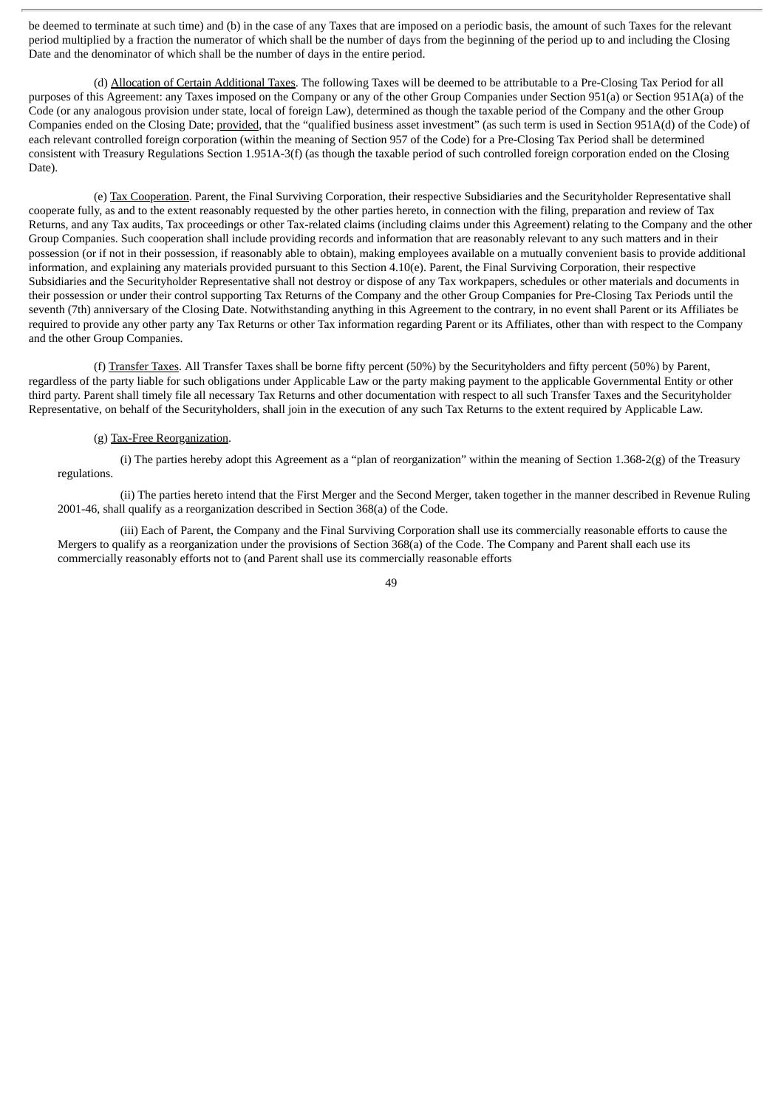be deemed to terminate at such time) and (b) in the case of any Taxes that are imposed on a periodic basis, the amount of such Taxes for the relevant period multiplied by a fraction the numerator of which shall be the number of days from the beginning of the period up to and including the Closing Date and the denominator of which shall be the number of days in the entire period.

(d) Allocation of Certain Additional Taxes. The following Taxes will be deemed to be attributable to a Pre-Closing Tax Period for all purposes of this Agreement: any Taxes imposed on the Company or any of the other Group Companies under Section 951(a) or Section 951A(a) of the Code (or any analogous provision under state, local of foreign Law), determined as though the taxable period of the Company and the other Group Companies ended on the Closing Date; provided, that the "qualified business asset investment" (as such term is used in Section 951A(d) of the Code) of each relevant controlled foreign corporation (within the meaning of Section 957 of the Code) for a Pre-Closing Tax Period shall be determined consistent with Treasury Regulations Section 1.951A-3(f) (as though the taxable period of such controlled foreign corporation ended on the Closing Date).

(e) Tax Cooperation. Parent, the Final Surviving Corporation, their respective Subsidiaries and the Securityholder Representative shall cooperate fully, as and to the extent reasonably requested by the other parties hereto, in connection with the filing, preparation and review of Tax Returns, and any Tax audits, Tax proceedings or other Tax-related claims (including claims under this Agreement) relating to the Company and the other Group Companies. Such cooperation shall include providing records and information that are reasonably relevant to any such matters and in their possession (or if not in their possession, if reasonably able to obtain), making employees available on a mutually convenient basis to provide additional information, and explaining any materials provided pursuant to this Section 4.10(e). Parent, the Final Surviving Corporation, their respective Subsidiaries and the Securityholder Representative shall not destroy or dispose of any Tax workpapers, schedules or other materials and documents in their possession or under their control supporting Tax Returns of the Company and the other Group Companies for Pre-Closing Tax Periods until the seventh (7th) anniversary of the Closing Date. Notwithstanding anything in this Agreement to the contrary, in no event shall Parent or its Affiliates be required to provide any other party any Tax Returns or other Tax information regarding Parent or its Affiliates, other than with respect to the Company and the other Group Companies.

(f) Transfer Taxes. All Transfer Taxes shall be borne fifty percent (50%) by the Securityholders and fifty percent (50%) by Parent, regardless of the party liable for such obligations under Applicable Law or the party making payment to the applicable Governmental Entity or other third party. Parent shall timely file all necessary Tax Returns and other documentation with respect to all such Transfer Taxes and the Securityholder Representative, on behalf of the Securityholders, shall join in the execution of any such Tax Returns to the extent required by Applicable Law.

### (g) Tax-Free Reorganization.

(i) The parties hereby adopt this Agreement as a "plan of reorganization" within the meaning of Section 1.368-2(g) of the Treasury regulations.

(ii) The parties hereto intend that the First Merger and the Second Merger, taken together in the manner described in Revenue Ruling 2001-46, shall qualify as a reorganization described in Section 368(a) of the Code.

(iii) Each of Parent, the Company and the Final Surviving Corporation shall use its commercially reasonable efforts to cause the Mergers to qualify as a reorganization under the provisions of Section 368(a) of the Code. The Company and Parent shall each use its commercially reasonably efforts not to (and Parent shall use its commercially reasonable efforts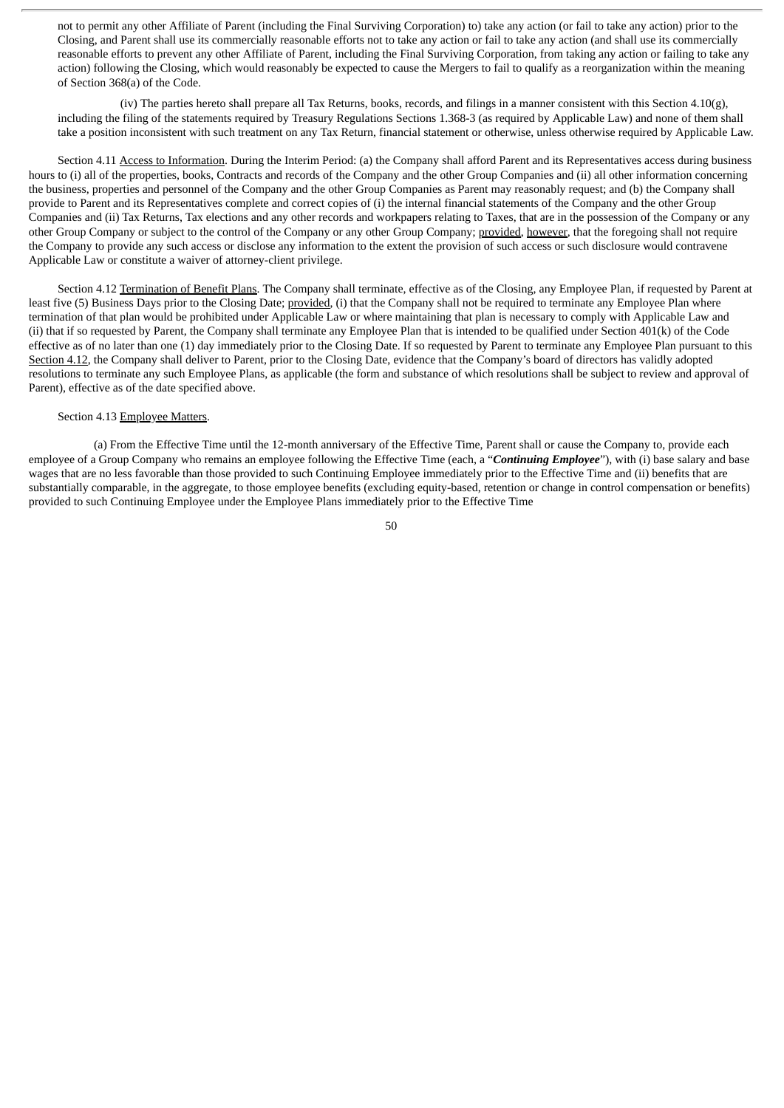not to permit any other Affiliate of Parent (including the Final Surviving Corporation) to) take any action (or fail to take any action) prior to the Closing, and Parent shall use its commercially reasonable efforts not to take any action or fail to take any action (and shall use its commercially reasonable efforts to prevent any other Affiliate of Parent, including the Final Surviving Corporation, from taking any action or failing to take any action) following the Closing, which would reasonably be expected to cause the Mergers to fail to qualify as a reorganization within the meaning of Section 368(a) of the Code.

(iv) The parties hereto shall prepare all Tax Returns, books, records, and filings in a manner consistent with this Section 4.10(g), including the filing of the statements required by Treasury Regulations Sections 1.368-3 (as required by Applicable Law) and none of them shall take a position inconsistent with such treatment on any Tax Return, financial statement or otherwise, unless otherwise required by Applicable Law.

Section 4.11 Access to Information. During the Interim Period: (a) the Company shall afford Parent and its Representatives access during business hours to (i) all of the properties, books, Contracts and records of the Company and the other Group Companies and (ii) all other information concerning the business, properties and personnel of the Company and the other Group Companies as Parent may reasonably request; and (b) the Company shall provide to Parent and its Representatives complete and correct copies of (i) the internal financial statements of the Company and the other Group Companies and (ii) Tax Returns, Tax elections and any other records and workpapers relating to Taxes, that are in the possession of the Company or any other Group Company or subject to the control of the Company or any other Group Company; provided, however, that the foregoing shall not require the Company to provide any such access or disclose any information to the extent the provision of such access or such disclosure would contravene Applicable Law or constitute a waiver of attorney-client privilege.

Section 4.12 Termination of Benefit Plans. The Company shall terminate, effective as of the Closing, any Employee Plan, if requested by Parent at least five (5) Business Days prior to the Closing Date; provided, (i) that the Company shall not be required to terminate any Employee Plan where termination of that plan would be prohibited under Applicable Law or where maintaining that plan is necessary to comply with Applicable Law and (ii) that if so requested by Parent, the Company shall terminate any Employee Plan that is intended to be qualified under Section 401(k) of the Code effective as of no later than one (1) day immediately prior to the Closing Date. If so requested by Parent to terminate any Employee Plan pursuant to this Section 4.12, the Company shall deliver to Parent, prior to the Closing Date, evidence that the Company's board of directors has validly adopted resolutions to terminate any such Employee Plans, as applicable (the form and substance of which resolutions shall be subject to review and approval of Parent), effective as of the date specified above.

#### Section 4.13 Employee Matters.

(a) From the Effective Time until the 12-month anniversary of the Effective Time, Parent shall or cause the Company to, provide each employee of a Group Company who remains an employee following the Effective Time (each, a "*Continuing Employee*"), with (i) base salary and base wages that are no less favorable than those provided to such Continuing Employee immediately prior to the Effective Time and (ii) benefits that are substantially comparable, in the aggregate, to those employee benefits (excluding equity-based, retention or change in control compensation or benefits) provided to such Continuing Employee under the Employee Plans immediately prior to the Effective Time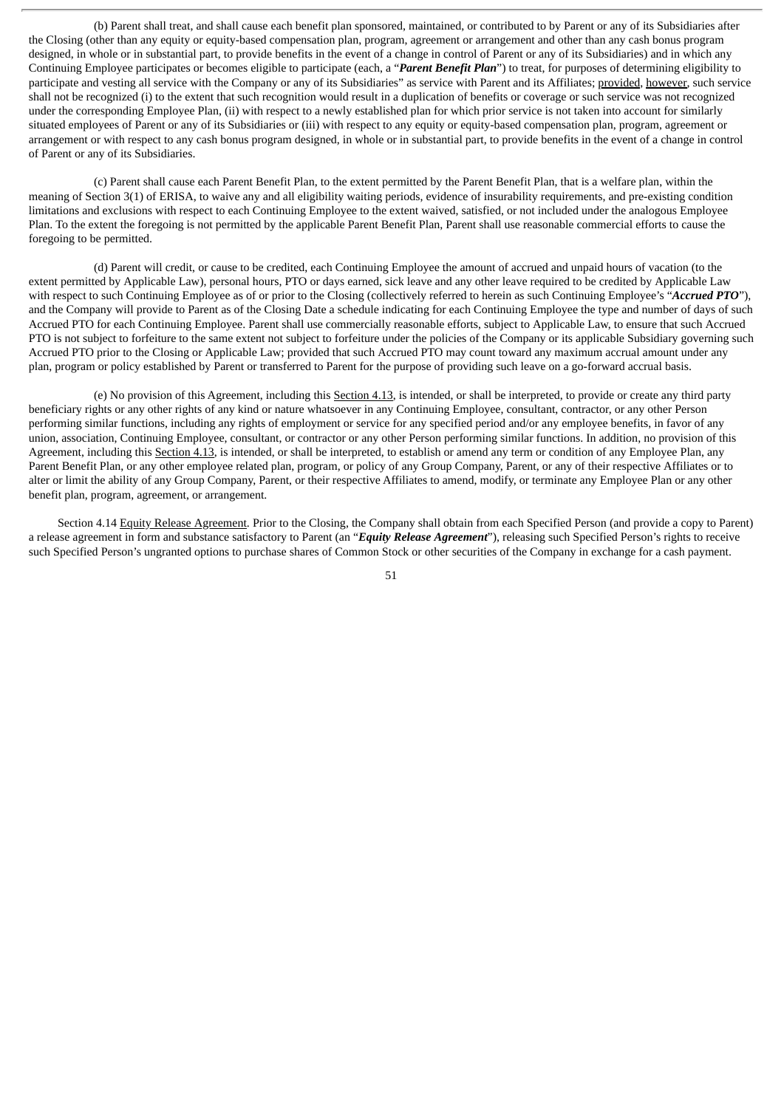(b) Parent shall treat, and shall cause each benefit plan sponsored, maintained, or contributed to by Parent or any of its Subsidiaries after the Closing (other than any equity or equity-based compensation plan, program, agreement or arrangement and other than any cash bonus program designed, in whole or in substantial part, to provide benefits in the event of a change in control of Parent or any of its Subsidiaries) and in which any Continuing Employee participates or becomes eligible to participate (each, a "*Parent Benefit Plan*") to treat, for purposes of determining eligibility to participate and vesting all service with the Company or any of its Subsidiaries" as service with Parent and its Affiliates; provided, however, such service shall not be recognized (i) to the extent that such recognition would result in a duplication of benefits or coverage or such service was not recognized under the corresponding Employee Plan, (ii) with respect to a newly established plan for which prior service is not taken into account for similarly situated employees of Parent or any of its Subsidiaries or (iii) with respect to any equity or equity-based compensation plan, program, agreement or arrangement or with respect to any cash bonus program designed, in whole or in substantial part, to provide benefits in the event of a change in control of Parent or any of its Subsidiaries.

(c) Parent shall cause each Parent Benefit Plan, to the extent permitted by the Parent Benefit Plan, that is a welfare plan, within the meaning of Section 3(1) of ERISA, to waive any and all eligibility waiting periods, evidence of insurability requirements, and pre-existing condition limitations and exclusions with respect to each Continuing Employee to the extent waived, satisfied, or not included under the analogous Employee Plan. To the extent the foregoing is not permitted by the applicable Parent Benefit Plan, Parent shall use reasonable commercial efforts to cause the foregoing to be permitted.

(d) Parent will credit, or cause to be credited, each Continuing Employee the amount of accrued and unpaid hours of vacation (to the extent permitted by Applicable Law), personal hours, PTO or days earned, sick leave and any other leave required to be credited by Applicable Law with respect to such Continuing Employee as of or prior to the Closing (collectively referred to herein as such Continuing Employee's "*Accrued PTO*"), and the Company will provide to Parent as of the Closing Date a schedule indicating for each Continuing Employee the type and number of days of such Accrued PTO for each Continuing Employee. Parent shall use commercially reasonable efforts, subject to Applicable Law, to ensure that such Accrued PTO is not subject to forfeiture to the same extent not subject to forfeiture under the policies of the Company or its applicable Subsidiary governing such Accrued PTO prior to the Closing or Applicable Law; provided that such Accrued PTO may count toward any maximum accrual amount under any plan, program or policy established by Parent or transferred to Parent for the purpose of providing such leave on a go-forward accrual basis.

(e) No provision of this Agreement, including this Section 4.13, is intended, or shall be interpreted, to provide or create any third party beneficiary rights or any other rights of any kind or nature whatsoever in any Continuing Employee, consultant, contractor, or any other Person performing similar functions, including any rights of employment or service for any specified period and/or any employee benefits, in favor of any union, association, Continuing Employee, consultant, or contractor or any other Person performing similar functions. In addition, no provision of this Agreement, including this Section 4.13, is intended, or shall be interpreted, to establish or amend any term or condition of any Employee Plan, any Parent Benefit Plan, or any other employee related plan, program, or policy of any Group Company, Parent, or any of their respective Affiliates or to alter or limit the ability of any Group Company, Parent, or their respective Affiliates to amend, modify, or terminate any Employee Plan or any other benefit plan, program, agreement, or arrangement.

Section 4.14 Equity Release Agreement. Prior to the Closing, the Company shall obtain from each Specified Person (and provide a copy to Parent) a release agreement in form and substance satisfactory to Parent (an "*Equity Release Agreement*"), releasing such Specified Person's rights to receive such Specified Person's ungranted options to purchase shares of Common Stock or other securities of the Company in exchange for a cash payment.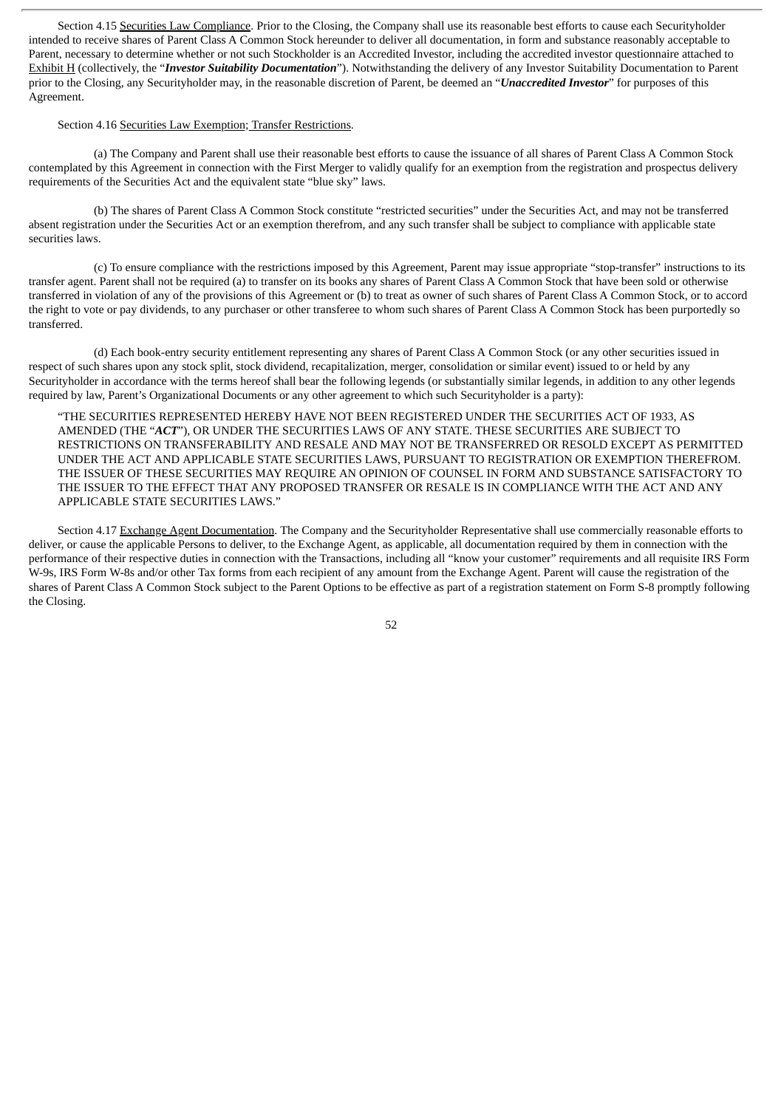Section 4.15 Securities Law Compliance. Prior to the Closing, the Company shall use its reasonable best efforts to cause each Securityholder intended to receive shares of Parent Class A Common Stock hereunder to deliver all documentation, in form and substance reasonably acceptable to Parent, necessary to determine whether or not such Stockholder is an Accredited Investor, including the accredited investor questionnaire attached to Exhibit H (collectively, the "*Investor Suitability Documentation*"). Notwithstanding the delivery of any Investor Suitability Documentation to Parent prior to the Closing, any Securityholder may, in the reasonable discretion of Parent, be deemed an "*Unaccredited Investor*" for purposes of this Agreement.

### Section 4.16 Securities Law Exemption; Transfer Restrictions.

(a) The Company and Parent shall use their reasonable best efforts to cause the issuance of all shares of Parent Class A Common Stock contemplated by this Agreement in connection with the First Merger to validly qualify for an exemption from the registration and prospectus delivery requirements of the Securities Act and the equivalent state "blue sky" laws.

(b) The shares of Parent Class A Common Stock constitute "restricted securities" under the Securities Act, and may not be transferred absent registration under the Securities Act or an exemption therefrom, and any such transfer shall be subject to compliance with applicable state securities laws.

(c) To ensure compliance with the restrictions imposed by this Agreement, Parent may issue appropriate "stop-transfer" instructions to its transfer agent. Parent shall not be required (a) to transfer on its books any shares of Parent Class A Common Stock that have been sold or otherwise transferred in violation of any of the provisions of this Agreement or (b) to treat as owner of such shares of Parent Class A Common Stock, or to accord the right to vote or pay dividends, to any purchaser or other transferee to whom such shares of Parent Class A Common Stock has been purportedly so transferred.

(d) Each book-entry security entitlement representing any shares of Parent Class A Common Stock (or any other securities issued in respect of such shares upon any stock split, stock dividend, recapitalization, merger, consolidation or similar event) issued to or held by any Securityholder in accordance with the terms hereof shall bear the following legends (or substantially similar legends, in addition to any other legends required by law, Parent's Organizational Documents or any other agreement to which such Securityholder is a party):

"THE SECURITIES REPRESENTED HEREBY HAVE NOT BEEN REGISTERED UNDER THE SECURITIES ACT OF 1933, AS AMENDED (THE "*ACT*"), OR UNDER THE SECURITIES LAWS OF ANY STATE. THESE SECURITIES ARE SUBJECT TO RESTRICTIONS ON TRANSFERABILITY AND RESALE AND MAY NOT BE TRANSFERRED OR RESOLD EXCEPT AS PERMITTED UNDER THE ACT AND APPLICABLE STATE SECURITIES LAWS, PURSUANT TO REGISTRATION OR EXEMPTION THEREFROM. THE ISSUER OF THESE SECURITIES MAY REQUIRE AN OPINION OF COUNSEL IN FORM AND SUBSTANCE SATISFACTORY TO THE ISSUER TO THE EFFECT THAT ANY PROPOSED TRANSFER OR RESALE IS IN COMPLIANCE WITH THE ACT AND ANY APPLICABLE STATE SECURITIES LAWS."

Section 4.17 Exchange Agent Documentation. The Company and the Securityholder Representative shall use commercially reasonable efforts to deliver, or cause the applicable Persons to deliver, to the Exchange Agent, as applicable, all documentation required by them in connection with the performance of their respective duties in connection with the Transactions, including all "know your customer" requirements and all requisite IRS Form W-9s, IRS Form W-8s and/or other Tax forms from each recipient of any amount from the Exchange Agent. Parent will cause the registration of the shares of Parent Class A Common Stock subject to the Parent Options to be effective as part of a registration statement on Form S-8 promptly following the Closing.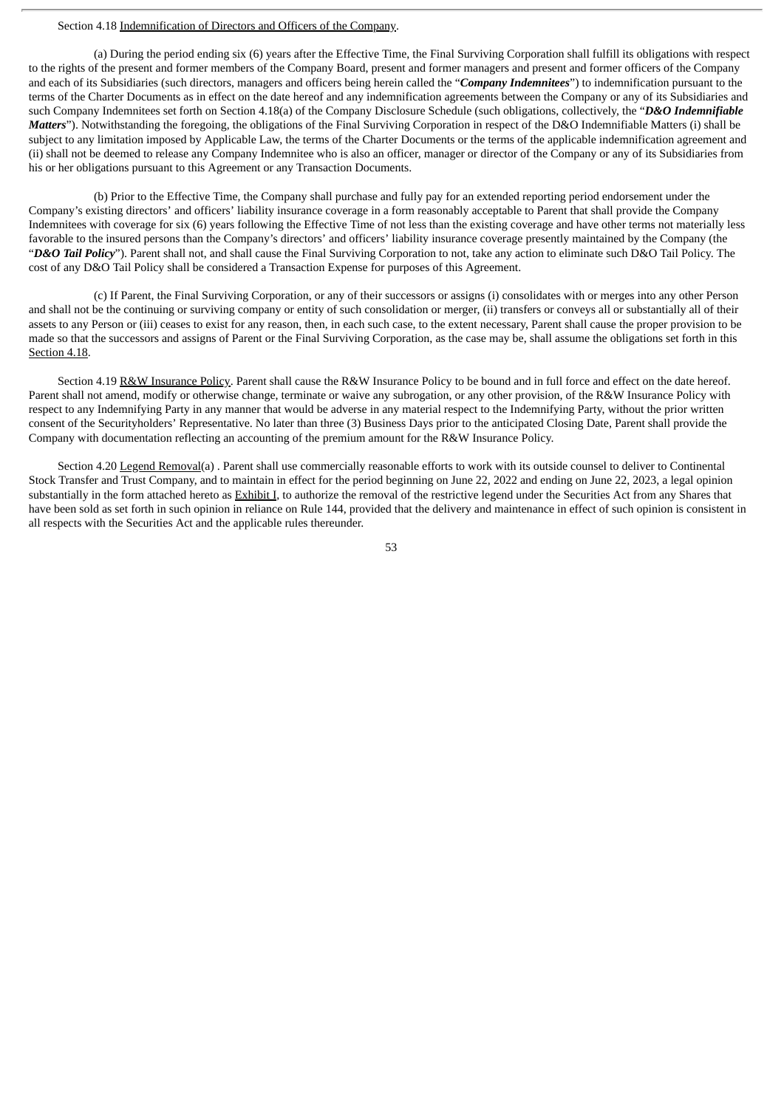## Section 4.18 Indemnification of Directors and Officers of the Company.

(a) During the period ending six (6) years after the Effective Time, the Final Surviving Corporation shall fulfill its obligations with respect to the rights of the present and former members of the Company Board, present and former managers and present and former officers of the Company and each of its Subsidiaries (such directors, managers and officers being herein called the "*Company Indemnitees*") to indemnification pursuant to the terms of the Charter Documents as in effect on the date hereof and any indemnification agreements between the Company or any of its Subsidiaries and such Company Indemnitees set forth on Section 4.18(a) of the Company Disclosure Schedule (such obligations, collectively, the "*D&O Indemnifiable Matters*"). Notwithstanding the foregoing, the obligations of the Final Surviving Corporation in respect of the D&O Indemnifiable Matters (i) shall be subject to any limitation imposed by Applicable Law, the terms of the Charter Documents or the terms of the applicable indemnification agreement and (ii) shall not be deemed to release any Company Indemnitee who is also an officer, manager or director of the Company or any of its Subsidiaries from his or her obligations pursuant to this Agreement or any Transaction Documents.

(b) Prior to the Effective Time, the Company shall purchase and fully pay for an extended reporting period endorsement under the Company's existing directors' and officers' liability insurance coverage in a form reasonably acceptable to Parent that shall provide the Company Indemnitees with coverage for six (6) years following the Effective Time of not less than the existing coverage and have other terms not materially less favorable to the insured persons than the Company's directors' and officers' liability insurance coverage presently maintained by the Company (the "*D&O Tail Policy*"). Parent shall not, and shall cause the Final Surviving Corporation to not, take any action to eliminate such D&O Tail Policy. The cost of any D&O Tail Policy shall be considered a Transaction Expense for purposes of this Agreement.

(c) If Parent, the Final Surviving Corporation, or any of their successors or assigns (i) consolidates with or merges into any other Person and shall not be the continuing or surviving company or entity of such consolidation or merger, (ii) transfers or conveys all or substantially all of their assets to any Person or (iii) ceases to exist for any reason, then, in each such case, to the extent necessary, Parent shall cause the proper provision to be made so that the successors and assigns of Parent or the Final Surviving Corporation, as the case may be, shall assume the obligations set forth in this Section 4.18.

Section 4.19 R&W Insurance Policy. Parent shall cause the R&W Insurance Policy to be bound and in full force and effect on the date hereof. Parent shall not amend, modify or otherwise change, terminate or waive any subrogation, or any other provision, of the R&W Insurance Policy with respect to any Indemnifying Party in any manner that would be adverse in any material respect to the Indemnifying Party, without the prior written consent of the Securityholders' Representative. No later than three (3) Business Days prior to the anticipated Closing Date, Parent shall provide the Company with documentation reflecting an accounting of the premium amount for the R&W Insurance Policy.

Section 4.20 Legend Removal(a) . Parent shall use commercially reasonable efforts to work with its outside counsel to deliver to Continental Stock Transfer and Trust Company, and to maintain in effect for the period beginning on June 22, 2022 and ending on June 22, 2023, a legal opinion substantially in the form attached hereto as Exhibit I, to authorize the removal of the restrictive legend under the Securities Act from any Shares that have been sold as set forth in such opinion in reliance on Rule 144, provided that the delivery and maintenance in effect of such opinion is consistent in all respects with the Securities Act and the applicable rules thereunder.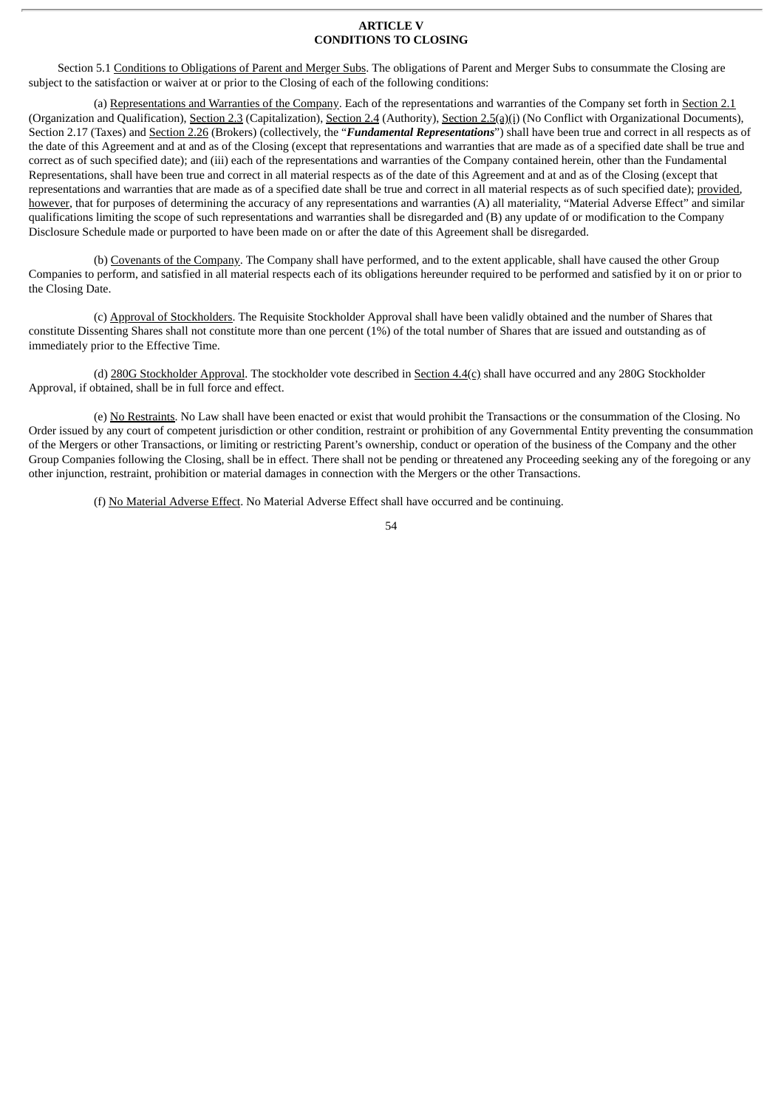## **ARTICLE V CONDITIONS TO CLOSING**

Section 5.1 Conditions to Obligations of Parent and Merger Subs. The obligations of Parent and Merger Subs to consummate the Closing are subject to the satisfaction or waiver at or prior to the Closing of each of the following conditions:

(a) Representations and Warranties of the Company. Each of the representations and warranties of the Company set forth in Section 2.1 (Organization and Qualification), Section 2.3 (Capitalization), Section 2.4 (Authority), Section 2.5(a)(i) (No Conflict with Organizational Documents), Section 2.17 (Taxes) and Section 2.26 (Brokers) (collectively, the "*Fundamental Representations*") shall have been true and correct in all respects as of the date of this Agreement and at and as of the Closing (except that representations and warranties that are made as of a specified date shall be true and correct as of such specified date); and (iii) each of the representations and warranties of the Company contained herein, other than the Fundamental Representations, shall have been true and correct in all material respects as of the date of this Agreement and at and as of the Closing (except that representations and warranties that are made as of a specified date shall be true and correct in all material respects as of such specified date); provided*,* however, that for purposes of determining the accuracy of any representations and warranties (A) all materiality, "Material Adverse Effect" and similar qualifications limiting the scope of such representations and warranties shall be disregarded and (B) any update of or modification to the Company Disclosure Schedule made or purported to have been made on or after the date of this Agreement shall be disregarded.

(b) Covenants of the Company. The Company shall have performed, and to the extent applicable, shall have caused the other Group Companies to perform, and satisfied in all material respects each of its obligations hereunder required to be performed and satisfied by it on or prior to the Closing Date.

(c) Approval of Stockholders. The Requisite Stockholder Approval shall have been validly obtained and the number of Shares that constitute Dissenting Shares shall not constitute more than one percent (1%) of the total number of Shares that are issued and outstanding as of immediately prior to the Effective Time.

(d) 280G Stockholder Approval. The stockholder vote described in Section 4.4(c) shall have occurred and any 280G Stockholder Approval, if obtained, shall be in full force and effect.

(e) No Restraints. No Law shall have been enacted or exist that would prohibit the Transactions or the consummation of the Closing. No Order issued by any court of competent jurisdiction or other condition, restraint or prohibition of any Governmental Entity preventing the consummation of the Mergers or other Transactions, or limiting or restricting Parent's ownership, conduct or operation of the business of the Company and the other Group Companies following the Closing, shall be in effect. There shall not be pending or threatened any Proceeding seeking any of the foregoing or any other injunction, restraint, prohibition or material damages in connection with the Mergers or the other Transactions.

(f) No Material Adverse Effect. No Material Adverse Effect shall have occurred and be continuing.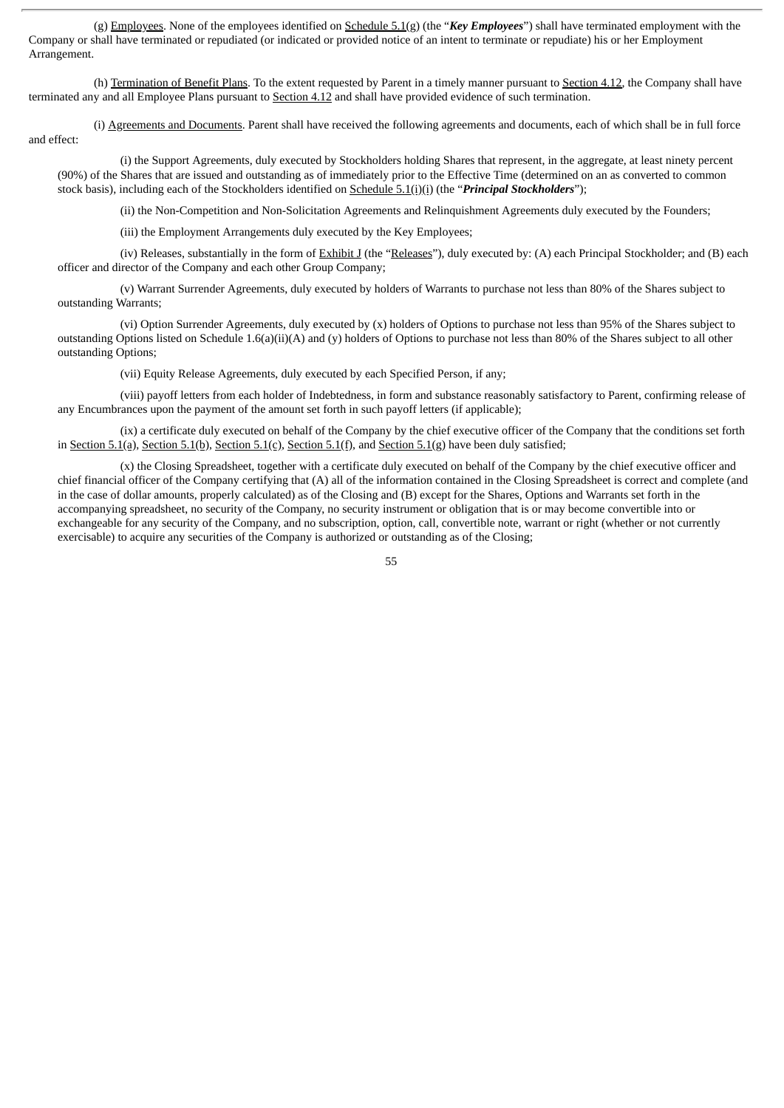(g) Employees. None of the employees identified on Schedule 5.1(g) (the "*Key Employees*") shall have terminated employment with the Company or shall have terminated or repudiated (or indicated or provided notice of an intent to terminate or repudiate) his or her Employment Arrangement.

(h) Termination of Benefit Plans. To the extent requested by Parent in a timely manner pursuant to Section 4.12, the Company shall have terminated any and all Employee Plans pursuant to Section 4.12 and shall have provided evidence of such termination.

(i) Agreements and Documents. Parent shall have received the following agreements and documents, each of which shall be in full force and effect:

(i) the Support Agreements, duly executed by Stockholders holding Shares that represent, in the aggregate, at least ninety percent (90%) of the Shares that are issued and outstanding as of immediately prior to the Effective Time (determined on an as converted to common stock basis), including each of the Stockholders identified on Schedule 5.1(i)(i) (the "*Principal Stockholders*");

(ii) the Non-Competition and Non-Solicitation Agreements and Relinquishment Agreements duly executed by the Founders;

(iii) the Employment Arrangements duly executed by the Key Employees;

(iv) Releases, substantially in the form of  $Exhibit J$  (the "Releases"), duly executed by: (A) each Principal Stockholder; and (B) each officer and director of the Company and each other Group Company;

(v) Warrant Surrender Agreements, duly executed by holders of Warrants to purchase not less than 80% of the Shares subject to outstanding Warrants;

(vi) Option Surrender Agreements, duly executed by (x) holders of Options to purchase not less than 95% of the Shares subject to outstanding Options listed on Schedule 1.6(a)(ii)(A) and (y) holders of Options to purchase not less than 80% of the Shares subject to all other outstanding Options;

(vii) Equity Release Agreements, duly executed by each Specified Person, if any;

(viii) payoff letters from each holder of Indebtedness, in form and substance reasonably satisfactory to Parent, confirming release of any Encumbrances upon the payment of the amount set forth in such payoff letters (if applicable);

(ix) a certificate duly executed on behalf of the Company by the chief executive officer of the Company that the conditions set forth in Section 5.1(a), Section 5.1(b), Section 5.1(c), Section 5.1(f), and Section 5.1(g) have been duly satisfied;

(x) the Closing Spreadsheet, together with a certificate duly executed on behalf of the Company by the chief executive officer and chief financial officer of the Company certifying that (A) all of the information contained in the Closing Spreadsheet is correct and complete (and in the case of dollar amounts, properly calculated) as of the Closing and (B) except for the Shares, Options and Warrants set forth in the accompanying spreadsheet, no security of the Company, no security instrument or obligation that is or may become convertible into or exchangeable for any security of the Company, and no subscription, option, call, convertible note, warrant or right (whether or not currently exercisable) to acquire any securities of the Company is authorized or outstanding as of the Closing;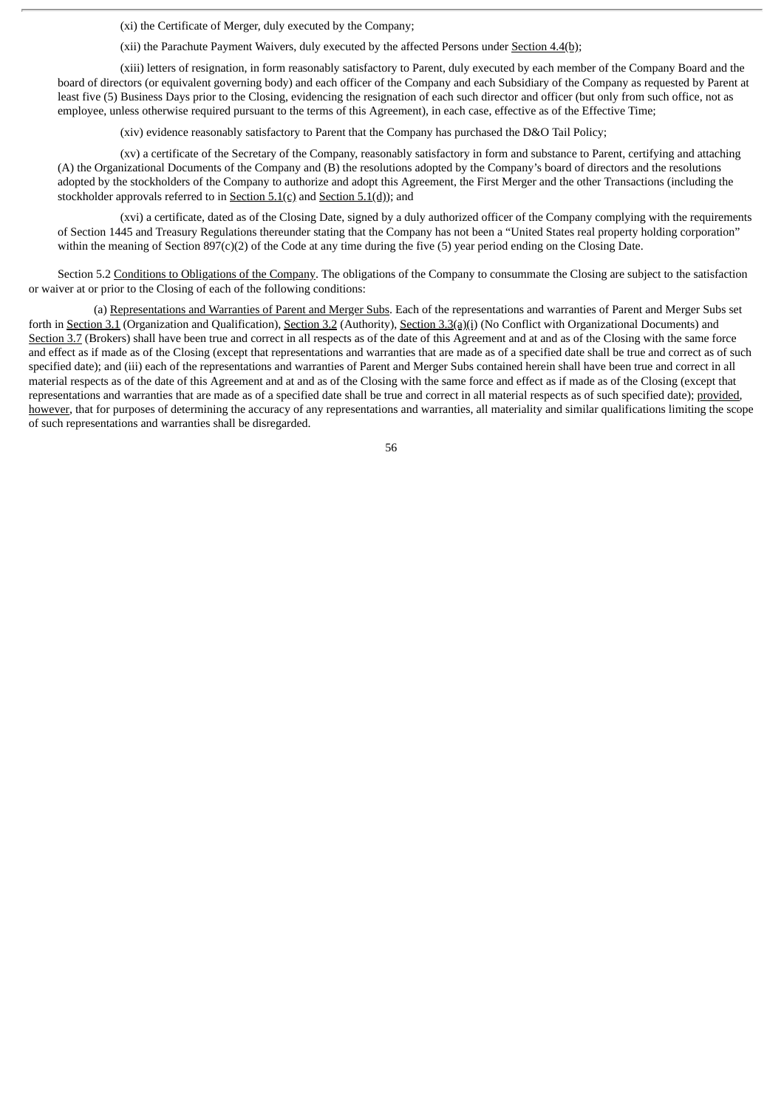(xi) the Certificate of Merger, duly executed by the Company;

(xii) the Parachute Payment Waivers, duly executed by the affected Persons under Section 4.4(b);

(xiii) letters of resignation, in form reasonably satisfactory to Parent, duly executed by each member of the Company Board and the board of directors (or equivalent governing body) and each officer of the Company and each Subsidiary of the Company as requested by Parent at least five (5) Business Days prior to the Closing, evidencing the resignation of each such director and officer (but only from such office, not as employee, unless otherwise required pursuant to the terms of this Agreement), in each case, effective as of the Effective Time;

(xiv) evidence reasonably satisfactory to Parent that the Company has purchased the D&O Tail Policy;

(xv) a certificate of the Secretary of the Company, reasonably satisfactory in form and substance to Parent, certifying and attaching (A) the Organizational Documents of the Company and (B) the resolutions adopted by the Company's board of directors and the resolutions adopted by the stockholders of the Company to authorize and adopt this Agreement, the First Merger and the other Transactions (including the stockholder approvals referred to in Section 5.1(c) and Section 5.1(d)); and

(xvi) a certificate, dated as of the Closing Date, signed by a duly authorized officer of the Company complying with the requirements of Section 1445 and Treasury Regulations thereunder stating that the Company has not been a "United States real property holding corporation" within the meaning of Section 897(c)(2) of the Code at any time during the five (5) year period ending on the Closing Date.

Section 5.2 Conditions to Obligations of the Company. The obligations of the Company to consummate the Closing are subject to the satisfaction or waiver at or prior to the Closing of each of the following conditions:

(a) Representations and Warranties of Parent and Merger Subs. Each of the representations and warranties of Parent and Merger Subs set forth in Section 3.1 (Organization and Qualification), Section 3.2 (Authority), Section 3.3(a)(i) (No Conflict with Organizational Documents) and Section 3.7 (Brokers) shall have been true and correct in all respects as of the date of this Agreement and at and as of the Closing with the same force and effect as if made as of the Closing (except that representations and warranties that are made as of a specified date shall be true and correct as of such specified date); and (iii) each of the representations and warranties of Parent and Merger Subs contained herein shall have been true and correct in all material respects as of the date of this Agreement and at and as of the Closing with the same force and effect as if made as of the Closing (except that representations and warranties that are made as of a specified date shall be true and correct in all material respects as of such specified date); provided*,* however, that for purposes of determining the accuracy of any representations and warranties, all materiality and similar qualifications limiting the scope of such representations and warranties shall be disregarded.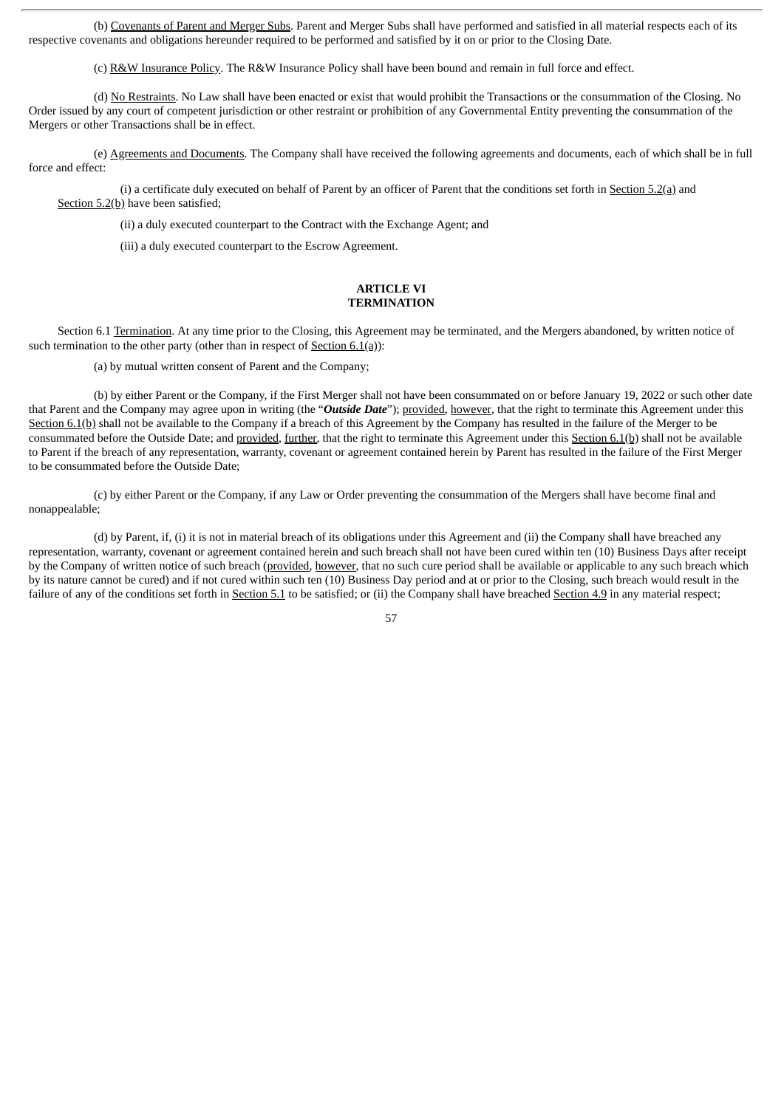(b) Covenants of Parent and Merger Subs. Parent and Merger Subs shall have performed and satisfied in all material respects each of its respective covenants and obligations hereunder required to be performed and satisfied by it on or prior to the Closing Date.

(c) R&W Insurance Policy. The R&W Insurance Policy shall have been bound and remain in full force and effect.

(d) No Restraints. No Law shall have been enacted or exist that would prohibit the Transactions or the consummation of the Closing. No Order issued by any court of competent jurisdiction or other restraint or prohibition of any Governmental Entity preventing the consummation of the Mergers or other Transactions shall be in effect.

(e) Agreements and Documents. The Company shall have received the following agreements and documents, each of which shall be in full force and effect:

(i) a certificate duly executed on behalf of Parent by an officer of Parent that the conditions set forth in  $Section 5.2(q)$  and Section 5.2(b) have been satisfied;

(ii) a duly executed counterpart to the Contract with the Exchange Agent; and

(iii) a duly executed counterpart to the Escrow Agreement.

### **ARTICLE VI TERMINATION**

Section 6.1 Termination. At any time prior to the Closing, this Agreement may be terminated, and the Mergers abandoned, by written notice of such termination to the other party (other than in respect of Section  $6.1(a)$ ):

(a) by mutual written consent of Parent and the Company;

(b) by either Parent or the Company, if the First Merger shall not have been consummated on or before January 19, 2022 or such other date that Parent and the Company may agree upon in writing (the "*Outside Date*"); provided, however, that the right to terminate this Agreement under this Section 6.1(b) shall not be available to the Company if a breach of this Agreement by the Company has resulted in the failure of the Merger to be consummated before the Outside Date; and provided, further, that the right to terminate this Agreement under this Section 6.1(b) shall not be available to Parent if the breach of any representation, warranty, covenant or agreement contained herein by Parent has resulted in the failure of the First Merger to be consummated before the Outside Date;

(c) by either Parent or the Company, if any Law or Order preventing the consummation of the Mergers shall have become final and nonappealable;

(d) by Parent, if, (i) it is not in material breach of its obligations under this Agreement and (ii) the Company shall have breached any representation, warranty, covenant or agreement contained herein and such breach shall not have been cured within ten (10) Business Days after receipt by the Company of written notice of such breach (provided, however, that no such cure period shall be available or applicable to any such breach which by its nature cannot be cured) and if not cured within such ten (10) Business Day period and at or prior to the Closing, such breach would result in the failure of any of the conditions set forth in Section 5.1 to be satisfied; or (ii) the Company shall have breached Section 4.9 in any material respect;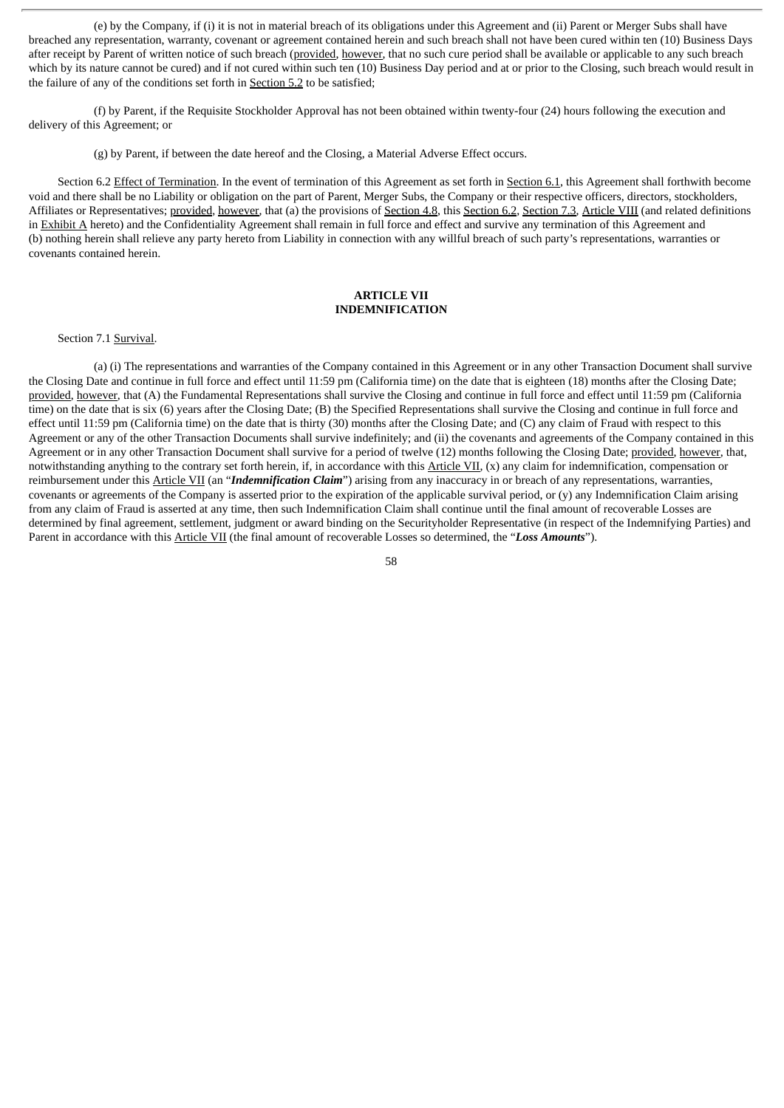(e) by the Company, if (i) it is not in material breach of its obligations under this Agreement and (ii) Parent or Merger Subs shall have breached any representation, warranty, covenant or agreement contained herein and such breach shall not have been cured within ten (10) Business Days after receipt by Parent of written notice of such breach (provided, however, that no such cure period shall be available or applicable to any such breach which by its nature cannot be cured) and if not cured within such ten (10) Business Day period and at or prior to the Closing, such breach would result in the failure of any of the conditions set forth in Section 5.2 to be satisfied;

(f) by Parent, if the Requisite Stockholder Approval has not been obtained within twenty-four (24) hours following the execution and delivery of this Agreement; or

(g) by Parent, if between the date hereof and the Closing, a Material Adverse Effect occurs.

Section 6.2 Effect of Termination. In the event of termination of this Agreement as set forth in Section 6.1, this Agreement shall forthwith become void and there shall be no Liability or obligation on the part of Parent, Merger Subs, the Company or their respective officers, directors, stockholders, Affiliates or Representatives; provided, however, that (a) the provisions of Section 4.8, this Section 6.2, Section 7.3, Article VIII (and related definitions in Exhibit A hereto) and the Confidentiality Agreement shall remain in full force and effect and survive any termination of this Agreement and (b) nothing herein shall relieve any party hereto from Liability in connection with any willful breach of such party's representations, warranties or covenants contained herein.

#### **ARTICLE VII INDEMNIFICATION**

Section 7.1 Survival.

(a) (i) The representations and warranties of the Company contained in this Agreement or in any other Transaction Document shall survive the Closing Date and continue in full force and effect until 11:59 pm (California time) on the date that is eighteen (18) months after the Closing Date; provided, however, that (A) the Fundamental Representations shall survive the Closing and continue in full force and effect until 11:59 pm (California time) on the date that is six (6) years after the Closing Date; (B) the Specified Representations shall survive the Closing and continue in full force and effect until 11:59 pm (California time) on the date that is thirty (30) months after the Closing Date; and (C) any claim of Fraud with respect to this Agreement or any of the other Transaction Documents shall survive indefinitely; and (ii) the covenants and agreements of the Company contained in this Agreement or in any other Transaction Document shall survive for a period of twelve (12) months following the Closing Date; provided, however, that, notwithstanding anything to the contrary set forth herein, if, in accordance with this Article VII, (x) any claim for indemnification, compensation or reimbursement under this Article VII (an "*Indemnification Claim*") arising from any inaccuracy in or breach of any representations, warranties, covenants or agreements of the Company is asserted prior to the expiration of the applicable survival period, or (y) any Indemnification Claim arising from any claim of Fraud is asserted at any time, then such Indemnification Claim shall continue until the final amount of recoverable Losses are determined by final agreement, settlement, judgment or award binding on the Securityholder Representative (in respect of the Indemnifying Parties) and Parent in accordance with this Article VII (the final amount of recoverable Losses so determined, the "*Loss Amounts*").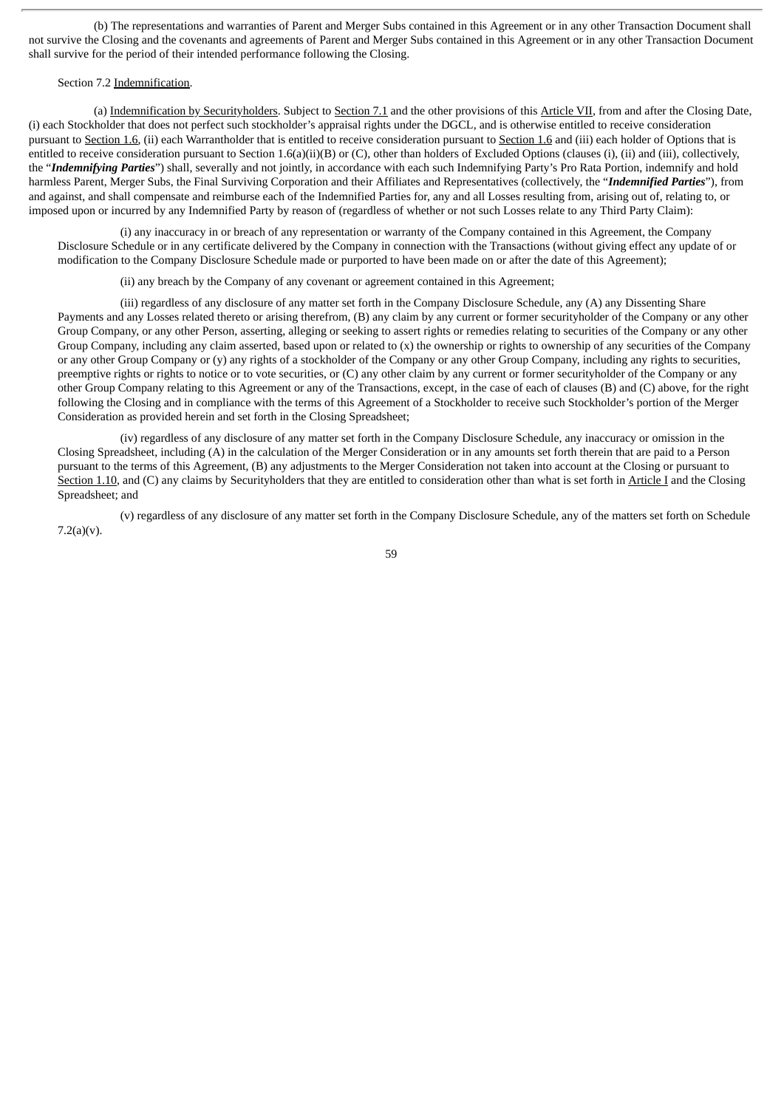(b) The representations and warranties of Parent and Merger Subs contained in this Agreement or in any other Transaction Document shall not survive the Closing and the covenants and agreements of Parent and Merger Subs contained in this Agreement or in any other Transaction Document shall survive for the period of their intended performance following the Closing.

# Section 7.2 Indemnification.

(a) Indemnification by Securityholders. Subject to Section 7.1 and the other provisions of this Article VII, from and after the Closing Date, (i) each Stockholder that does not perfect such stockholder's appraisal rights under the DGCL, and is otherwise entitled to receive consideration pursuant to Section 1.6, (ii) each Warrantholder that is entitled to receive consideration pursuant to Section 1.6 and (iii) each holder of Options that is entitled to receive consideration pursuant to Section 1.6(a)(ii)(B) or (C), other than holders of Excluded Options (clauses (i), (ii) and (iii), collectively, the "*Indemnifying Parties*") shall, severally and not jointly, in accordance with each such Indemnifying Party's Pro Rata Portion, indemnify and hold harmless Parent, Merger Subs, the Final Surviving Corporation and their Affiliates and Representatives (collectively, the "*Indemnified Parties*"), from and against, and shall compensate and reimburse each of the Indemnified Parties for, any and all Losses resulting from, arising out of, relating to, or imposed upon or incurred by any Indemnified Party by reason of (regardless of whether or not such Losses relate to any Third Party Claim):

(i) any inaccuracy in or breach of any representation or warranty of the Company contained in this Agreement, the Company Disclosure Schedule or in any certificate delivered by the Company in connection with the Transactions (without giving effect any update of or modification to the Company Disclosure Schedule made or purported to have been made on or after the date of this Agreement);

(ii) any breach by the Company of any covenant or agreement contained in this Agreement;

(iii) regardless of any disclosure of any matter set forth in the Company Disclosure Schedule, any (A) any Dissenting Share Payments and any Losses related thereto or arising therefrom, (B) any claim by any current or former securityholder of the Company or any other Group Company, or any other Person, asserting, alleging or seeking to assert rights or remedies relating to securities of the Company or any other Group Company, including any claim asserted, based upon or related to (x) the ownership or rights to ownership of any securities of the Company or any other Group Company or (y) any rights of a stockholder of the Company or any other Group Company, including any rights to securities, preemptive rights or rights to notice or to vote securities, or (C) any other claim by any current or former securityholder of the Company or any other Group Company relating to this Agreement or any of the Transactions, except, in the case of each of clauses (B) and (C) above, for the right following the Closing and in compliance with the terms of this Agreement of a Stockholder to receive such Stockholder's portion of the Merger Consideration as provided herein and set forth in the Closing Spreadsheet;

(iv) regardless of any disclosure of any matter set forth in the Company Disclosure Schedule, any inaccuracy or omission in the Closing Spreadsheet, including (A) in the calculation of the Merger Consideration or in any amounts set forth therein that are paid to a Person pursuant to the terms of this Agreement, (B) any adjustments to the Merger Consideration not taken into account at the Closing or pursuant to Section 1.10, and (C) any claims by Securityholders that they are entitled to consideration other than what is set forth in Article I and the Closing Spreadsheet; and

(v) regardless of any disclosure of any matter set forth in the Company Disclosure Schedule, any of the matters set forth on Schedule 7.2(a)(v).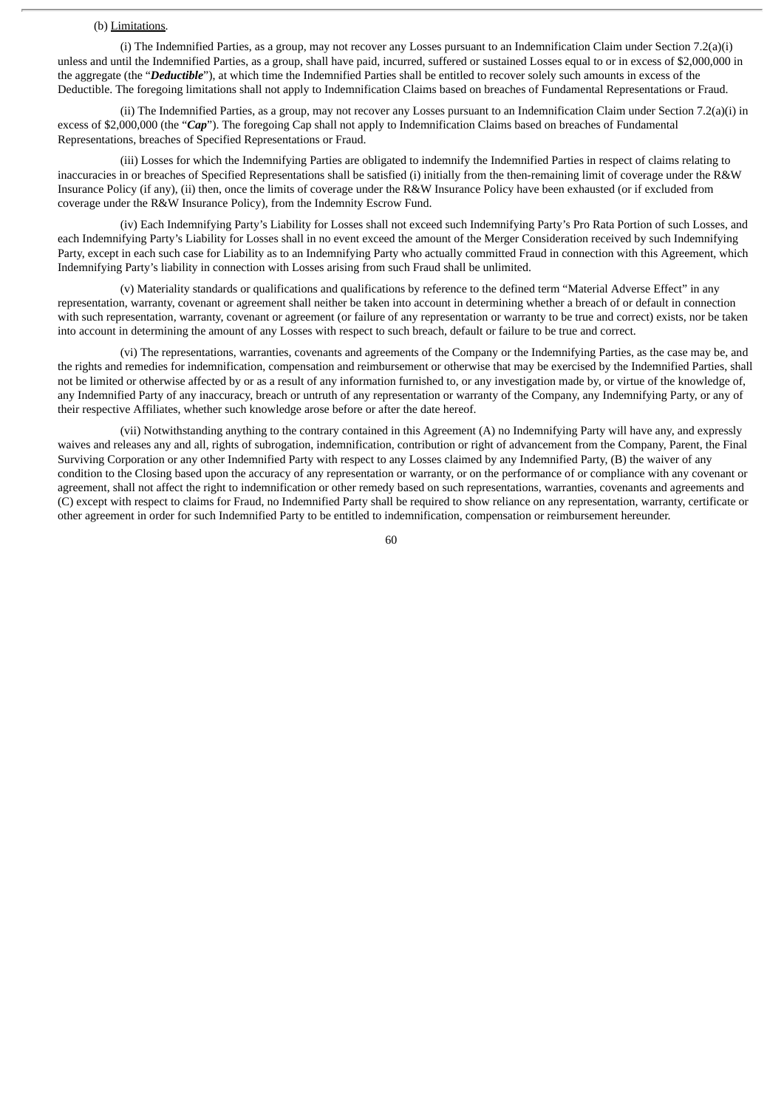## (b) Limitations.

(i) The Indemnified Parties, as a group, may not recover any Losses pursuant to an Indemnification Claim under Section 7.2(a)(i) unless and until the Indemnified Parties, as a group, shall have paid, incurred, suffered or sustained Losses equal to or in excess of \$2,000,000 in the aggregate (the "*Deductible*"), at which time the Indemnified Parties shall be entitled to recover solely such amounts in excess of the Deductible. The foregoing limitations shall not apply to Indemnification Claims based on breaches of Fundamental Representations or Fraud.

(ii) The Indemnified Parties, as a group, may not recover any Losses pursuant to an Indemnification Claim under Section 7.2(a)(i) in excess of \$2,000,000 (the "*Cap*"). The foregoing Cap shall not apply to Indemnification Claims based on breaches of Fundamental Representations, breaches of Specified Representations or Fraud.

(iii) Losses for which the Indemnifying Parties are obligated to indemnify the Indemnified Parties in respect of claims relating to inaccuracies in or breaches of Specified Representations shall be satisfied (i) initially from the then-remaining limit of coverage under the R&W Insurance Policy (if any), (ii) then, once the limits of coverage under the R&W Insurance Policy have been exhausted (or if excluded from coverage under the R&W Insurance Policy), from the Indemnity Escrow Fund.

(iv) Each Indemnifying Party's Liability for Losses shall not exceed such Indemnifying Party's Pro Rata Portion of such Losses, and each Indemnifying Party's Liability for Losses shall in no event exceed the amount of the Merger Consideration received by such Indemnifying Party, except in each such case for Liability as to an Indemnifying Party who actually committed Fraud in connection with this Agreement, which Indemnifying Party's liability in connection with Losses arising from such Fraud shall be unlimited.

(v) Materiality standards or qualifications and qualifications by reference to the defined term "Material Adverse Effect" in any representation, warranty, covenant or agreement shall neither be taken into account in determining whether a breach of or default in connection with such representation, warranty, covenant or agreement (or failure of any representation or warranty to be true and correct) exists, nor be taken into account in determining the amount of any Losses with respect to such breach, default or failure to be true and correct.

(vi) The representations, warranties, covenants and agreements of the Company or the Indemnifying Parties, as the case may be, and the rights and remedies for indemnification, compensation and reimbursement or otherwise that may be exercised by the Indemnified Parties, shall not be limited or otherwise affected by or as a result of any information furnished to, or any investigation made by, or virtue of the knowledge of, any Indemnified Party of any inaccuracy, breach or untruth of any representation or warranty of the Company, any Indemnifying Party, or any of their respective Affiliates, whether such knowledge arose before or after the date hereof.

(vii) Notwithstanding anything to the contrary contained in this Agreement (A) no Indemnifying Party will have any, and expressly waives and releases any and all, rights of subrogation, indemnification, contribution or right of advancement from the Company, Parent, the Final Surviving Corporation or any other Indemnified Party with respect to any Losses claimed by any Indemnified Party, (B) the waiver of any condition to the Closing based upon the accuracy of any representation or warranty, or on the performance of or compliance with any covenant or agreement, shall not affect the right to indemnification or other remedy based on such representations, warranties, covenants and agreements and (C) except with respect to claims for Fraud, no Indemnified Party shall be required to show reliance on any representation, warranty, certificate or other agreement in order for such Indemnified Party to be entitled to indemnification, compensation or reimbursement hereunder.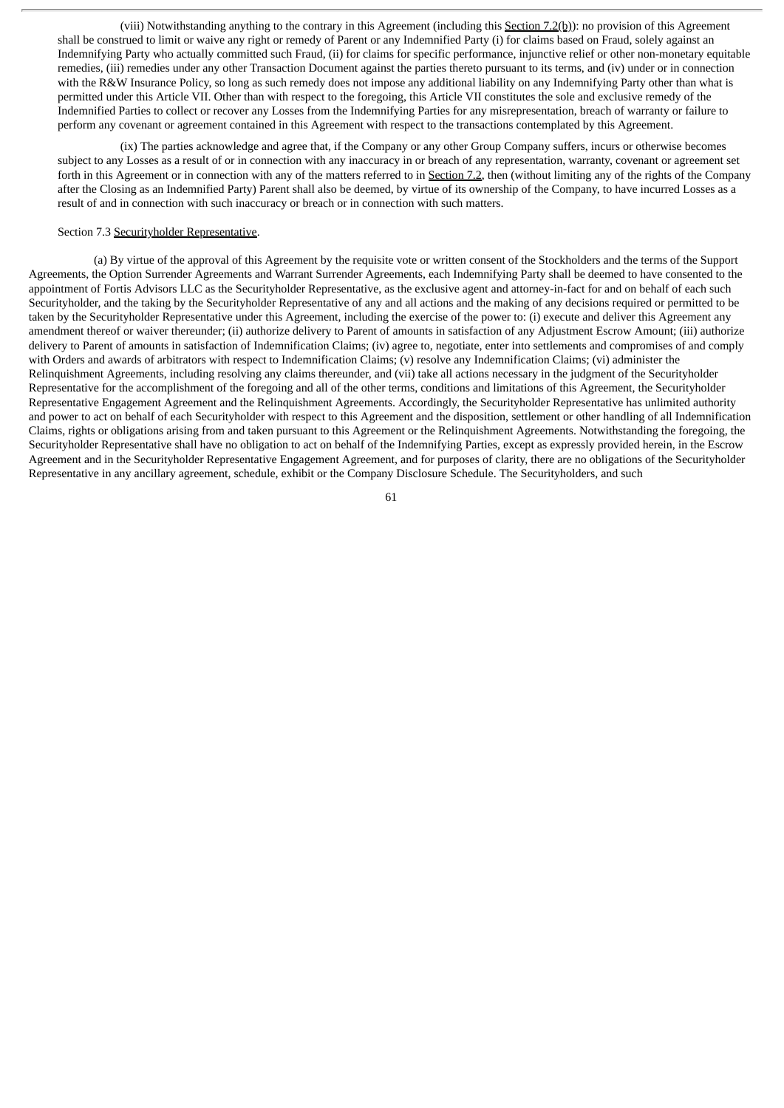(viii) Notwithstanding anything to the contrary in this Agreement (including this Section 7.2(b)): no provision of this Agreement shall be construed to limit or waive any right or remedy of Parent or any Indemnified Party (i) for claims based on Fraud, solely against an Indemnifying Party who actually committed such Fraud, (ii) for claims for specific performance, injunctive relief or other non-monetary equitable remedies, (iii) remedies under any other Transaction Document against the parties thereto pursuant to its terms, and (iv) under or in connection with the R&W Insurance Policy, so long as such remedy does not impose any additional liability on any Indemnifying Party other than what is permitted under this Article VII. Other than with respect to the foregoing, this Article VII constitutes the sole and exclusive remedy of the Indemnified Parties to collect or recover any Losses from the Indemnifying Parties for any misrepresentation, breach of warranty or failure to perform any covenant or agreement contained in this Agreement with respect to the transactions contemplated by this Agreement.

(ix) The parties acknowledge and agree that, if the Company or any other Group Company suffers, incurs or otherwise becomes subject to any Losses as a result of or in connection with any inaccuracy in or breach of any representation, warranty, covenant or agreement set forth in this Agreement or in connection with any of the matters referred to in Section 7.2, then (without limiting any of the rights of the Company after the Closing as an Indemnified Party) Parent shall also be deemed, by virtue of its ownership of the Company, to have incurred Losses as a result of and in connection with such inaccuracy or breach or in connection with such matters.

#### Section 7.3 Securityholder Representative.

(a) By virtue of the approval of this Agreement by the requisite vote or written consent of the Stockholders and the terms of the Support Agreements, the Option Surrender Agreements and Warrant Surrender Agreements, each Indemnifying Party shall be deemed to have consented to the appointment of Fortis Advisors LLC as the Securityholder Representative, as the exclusive agent and attorney-in-fact for and on behalf of each such Securityholder, and the taking by the Securityholder Representative of any and all actions and the making of any decisions required or permitted to be taken by the Securityholder Representative under this Agreement, including the exercise of the power to: (i) execute and deliver this Agreement any amendment thereof or waiver thereunder; (ii) authorize delivery to Parent of amounts in satisfaction of any Adjustment Escrow Amount; (iii) authorize delivery to Parent of amounts in satisfaction of Indemnification Claims; (iv) agree to, negotiate, enter into settlements and compromises of and comply with Orders and awards of arbitrators with respect to Indemnification Claims; (v) resolve any Indemnification Claims; (vi) administer the Relinquishment Agreements, including resolving any claims thereunder, and (vii) take all actions necessary in the judgment of the Securityholder Representative for the accomplishment of the foregoing and all of the other terms, conditions and limitations of this Agreement, the Securityholder Representative Engagement Agreement and the Relinquishment Agreements. Accordingly, the Securityholder Representative has unlimited authority and power to act on behalf of each Securityholder with respect to this Agreement and the disposition, settlement or other handling of all Indemnification Claims, rights or obligations arising from and taken pursuant to this Agreement or the Relinquishment Agreements. Notwithstanding the foregoing, the Securityholder Representative shall have no obligation to act on behalf of the Indemnifying Parties, except as expressly provided herein, in the Escrow Agreement and in the Securityholder Representative Engagement Agreement, and for purposes of clarity, there are no obligations of the Securityholder Representative in any ancillary agreement, schedule, exhibit or the Company Disclosure Schedule. The Securityholders, and such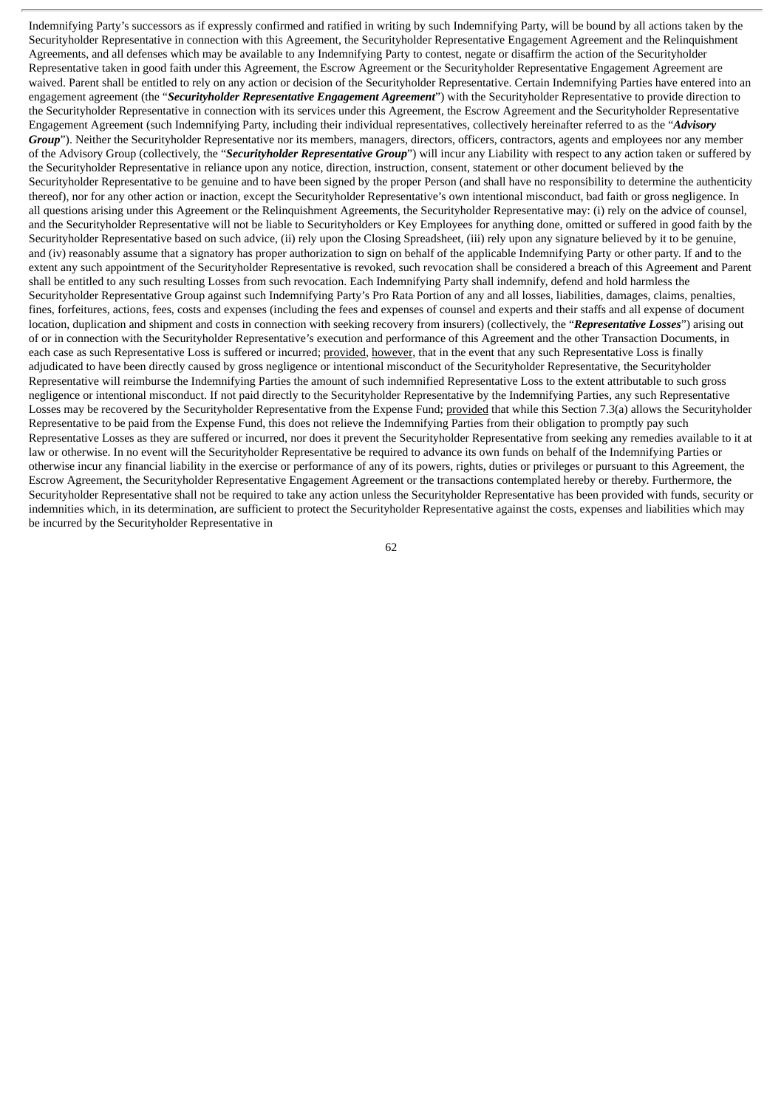Indemnifying Party's successors as if expressly confirmed and ratified in writing by such Indemnifying Party, will be bound by all actions taken by the Securityholder Representative in connection with this Agreement, the Securityholder Representative Engagement Agreement and the Relinquishment Agreements, and all defenses which may be available to any Indemnifying Party to contest, negate or disaffirm the action of the Securityholder Representative taken in good faith under this Agreement, the Escrow Agreement or the Securityholder Representative Engagement Agreement are waived. Parent shall be entitled to rely on any action or decision of the Securityholder Representative. Certain Indemnifying Parties have entered into an engagement agreement (the "*Securityholder Representative Engagement Agreement*") with the Securityholder Representative to provide direction to the Securityholder Representative in connection with its services under this Agreement, the Escrow Agreement and the Securityholder Representative Engagement Agreement (such Indemnifying Party, including their individual representatives, collectively hereinafter referred to as the "*Advisory Group*"). Neither the Securityholder Representative nor its members, managers, directors, officers, contractors, agents and employees nor any member of the Advisory Group (collectively, the "*Securityholder Representative Group*") will incur any Liability with respect to any action taken or suffered by the Securityholder Representative in reliance upon any notice, direction, instruction, consent, statement or other document believed by the Securityholder Representative to be genuine and to have been signed by the proper Person (and shall have no responsibility to determine the authenticity thereof), nor for any other action or inaction, except the Securityholder Representative's own intentional misconduct, bad faith or gross negligence. In all questions arising under this Agreement or the Relinquishment Agreements, the Securityholder Representative may: (i) rely on the advice of counsel, and the Securityholder Representative will not be liable to Securityholders or Key Employees for anything done, omitted or suffered in good faith by the Securityholder Representative based on such advice, (ii) rely upon the Closing Spreadsheet, (iii) rely upon any signature believed by it to be genuine, and (iv) reasonably assume that a signatory has proper authorization to sign on behalf of the applicable Indemnifying Party or other party. If and to the extent any such appointment of the Securityholder Representative is revoked, such revocation shall be considered a breach of this Agreement and Parent shall be entitled to any such resulting Losses from such revocation. Each Indemnifying Party shall indemnify, defend and hold harmless the Securityholder Representative Group against such Indemnifying Party's Pro Rata Portion of any and all losses, liabilities, damages, claims, penalties, fines, forfeitures, actions, fees, costs and expenses (including the fees and expenses of counsel and experts and their staffs and all expense of document location, duplication and shipment and costs in connection with seeking recovery from insurers) (collectively, the "*Representative Losses*") arising out of or in connection with the Securityholder Representative's execution and performance of this Agreement and the other Transaction Documents, in each case as such Representative Loss is suffered or incurred; provided*,* however, that in the event that any such Representative Loss is finally adjudicated to have been directly caused by gross negligence or intentional misconduct of the Securityholder Representative, the Securityholder Representative will reimburse the Indemnifying Parties the amount of such indemnified Representative Loss to the extent attributable to such gross negligence or intentional misconduct. If not paid directly to the Securityholder Representative by the Indemnifying Parties, any such Representative Losses may be recovered by the Securityholder Representative from the Expense Fund; provided that while this Section 7.3(a) allows the Securityholder Representative to be paid from the Expense Fund, this does not relieve the Indemnifying Parties from their obligation to promptly pay such Representative Losses as they are suffered or incurred, nor does it prevent the Securityholder Representative from seeking any remedies available to it at law or otherwise. In no event will the Securityholder Representative be required to advance its own funds on behalf of the Indemnifying Parties or otherwise incur any financial liability in the exercise or performance of any of its powers, rights, duties or privileges or pursuant to this Agreement, the Escrow Agreement, the Securityholder Representative Engagement Agreement or the transactions contemplated hereby or thereby. Furthermore, the Securityholder Representative shall not be required to take any action unless the Securityholder Representative has been provided with funds, security or indemnities which, in its determination, are sufficient to protect the Securityholder Representative against the costs, expenses and liabilities which may be incurred by the Securityholder Representative in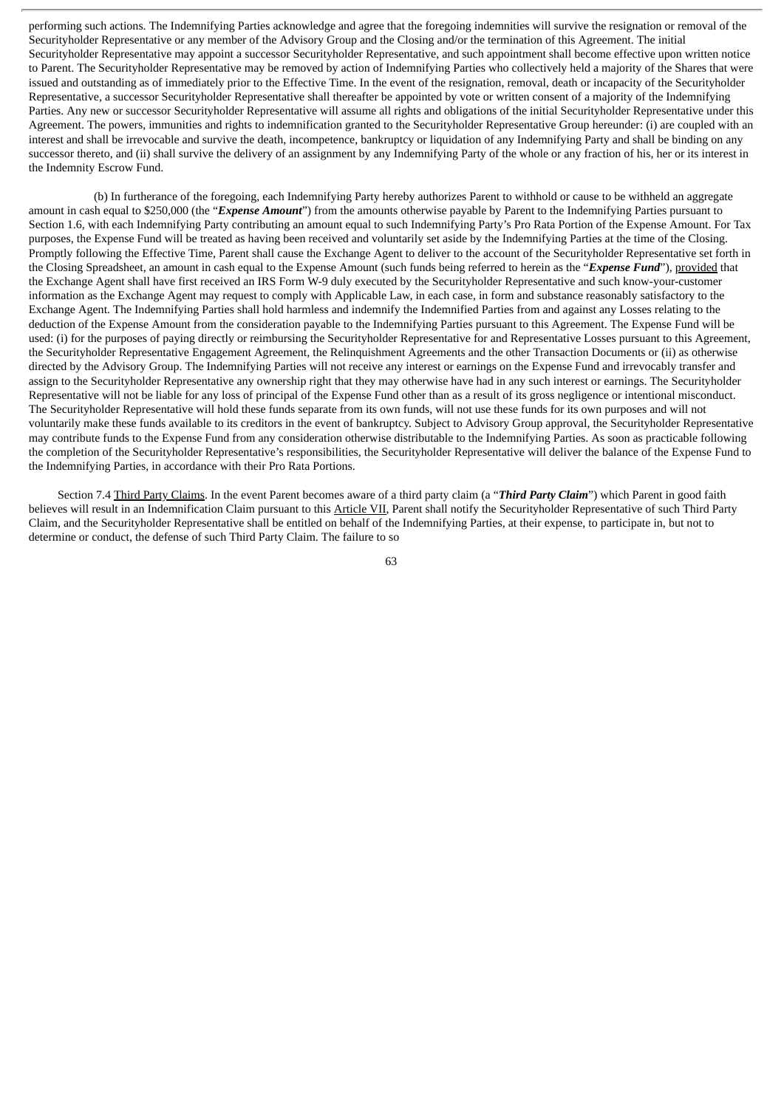performing such actions. The Indemnifying Parties acknowledge and agree that the foregoing indemnities will survive the resignation or removal of the Securityholder Representative or any member of the Advisory Group and the Closing and/or the termination of this Agreement. The initial Securityholder Representative may appoint a successor Securityholder Representative, and such appointment shall become effective upon written notice to Parent. The Securityholder Representative may be removed by action of Indemnifying Parties who collectively held a majority of the Shares that were issued and outstanding as of immediately prior to the Effective Time. In the event of the resignation, removal, death or incapacity of the Securityholder Representative, a successor Securityholder Representative shall thereafter be appointed by vote or written consent of a majority of the Indemnifying Parties. Any new or successor Securityholder Representative will assume all rights and obligations of the initial Securityholder Representative under this Agreement. The powers, immunities and rights to indemnification granted to the Securityholder Representative Group hereunder: (i) are coupled with an interest and shall be irrevocable and survive the death, incompetence, bankruptcy or liquidation of any Indemnifying Party and shall be binding on any successor thereto, and (ii) shall survive the delivery of an assignment by any Indemnifying Party of the whole or any fraction of his, her or its interest in the Indemnity Escrow Fund.

(b) In furtherance of the foregoing, each Indemnifying Party hereby authorizes Parent to withhold or cause to be withheld an aggregate amount in cash equal to \$250,000 (the "*Expense Amount*") from the amounts otherwise payable by Parent to the Indemnifying Parties pursuant to Section 1.6, with each Indemnifying Party contributing an amount equal to such Indemnifying Party's Pro Rata Portion of the Expense Amount. For Tax purposes, the Expense Fund will be treated as having been received and voluntarily set aside by the Indemnifying Parties at the time of the Closing. Promptly following the Effective Time, Parent shall cause the Exchange Agent to deliver to the account of the Securityholder Representative set forth in the Closing Spreadsheet, an amount in cash equal to the Expense Amount (such funds being referred to herein as the "*Expense Fund*"), provided that the Exchange Agent shall have first received an IRS Form W-9 duly executed by the Securityholder Representative and such know-your-customer information as the Exchange Agent may request to comply with Applicable Law, in each case, in form and substance reasonably satisfactory to the Exchange Agent. The Indemnifying Parties shall hold harmless and indemnify the Indemnified Parties from and against any Losses relating to the deduction of the Expense Amount from the consideration payable to the Indemnifying Parties pursuant to this Agreement. The Expense Fund will be used: (i) for the purposes of paying directly or reimbursing the Securityholder Representative for and Representative Losses pursuant to this Agreement, the Securityholder Representative Engagement Agreement, the Relinquishment Agreements and the other Transaction Documents or (ii) as otherwise directed by the Advisory Group. The Indemnifying Parties will not receive any interest or earnings on the Expense Fund and irrevocably transfer and assign to the Securityholder Representative any ownership right that they may otherwise have had in any such interest or earnings. The Securityholder Representative will not be liable for any loss of principal of the Expense Fund other than as a result of its gross negligence or intentional misconduct. The Securityholder Representative will hold these funds separate from its own funds, will not use these funds for its own purposes and will not voluntarily make these funds available to its creditors in the event of bankruptcy. Subject to Advisory Group approval, the Securityholder Representative may contribute funds to the Expense Fund from any consideration otherwise distributable to the Indemnifying Parties. As soon as practicable following the completion of the Securityholder Representative's responsibilities, the Securityholder Representative will deliver the balance of the Expense Fund to the Indemnifying Parties, in accordance with their Pro Rata Portions.

Section 7.4 Third Party Claims. In the event Parent becomes aware of a third party claim (a "*Third Party Claim*") which Parent in good faith believes will result in an Indemnification Claim pursuant to this Article VII, Parent shall notify the Securityholder Representative of such Third Party Claim, and the Securityholder Representative shall be entitled on behalf of the Indemnifying Parties, at their expense, to participate in, but not to determine or conduct, the defense of such Third Party Claim. The failure to so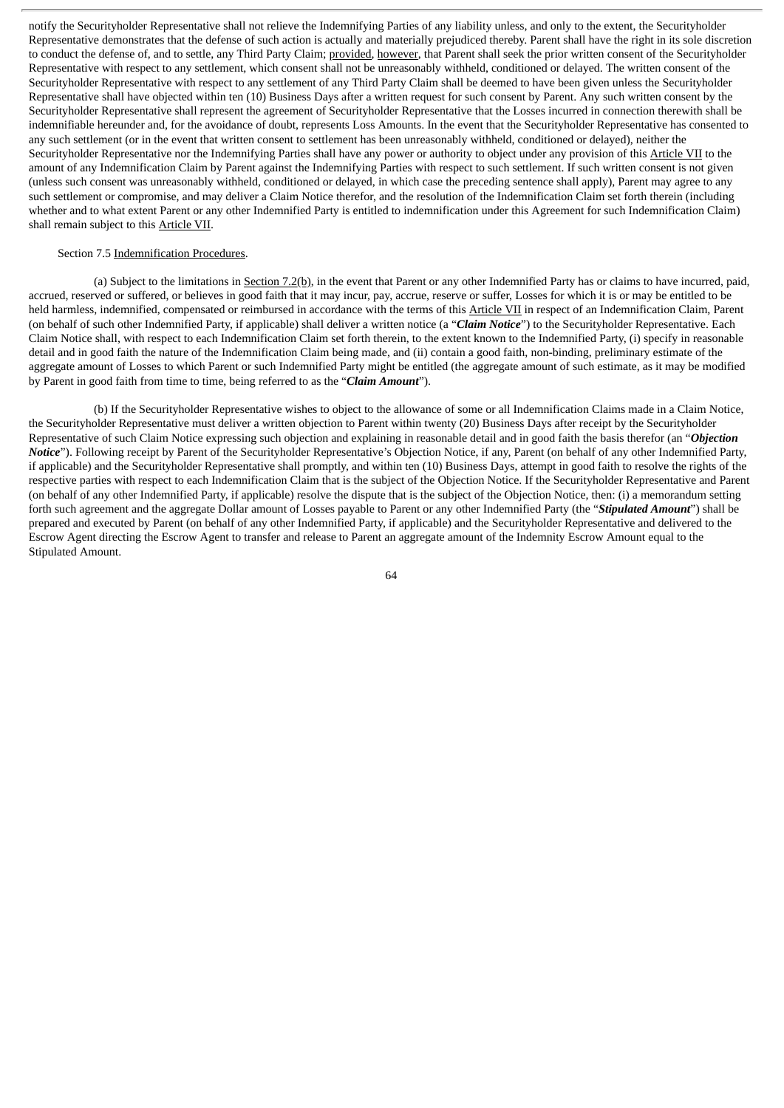notify the Securityholder Representative shall not relieve the Indemnifying Parties of any liability unless, and only to the extent, the Securityholder Representative demonstrates that the defense of such action is actually and materially prejudiced thereby. Parent shall have the right in its sole discretion to conduct the defense of, and to settle, any Third Party Claim; provided*,* however, that Parent shall seek the prior written consent of the Securityholder Representative with respect to any settlement, which consent shall not be unreasonably withheld, conditioned or delayed. The written consent of the Securityholder Representative with respect to any settlement of any Third Party Claim shall be deemed to have been given unless the Securityholder Representative shall have objected within ten (10) Business Days after a written request for such consent by Parent. Any such written consent by the Securityholder Representative shall represent the agreement of Securityholder Representative that the Losses incurred in connection therewith shall be indemnifiable hereunder and, for the avoidance of doubt, represents Loss Amounts. In the event that the Securityholder Representative has consented to any such settlement (or in the event that written consent to settlement has been unreasonably withheld, conditioned or delayed), neither the Securityholder Representative nor the Indemnifying Parties shall have any power or authority to object under any provision of this Article VII to the amount of any Indemnification Claim by Parent against the Indemnifying Parties with respect to such settlement. If such written consent is not given (unless such consent was unreasonably withheld, conditioned or delayed, in which case the preceding sentence shall apply), Parent may agree to any such settlement or compromise, and may deliver a Claim Notice therefor, and the resolution of the Indemnification Claim set forth therein (including whether and to what extent Parent or any other Indemnified Party is entitled to indemnification under this Agreement for such Indemnification Claim) shall remain subject to this Article VII.

### Section 7.5 Indemnification Procedures.

(a) Subject to the limitations in Section 7.2(b), in the event that Parent or any other Indemnified Party has or claims to have incurred, paid, accrued, reserved or suffered, or believes in good faith that it may incur, pay, accrue, reserve or suffer, Losses for which it is or may be entitled to be held harmless, indemnified, compensated or reimbursed in accordance with the terms of this Article VII in respect of an Indemnification Claim, Parent (on behalf of such other Indemnified Party, if applicable) shall deliver a written notice (a "*Claim Notice*") to the Securityholder Representative. Each Claim Notice shall, with respect to each Indemnification Claim set forth therein, to the extent known to the Indemnified Party, (i) specify in reasonable detail and in good faith the nature of the Indemnification Claim being made, and (ii) contain a good faith, non-binding, preliminary estimate of the aggregate amount of Losses to which Parent or such Indemnified Party might be entitled (the aggregate amount of such estimate, as it may be modified by Parent in good faith from time to time, being referred to as the "*Claim Amount*").

(b) If the Securityholder Representative wishes to object to the allowance of some or all Indemnification Claims made in a Claim Notice, the Securityholder Representative must deliver a written objection to Parent within twenty (20) Business Days after receipt by the Securityholder Representative of such Claim Notice expressing such objection and explaining in reasonable detail and in good faith the basis therefor (an "*Objection Notice*"). Following receipt by Parent of the Securityholder Representative's Objection Notice, if any, Parent (on behalf of any other Indemnified Party, if applicable) and the Securityholder Representative shall promptly, and within ten (10) Business Days, attempt in good faith to resolve the rights of the respective parties with respect to each Indemnification Claim that is the subject of the Objection Notice. If the Securityholder Representative and Parent (on behalf of any other Indemnified Party, if applicable) resolve the dispute that is the subject of the Objection Notice, then: (i) a memorandum setting forth such agreement and the aggregate Dollar amount of Losses payable to Parent or any other Indemnified Party (the "*Stipulated Amount*") shall be prepared and executed by Parent (on behalf of any other Indemnified Party, if applicable) and the Securityholder Representative and delivered to the Escrow Agent directing the Escrow Agent to transfer and release to Parent an aggregate amount of the Indemnity Escrow Amount equal to the Stipulated Amount.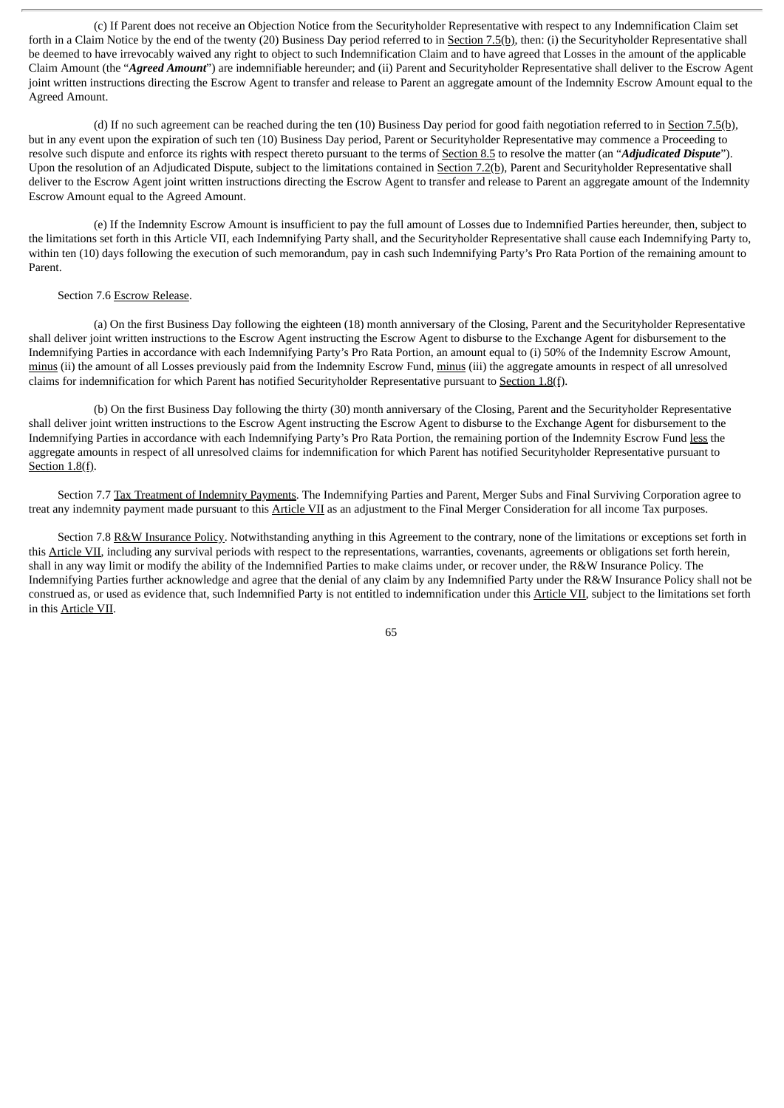(c) If Parent does not receive an Objection Notice from the Securityholder Representative with respect to any Indemnification Claim set forth in a Claim Notice by the end of the twenty (20) Business Day period referred to in Section 7.5(b), then: (i) the Securityholder Representative shall be deemed to have irrevocably waived any right to object to such Indemnification Claim and to have agreed that Losses in the amount of the applicable Claim Amount (the "*Agreed Amount*") are indemnifiable hereunder; and (ii) Parent and Securityholder Representative shall deliver to the Escrow Agent joint written instructions directing the Escrow Agent to transfer and release to Parent an aggregate amount of the Indemnity Escrow Amount equal to the Agreed Amount.

(d) If no such agreement can be reached during the ten  $(10)$  Business Day period for good faith negotiation referred to in Section 7.5(b), but in any event upon the expiration of such ten (10) Business Day period, Parent or Securityholder Representative may commence a Proceeding to resolve such dispute and enforce its rights with respect thereto pursuant to the terms of Section 8.5 to resolve the matter (an "*Adjudicated Dispute*"). Upon the resolution of an Adjudicated Dispute, subject to the limitations contained in Section 7.2(b), Parent and Securityholder Representative shall deliver to the Escrow Agent joint written instructions directing the Escrow Agent to transfer and release to Parent an aggregate amount of the Indemnity Escrow Amount equal to the Agreed Amount.

(e) If the Indemnity Escrow Amount is insufficient to pay the full amount of Losses due to Indemnified Parties hereunder, then, subject to the limitations set forth in this Article VII, each Indemnifying Party shall, and the Securityholder Representative shall cause each Indemnifying Party to, within ten (10) days following the execution of such memorandum, pay in cash such Indemnifying Party's Pro Rata Portion of the remaining amount to Parent.

## Section 7.6 Escrow Release.

(a) On the first Business Day following the eighteen (18) month anniversary of the Closing, Parent and the Securityholder Representative shall deliver joint written instructions to the Escrow Agent instructing the Escrow Agent to disburse to the Exchange Agent for disbursement to the Indemnifying Parties in accordance with each Indemnifying Party's Pro Rata Portion, an amount equal to (i) 50% of the Indemnity Escrow Amount, minus (ii) the amount of all Losses previously paid from the Indemnity Escrow Fund, minus (iii) the aggregate amounts in respect of all unresolved claims for indemnification for which Parent has notified Securityholder Representative pursuant to Section 1.8(f).

(b) On the first Business Day following the thirty (30) month anniversary of the Closing, Parent and the Securityholder Representative shall deliver joint written instructions to the Escrow Agent instructing the Escrow Agent to disburse to the Exchange Agent for disbursement to the Indemnifying Parties in accordance with each Indemnifying Party's Pro Rata Portion, the remaining portion of the Indemnity Escrow Fund less the aggregate amounts in respect of all unresolved claims for indemnification for which Parent has notified Securityholder Representative pursuant to Section 1.8(f).

Section 7.7 Tax Treatment of Indemnity Payments. The Indemnifying Parties and Parent, Merger Subs and Final Surviving Corporation agree to treat any indemnity payment made pursuant to this Article VII as an adjustment to the Final Merger Consideration for all income Tax purposes.

Section 7.8 R&W Insurance Policy. Notwithstanding anything in this Agreement to the contrary, none of the limitations or exceptions set forth in this Article VII, including any survival periods with respect to the representations, warranties, covenants, agreements or obligations set forth herein, shall in any way limit or modify the ability of the Indemnified Parties to make claims under, or recover under, the R&W Insurance Policy. The Indemnifying Parties further acknowledge and agree that the denial of any claim by any Indemnified Party under the R&W Insurance Policy shall not be construed as, or used as evidence that, such Indemnified Party is not entitled to indemnification under this Article VII, subject to the limitations set forth in this Article VII.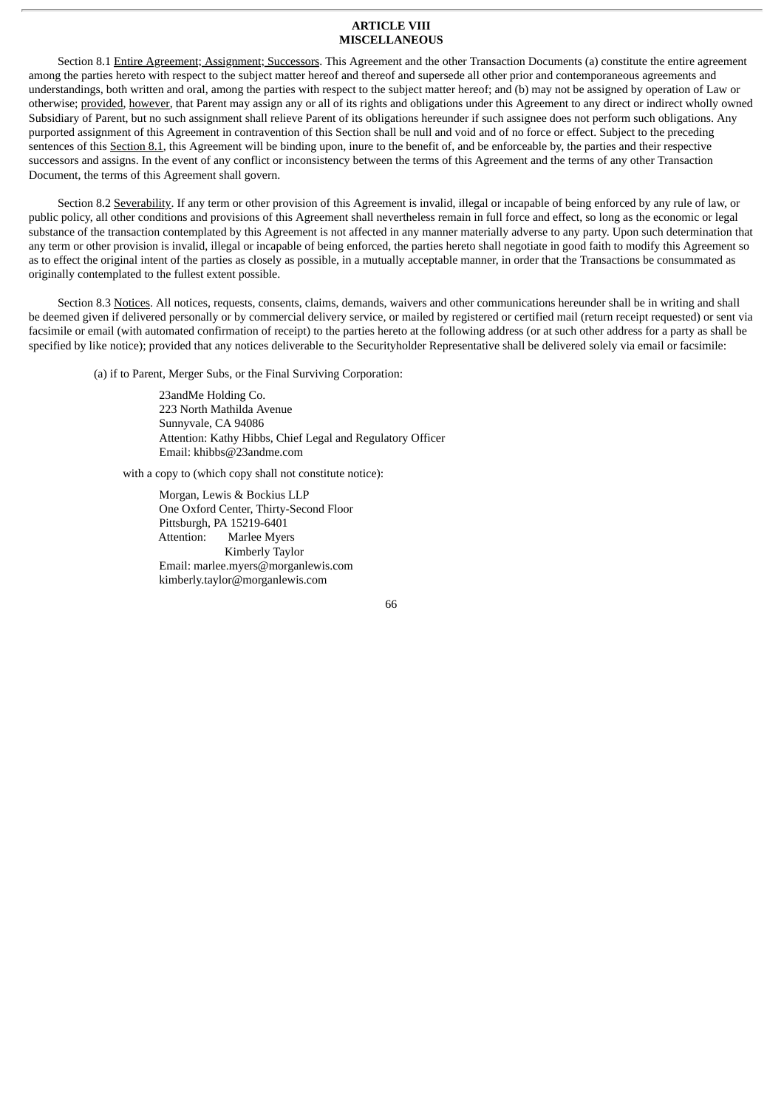#### **ARTICLE VIII MISCELLANEOUS**

Section 8.1 Entire Agreement; Assignment; Successors. This Agreement and the other Transaction Documents (a) constitute the entire agreement among the parties hereto with respect to the subject matter hereof and thereof and supersede all other prior and contemporaneous agreements and understandings, both written and oral, among the parties with respect to the subject matter hereof; and (b) may not be assigned by operation of Law or otherwise; provided, however, that Parent may assign any or all of its rights and obligations under this Agreement to any direct or indirect wholly owned Subsidiary of Parent, but no such assignment shall relieve Parent of its obligations hereunder if such assignee does not perform such obligations. Any purported assignment of this Agreement in contravention of this Section shall be null and void and of no force or effect. Subject to the preceding sentences of this Section 8.1, this Agreement will be binding upon, inure to the benefit of, and be enforceable by, the parties and their respective successors and assigns. In the event of any conflict or inconsistency between the terms of this Agreement and the terms of any other Transaction Document, the terms of this Agreement shall govern.

Section 8.2 Severability. If any term or other provision of this Agreement is invalid, illegal or incapable of being enforced by any rule of law, or public policy, all other conditions and provisions of this Agreement shall nevertheless remain in full force and effect, so long as the economic or legal substance of the transaction contemplated by this Agreement is not affected in any manner materially adverse to any party. Upon such determination that any term or other provision is invalid, illegal or incapable of being enforced, the parties hereto shall negotiate in good faith to modify this Agreement so as to effect the original intent of the parties as closely as possible, in a mutually acceptable manner, in order that the Transactions be consummated as originally contemplated to the fullest extent possible.

Section 8.3 Notices. All notices, requests, consents, claims, demands, waivers and other communications hereunder shall be in writing and shall be deemed given if delivered personally or by commercial delivery service, or mailed by registered or certified mail (return receipt requested) or sent via facsimile or email (with automated confirmation of receipt) to the parties hereto at the following address (or at such other address for a party as shall be specified by like notice); provided that any notices deliverable to the Securityholder Representative shall be delivered solely via email or facsimile:

(a) if to Parent, Merger Subs, or the Final Surviving Corporation:

23andMe Holding Co. 223 North Mathilda Avenue Sunnyvale, CA 94086 Attention: Kathy Hibbs, Chief Legal and Regulatory Officer Email: khibbs@23andme.com

with a copy to (which copy shall not constitute notice):

Morgan, Lewis & Bockius LLP One Oxford Center, Thirty-Second Floor Pittsburgh, PA 15219-6401 Attention: Marlee Myers Kimberly Taylor Email: marlee.myers@morganlewis.com kimberly.taylor@morganlewis.com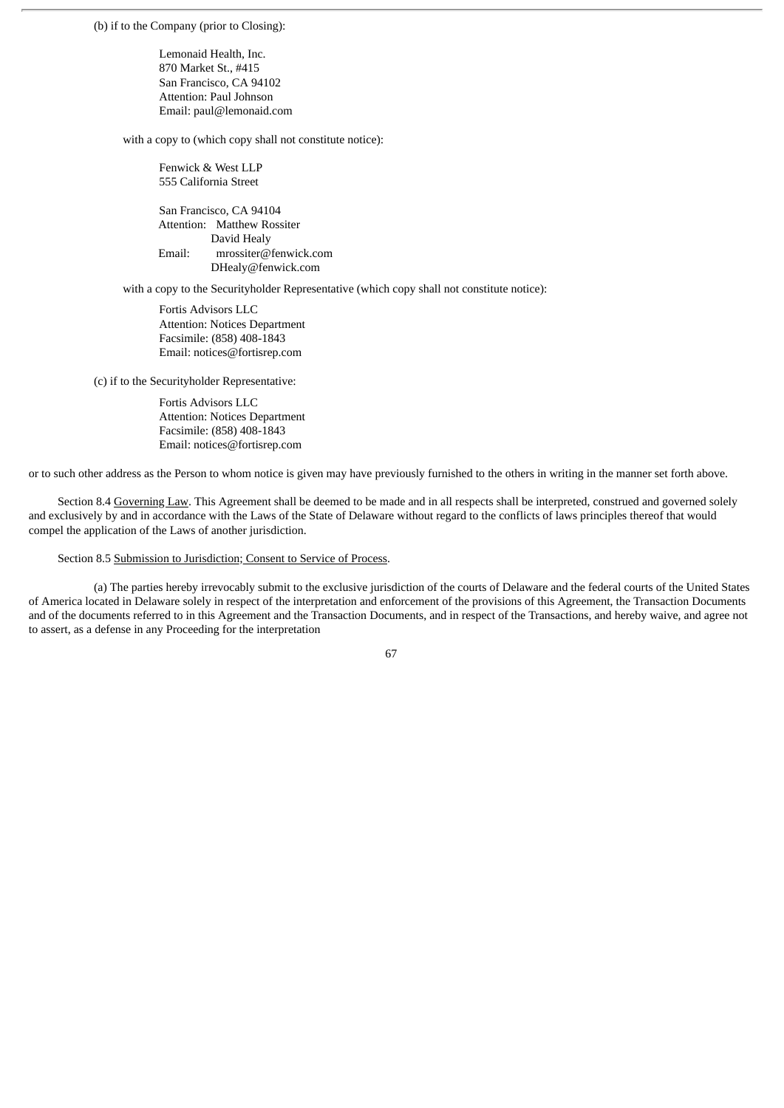(b) if to the Company (prior to Closing):

Lemonaid Health, Inc. 870 Market St., #415 San Francisco, CA 94102 Attention: Paul Johnson Email: paul@lemonaid.com

with a copy to (which copy shall not constitute notice):

Fenwick & West LLP 555 California Street

San Francisco, CA 94104 Attention: Matthew Rossiter David Healy Email: mrossiter@fenwick.com DHealy@fenwick.com

with a copy to the Securityholder Representative (which copy shall not constitute notice):

Fortis Advisors LLC Attention: Notices Department Facsimile: (858) 408-1843 Email: notices@fortisrep.com

(c) if to the Securityholder Representative:

Fortis Advisors LLC Attention: Notices Department Facsimile: (858) 408-1843 Email: notices@fortisrep.com

or to such other address as the Person to whom notice is given may have previously furnished to the others in writing in the manner set forth above.

Section 8.4 Governing Law. This Agreement shall be deemed to be made and in all respects shall be interpreted, construed and governed solely and exclusively by and in accordance with the Laws of the State of Delaware without regard to the conflicts of laws principles thereof that would compel the application of the Laws of another jurisdiction.

Section 8.5 Submission to Jurisdiction; Consent to Service of Process.

(a) The parties hereby irrevocably submit to the exclusive jurisdiction of the courts of Delaware and the federal courts of the United States of America located in Delaware solely in respect of the interpretation and enforcement of the provisions of this Agreement, the Transaction Documents and of the documents referred to in this Agreement and the Transaction Documents, and in respect of the Transactions, and hereby waive, and agree not to assert, as a defense in any Proceeding for the interpretation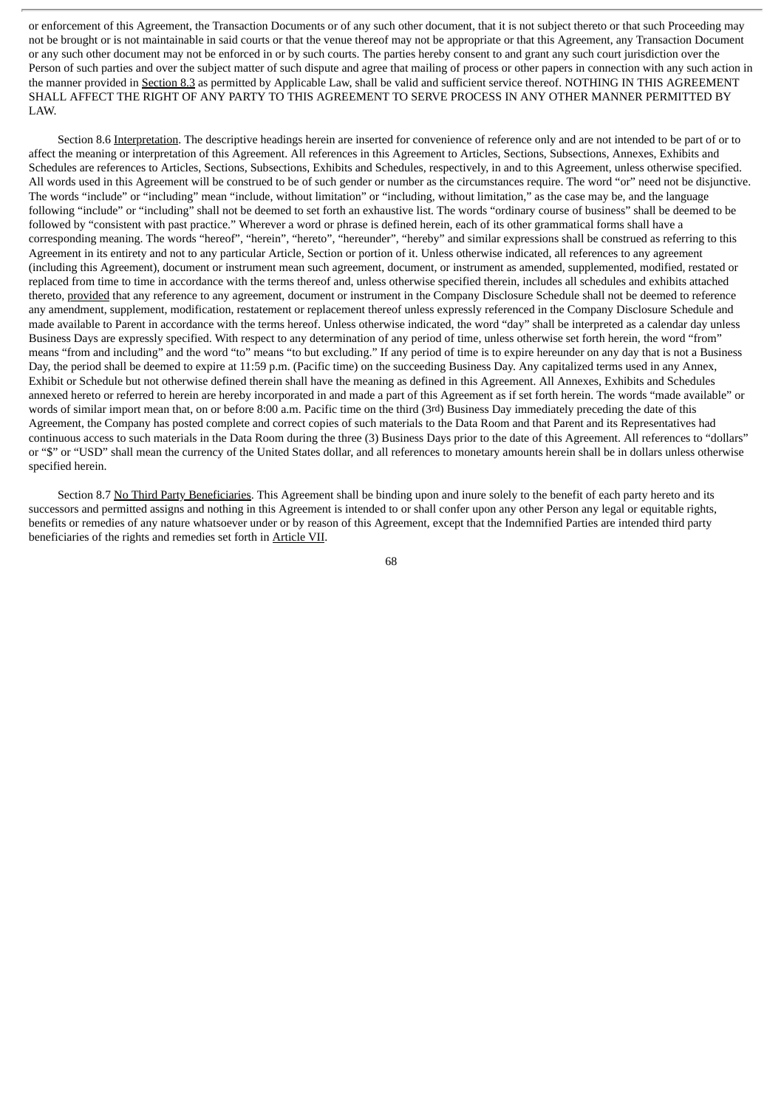or enforcement of this Agreement, the Transaction Documents or of any such other document, that it is not subject thereto or that such Proceeding may not be brought or is not maintainable in said courts or that the venue thereof may not be appropriate or that this Agreement, any Transaction Document or any such other document may not be enforced in or by such courts. The parties hereby consent to and grant any such court jurisdiction over the Person of such parties and over the subject matter of such dispute and agree that mailing of process or other papers in connection with any such action in the manner provided in Section 8.3 as permitted by Applicable Law, shall be valid and sufficient service thereof. NOTHING IN THIS AGREEMENT SHALL AFFECT THE RIGHT OF ANY PARTY TO THIS AGREEMENT TO SERVE PROCESS IN ANY OTHER MANNER PERMITTED BY LAW.

Section 8.6 Interpretation. The descriptive headings herein are inserted for convenience of reference only and are not intended to be part of or to affect the meaning or interpretation of this Agreement. All references in this Agreement to Articles, Sections, Subsections, Annexes, Exhibits and Schedules are references to Articles, Sections, Subsections, Exhibits and Schedules, respectively, in and to this Agreement, unless otherwise specified. All words used in this Agreement will be construed to be of such gender or number as the circumstances require. The word "or" need not be disjunctive. The words "include" or "including" mean "include, without limitation" or "including, without limitation," as the case may be, and the language following "include" or "including" shall not be deemed to set forth an exhaustive list. The words "ordinary course of business" shall be deemed to be followed by "consistent with past practice." Wherever a word or phrase is defined herein, each of its other grammatical forms shall have a corresponding meaning. The words "hereof", "herein", "hereto", "hereunder", "hereby" and similar expressions shall be construed as referring to this Agreement in its entirety and not to any particular Article, Section or portion of it. Unless otherwise indicated, all references to any agreement (including this Agreement), document or instrument mean such agreement, document, or instrument as amended, supplemented, modified, restated or replaced from time to time in accordance with the terms thereof and, unless otherwise specified therein, includes all schedules and exhibits attached thereto, provided that any reference to any agreement, document or instrument in the Company Disclosure Schedule shall not be deemed to reference any amendment, supplement, modification, restatement or replacement thereof unless expressly referenced in the Company Disclosure Schedule and made available to Parent in accordance with the terms hereof. Unless otherwise indicated, the word "day" shall be interpreted as a calendar day unless Business Days are expressly specified. With respect to any determination of any period of time, unless otherwise set forth herein, the word "from" means "from and including" and the word "to" means "to but excluding." If any period of time is to expire hereunder on any day that is not a Business Day, the period shall be deemed to expire at 11:59 p.m. (Pacific time) on the succeeding Business Day. Any capitalized terms used in any Annex, Exhibit or Schedule but not otherwise defined therein shall have the meaning as defined in this Agreement. All Annexes, Exhibits and Schedules annexed hereto or referred to herein are hereby incorporated in and made a part of this Agreement as if set forth herein. The words "made available" or words of similar import mean that, on or before 8:00 a.m. Pacific time on the third (3rd) Business Day immediately preceding the date of this Agreement, the Company has posted complete and correct copies of such materials to the Data Room and that Parent and its Representatives had continuous access to such materials in the Data Room during the three (3) Business Days prior to the date of this Agreement. All references to "dollars" or "\$" or "USD" shall mean the currency of the United States dollar, and all references to monetary amounts herein shall be in dollars unless otherwise specified herein.

Section 8.7 No Third Party Beneficiaries. This Agreement shall be binding upon and inure solely to the benefit of each party hereto and its successors and permitted assigns and nothing in this Agreement is intended to or shall confer upon any other Person any legal or equitable rights, benefits or remedies of any nature whatsoever under or by reason of this Agreement, except that the Indemnified Parties are intended third party beneficiaries of the rights and remedies set forth in Article VII.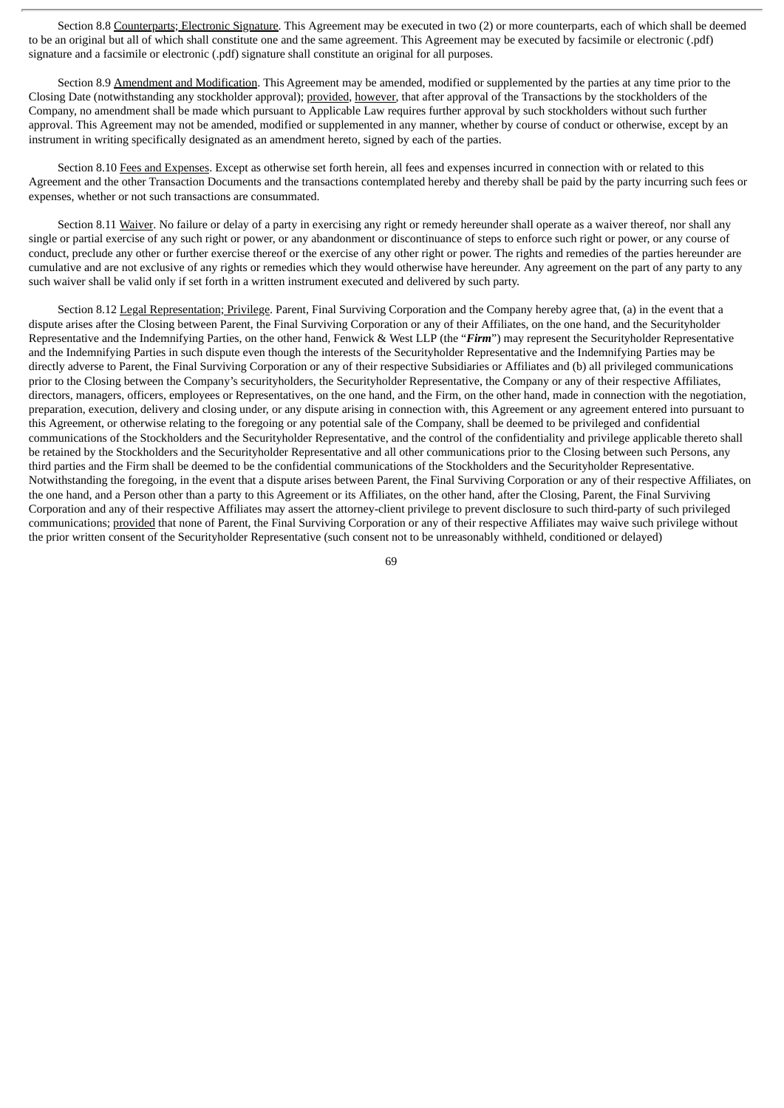Section 8.8 Counterparts; Electronic Signature. This Agreement may be executed in two (2) or more counterparts, each of which shall be deemed to be an original but all of which shall constitute one and the same agreement. This Agreement may be executed by facsimile or electronic (.pdf) signature and a facsimile or electronic (.pdf) signature shall constitute an original for all purposes.

Section 8.9 Amendment and Modification. This Agreement may be amended, modified or supplemented by the parties at any time prior to the Closing Date (notwithstanding any stockholder approval); provided, however, that after approval of the Transactions by the stockholders of the Company, no amendment shall be made which pursuant to Applicable Law requires further approval by such stockholders without such further approval. This Agreement may not be amended, modified or supplemented in any manner, whether by course of conduct or otherwise, except by an instrument in writing specifically designated as an amendment hereto, signed by each of the parties.

Section 8.10 Fees and Expenses. Except as otherwise set forth herein, all fees and expenses incurred in connection with or related to this Agreement and the other Transaction Documents and the transactions contemplated hereby and thereby shall be paid by the party incurring such fees or expenses, whether or not such transactions are consummated.

Section 8.11 Waiver. No failure or delay of a party in exercising any right or remedy hereunder shall operate as a waiver thereof, nor shall any single or partial exercise of any such right or power, or any abandonment or discontinuance of steps to enforce such right or power, or any course of conduct, preclude any other or further exercise thereof or the exercise of any other right or power. The rights and remedies of the parties hereunder are cumulative and are not exclusive of any rights or remedies which they would otherwise have hereunder. Any agreement on the part of any party to any such waiver shall be valid only if set forth in a written instrument executed and delivered by such party.

Section 8.12 Legal Representation; Privilege. Parent, Final Surviving Corporation and the Company hereby agree that, (a) in the event that a dispute arises after the Closing between Parent, the Final Surviving Corporation or any of their Affiliates, on the one hand, and the Securityholder Representative and the Indemnifying Parties, on the other hand, Fenwick & West LLP (the "*Firm*") may represent the Securityholder Representative and the Indemnifying Parties in such dispute even though the interests of the Securityholder Representative and the Indemnifying Parties may be directly adverse to Parent, the Final Surviving Corporation or any of their respective Subsidiaries or Affiliates and (b) all privileged communications prior to the Closing between the Company's securityholders, the Securityholder Representative, the Company or any of their respective Affiliates, directors, managers, officers, employees or Representatives, on the one hand, and the Firm, on the other hand, made in connection with the negotiation, preparation, execution, delivery and closing under, or any dispute arising in connection with, this Agreement or any agreement entered into pursuant to this Agreement, or otherwise relating to the foregoing or any potential sale of the Company, shall be deemed to be privileged and confidential communications of the Stockholders and the Securityholder Representative, and the control of the confidentiality and privilege applicable thereto shall be retained by the Stockholders and the Securityholder Representative and all other communications prior to the Closing between such Persons, any third parties and the Firm shall be deemed to be the confidential communications of the Stockholders and the Securityholder Representative. Notwithstanding the foregoing, in the event that a dispute arises between Parent, the Final Surviving Corporation or any of their respective Affiliates, on the one hand, and a Person other than a party to this Agreement or its Affiliates, on the other hand, after the Closing, Parent, the Final Surviving Corporation and any of their respective Affiliates may assert the attorney-client privilege to prevent disclosure to such third-party of such privileged communications; provided that none of Parent, the Final Surviving Corporation or any of their respective Affiliates may waive such privilege without the prior written consent of the Securityholder Representative (such consent not to be unreasonably withheld, conditioned or delayed)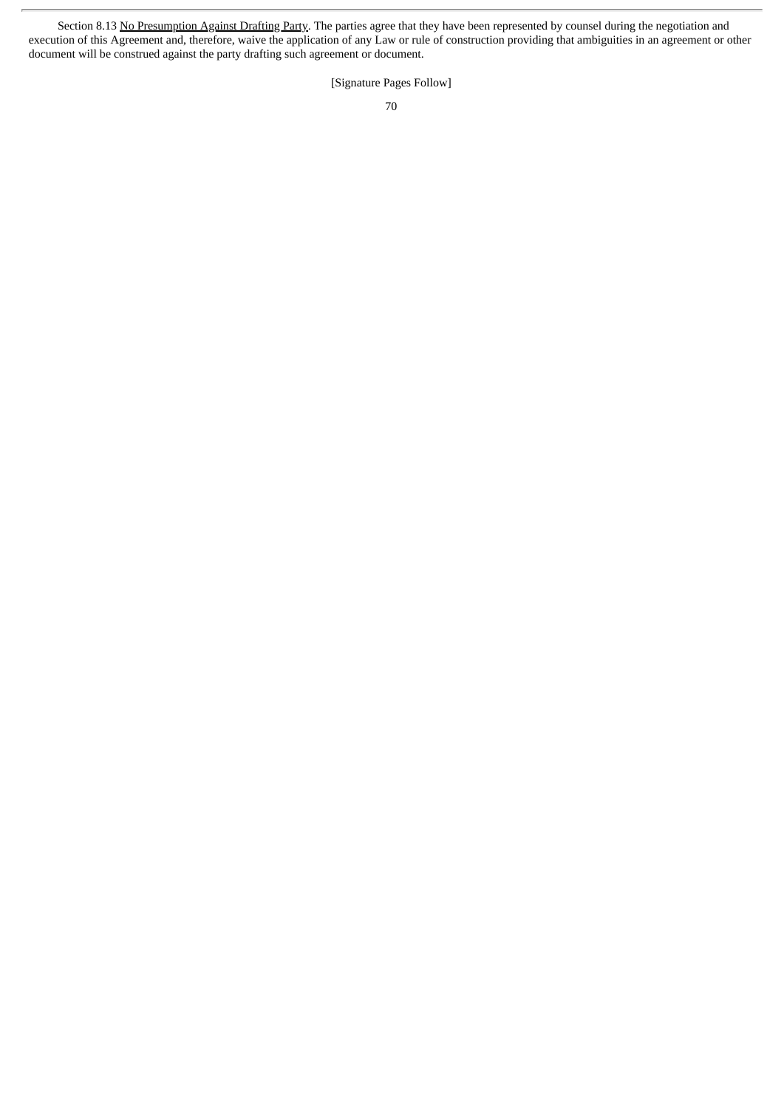Section 8.13 No Presumption Against Drafting Party. The parties agree that they have been represented by counsel during the negotiation and execution of this Agreement and, therefore, waive the application of any Law or rule of construction providing that ambiguities in an agreement or other document will be construed against the party drafting such agreement or document.

[Signature Pages Follow]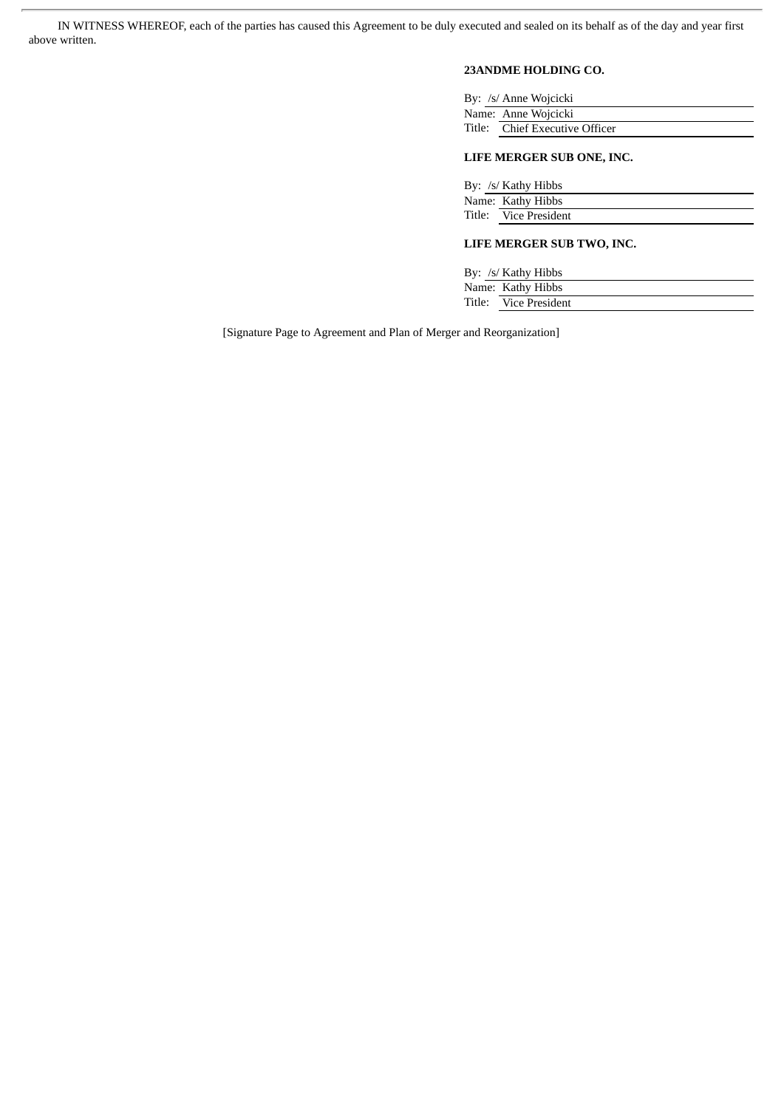IN WITNESS WHEREOF, each of the parties has caused this Agreement to be duly executed and sealed on its behalf as of the day and year first above written.

# **23ANDME HOLDING CO.**

| By: /s/ Anne Wojcicki          |
|--------------------------------|
| Name: Anne Wojcicki            |
| Title: Chief Executive Officer |

# **LIFE MERGER SUB ONE, INC.**

| By: /s/ Kathy Hibbs   |
|-----------------------|
| Name: Kathy Hibbs     |
| Title: Vice President |

# **LIFE MERGER SUB TWO, INC.**

| By: /s/ Kathy Hibbs   |
|-----------------------|
| Name: Kathy Hibbs     |
| Title: Vice President |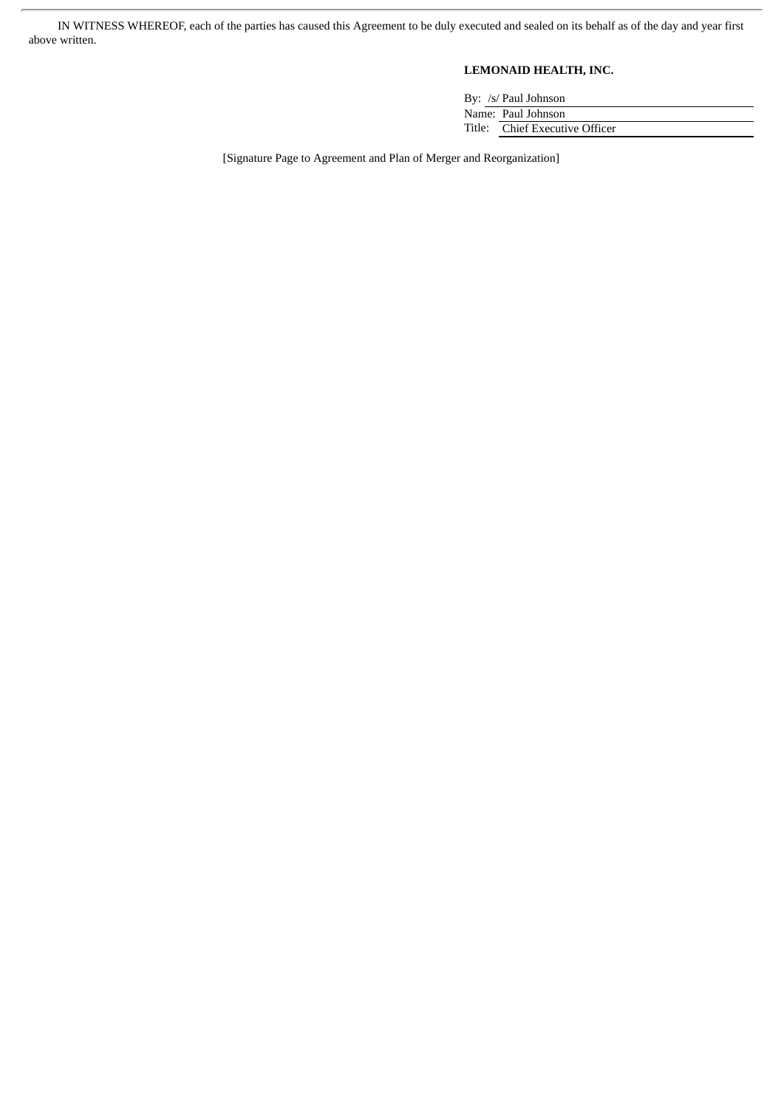IN WITNESS WHEREOF, each of the parties has caused this Agreement to be duly executed and sealed on its behalf as of the day and year first above written.

# **LEMONAID HEALTH, INC.**

By: /s/ Paul Johnson Name: Paul Johnson Title: Chief Executive Officer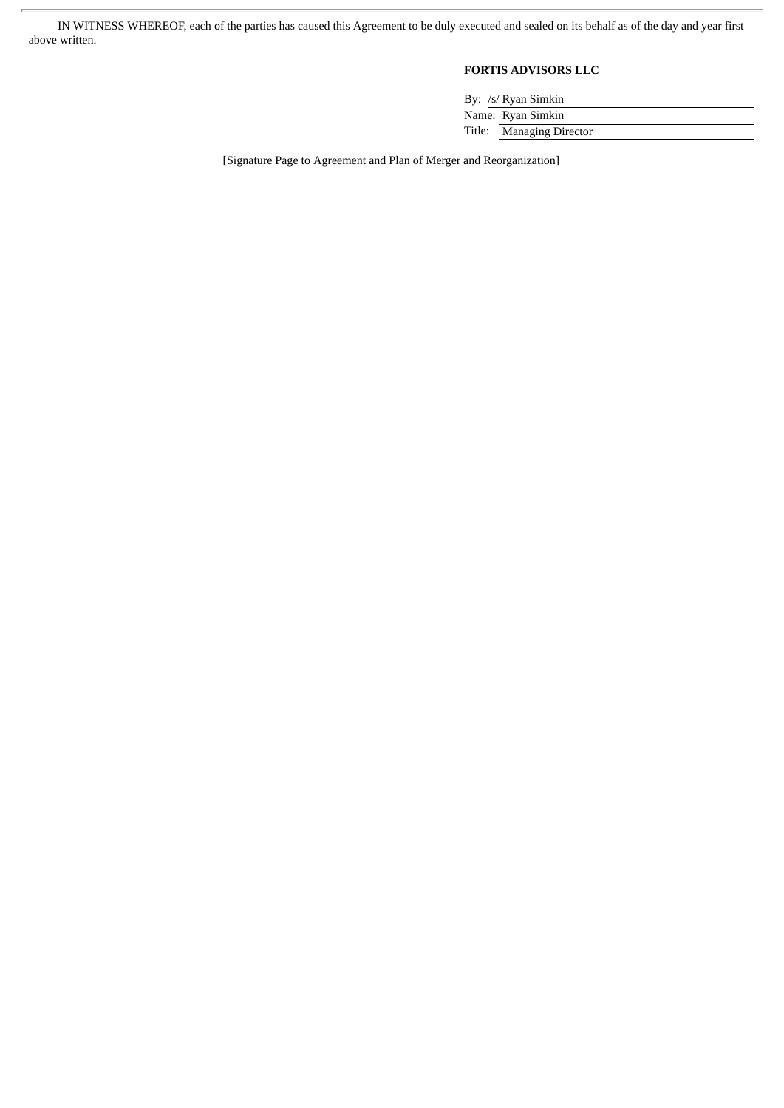IN WITNESS WHEREOF, each of the parties has caused this Agreement to be duly executed and sealed on its behalf as of the day and year first above written.

# **FORTIS ADVISORS LLC**

| By: /s/ Ryan Simkin |                          |  |
|---------------------|--------------------------|--|
|                     | Name: Ryan Simkin        |  |
|                     | Title: Managing Director |  |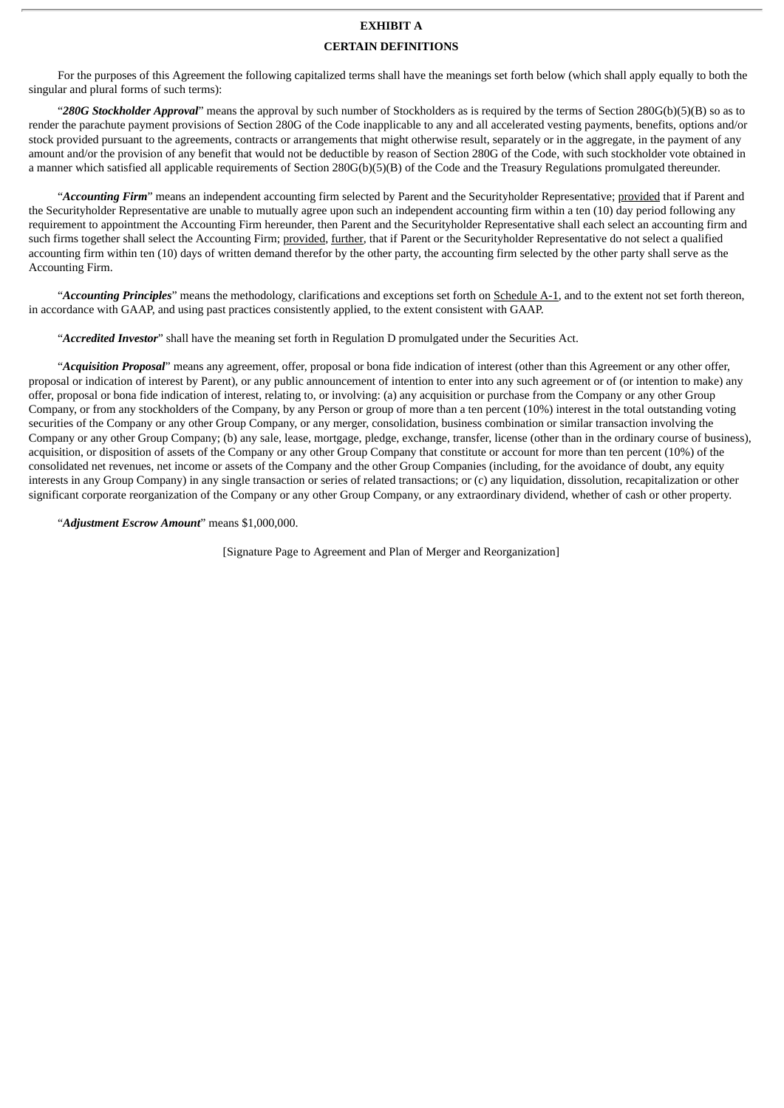# **EXHIBIT A**

# **CERTAIN DEFINITIONS**

For the purposes of this Agreement the following capitalized terms shall have the meanings set forth below (which shall apply equally to both the singular and plural forms of such terms):

"*280G Stockholder Approval*" means the approval by such number of Stockholders as is required by the terms of Section 280G(b)(5)(B) so as to render the parachute payment provisions of Section 280G of the Code inapplicable to any and all accelerated vesting payments, benefits, options and/or stock provided pursuant to the agreements, contracts or arrangements that might otherwise result, separately or in the aggregate, in the payment of any amount and/or the provision of any benefit that would not be deductible by reason of Section 280G of the Code, with such stockholder vote obtained in a manner which satisfied all applicable requirements of Section 280G(b)(5)(B) of the Code and the Treasury Regulations promulgated thereunder.

"*Accounting Firm*" means an independent accounting firm selected by Parent and the Securityholder Representative; provided that if Parent and the Securityholder Representative are unable to mutually agree upon such an independent accounting firm within a ten (10) day period following any requirement to appointment the Accounting Firm hereunder, then Parent and the Securityholder Representative shall each select an accounting firm and such firms together shall select the Accounting Firm; provided, further, that if Parent or the Securityholder Representative do not select a qualified accounting firm within ten (10) days of written demand therefor by the other party, the accounting firm selected by the other party shall serve as the Accounting Firm.

"*Accounting Principles*" means the methodology, clarifications and exceptions set forth on Schedule A-1, and to the extent not set forth thereon, in accordance with GAAP, and using past practices consistently applied, to the extent consistent with GAAP.

"*Accredited Investor*" shall have the meaning set forth in Regulation D promulgated under the Securities Act.

"*Acquisition Proposal*" means any agreement, offer, proposal or bona fide indication of interest (other than this Agreement or any other offer, proposal or indication of interest by Parent), or any public announcement of intention to enter into any such agreement or of (or intention to make) any offer, proposal or bona fide indication of interest, relating to, or involving: (a) any acquisition or purchase from the Company or any other Group Company, or from any stockholders of the Company, by any Person or group of more than a ten percent (10%) interest in the total outstanding voting securities of the Company or any other Group Company, or any merger, consolidation, business combination or similar transaction involving the Company or any other Group Company; (b) any sale, lease, mortgage, pledge, exchange, transfer, license (other than in the ordinary course of business), acquisition, or disposition of assets of the Company or any other Group Company that constitute or account for more than ten percent (10%) of the consolidated net revenues, net income or assets of the Company and the other Group Companies (including, for the avoidance of doubt, any equity interests in any Group Company) in any single transaction or series of related transactions; or (c) any liquidation, dissolution, recapitalization or other significant corporate reorganization of the Company or any other Group Company, or any extraordinary dividend, whether of cash or other property.

"*Adjustment Escrow Amount*" means \$1,000,000.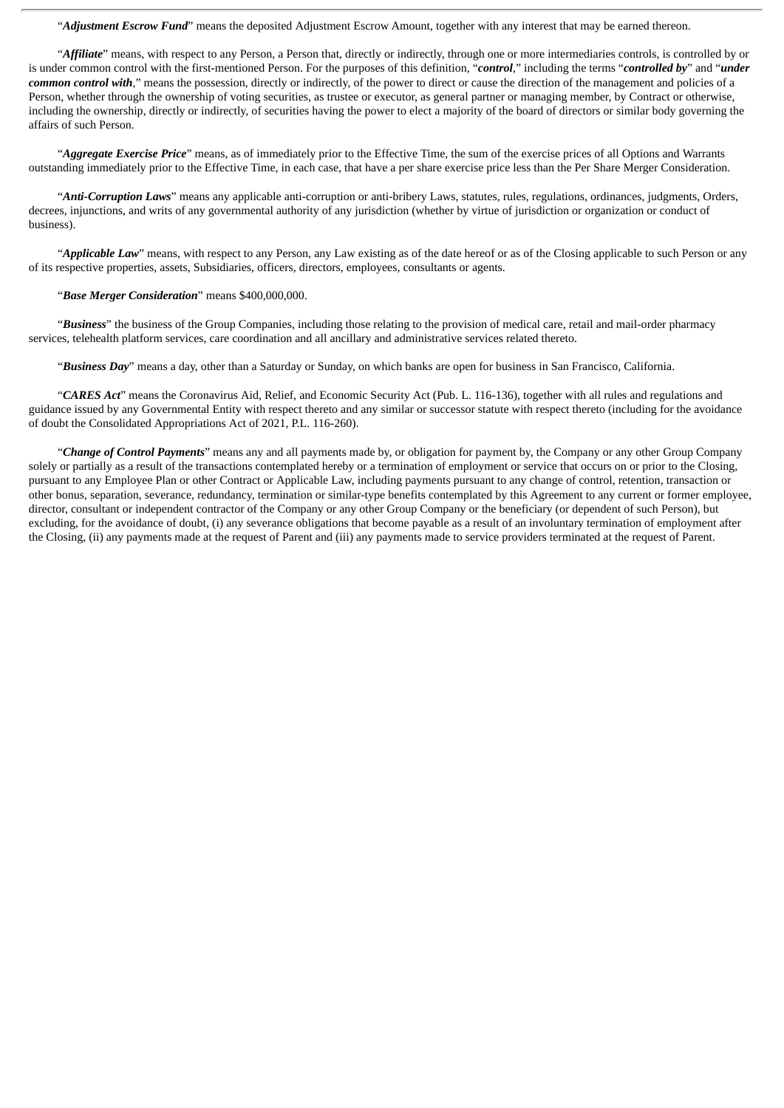"*Adjustment Escrow Fund*" means the deposited Adjustment Escrow Amount, together with any interest that may be earned thereon.

"*Affiliate*" means, with respect to any Person, a Person that, directly or indirectly, through one or more intermediaries controls, is controlled by or is under common control with the first-mentioned Person. For the purposes of this definition, "*control*," including the terms "*controlled by*" and "*under common control with*," means the possession, directly or indirectly, of the power to direct or cause the direction of the management and policies of a Person, whether through the ownership of voting securities, as trustee or executor, as general partner or managing member, by Contract or otherwise, including the ownership, directly or indirectly, of securities having the power to elect a majority of the board of directors or similar body governing the affairs of such Person.

"*Aggregate Exercise Price*" means, as of immediately prior to the Effective Time, the sum of the exercise prices of all Options and Warrants outstanding immediately prior to the Effective Time, in each case, that have a per share exercise price less than the Per Share Merger Consideration.

"*Anti-Corruption Laws*" means any applicable anti-corruption or anti-bribery Laws, statutes, rules, regulations, ordinances, judgments, Orders, decrees, injunctions, and writs of any governmental authority of any jurisdiction (whether by virtue of jurisdiction or organization or conduct of business).

"*Applicable Law*" means, with respect to any Person, any Law existing as of the date hereof or as of the Closing applicable to such Person or any of its respective properties, assets, Subsidiaries, officers, directors, employees, consultants or agents.

# "*Base Merger Consideration*" means \$400,000,000.

"*Business*" the business of the Group Companies, including those relating to the provision of medical care, retail and mail-order pharmacy services, telehealth platform services, care coordination and all ancillary and administrative services related thereto.

"*Business Day*" means a day, other than a Saturday or Sunday, on which banks are open for business in San Francisco, California.

"*CARES Act*" means the Coronavirus Aid, Relief, and Economic Security Act (Pub. L. 116-136), together with all rules and regulations and guidance issued by any Governmental Entity with respect thereto and any similar or successor statute with respect thereto (including for the avoidance of doubt the Consolidated Appropriations Act of 2021, P.L. 116-260).

"*Change of Control Payments*" means any and all payments made by, or obligation for payment by, the Company or any other Group Company solely or partially as a result of the transactions contemplated hereby or a termination of employment or service that occurs on or prior to the Closing, pursuant to any Employee Plan or other Contract or Applicable Law, including payments pursuant to any change of control, retention, transaction or other bonus, separation, severance, redundancy, termination or similar-type benefits contemplated by this Agreement to any current or former employee, director, consultant or independent contractor of the Company or any other Group Company or the beneficiary (or dependent of such Person), but excluding, for the avoidance of doubt, (i) any severance obligations that become payable as a result of an involuntary termination of employment after the Closing, (ii) any payments made at the request of Parent and (iii) any payments made to service providers terminated at the request of Parent.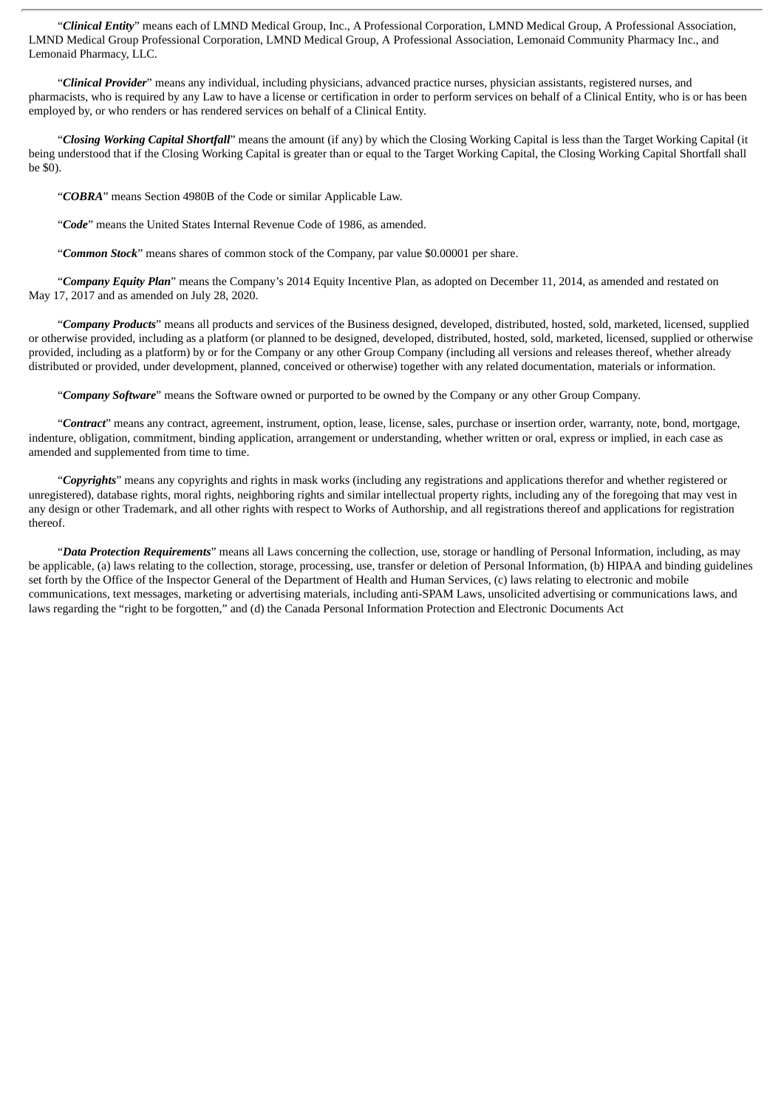"*Clinical Entity*" means each of LMND Medical Group, Inc., A Professional Corporation, LMND Medical Group, A Professional Association, LMND Medical Group Professional Corporation, LMND Medical Group, A Professional Association, Lemonaid Community Pharmacy Inc., and Lemonaid Pharmacy, LLC.

"*Clinical Provider*" means any individual, including physicians, advanced practice nurses, physician assistants, registered nurses, and pharmacists, who is required by any Law to have a license or certification in order to perform services on behalf of a Clinical Entity, who is or has been employed by, or who renders or has rendered services on behalf of a Clinical Entity.

"*Closing Working Capital Shortfall*" means the amount (if any) by which the Closing Working Capital is less than the Target Working Capital (it being understood that if the Closing Working Capital is greater than or equal to the Target Working Capital, the Closing Working Capital Shortfall shall be \$0).

"*COBRA*" means Section 4980B of the Code or similar Applicable Law.

"*Code*" means the United States Internal Revenue Code of 1986, as amended.

"*Common Stock*" means shares of common stock of the Company, par value \$0.00001 per share.

"*Company Equity Plan*" means the Company's 2014 Equity Incentive Plan, as adopted on December 11, 2014, as amended and restated on May 17, 2017 and as amended on July 28, 2020.

"*Company Products*" means all products and services of the Business designed, developed, distributed, hosted, sold, marketed, licensed, supplied or otherwise provided, including as a platform (or planned to be designed, developed, distributed, hosted, sold, marketed, licensed, supplied or otherwise provided, including as a platform) by or for the Company or any other Group Company (including all versions and releases thereof, whether already distributed or provided, under development, planned, conceived or otherwise) together with any related documentation, materials or information.

"*Company Software*" means the Software owned or purported to be owned by the Company or any other Group Company.

"*Contract*" means any contract, agreement, instrument, option, lease, license, sales, purchase or insertion order, warranty, note, bond, mortgage, indenture, obligation, commitment, binding application, arrangement or understanding, whether written or oral, express or implied, in each case as amended and supplemented from time to time.

"*Copyrights*" means any copyrights and rights in mask works (including any registrations and applications therefor and whether registered or unregistered), database rights, moral rights, neighboring rights and similar intellectual property rights, including any of the foregoing that may vest in any design or other Trademark, and all other rights with respect to Works of Authorship, and all registrations thereof and applications for registration thereof.

"*Data Protection Requirements*" means all Laws concerning the collection, use, storage or handling of Personal Information, including, as may be applicable, (a) laws relating to the collection, storage, processing, use, transfer or deletion of Personal Information, (b) HIPAA and binding guidelines set forth by the Office of the Inspector General of the Department of Health and Human Services, (c) laws relating to electronic and mobile communications, text messages, marketing or advertising materials, including anti-SPAM Laws, unsolicited advertising or communications laws, and laws regarding the "right to be forgotten," and (d) the Canada Personal Information Protection and Electronic Documents Act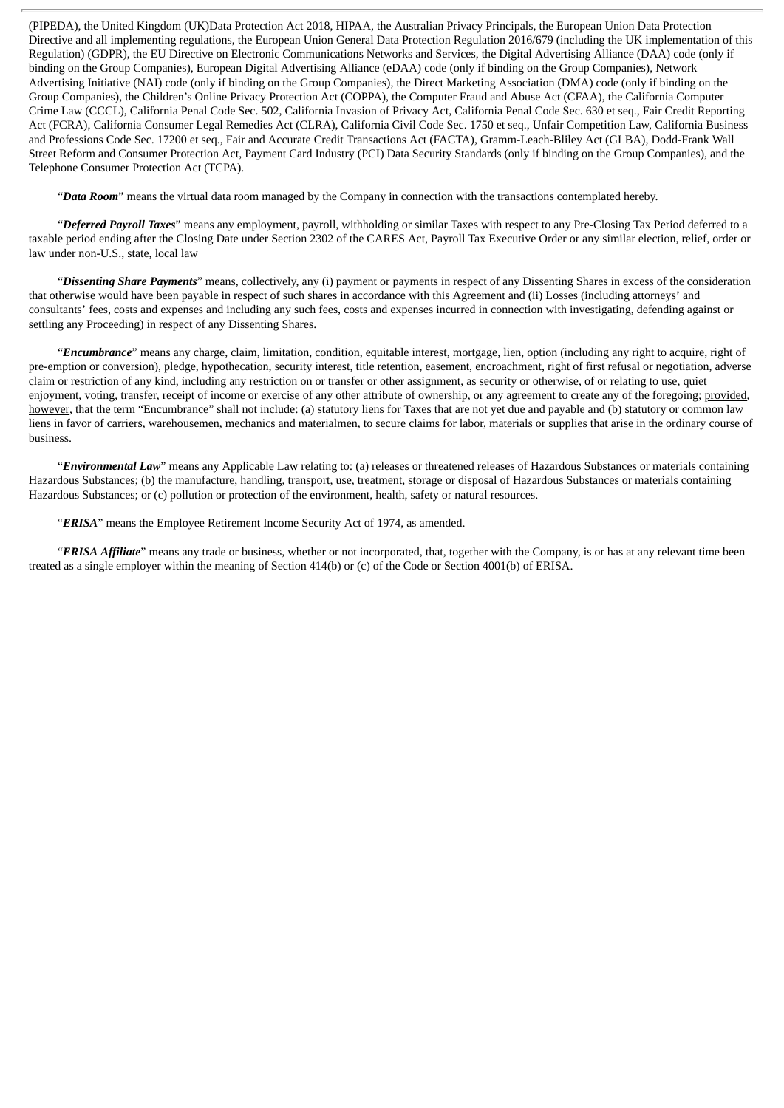(PIPEDA), the United Kingdom (UK)Data Protection Act 2018, HIPAA, the Australian Privacy Principals, the European Union Data Protection Directive and all implementing regulations, the European Union General Data Protection Regulation 2016/679 (including the UK implementation of this Regulation) (GDPR), the EU Directive on Electronic Communications Networks and Services, the Digital Advertising Alliance (DAA) code (only if binding on the Group Companies), European Digital Advertising Alliance (eDAA) code (only if binding on the Group Companies), Network Advertising Initiative (NAI) code (only if binding on the Group Companies), the Direct Marketing Association (DMA) code (only if binding on the Group Companies), the Children's Online Privacy Protection Act (COPPA), the Computer Fraud and Abuse Act (CFAA), the California Computer Crime Law (CCCL), California Penal Code Sec. 502, California Invasion of Privacy Act, California Penal Code Sec. 630 et seq., Fair Credit Reporting Act (FCRA), California Consumer Legal Remedies Act (CLRA), California Civil Code Sec. 1750 et seq., Unfair Competition Law, California Business and Professions Code Sec. 17200 et seq., Fair and Accurate Credit Transactions Act (FACTA), Gramm-Leach-Bliley Act (GLBA), Dodd-Frank Wall Street Reform and Consumer Protection Act, Payment Card Industry (PCI) Data Security Standards (only if binding on the Group Companies), and the Telephone Consumer Protection Act (TCPA).

"*Data Room*" means the virtual data room managed by the Company in connection with the transactions contemplated hereby.

"*Deferred Payroll Taxes*" means any employment, payroll, withholding or similar Taxes with respect to any Pre-Closing Tax Period deferred to a taxable period ending after the Closing Date under Section 2302 of the CARES Act, Payroll Tax Executive Order or any similar election, relief, order or law under non-U.S., state, local law

"*Dissenting Share Payments*" means, collectively, any (i) payment or payments in respect of any Dissenting Shares in excess of the consideration that otherwise would have been payable in respect of such shares in accordance with this Agreement and (ii) Losses (including attorneys' and consultants' fees, costs and expenses and including any such fees, costs and expenses incurred in connection with investigating, defending against or settling any Proceeding) in respect of any Dissenting Shares.

"*Encumbrance*" means any charge, claim, limitation, condition, equitable interest, mortgage, lien, option (including any right to acquire, right of pre-emption or conversion), pledge, hypothecation, security interest, title retention, easement, encroachment, right of first refusal or negotiation, adverse claim or restriction of any kind, including any restriction on or transfer or other assignment, as security or otherwise, of or relating to use, quiet enjoyment, voting, transfer, receipt of income or exercise of any other attribute of ownership, or any agreement to create any of the foregoing; provided, however, that the term "Encumbrance" shall not include: (a) statutory liens for Taxes that are not yet due and payable and (b) statutory or common law liens in favor of carriers, warehousemen, mechanics and materialmen, to secure claims for labor, materials or supplies that arise in the ordinary course of business.

"*Environmental Law*" means any Applicable Law relating to: (a) releases or threatened releases of Hazardous Substances or materials containing Hazardous Substances; (b) the manufacture, handling, transport, use, treatment, storage or disposal of Hazardous Substances or materials containing Hazardous Substances; or (c) pollution or protection of the environment, health, safety or natural resources.

"*ERISA*" means the Employee Retirement Income Security Act of 1974, as amended.

"*ERISA Affiliate*" means any trade or business, whether or not incorporated, that, together with the Company, is or has at any relevant time been treated as a single employer within the meaning of Section 414(b) or (c) of the Code or Section 4001(b) of ERISA.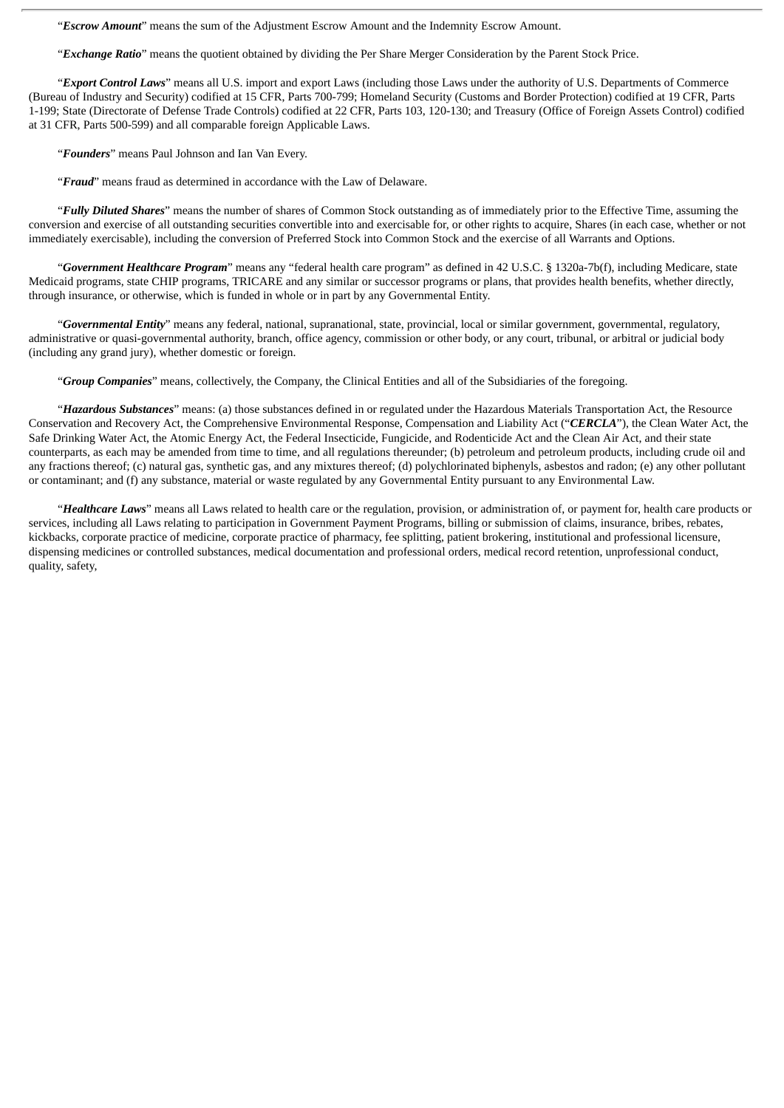"*Escrow Amount*" means the sum of the Adjustment Escrow Amount and the Indemnity Escrow Amount.

"*Exchange Ratio*" means the quotient obtained by dividing the Per Share Merger Consideration by the Parent Stock Price.

"*Export Control Laws*" means all U.S. import and export Laws (including those Laws under the authority of U.S. Departments of Commerce (Bureau of Industry and Security) codified at 15 CFR, Parts 700-799; Homeland Security (Customs and Border Protection) codified at 19 CFR, Parts 1-199; State (Directorate of Defense Trade Controls) codified at 22 CFR, Parts 103, 120-130; and Treasury (Office of Foreign Assets Control) codified at 31 CFR, Parts 500-599) and all comparable foreign Applicable Laws.

"*Founders*" means Paul Johnson and Ian Van Every.

"*Fraud*" means fraud as determined in accordance with the Law of Delaware.

"*Fully Diluted Shares*" means the number of shares of Common Stock outstanding as of immediately prior to the Effective Time, assuming the conversion and exercise of all outstanding securities convertible into and exercisable for, or other rights to acquire, Shares (in each case, whether or not immediately exercisable), including the conversion of Preferred Stock into Common Stock and the exercise of all Warrants and Options.

"*Government Healthcare Program*" means any "federal health care program" as defined in 42 U.S.C. § 1320a-7b(f), including Medicare, state Medicaid programs, state CHIP programs, TRICARE and any similar or successor programs or plans, that provides health benefits, whether directly, through insurance, or otherwise, which is funded in whole or in part by any Governmental Entity.

"*Governmental Entity*" means any federal, national, supranational, state, provincial, local or similar government, governmental, regulatory, administrative or quasi-governmental authority, branch, office agency, commission or other body, or any court, tribunal, or arbitral or judicial body (including any grand jury), whether domestic or foreign.

"*Group Companies*" means, collectively, the Company, the Clinical Entities and all of the Subsidiaries of the foregoing.

"*Hazardous Substances*" means: (a) those substances defined in or regulated under the Hazardous Materials Transportation Act, the Resource Conservation and Recovery Act, the Comprehensive Environmental Response, Compensation and Liability Act ("*CERCLA*"), the Clean Water Act, the Safe Drinking Water Act, the Atomic Energy Act, the Federal Insecticide, Fungicide, and Rodenticide Act and the Clean Air Act, and their state counterparts, as each may be amended from time to time, and all regulations thereunder; (b) petroleum and petroleum products, including crude oil and any fractions thereof; (c) natural gas, synthetic gas, and any mixtures thereof; (d) polychlorinated biphenyls, asbestos and radon; (e) any other pollutant or contaminant; and (f) any substance, material or waste regulated by any Governmental Entity pursuant to any Environmental Law.

"*Healthcare Laws*" means all Laws related to health care or the regulation, provision, or administration of, or payment for, health care products or services, including all Laws relating to participation in Government Payment Programs, billing or submission of claims, insurance, bribes, rebates, kickbacks, corporate practice of medicine, corporate practice of pharmacy, fee splitting, patient brokering, institutional and professional licensure, dispensing medicines or controlled substances, medical documentation and professional orders, medical record retention, unprofessional conduct, quality, safety,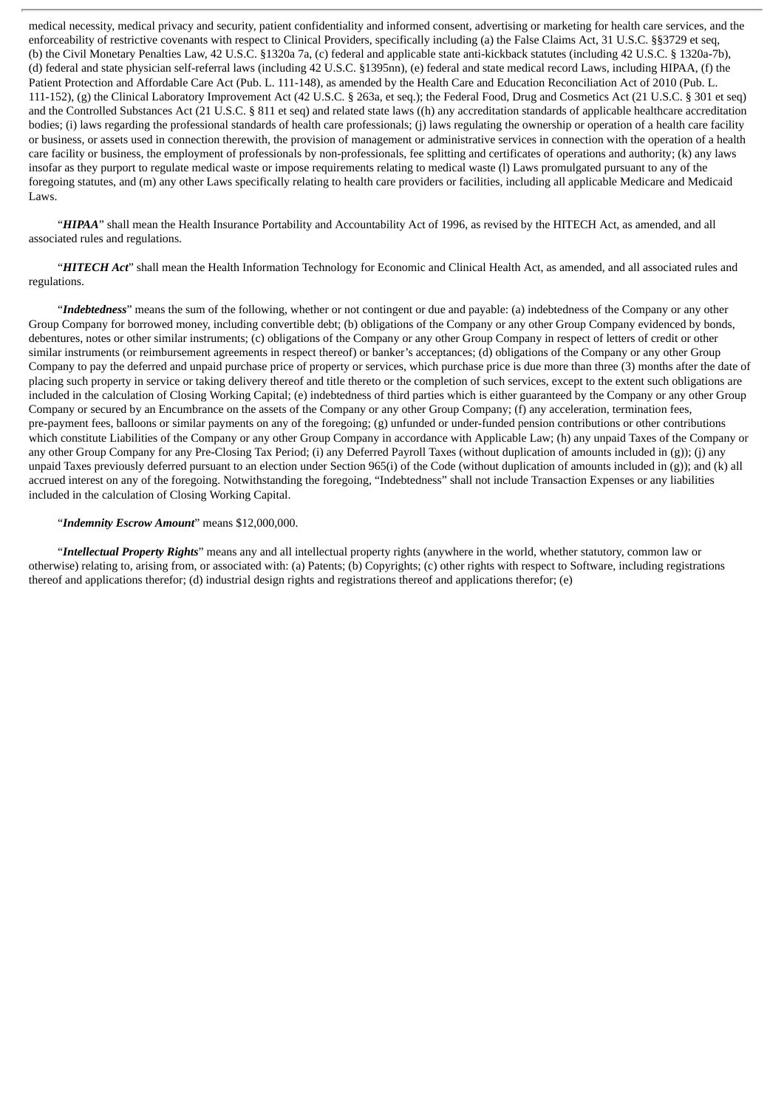medical necessity, medical privacy and security, patient confidentiality and informed consent, advertising or marketing for health care services, and the enforceability of restrictive covenants with respect to Clinical Providers, specifically including (a) the False Claims Act, 31 U.S.C. §§3729 et seq, (b) the Civil Monetary Penalties Law, 42 U.S.C. §1320a 7a, (c) federal and applicable state anti-kickback statutes (including 42 U.S.C. § 1320a-7b), (d) federal and state physician self-referral laws (including 42 U.S.C. §1395nn), (e) federal and state medical record Laws, including HIPAA, (f) the Patient Protection and Affordable Care Act (Pub. L. 111-148), as amended by the Health Care and Education Reconciliation Act of 2010 (Pub. L. 111-152), (g) the Clinical Laboratory Improvement Act (42 U.S.C. § 263a, et seq.); the Federal Food, Drug and Cosmetics Act (21 U.S.C. § 301 et seq) and the Controlled Substances Act (21 U.S.C. § 811 et seq) and related state laws ((h) any accreditation standards of applicable healthcare accreditation bodies; (i) laws regarding the professional standards of health care professionals; (j) laws regulating the ownership or operation of a health care facility or business, or assets used in connection therewith, the provision of management or administrative services in connection with the operation of a health care facility or business, the employment of professionals by non-professionals, fee splitting and certificates of operations and authority; (k) any laws insofar as they purport to regulate medical waste or impose requirements relating to medical waste (l) Laws promulgated pursuant to any of the foregoing statutes, and (m) any other Laws specifically relating to health care providers or facilities, including all applicable Medicare and Medicaid Laws.

"*HIPAA*" shall mean the Health Insurance Portability and Accountability Act of 1996, as revised by the HITECH Act, as amended, and all associated rules and regulations.

"*HITECH Act*" shall mean the Health Information Technology for Economic and Clinical Health Act, as amended, and all associated rules and regulations.

"*Indebtedness*" means the sum of the following, whether or not contingent or due and payable: (a) indebtedness of the Company or any other Group Company for borrowed money, including convertible debt; (b) obligations of the Company or any other Group Company evidenced by bonds, debentures, notes or other similar instruments; (c) obligations of the Company or any other Group Company in respect of letters of credit or other similar instruments (or reimbursement agreements in respect thereof) or banker's acceptances; (d) obligations of the Company or any other Group Company to pay the deferred and unpaid purchase price of property or services, which purchase price is due more than three (3) months after the date of placing such property in service or taking delivery thereof and title thereto or the completion of such services, except to the extent such obligations are included in the calculation of Closing Working Capital; (e) indebtedness of third parties which is either guaranteed by the Company or any other Group Company or secured by an Encumbrance on the assets of the Company or any other Group Company; (f) any acceleration, termination fees, pre-payment fees, balloons or similar payments on any of the foregoing; (g) unfunded or under-funded pension contributions or other contributions which constitute Liabilities of the Company or any other Group Company in accordance with Applicable Law; (h) any unpaid Taxes of the Company or any other Group Company for any Pre-Closing Tax Period; (i) any Deferred Payroll Taxes (without duplication of amounts included in (g)); (j) any unpaid Taxes previously deferred pursuant to an election under Section 965(i) of the Code (without duplication of amounts included in (g)); and (k) all accrued interest on any of the foregoing. Notwithstanding the foregoing, "Indebtedness" shall not include Transaction Expenses or any liabilities included in the calculation of Closing Working Capital.

#### "*Indemnity Escrow Amount*" means \$12,000,000.

"*Intellectual Property Rights*" means any and all intellectual property rights (anywhere in the world, whether statutory, common law or otherwise) relating to, arising from, or associated with: (a) Patents; (b) Copyrights; (c) other rights with respect to Software, including registrations thereof and applications therefor; (d) industrial design rights and registrations thereof and applications therefor; (e)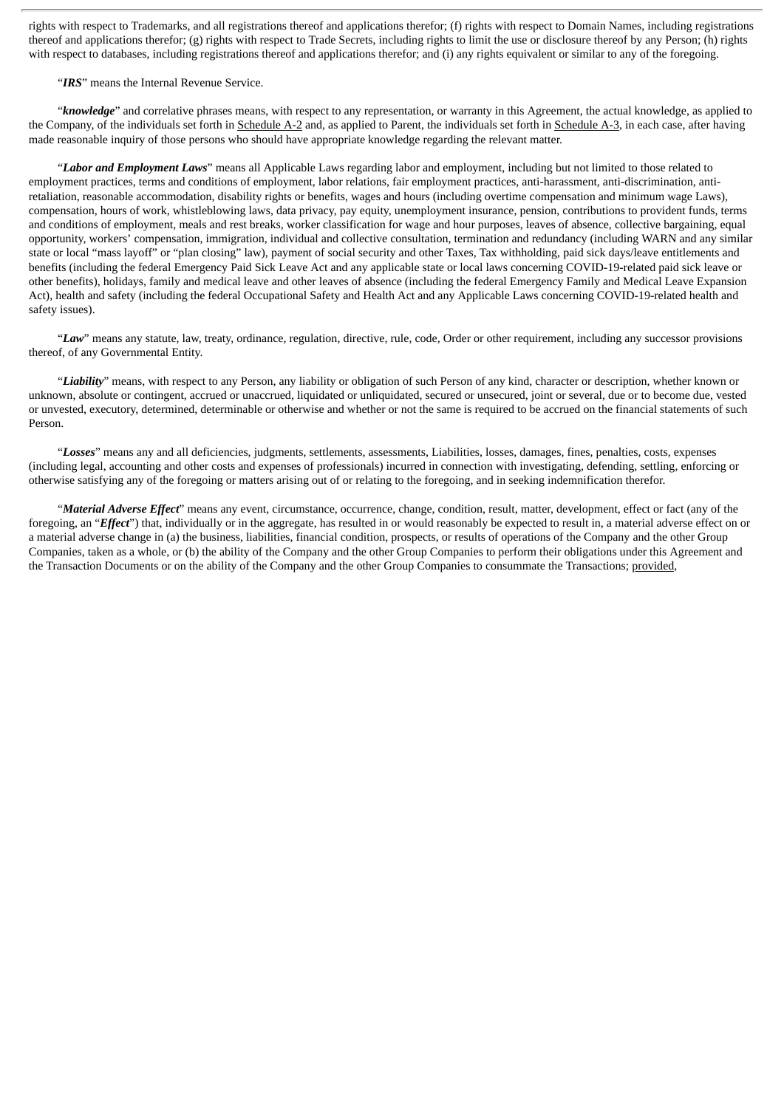rights with respect to Trademarks, and all registrations thereof and applications therefor; (f) rights with respect to Domain Names, including registrations thereof and applications therefor; (g) rights with respect to Trade Secrets, including rights to limit the use or disclosure thereof by any Person; (h) rights with respect to databases, including registrations thereof and applications therefor; and (i) any rights equivalent or similar to any of the foregoing.

"*IRS*" means the Internal Revenue Service.

"*knowledge*" and correlative phrases means, with respect to any representation, or warranty in this Agreement, the actual knowledge, as applied to the Company, of the individuals set forth in Schedule A-2 and, as applied to Parent, the individuals set forth in Schedule A-3, in each case, after having made reasonable inquiry of those persons who should have appropriate knowledge regarding the relevant matter.

"*Labor and Employment Laws*" means all Applicable Laws regarding labor and employment, including but not limited to those related to employment practices, terms and conditions of employment, labor relations, fair employment practices, anti-harassment, anti-discrimination, antiretaliation, reasonable accommodation, disability rights or benefits, wages and hours (including overtime compensation and minimum wage Laws), compensation, hours of work, whistleblowing laws, data privacy, pay equity, unemployment insurance, pension, contributions to provident funds, terms and conditions of employment, meals and rest breaks, worker classification for wage and hour purposes, leaves of absence, collective bargaining, equal opportunity, workers' compensation, immigration, individual and collective consultation, termination and redundancy (including WARN and any similar state or local "mass layoff" or "plan closing" law), payment of social security and other Taxes, Tax withholding, paid sick days/leave entitlements and benefits (including the federal Emergency Paid Sick Leave Act and any applicable state or local laws concerning COVID-19-related paid sick leave or other benefits), holidays, family and medical leave and other leaves of absence (including the federal Emergency Family and Medical Leave Expansion Act), health and safety (including the federal Occupational Safety and Health Act and any Applicable Laws concerning COVID-19-related health and safety issues).

"*Law*" means any statute, law, treaty, ordinance, regulation, directive, rule, code, Order or other requirement, including any successor provisions thereof, of any Governmental Entity.

"*Liability*" means, with respect to any Person, any liability or obligation of such Person of any kind, character or description, whether known or unknown, absolute or contingent, accrued or unaccrued, liquidated or unliquidated, secured or unsecured, joint or several, due or to become due, vested or unvested, executory, determined, determinable or otherwise and whether or not the same is required to be accrued on the financial statements of such Person.

"*Losses*" means any and all deficiencies, judgments, settlements, assessments, Liabilities, losses, damages, fines, penalties, costs, expenses (including legal, accounting and other costs and expenses of professionals) incurred in connection with investigating, defending, settling, enforcing or otherwise satisfying any of the foregoing or matters arising out of or relating to the foregoing, and in seeking indemnification therefor.

"*Material Adverse Effect*" means any event, circumstance, occurrence, change, condition, result, matter, development, effect or fact (any of the foregoing, an "*Effect*") that, individually or in the aggregate, has resulted in or would reasonably be expected to result in, a material adverse effect on or a material adverse change in (a) the business, liabilities, financial condition, prospects, or results of operations of the Company and the other Group Companies, taken as a whole, or (b) the ability of the Company and the other Group Companies to perform their obligations under this Agreement and the Transaction Documents or on the ability of the Company and the other Group Companies to consummate the Transactions; provided,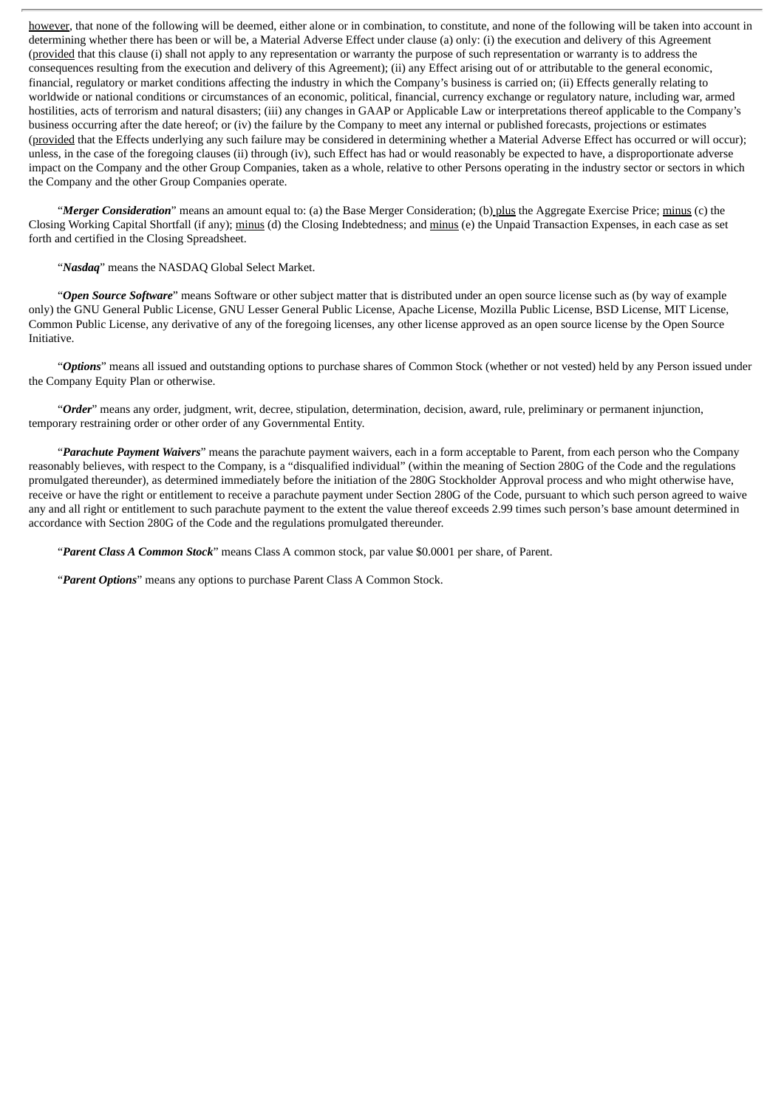however, that none of the following will be deemed, either alone or in combination, to constitute, and none of the following will be taken into account in determining whether there has been or will be, a Material Adverse Effect under clause (a) only: (i) the execution and delivery of this Agreement (provided that this clause (i) shall not apply to any representation or warranty the purpose of such representation or warranty is to address the consequences resulting from the execution and delivery of this Agreement); (ii) any Effect arising out of or attributable to the general economic, financial, regulatory or market conditions affecting the industry in which the Company's business is carried on; (ii) Effects generally relating to worldwide or national conditions or circumstances of an economic, political, financial, currency exchange or regulatory nature, including war, armed hostilities, acts of terrorism and natural disasters; (iii) any changes in GAAP or Applicable Law or interpretations thereof applicable to the Company's business occurring after the date hereof; or (iv) the failure by the Company to meet any internal or published forecasts, projections or estimates (provided that the Effects underlying any such failure may be considered in determining whether a Material Adverse Effect has occurred or will occur); unless, in the case of the foregoing clauses (ii) through (iv), such Effect has had or would reasonably be expected to have, a disproportionate adverse impact on the Company and the other Group Companies, taken as a whole, relative to other Persons operating in the industry sector or sectors in which the Company and the other Group Companies operate.

"*Merger Consideration*" means an amount equal to: (a) the Base Merger Consideration; (b) plus the Aggregate Exercise Price; minus (c) the Closing Working Capital Shortfall (if any); minus (d) the Closing Indebtedness; and minus (e) the Unpaid Transaction Expenses, in each case as set forth and certified in the Closing Spreadsheet.

"*Nasdaq*" means the NASDAQ Global Select Market.

"*Open Source Software*" means Software or other subject matter that is distributed under an open source license such as (by way of example only) the GNU General Public License, GNU Lesser General Public License, Apache License, Mozilla Public License, BSD License, MIT License, Common Public License, any derivative of any of the foregoing licenses, any other license approved as an open source license by the Open Source Initiative.

"*Options*" means all issued and outstanding options to purchase shares of Common Stock (whether or not vested) held by any Person issued under the Company Equity Plan or otherwise.

"*Order*" means any order, judgment, writ, decree, stipulation, determination, decision, award, rule, preliminary or permanent injunction, temporary restraining order or other order of any Governmental Entity.

"*Parachute Payment Waivers*" means the parachute payment waivers, each in a form acceptable to Parent, from each person who the Company reasonably believes, with respect to the Company, is a "disqualified individual" (within the meaning of Section 280G of the Code and the regulations promulgated thereunder), as determined immediately before the initiation of the 280G Stockholder Approval process and who might otherwise have, receive or have the right or entitlement to receive a parachute payment under Section 280G of the Code, pursuant to which such person agreed to waive any and all right or entitlement to such parachute payment to the extent the value thereof exceeds 2.99 times such person's base amount determined in accordance with Section 280G of the Code and the regulations promulgated thereunder.

"*Parent Class A Common Stock*" means Class A common stock, par value \$0.0001 per share, of Parent.

"*Parent Options*" means any options to purchase Parent Class A Common Stock.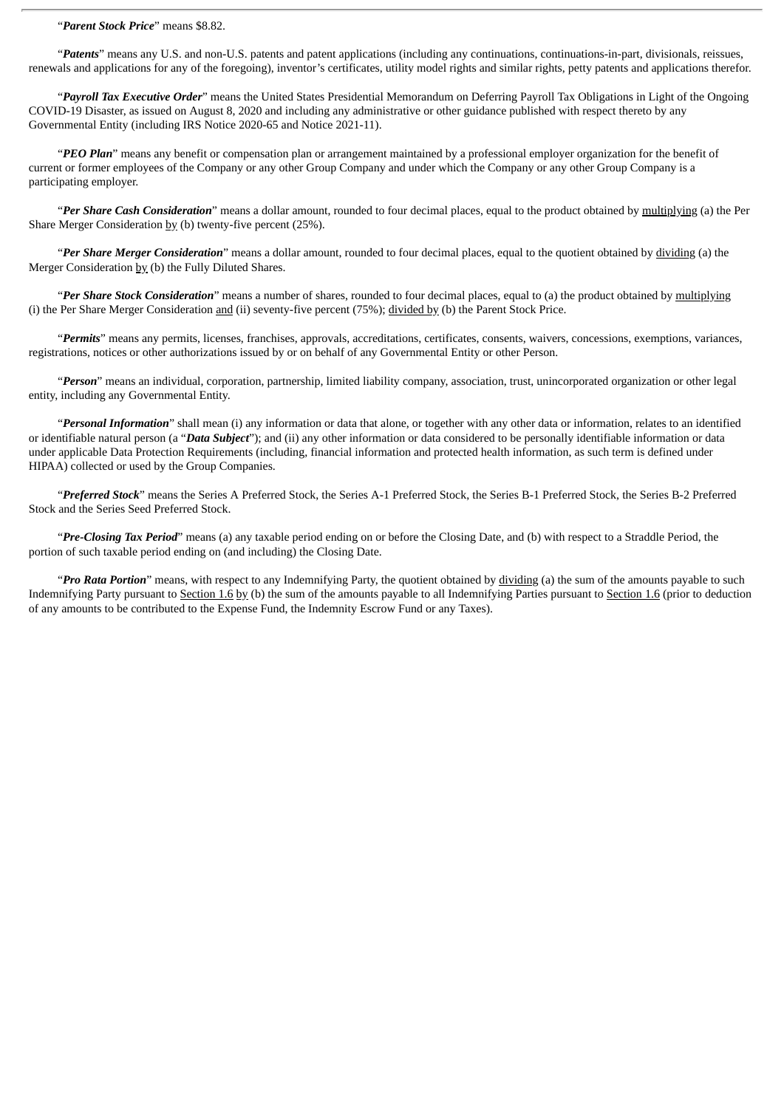## "*Parent Stock Price*" means \$8.82.

"*Patents*" means any U.S. and non-U.S. patents and patent applications (including any continuations, continuations-in-part, divisionals, reissues, renewals and applications for any of the foregoing), inventor's certificates, utility model rights and similar rights, petty patents and applications therefor.

"*Payroll Tax Executive Order*" means the United States Presidential Memorandum on Deferring Payroll Tax Obligations in Light of the Ongoing COVID-19 Disaster, as issued on August 8, 2020 and including any administrative or other guidance published with respect thereto by any Governmental Entity (including IRS Notice 2020-65 and Notice 2021-11).

"*PEO Plan*" means any benefit or compensation plan or arrangement maintained by a professional employer organization for the benefit of current or former employees of the Company or any other Group Company and under which the Company or any other Group Company is a participating employer.

"*Per Share Cash Consideration*" means a dollar amount, rounded to four decimal places, equal to the product obtained by multiplying (a) the Per Share Merger Consideration by (b) twenty-five percent (25%).

"*Per Share Merger Consideration*" means a dollar amount, rounded to four decimal places, equal to the quotient obtained by dividing (a) the Merger Consideration by (b) the Fully Diluted Shares.

"*Per Share Stock Consideration*" means a number of shares, rounded to four decimal places, equal to (a) the product obtained by multiplying (i) the Per Share Merger Consideration and (ii) seventy-five percent (75%); divided by (b) the Parent Stock Price.

"*Permits*" means any permits, licenses, franchises, approvals, accreditations, certificates, consents, waivers, concessions, exemptions, variances, registrations, notices or other authorizations issued by or on behalf of any Governmental Entity or other Person.

"*Person*" means an individual, corporation, partnership, limited liability company, association, trust, unincorporated organization or other legal entity, including any Governmental Entity.

"*Personal Information*" shall mean (i) any information or data that alone, or together with any other data or information, relates to an identified or identifiable natural person (a "*Data Subject*"); and (ii) any other information or data considered to be personally identifiable information or data under applicable Data Protection Requirements (including, financial information and protected health information, as such term is defined under HIPAA) collected or used by the Group Companies.

"*Preferred Stock*" means the Series A Preferred Stock, the Series A-1 Preferred Stock, the Series B-1 Preferred Stock, the Series B-2 Preferred Stock and the Series Seed Preferred Stock.

"*Pre-Closing Tax Period*" means (a) any taxable period ending on or before the Closing Date, and (b) with respect to a Straddle Period, the portion of such taxable period ending on (and including) the Closing Date.

"*Pro Rata Portion*" means, with respect to any Indemnifying Party, the quotient obtained by dividing (a) the sum of the amounts payable to such Indemnifying Party pursuant to Section 1.6 by (b) the sum of the amounts payable to all Indemnifying Parties pursuant to Section 1.6 (prior to deduction of any amounts to be contributed to the Expense Fund, the Indemnity Escrow Fund or any Taxes).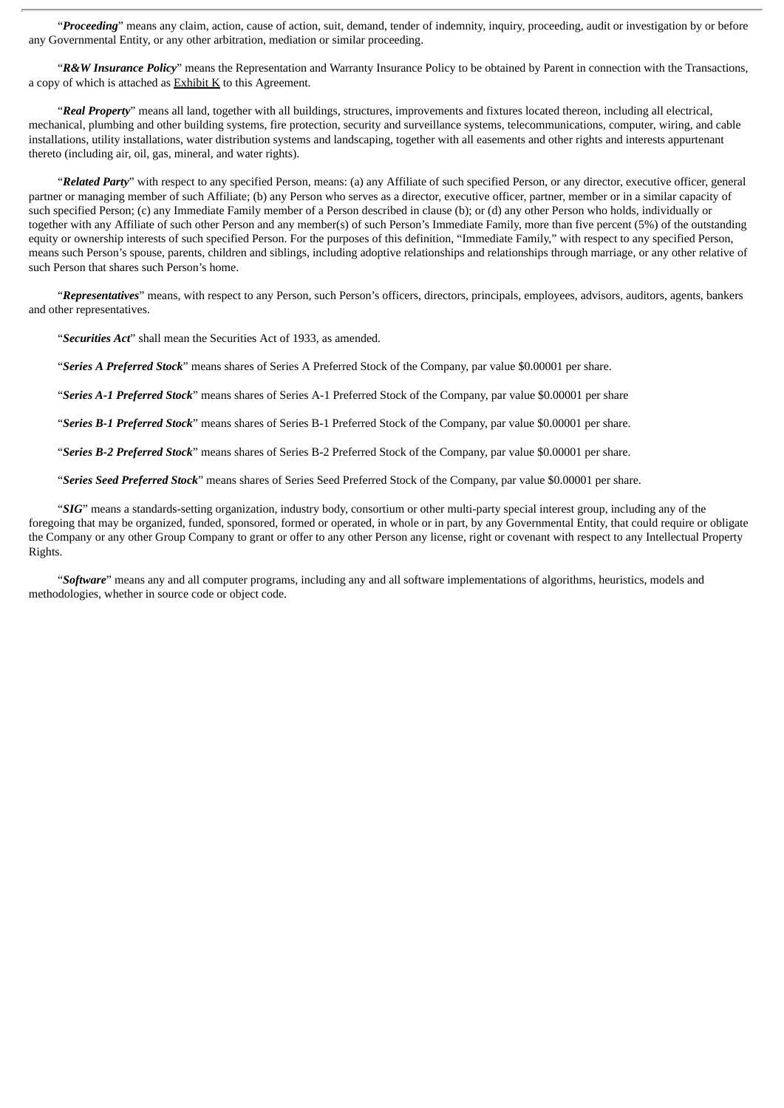"*Proceeding*" means any claim, action, cause of action, suit, demand, tender of indemnity, inquiry, proceeding, audit or investigation by or before any Governmental Entity, or any other arbitration, mediation or similar proceeding.

"*R&W Insurance Policy*" means the Representation and Warranty Insurance Policy to be obtained by Parent in connection with the Transactions, a copy of which is attached as Exhibit K to this Agreement.

"*Real Property*" means all land, together with all buildings, structures, improvements and fixtures located thereon, including all electrical, mechanical, plumbing and other building systems, fire protection, security and surveillance systems, telecommunications, computer, wiring, and cable installations, utility installations, water distribution systems and landscaping, together with all easements and other rights and interests appurtenant thereto (including air, oil, gas, mineral, and water rights).

"*Related Party*" with respect to any specified Person, means: (a) any Affiliate of such specified Person, or any director, executive officer, general partner or managing member of such Affiliate; (b) any Person who serves as a director, executive officer, partner, member or in a similar capacity of such specified Person; (c) any Immediate Family member of a Person described in clause (b); or (d) any other Person who holds, individually or together with any Affiliate of such other Person and any member(s) of such Person's Immediate Family, more than five percent (5%) of the outstanding equity or ownership interests of such specified Person. For the purposes of this definition, "Immediate Family," with respect to any specified Person, means such Person's spouse, parents, children and siblings, including adoptive relationships and relationships through marriage, or any other relative of such Person that shares such Person's home.

"*Representatives*" means, with respect to any Person, such Person's officers, directors, principals, employees, advisors, auditors, agents, bankers and other representatives.

"*Securities Act*" shall mean the Securities Act of 1933, as amended.

"*Series A Preferred Stock*" means shares of Series A Preferred Stock of the Company, par value \$0.00001 per share.

"*Series A-1 Preferred Stock*" means shares of Series A-1 Preferred Stock of the Company, par value \$0.00001 per share

"*Series B-1 Preferred Stock*" means shares of Series B-1 Preferred Stock of the Company, par value \$0.00001 per share.

"*Series B-2 Preferred Stock*" means shares of Series B-2 Preferred Stock of the Company, par value \$0.00001 per share.

"*Series Seed Preferred Stock*" means shares of Series Seed Preferred Stock of the Company, par value \$0.00001 per share.

"*SIG*" means a standards-setting organization, industry body, consortium or other multi-party special interest group, including any of the foregoing that may be organized, funded, sponsored, formed or operated, in whole or in part, by any Governmental Entity, that could require or obligate the Company or any other Group Company to grant or offer to any other Person any license, right or covenant with respect to any Intellectual Property Rights.

"*Software*" means any and all computer programs, including any and all software implementations of algorithms, heuristics, models and methodologies, whether in source code or object code.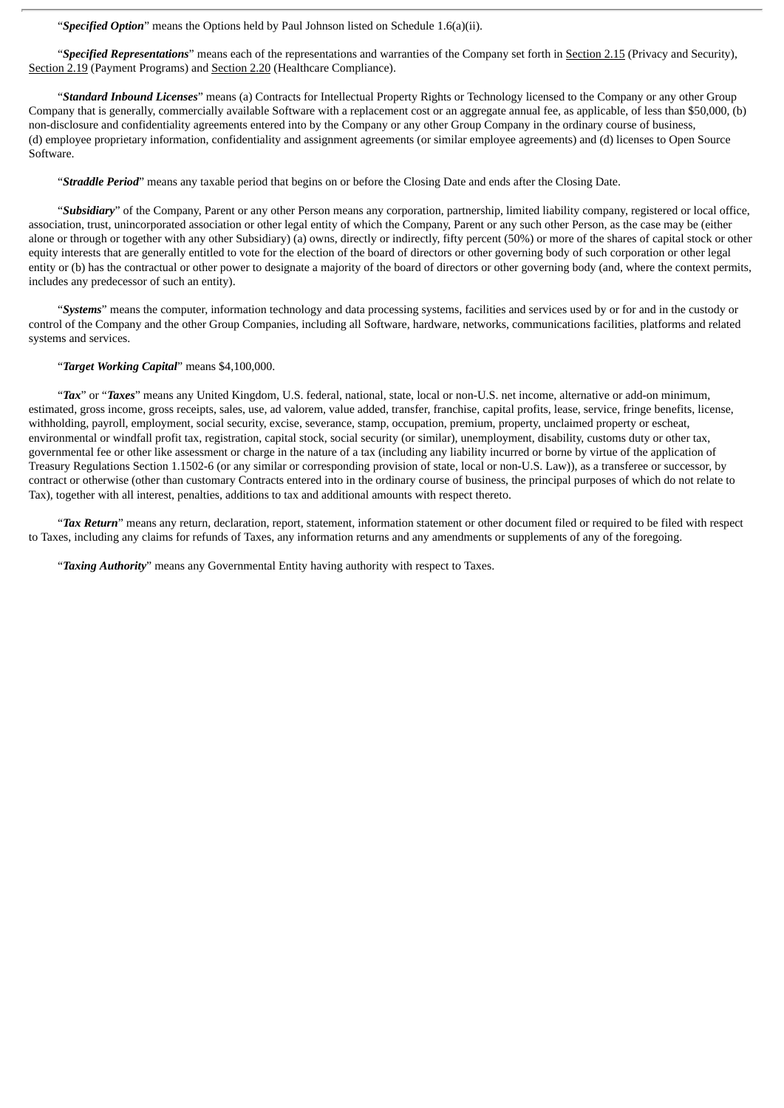"*Specified Option*" means the Options held by Paul Johnson listed on Schedule 1.6(a)(ii).

"*Specified Representations*" means each of the representations and warranties of the Company set forth in Section 2.15 (Privacy and Security), Section 2.19 (Payment Programs) and Section 2.20 (Healthcare Compliance).

"*Standard Inbound Licenses*" means (a) Contracts for Intellectual Property Rights or Technology licensed to the Company or any other Group Company that is generally, commercially available Software with a replacement cost or an aggregate annual fee, as applicable, of less than \$50,000, (b) non-disclosure and confidentiality agreements entered into by the Company or any other Group Company in the ordinary course of business, (d) employee proprietary information, confidentiality and assignment agreements (or similar employee agreements) and (d) licenses to Open Source Software.

"*Straddle Period*" means any taxable period that begins on or before the Closing Date and ends after the Closing Date.

"*Subsidiary*" of the Company, Parent or any other Person means any corporation, partnership, limited liability company, registered or local office, association, trust, unincorporated association or other legal entity of which the Company, Parent or any such other Person, as the case may be (either alone or through or together with any other Subsidiary) (a) owns, directly or indirectly, fifty percent (50%) or more of the shares of capital stock or other equity interests that are generally entitled to vote for the election of the board of directors or other governing body of such corporation or other legal entity or (b) has the contractual or other power to designate a majority of the board of directors or other governing body (and, where the context permits, includes any predecessor of such an entity).

"*Systems*" means the computer, information technology and data processing systems, facilities and services used by or for and in the custody or control of the Company and the other Group Companies, including all Software, hardware, networks, communications facilities, platforms and related systems and services.

# "*Target Working Capital*" means \$4,100,000.

"*Tax*" or "*Taxes*" means any United Kingdom, U.S. federal, national, state, local or non-U.S. net income, alternative or add-on minimum, estimated, gross income, gross receipts, sales, use, ad valorem, value added, transfer, franchise, capital profits, lease, service, fringe benefits, license, withholding, payroll, employment, social security, excise, severance, stamp, occupation, premium, property, unclaimed property or escheat, environmental or windfall profit tax, registration, capital stock, social security (or similar), unemployment, disability, customs duty or other tax, governmental fee or other like assessment or charge in the nature of a tax (including any liability incurred or borne by virtue of the application of Treasury Regulations Section 1.1502-6 (or any similar or corresponding provision of state, local or non-U.S. Law)), as a transferee or successor, by contract or otherwise (other than customary Contracts entered into in the ordinary course of business, the principal purposes of which do not relate to Tax), together with all interest, penalties, additions to tax and additional amounts with respect thereto.

"*Tax Return*" means any return, declaration, report, statement, information statement or other document filed or required to be filed with respect to Taxes, including any claims for refunds of Taxes, any information returns and any amendments or supplements of any of the foregoing.

"*Taxing Authority*" means any Governmental Entity having authority with respect to Taxes.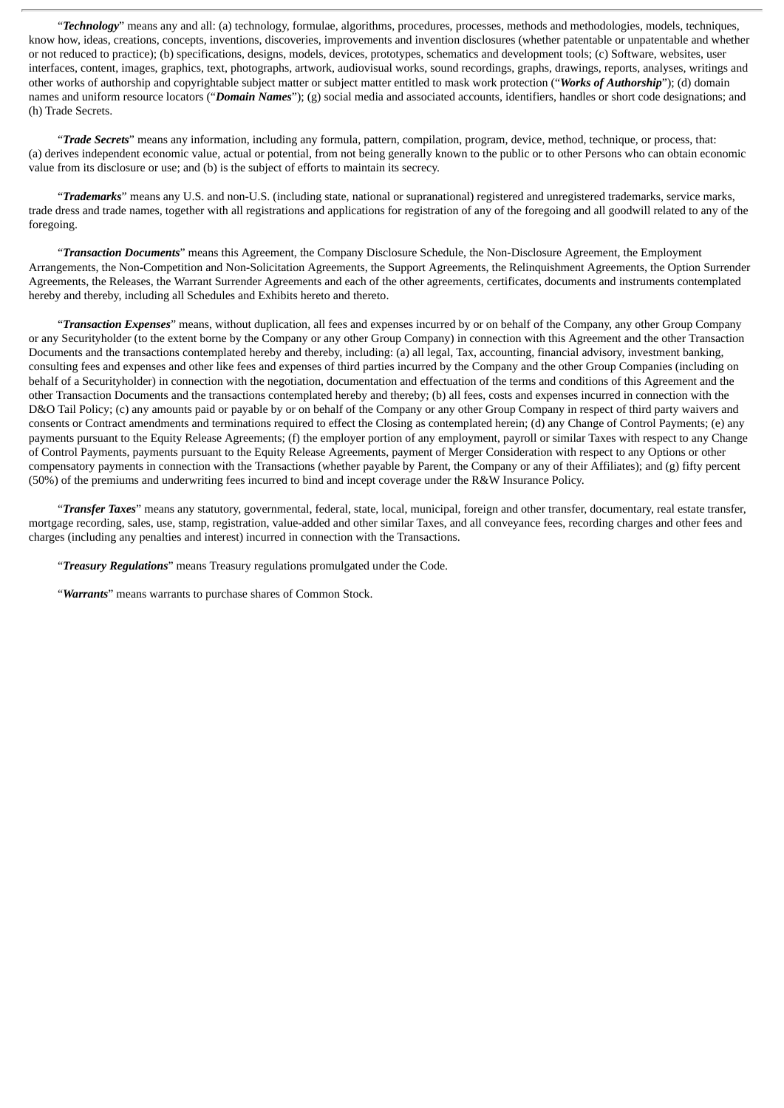"*Technology*" means any and all: (a) technology, formulae, algorithms, procedures, processes, methods and methodologies, models, techniques, know how, ideas, creations, concepts, inventions, discoveries, improvements and invention disclosures (whether patentable or unpatentable and whether or not reduced to practice); (b) specifications, designs, models, devices, prototypes, schematics and development tools; (c) Software, websites, user interfaces, content, images, graphics, text, photographs, artwork, audiovisual works, sound recordings, graphs, drawings, reports, analyses, writings and other works of authorship and copyrightable subject matter or subject matter entitled to mask work protection ("*Works of Authorship*"); (d) domain names and uniform resource locators ("*Domain Names*"); (g) social media and associated accounts, identifiers, handles or short code designations; and (h) Trade Secrets.

"*Trade Secrets*" means any information, including any formula, pattern, compilation, program, device, method, technique, or process, that: (a) derives independent economic value, actual or potential, from not being generally known to the public or to other Persons who can obtain economic value from its disclosure or use; and (b) is the subject of efforts to maintain its secrecy.

"*Trademarks*" means any U.S. and non-U.S. (including state, national or supranational) registered and unregistered trademarks, service marks, trade dress and trade names, together with all registrations and applications for registration of any of the foregoing and all goodwill related to any of the foregoing.

"*Transaction Documents*" means this Agreement, the Company Disclosure Schedule, the Non-Disclosure Agreement, the Employment Arrangements, the Non-Competition and Non-Solicitation Agreements, the Support Agreements, the Relinquishment Agreements, the Option Surrender Agreements, the Releases, the Warrant Surrender Agreements and each of the other agreements, certificates, documents and instruments contemplated hereby and thereby, including all Schedules and Exhibits hereto and thereto.

"*Transaction Expenses*" means, without duplication, all fees and expenses incurred by or on behalf of the Company, any other Group Company or any Securityholder (to the extent borne by the Company or any other Group Company) in connection with this Agreement and the other Transaction Documents and the transactions contemplated hereby and thereby, including: (a) all legal, Tax, accounting, financial advisory, investment banking, consulting fees and expenses and other like fees and expenses of third parties incurred by the Company and the other Group Companies (including on behalf of a Securityholder) in connection with the negotiation, documentation and effectuation of the terms and conditions of this Agreement and the other Transaction Documents and the transactions contemplated hereby and thereby; (b) all fees, costs and expenses incurred in connection with the D&O Tail Policy; (c) any amounts paid or payable by or on behalf of the Company or any other Group Company in respect of third party waivers and consents or Contract amendments and terminations required to effect the Closing as contemplated herein; (d) any Change of Control Payments; (e) any payments pursuant to the Equity Release Agreements; (f) the employer portion of any employment, payroll or similar Taxes with respect to any Change of Control Payments, payments pursuant to the Equity Release Agreements, payment of Merger Consideration with respect to any Options or other compensatory payments in connection with the Transactions (whether payable by Parent, the Company or any of their Affiliates); and (g) fifty percent (50%) of the premiums and underwriting fees incurred to bind and incept coverage under the R&W Insurance Policy.

"*Transfer Taxes*" means any statutory, governmental, federal, state, local, municipal, foreign and other transfer, documentary, real estate transfer, mortgage recording, sales, use, stamp, registration, value-added and other similar Taxes, and all conveyance fees, recording charges and other fees and charges (including any penalties and interest) incurred in connection with the Transactions.

"*Treasury Regulations*" means Treasury regulations promulgated under the Code.

"*Warrants*" means warrants to purchase shares of Common Stock.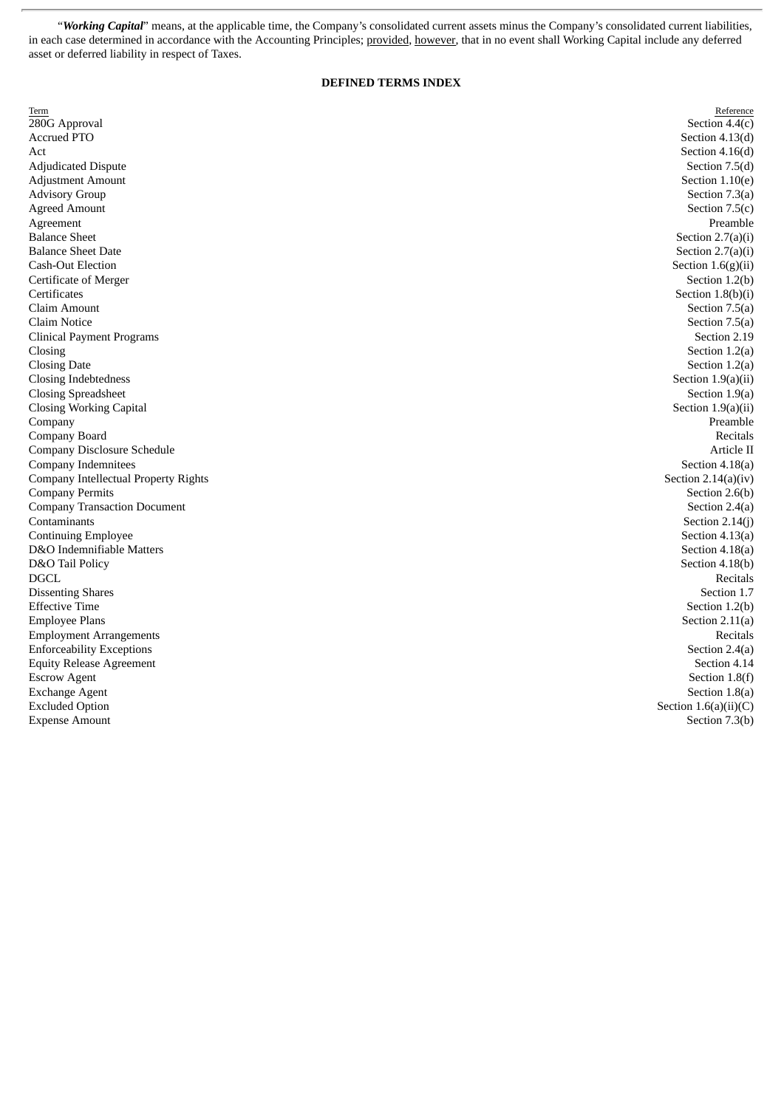"*Working Capital*" means, at the applicable time, the Company's consolidated current assets minus the Company's consolidated current liabilities, in each case determined in accordance with the Accounting Principles; provided, however, that in no event shall Working Capital include any deferred asset or deferred liability in respect of Taxes.

# **DEFINED TERMS INDEX**

| Term                                 | Reference               |
|--------------------------------------|-------------------------|
| 280G Approval                        | Section $4.4(c)$        |
| <b>Accrued PTO</b>                   | Section 4.13(d)         |
| Act                                  | Section $4.16(d)$       |
| <b>Adjudicated Dispute</b>           | Section $7.5(d)$        |
| <b>Adjustment Amount</b>             | Section $1.10(e)$       |
| <b>Advisory Group</b>                | Section 7.3(a)          |
| <b>Agreed Amount</b>                 | Section $7.5(c)$        |
| Agreement                            | Preamble                |
| <b>Balance Sheet</b>                 | Section $2.7(a)(i)$     |
| <b>Balance Sheet Date</b>            | Section $2.7(a)(i)$     |
| <b>Cash-Out Election</b>             | Section $1.6(g)(ii)$    |
| Certificate of Merger                | Section 1.2(b)          |
| Certificates                         | Section $1.8(b)(i)$     |
| Claim Amount                         | Section 7.5(a)          |
| Claim Notice                         | Section $7.5(a)$        |
| <b>Clinical Payment Programs</b>     | Section 2.19            |
| Closing                              | Section $1.2(a)$        |
| <b>Closing Date</b>                  | Section $1.2(a)$        |
| Closing Indebtedness                 | Section $1.9(a)(ii)$    |
| <b>Closing Spreadsheet</b>           | Section 1.9(a)          |
| <b>Closing Working Capital</b>       | Section $1.9(a)(ii)$    |
| Company                              | Preamble                |
| Company Board                        | Recitals                |
| Company Disclosure Schedule          | Article II              |
| Company Indemnitees                  | Section $4.18(a)$       |
| Company Intellectual Property Rights | Section $2.14(a)(iv)$   |
| <b>Company Permits</b>               | Section 2.6(b)          |
| <b>Company Transaction Document</b>  | Section $2.4(a)$        |
| Contaminants                         | Section 2.14(j)         |
| <b>Continuing Employee</b>           | Section $4.13(a)$       |
| D&O Indemnifiable Matters            | Section $4.18(a)$       |
| D&O Tail Policy                      | Section 4.18(b)         |
| <b>DGCL</b>                          | Recitals                |
| <b>Dissenting Shares</b>             | Section 1.7             |
| <b>Effective Time</b>                | Section 1.2(b)          |
| <b>Employee Plans</b>                | Section $2.11(a)$       |
| <b>Employment Arrangements</b>       | Recitals                |
| <b>Enforceability Exceptions</b>     | Section 2.4(a)          |
| <b>Equity Release Agreement</b>      | Section 4.14            |
| <b>Escrow Agent</b>                  | Section $1.8(f)$        |
| <b>Exchange Agent</b>                | Section $1.8(a)$        |
| <b>Excluded Option</b>               | Section $1.6(a)(ii)(C)$ |
| <b>Expense Amount</b>                | Section 7.3(b)          |
|                                      |                         |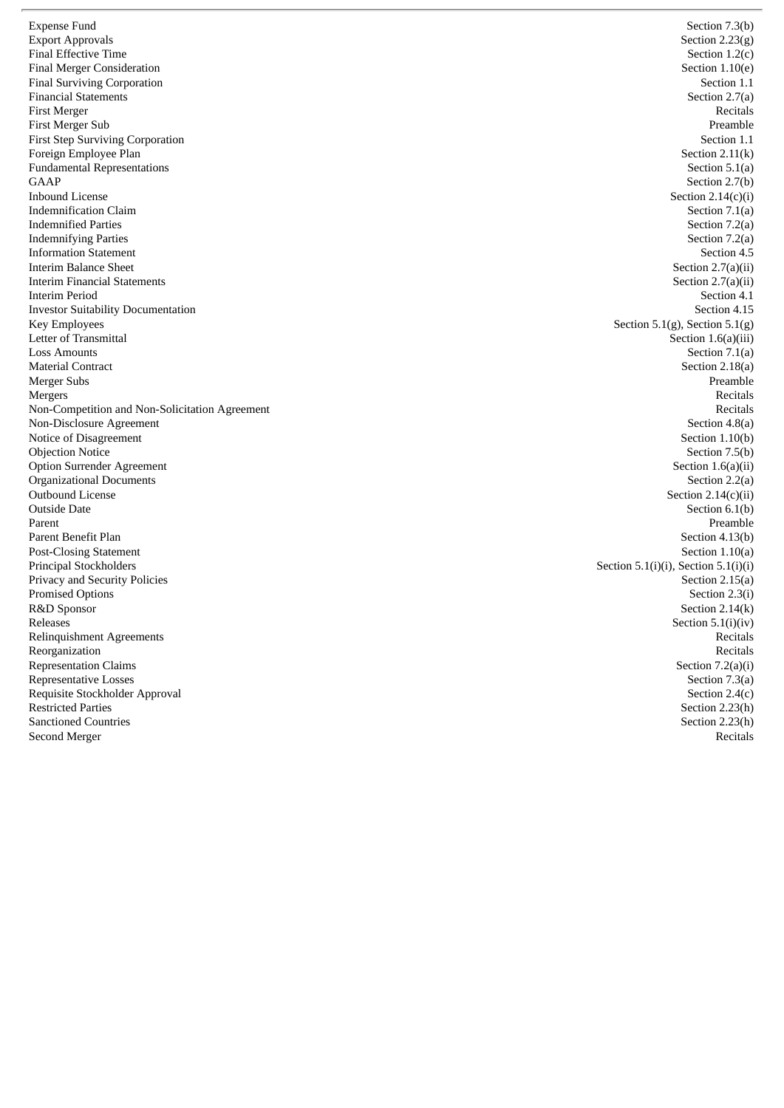Expense Fund Export Approvals Final Effective Time Final Merger Consideration Final Surviving Corporation Financial Statements First Merger First Merger Sub First Step Surviving Corporation Foreign Employee Plan Fundamental Representations G A A P Inbound License Indemnification Claim Indemnified Parties Indemnifying Parties **Information Statement** Interim Balance Sheet Interim Financial Statements Interim Period Investor Suitability Documentation Key Employees Letter of Transmittal Loss Amounts Material Contract Merger Subs Mergers Non-Competition and Non-Solicitation Agreement Non-Disclosure Agreement Notice of Disagreement Objection Notice Option Surrender Agreement Organizational Documents Outbound License Outside Date Parent Parent Benefit Plan Post-Closing Statement Principal Stockholders Privacy and Security Policies Promised Options R&D Sponsor Releases Relinquishment Agreements Reorganization Representation Claims Representative Losses Requisite Stockholder Approval Restricted Parties Sanctioned Countries Second Merger

Section 7.3(b) Section  $2.23(g)$ Section  $1.2(c)$ Section  $1.10(e)$ Section 1.1 Section 2.7(a) Recitals Preamble Section 1.1 Section  $2.11(k)$ Section 5.1(a) Section 2.7(b) Section  $2.14(c)(i)$ Section  $7.1(a)$ Section 7.2(a) Section 7.2(a) Section 4.5 Section  $2.7(a)(ii)$ Section  $2.7(a)(ii)$ Section 4.1 Section 4.15 Section  $5.1(g)$ , Section  $5.1(g)$ Section  $1.6(a)$ (iii) Section  $7.1(a)$ Section 2.18(a) P r e a m b l e Recitals Recitals Section 4.8(a) Section 1.10(b) Section 7.5(b) Section  $1.6(a)(ii)$ Section 2.2(a) Section  $2.14(c)(ii)$ Section 6.1(b) P r e a m b l e Section 4.13(b) Section  $1.10(a)$ Section  $5.1(i)(i)$ , Section  $5.1(i)(i)$ Section  $2.15(a)$ Section 2.3(i) Section  $2.14(k)$ Section  $5.1(i)(iv)$ Recitals Recitals Section  $7.2(a)(i)$ Section 7.3(a) Section  $2.4(c)$ Section 2.23(h) Section 2.23(h) Recitals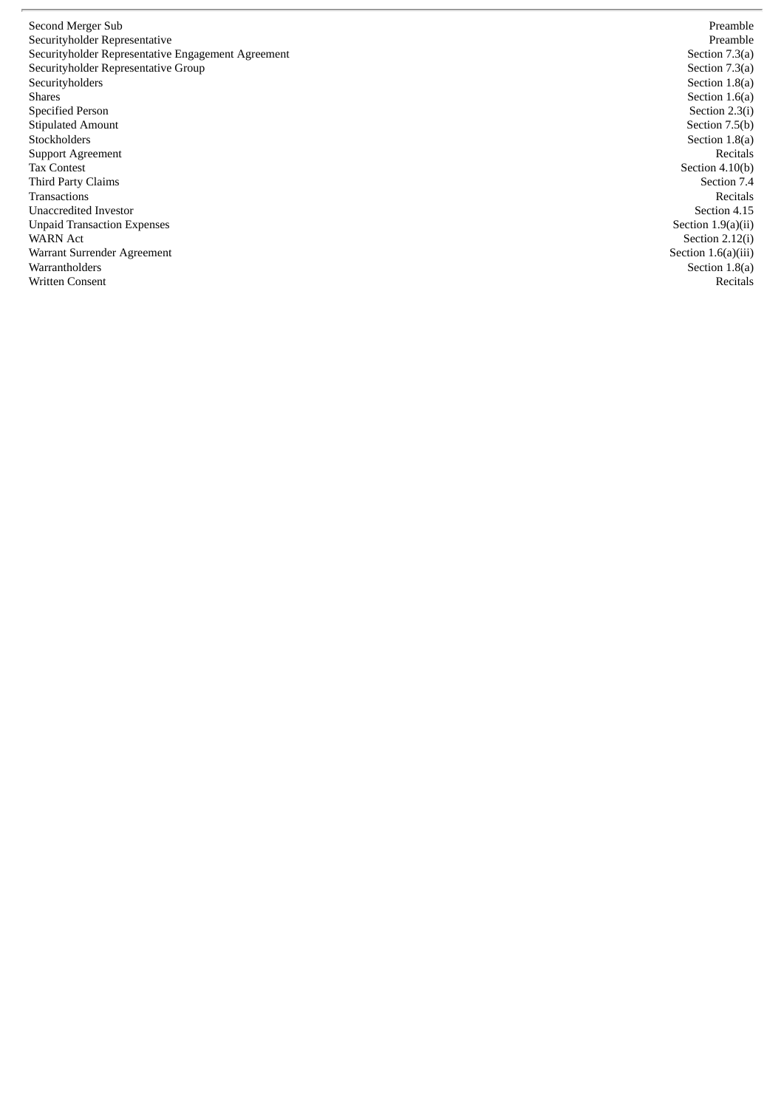Second Merger Sub Securityholder Representative Securityholder Representative Engagement Agreement Securityholder Representative Group **Securityholders** Shares Specified Person Stipulated Amount Stockholders Support Agreement Tax Contest Third Party Claims **Transactions** Unaccredited Investor Unpaid Transaction Expenses WARN Act Warrant Surrender Agreement Warrantholders Written Consent

Preamble Preamble Section 7.3(a) Section 7.3(a) Section 1.8(a) Section  $1.6(a)$ Section 2.3(i) Section 7.5(b) Section 1.8(a) Recitals Section 4.10(b) Section 7.4 Recitals Section 4.15 Section  $1.9(a)(ii)$ Section 2.12(i) Section  $1.6(a)$ (iii) Section 1.8(a) Recitals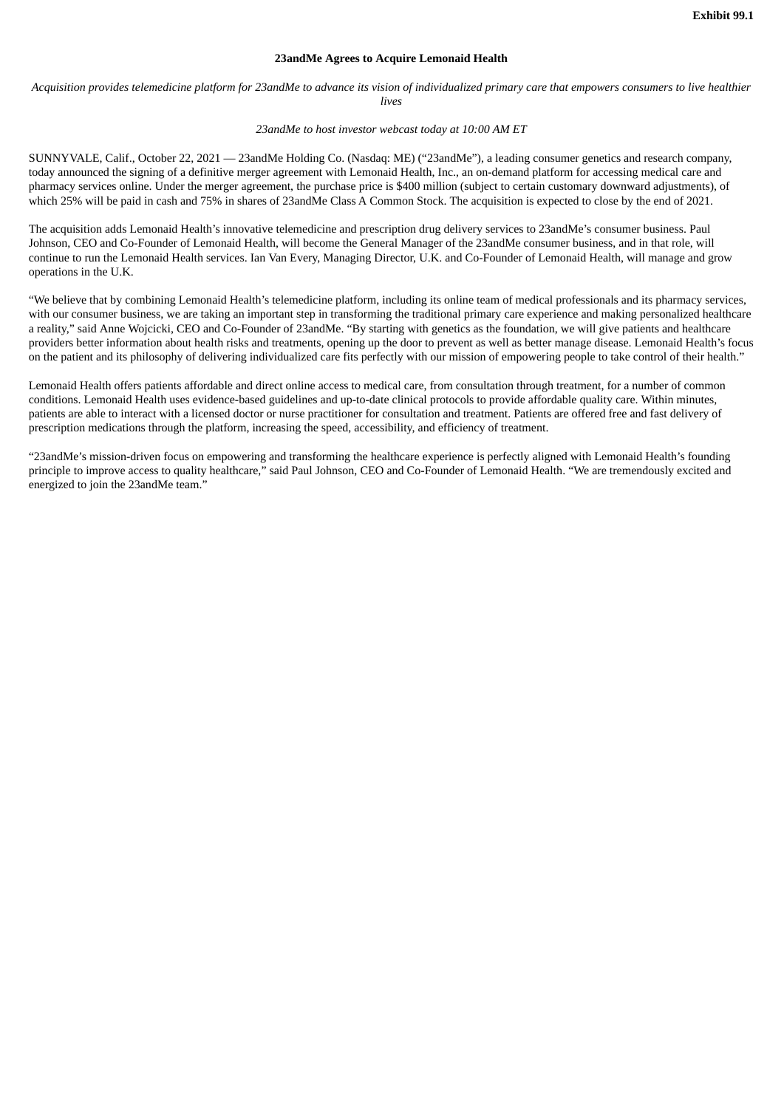#### **23andMe Agrees to Acquire Lemonaid Health**

Acquisition provides telemedicine platform for 23andMe to advance its vision of individualized primary care that empowers consumers to live healthier *lives*

#### *23andMe to host investor webcast today at 10:00 AM ET*

SUNNYVALE, Calif., October 22, 2021 — 23andMe Holding Co. (Nasdaq: ME) ("23andMe"), a leading consumer genetics and research company, today announced the signing of a definitive merger agreement with Lemonaid Health, Inc., an on-demand platform for accessing medical care and pharmacy services online. Under the merger agreement, the purchase price is \$400 million (subject to certain customary downward adjustments), of which 25% will be paid in cash and 75% in shares of 23andMe Class A Common Stock. The acquisition is expected to close by the end of 2021.

The acquisition adds Lemonaid Health's innovative telemedicine and prescription drug delivery services to 23andMe's consumer business. Paul Johnson, CEO and Co-Founder of Lemonaid Health, will become the General Manager of the 23andMe consumer business, and in that role, will continue to run the Lemonaid Health services. Ian Van Every, Managing Director, U.K. and Co-Founder of Lemonaid Health, will manage and grow operations in the U.K.

"We believe that by combining Lemonaid Health's telemedicine platform, including its online team of medical professionals and its pharmacy services, with our consumer business, we are taking an important step in transforming the traditional primary care experience and making personalized healthcare a reality," said Anne Wojcicki, CEO and Co-Founder of 23andMe. "By starting with genetics as the foundation, we will give patients and healthcare providers better information about health risks and treatments, opening up the door to prevent as well as better manage disease. Lemonaid Health's focus on the patient and its philosophy of delivering individualized care fits perfectly with our mission of empowering people to take control of their health."

Lemonaid Health offers patients affordable and direct online access to medical care, from consultation through treatment, for a number of common conditions. Lemonaid Health uses evidence-based guidelines and up-to-date clinical protocols to provide affordable quality care. Within minutes, patients are able to interact with a licensed doctor or nurse practitioner for consultation and treatment. Patients are offered free and fast delivery of prescription medications through the platform, increasing the speed, accessibility, and efficiency of treatment.

"23andMe's mission-driven focus on empowering and transforming the healthcare experience is perfectly aligned with Lemonaid Health's founding principle to improve access to quality healthcare," said Paul Johnson, CEO and Co-Founder of Lemonaid Health. "We are tremendously excited and energized to join the 23andMe team."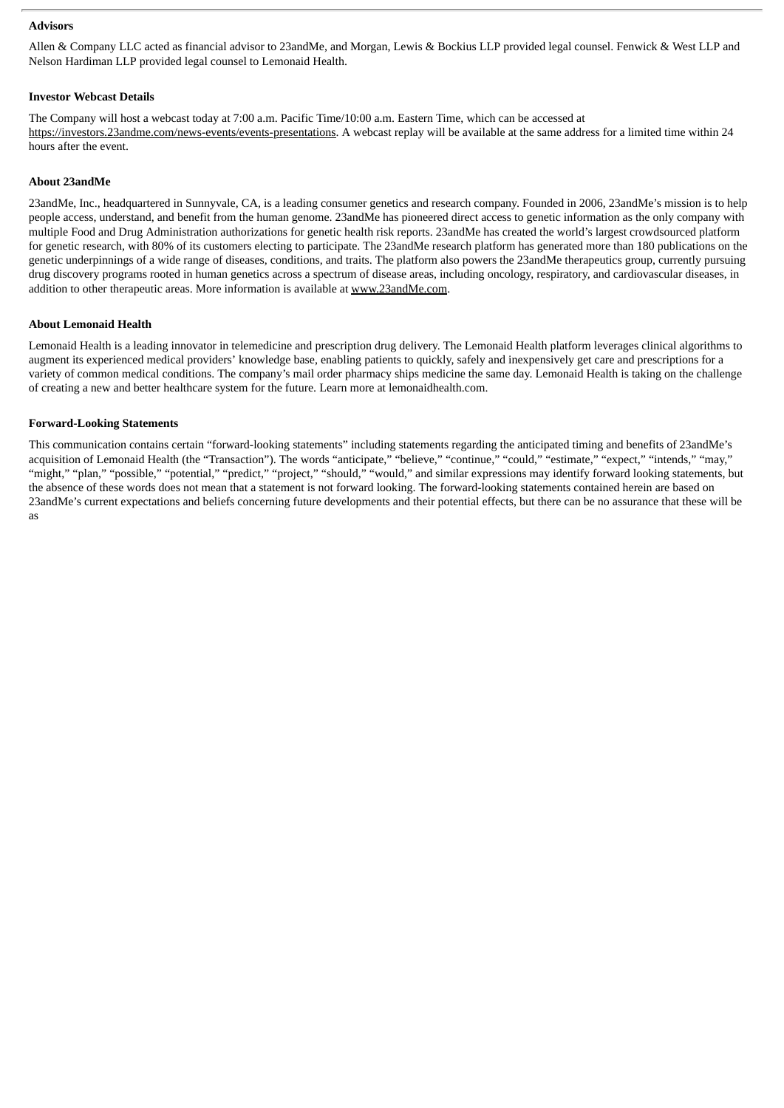#### **Advisors**

Allen & Company LLC acted as financial advisor to 23andMe, and Morgan, Lewis & Bockius LLP provided legal counsel. Fenwick & West LLP and Nelson Hardiman LLP provided legal counsel to Lemonaid Health.

## **Investor Webcast Details**

The Company will host a webcast today at 7:00 a.m. Pacific Time/10:00 a.m. Eastern Time, which can be accessed at https://investors.23andme.com/news-events/events-presentations. A webcast replay will be available at the same address for a limited time within 24 hours after the event.

### **About 23andMe**

23andMe, Inc., headquartered in Sunnyvale, CA, is a leading consumer genetics and research company. Founded in 2006, 23andMe's mission is to help people access, understand, and benefit from the human genome. 23andMe has pioneered direct access to genetic information as the only company with multiple Food and Drug Administration authorizations for genetic health risk reports. 23andMe has created the world's largest crowdsourced platform for genetic research, with 80% of its customers electing to participate. The 23andMe research platform has generated more than 180 publications on the genetic underpinnings of a wide range of diseases, conditions, and traits. The platform also powers the 23andMe therapeutics group, currently pursuing drug discovery programs rooted in human genetics across a spectrum of disease areas, including oncology, respiratory, and cardiovascular diseases, in addition to other therapeutic areas. More information is available at www.23andMe.com.

### **About Lemonaid Health**

Lemonaid Health is a leading innovator in telemedicine and prescription drug delivery. The Lemonaid Health platform leverages clinical algorithms to augment its experienced medical providers' knowledge base, enabling patients to quickly, safely and inexpensively get care and prescriptions for a variety of common medical conditions. The company's mail order pharmacy ships medicine the same day. Lemonaid Health is taking on the challenge of creating a new and better healthcare system for the future. Learn more at lemonaidhealth.com.

#### **Forward-Looking Statements**

This communication contains certain "forward-looking statements" including statements regarding the anticipated timing and benefits of 23andMe's acquisition of Lemonaid Health (the "Transaction"). The words "anticipate," "believe," "continue," "could," "estimate," "expect," "intends," "may," "might," "plan," "possible," "potential," "predict," "project," "should," "would," and similar expressions may identify forward looking statements, but the absence of these words does not mean that a statement is not forward looking. The forward-looking statements contained herein are based on 23andMe's current expectations and beliefs concerning future developments and their potential effects, but there can be no assurance that these will be as